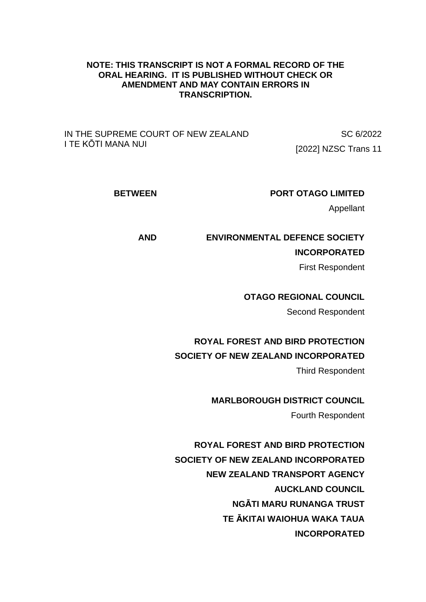## **NOTE: THIS TRANSCRIPT IS NOT A FORMAL RECORD OF THE ORAL HEARING. IT IS PUBLISHED WITHOUT CHECK OR AMENDMENT AND MAY CONTAIN ERRORS IN TRANSCRIPTION.**

IN THE SUPREME COURT OF NEW ZEALAND I TE KŌTI MANA NUI

SC 6/2022 [2022] NZSC Trans 11

**BETWEEN PORT OTAGO LIMITED**

Appellant

**AND ENVIRONMENTAL DEFENCE SOCIETY INCORPORATED**

First Respondent

**OTAGO REGIONAL COUNCIL**

Second Respondent

**ROYAL FOREST AND BIRD PROTECTION** 

**SOCIETY OF NEW ZEALAND INCORPORATED**

Third Respondent

**MARLBOROUGH DISTRICT COUNCIL**

Fourth Respondent

**ROYAL FOREST AND BIRD PROTECTION SOCIETY OF NEW ZEALAND INCORPORATED NEW ZEALAND TRANSPORT AGENCY AUCKLAND COUNCIL NGĀTI MARU RUNANGA TRUST TE ĀKITAI WAIOHUA WAKA TAUA INCORPORATED**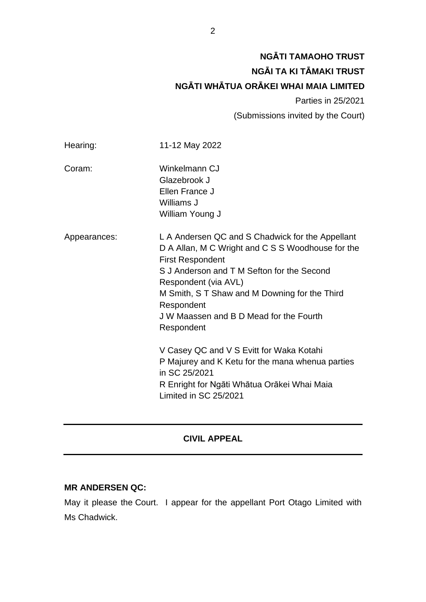# **NGĀTI TAMAOHO TRUST NGĀI TA KI TĀMAKI TRUST NGĀTI WHĀTUA ORĀKEI WHAI MAIA LIMITED**

Parties in 25/2021

(Submissions invited by the Court)

| Hearing:     | 11-12 May 2022                                                                                                                                                                                                                                                                                                                 |
|--------------|--------------------------------------------------------------------------------------------------------------------------------------------------------------------------------------------------------------------------------------------------------------------------------------------------------------------------------|
| Coram:       | Winkelmann CJ<br>Glazebrook J<br>Ellen France J<br>Williams J<br>William Young J                                                                                                                                                                                                                                               |
| Appearances: | L A Andersen QC and S Chadwick for the Appellant<br>D A Allan, M C Wright and C S S Woodhouse for the<br><b>First Respondent</b><br>S J Anderson and T M Sefton for the Second<br>Respondent (via AVL)<br>M Smith, S T Shaw and M Downing for the Third<br>Respondent<br>J W Maassen and B D Mead for the Fourth<br>Respondent |
|              | V Casey QC and V S Evitt for Waka Kotahi<br>P Majurey and K Ketu for the mana whenua parties<br>in SC 25/2021<br>R Enright for Ngāti Whātua Orākei Whai Maia<br>Limited in SC 25/2021                                                                                                                                          |

## **CIVIL APPEAL**

## **MR ANDERSEN QC:**

May it please the Court. I appear for the appellant Port Otago Limited with Ms Chadwick.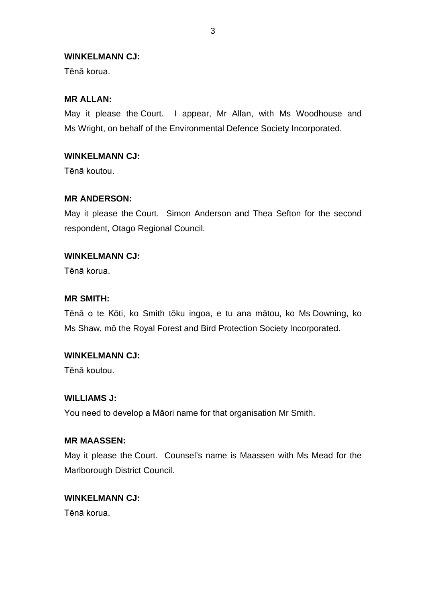## **WINKELMANN CJ:**

Tēnā korua.

## **MR ALLAN:**

May it please the Court. I appear, Mr Allan, with Ms Woodhouse and Ms Wright, on behalf of the Environmental Defence Society Incorporated.

## **WINKELMANN CJ:**

Tēnā koutou.

## **MR ANDERSON:**

May it please the Court. Simon Anderson and Thea Sefton for the second respondent, Otago Regional Council.

## **WINKELMANN CJ:**

Tēnā korua.

## **MR SMITH:**

Tēnā o te Kōti, ko Smith tōku ingoa, e tu ana mātou, ko Ms Downing, ko Ms Shaw, mō the Royal Forest and Bird Protection Society Incorporated.

## **WINKELMANN CJ:**

Tēnā koutou.

## **WILLIAMS J:**

You need to develop a Māori name for that organisation Mr Smith.

### **MR MAASSEN:**

May it please the Court. Counsel's name is Maassen with Ms Mead for the Marlborough District Council.

## **WINKELMANN CJ:**

Tēnā korua.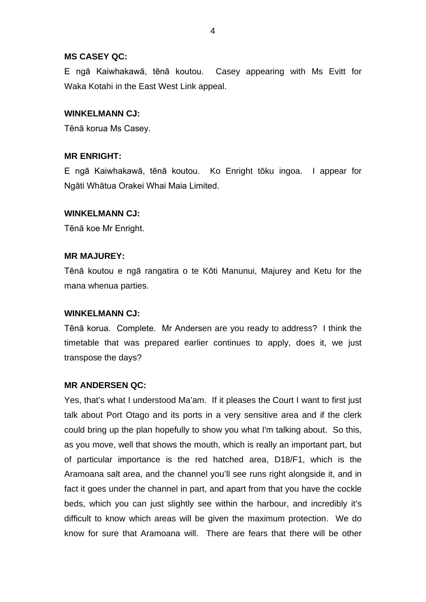### **MS CASEY QC:**

E ngā Kaiwhakawā, tēnā koutou. Casey appearing with Ms Evitt for Waka Kotahi in the East West Link appeal.

## **WINKELMANN CJ:**

Tēnā korua Ms Casey.

## **MR ENRIGHT:**

E ngā Kaiwhakawā, tēnā koutou. Ko Enright tōku ingoa. I appear for Ngāti Whātua Orakei Whai Maia Limited.

## **WINKELMANN CJ:**

Tēnā koe Mr Enright.

## **MR MAJUREY:**

Tēnā koutou e ngā rangatira o te Kōti Manunui, Majurey and Ketu for the mana whenua parties.

### **WINKELMANN CJ:**

Tēnā korua. Complete. Mr Andersen are you ready to address? I think the timetable that was prepared earlier continues to apply, does it, we just transpose the days?

### **MR ANDERSEN QC:**

Yes, that's what I understood Ma'am. If it pleases the Court I want to first just talk about Port Otago and its ports in a very sensitive area and if the clerk could bring up the plan hopefully to show you what I'm talking about. So this, as you move, well that shows the mouth, which is really an important part, but of particular importance is the red hatched area, D18/F1, which is the Aramoana salt area, and the channel you'll see runs right alongside it, and in fact it goes under the channel in part, and apart from that you have the cockle beds, which you can just slightly see within the harbour, and incredibly it's difficult to know which areas will be given the maximum protection. We do know for sure that Aramoana will. There are fears that there will be other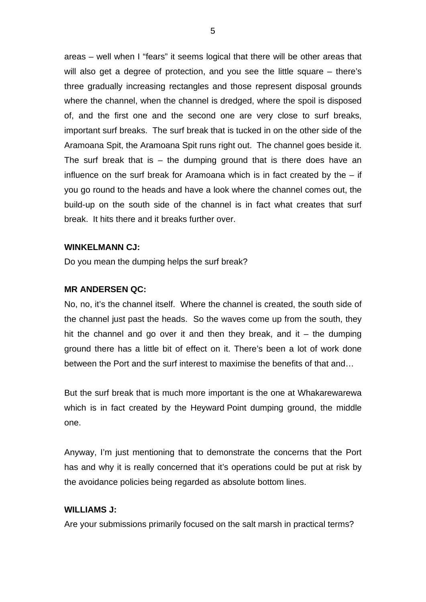areas – well when I "fears" it seems logical that there will be other areas that will also get a degree of protection, and you see the little square – there's three gradually increasing rectangles and those represent disposal grounds where the channel, when the channel is dredged, where the spoil is disposed of, and the first one and the second one are very close to surf breaks, important surf breaks. The surf break that is tucked in on the other side of the Aramoana Spit, the Aramoana Spit runs right out. The channel goes beside it. The surf break that is  $-$  the dumping ground that is there does have an influence on the surf break for Aramoana which is in fact created by the – if you go round to the heads and have a look where the channel comes out, the build-up on the south side of the channel is in fact what creates that surf break. It hits there and it breaks further over.

### **WINKELMANN CJ:**

Do you mean the dumping helps the surf break?

### **MR ANDERSEN QC:**

No, no, it's the channel itself. Where the channel is created, the south side of the channel just past the heads. So the waves come up from the south, they hit the channel and go over it and then they break, and it  $-$  the dumping ground there has a little bit of effect on it. There's been a lot of work done between the Port and the surf interest to maximise the benefits of that and…

But the surf break that is much more important is the one at Whakarewarewa which is in fact created by the Heyward Point dumping ground, the middle one.

Anyway, I'm just mentioning that to demonstrate the concerns that the Port has and why it is really concerned that it's operations could be put at risk by the avoidance policies being regarded as absolute bottom lines.

## **WILLIAMS J:**

Are your submissions primarily focused on the salt marsh in practical terms?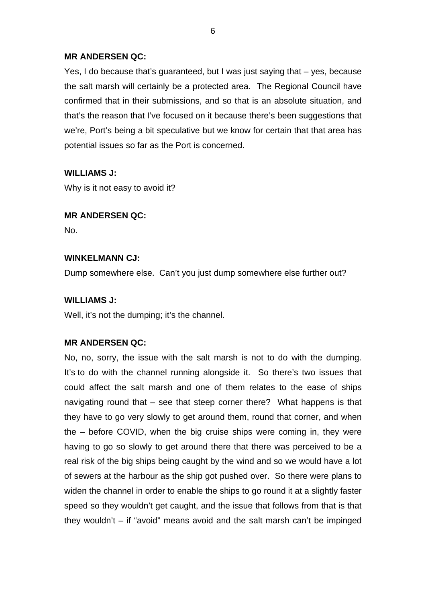Yes, I do because that's guaranteed, but I was just saying that – yes, because the salt marsh will certainly be a protected area. The Regional Council have confirmed that in their submissions, and so that is an absolute situation, and that's the reason that I've focused on it because there's been suggestions that we're, Port's being a bit speculative but we know for certain that that area has potential issues so far as the Port is concerned.

## **WILLIAMS J:**

Why is it not easy to avoid it?

## **MR ANDERSEN QC:**

No.

## **WINKELMANN CJ:**

Dump somewhere else. Can't you just dump somewhere else further out?

## **WILLIAMS J:**

Well, it's not the dumping; it's the channel.

## **MR ANDERSEN QC:**

No, no, sorry, the issue with the salt marsh is not to do with the dumping. It's to do with the channel running alongside it. So there's two issues that could affect the salt marsh and one of them relates to the ease of ships navigating round that – see that steep corner there? What happens is that they have to go very slowly to get around them, round that corner, and when the – before COVID, when the big cruise ships were coming in, they were having to go so slowly to get around there that there was perceived to be a real risk of the big ships being caught by the wind and so we would have a lot of sewers at the harbour as the ship got pushed over. So there were plans to widen the channel in order to enable the ships to go round it at a slightly faster speed so they wouldn't get caught, and the issue that follows from that is that they wouldn't – if "avoid" means avoid and the salt marsh can't be impinged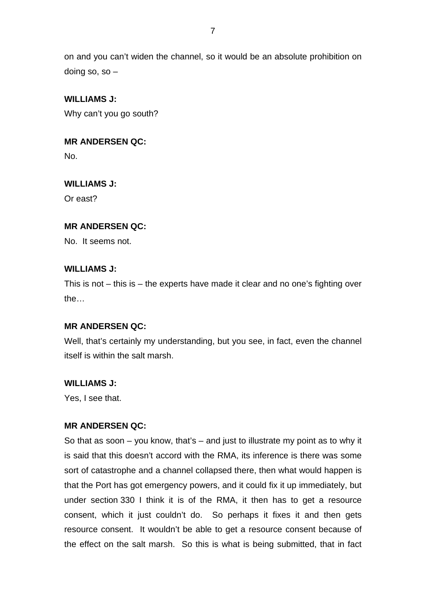on and you can't widen the channel, so it would be an absolute prohibition on doing so, so  $-$ 

## **WILLIAMS J:**

Why can't you go south?

## **MR ANDERSEN QC:**

No.

## **WILLIAMS J:**

Or east?

## **MR ANDERSEN QC:**

No. It seems not.

## **WILLIAMS J:**

This is not – this is – the experts have made it clear and no one's fighting over the…

## **MR ANDERSEN QC:**

Well, that's certainly my understanding, but you see, in fact, even the channel itself is within the salt marsh.

## **WILLIAMS J:**

Yes, I see that.

## **MR ANDERSEN QC:**

So that as soon – you know, that's – and just to illustrate my point as to why it is said that this doesn't accord with the RMA, its inference is there was some sort of catastrophe and a channel collapsed there, then what would happen is that the Port has got emergency powers, and it could fix it up immediately, but under section 330 I think it is of the RMA, it then has to get a resource consent, which it just couldn't do. So perhaps it fixes it and then gets resource consent. It wouldn't be able to get a resource consent because of the effect on the salt marsh. So this is what is being submitted, that in fact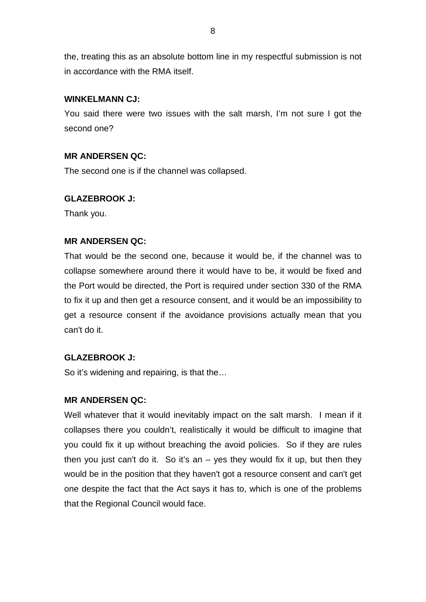the, treating this as an absolute bottom line in my respectful submission is not in accordance with the RMA itself.

## **WINKELMANN CJ:**

You said there were two issues with the salt marsh, I'm not sure I got the second one?

## **MR ANDERSEN QC:**

The second one is if the channel was collapsed.

## **GLAZEBROOK J:**

Thank you.

## **MR ANDERSEN QC:**

That would be the second one, because it would be, if the channel was to collapse somewhere around there it would have to be, it would be fixed and the Port would be directed, the Port is required under section 330 of the RMA to fix it up and then get a resource consent, and it would be an impossibility to get a resource consent if the avoidance provisions actually mean that you can't do it.

## **GLAZEBROOK J:**

So it's widening and repairing, is that the…

## **MR ANDERSEN QC:**

Well whatever that it would inevitably impact on the salt marsh. I mean if it collapses there you couldn't, realistically it would be difficult to imagine that you could fix it up without breaching the avoid policies. So if they are rules then you just can't do it. So it's an  $-$  yes they would fix it up, but then they would be in the position that they haven't got a resource consent and can't get one despite the fact that the Act says it has to, which is one of the problems that the Regional Council would face.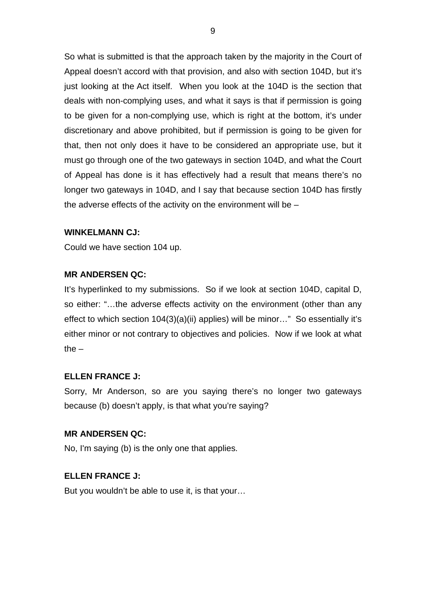So what is submitted is that the approach taken by the majority in the Court of Appeal doesn't accord with that provision, and also with section 104D, but it's just looking at the Act itself. When you look at the 104D is the section that deals with non-complying uses, and what it says is that if permission is going to be given for a non-complying use, which is right at the bottom, it's under discretionary and above prohibited, but if permission is going to be given for that, then not only does it have to be considered an appropriate use, but it must go through one of the two gateways in section 104D, and what the Court of Appeal has done is it has effectively had a result that means there's no longer two gateways in 104D, and I say that because section 104D has firstly the adverse effects of the activity on the environment will be –

## **WINKELMANN CJ:**

Could we have section 104 up.

## **MR ANDERSEN QC:**

It's hyperlinked to my submissions. So if we look at section 104D, capital D, so either: "…the adverse effects activity on the environment (other than any effect to which section 104(3)(a)(ii) applies) will be minor…" So essentially it's either minor or not contrary to objectives and policies. Now if we look at what the  $-$ 

### **ELLEN FRANCE J:**

Sorry, Mr Anderson, so are you saying there's no longer two gateways because (b) doesn't apply, is that what you're saying?

### **MR ANDERSEN QC:**

No, I'm saying (b) is the only one that applies.

## **ELLEN FRANCE J:**

But you wouldn't be able to use it, is that your…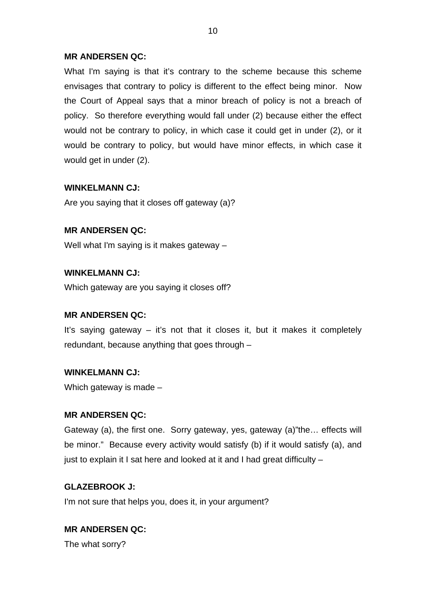What I'm saying is that it's contrary to the scheme because this scheme envisages that contrary to policy is different to the effect being minor. Now the Court of Appeal says that a minor breach of policy is not a breach of policy. So therefore everything would fall under (2) because either the effect would not be contrary to policy, in which case it could get in under (2), or it would be contrary to policy, but would have minor effects, in which case it would get in under (2).

## **WINKELMANN CJ:**

Are you saying that it closes off gateway (a)?

## **MR ANDERSEN QC:**

Well what I'm saying is it makes gateway –

## **WINKELMANN CJ:**

Which gateway are you saying it closes off?

## **MR ANDERSEN QC:**

It's saying gateway – it's not that it closes it, but it makes it completely redundant, because anything that goes through –

## **WINKELMANN CJ:**

Which gateway is made –

## **MR ANDERSEN QC:**

Gateway (a), the first one. Sorry gateway, yes, gateway (a)"the… effects will be minor." Because every activity would satisfy (b) if it would satisfy (a), and just to explain it I sat here and looked at it and I had great difficulty –

## **GLAZEBROOK J:**

I'm not sure that helps you, does it, in your argument?

## **MR ANDERSEN QC:**

The what sorry?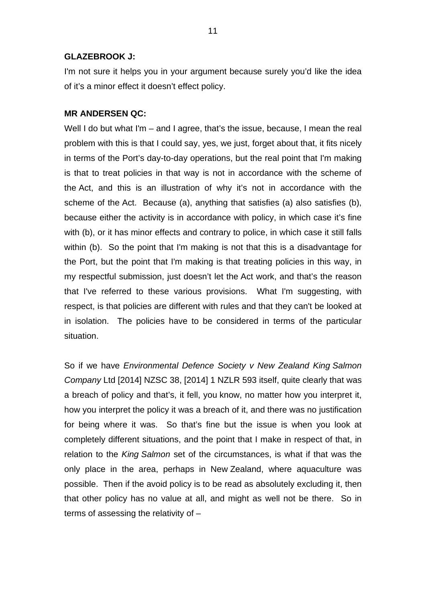### **GLAZEBROOK J:**

I'm not sure it helps you in your argument because surely you'd like the idea of it's a minor effect it doesn't effect policy.

### **MR ANDERSEN QC:**

Well I do but what I'm – and I agree, that's the issue, because, I mean the real problem with this is that I could say, yes, we just, forget about that, it fits nicely in terms of the Port's day-to-day operations, but the real point that I'm making is that to treat policies in that way is not in accordance with the scheme of the Act, and this is an illustration of why it's not in accordance with the scheme of the Act. Because (a), anything that satisfies (a) also satisfies (b), because either the activity is in accordance with policy, in which case it's fine with (b), or it has minor effects and contrary to police, in which case it still falls within (b). So the point that I'm making is not that this is a disadvantage for the Port, but the point that I'm making is that treating policies in this way, in my respectful submission, just doesn't let the Act work, and that's the reason that I've referred to these various provisions. What I'm suggesting, with respect, is that policies are different with rules and that they can't be looked at in isolation. The policies have to be considered in terms of the particular situation.

So if we have *Environmental Defence Society v New Zealand King Salmon Company* Ltd [2014] NZSC 38, [2014] 1 NZLR 593 itself, quite clearly that was a breach of policy and that's, it fell, you know, no matter how you interpret it, how you interpret the policy it was a breach of it, and there was no justification for being where it was. So that's fine but the issue is when you look at completely different situations, and the point that I make in respect of that, in relation to the *King Salmon* set of the circumstances, is what if that was the only place in the area, perhaps in New Zealand, where aquaculture was possible. Then if the avoid policy is to be read as absolutely excluding it, then that other policy has no value at all, and might as well not be there. So in terms of assessing the relativity of –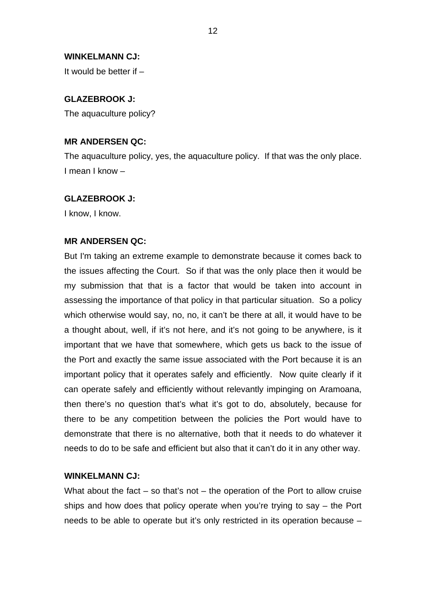### **WINKELMANN CJ:**

It would be better if –

### **GLAZEBROOK J:**

The aquaculture policy?

## **MR ANDERSEN QC:**

The aquaculture policy, yes, the aquaculture policy. If that was the only place. I mean I know –

#### **GLAZEBROOK J:**

I know, I know.

### **MR ANDERSEN QC:**

But I'm taking an extreme example to demonstrate because it comes back to the issues affecting the Court. So if that was the only place then it would be my submission that that is a factor that would be taken into account in assessing the importance of that policy in that particular situation. So a policy which otherwise would say, no, no, it can't be there at all, it would have to be a thought about, well, if it's not here, and it's not going to be anywhere, is it important that we have that somewhere, which gets us back to the issue of the Port and exactly the same issue associated with the Port because it is an important policy that it operates safely and efficiently. Now quite clearly if it can operate safely and efficiently without relevantly impinging on Aramoana, then there's no question that's what it's got to do, absolutely, because for there to be any competition between the policies the Port would have to demonstrate that there is no alternative, both that it needs to do whatever it needs to do to be safe and efficient but also that it can't do it in any other way.

### **WINKELMANN CJ:**

What about the fact  $-$  so that's not  $-$  the operation of the Port to allow cruise ships and how does that policy operate when you're trying to say – the Port needs to be able to operate but it's only restricted in its operation because –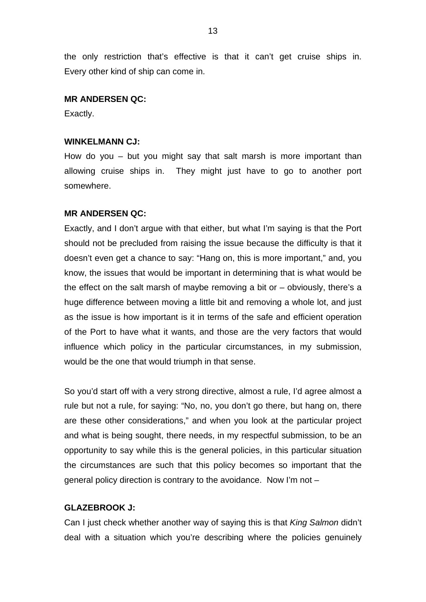the only restriction that's effective is that it can't get cruise ships in. Every other kind of ship can come in.

### **MR ANDERSEN QC:**

Exactly.

### **WINKELMANN CJ:**

How do you – but you might say that salt marsh is more important than allowing cruise ships in. They might just have to go to another port somewhere.

### **MR ANDERSEN QC:**

Exactly, and I don't argue with that either, but what I'm saying is that the Port should not be precluded from raising the issue because the difficulty is that it doesn't even get a chance to say: "Hang on, this is more important," and, you know, the issues that would be important in determining that is what would be the effect on the salt marsh of maybe removing a bit or – obviously, there's a huge difference between moving a little bit and removing a whole lot, and just as the issue is how important is it in terms of the safe and efficient operation of the Port to have what it wants, and those are the very factors that would influence which policy in the particular circumstances, in my submission, would be the one that would triumph in that sense.

So you'd start off with a very strong directive, almost a rule, I'd agree almost a rule but not a rule, for saying: "No, no, you don't go there, but hang on, there are these other considerations," and when you look at the particular project and what is being sought, there needs, in my respectful submission, to be an opportunity to say while this is the general policies, in this particular situation the circumstances are such that this policy becomes so important that the general policy direction is contrary to the avoidance. Now I'm not –

#### **GLAZEBROOK J:**

Can I just check whether another way of saying this is that *King Salmon* didn't deal with a situation which you're describing where the policies genuinely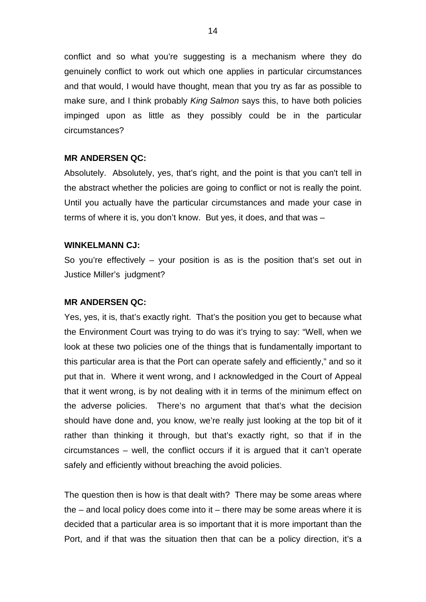conflict and so what you're suggesting is a mechanism where they do genuinely conflict to work out which one applies in particular circumstances and that would, I would have thought, mean that you try as far as possible to make sure, and I think probably *King Salmon* says this, to have both policies impinged upon as little as they possibly could be in the particular circumstances?

#### **MR ANDERSEN QC:**

Absolutely. Absolutely, yes, that's right, and the point is that you can't tell in the abstract whether the policies are going to conflict or not is really the point. Until you actually have the particular circumstances and made your case in terms of where it is, you don't know. But yes, it does, and that was –

#### **WINKELMANN CJ:**

So you're effectively – your position is as is the position that's set out in Justice Miller's judgment?

#### **MR ANDERSEN QC:**

Yes, yes, it is, that's exactly right. That's the position you get to because what the Environment Court was trying to do was it's trying to say: "Well, when we look at these two policies one of the things that is fundamentally important to this particular area is that the Port can operate safely and efficiently," and so it put that in. Where it went wrong, and I acknowledged in the Court of Appeal that it went wrong, is by not dealing with it in terms of the minimum effect on the adverse policies. There's no argument that that's what the decision should have done and, you know, we're really just looking at the top bit of it rather than thinking it through, but that's exactly right, so that if in the circumstances – well, the conflict occurs if it is argued that it can't operate safely and efficiently without breaching the avoid policies.

The question then is how is that dealt with? There may be some areas where the  $-$  and local policy does come into it  $-$  there may be some areas where it is decided that a particular area is so important that it is more important than the Port, and if that was the situation then that can be a policy direction, it's a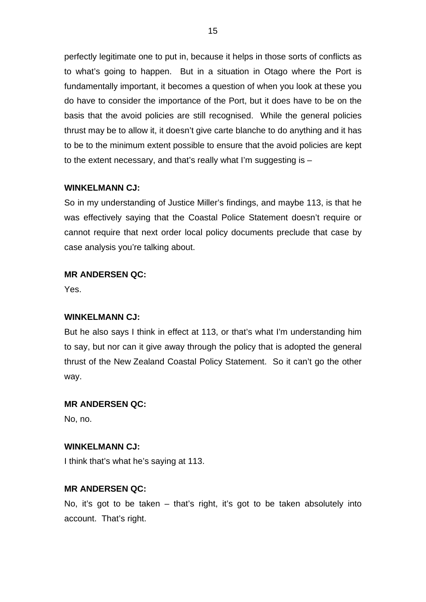perfectly legitimate one to put in, because it helps in those sorts of conflicts as to what's going to happen. But in a situation in Otago where the Port is fundamentally important, it becomes a question of when you look at these you do have to consider the importance of the Port, but it does have to be on the basis that the avoid policies are still recognised. While the general policies thrust may be to allow it, it doesn't give carte blanche to do anything and it has to be to the minimum extent possible to ensure that the avoid policies are kept to the extent necessary, and that's really what I'm suggesting is –

## **WINKELMANN CJ:**

So in my understanding of Justice Miller's findings, and maybe 113, is that he was effectively saying that the Coastal Police Statement doesn't require or cannot require that next order local policy documents preclude that case by case analysis you're talking about.

## **MR ANDERSEN QC:**

Yes.

## **WINKELMANN CJ:**

But he also says I think in effect at 113, or that's what I'm understanding him to say, but nor can it give away through the policy that is adopted the general thrust of the New Zealand Coastal Policy Statement. So it can't go the other way.

### **MR ANDERSEN QC:**

No, no.

## **WINKELMANN CJ:**

I think that's what he's saying at 113.

## **MR ANDERSEN QC:**

No, it's got to be taken – that's right, it's got to be taken absolutely into account. That's right.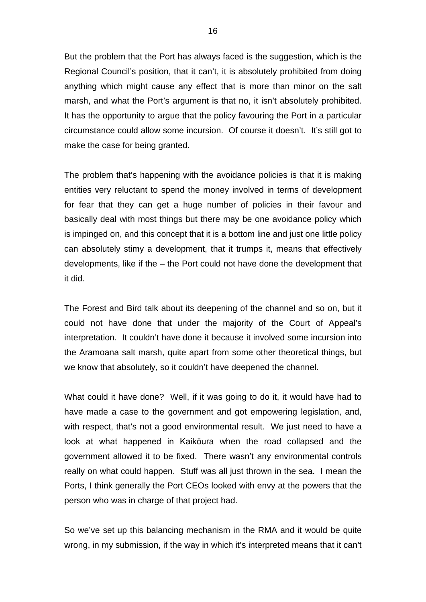But the problem that the Port has always faced is the suggestion, which is the Regional Council's position, that it can't, it is absolutely prohibited from doing anything which might cause any effect that is more than minor on the salt marsh, and what the Port's argument is that no, it isn't absolutely prohibited. It has the opportunity to argue that the policy favouring the Port in a particular circumstance could allow some incursion. Of course it doesn't. It's still got to make the case for being granted.

The problem that's happening with the avoidance policies is that it is making entities very reluctant to spend the money involved in terms of development for fear that they can get a huge number of policies in their favour and basically deal with most things but there may be one avoidance policy which is impinged on, and this concept that it is a bottom line and just one little policy can absolutely stimy a development, that it trumps it, means that effectively developments, like if the – the Port could not have done the development that it did.

The Forest and Bird talk about its deepening of the channel and so on, but it could not have done that under the majority of the Court of Appeal's interpretation. It couldn't have done it because it involved some incursion into the Aramoana salt marsh, quite apart from some other theoretical things, but we know that absolutely, so it couldn't have deepened the channel.

What could it have done? Well, if it was going to do it, it would have had to have made a case to the government and got empowering legislation, and, with respect, that's not a good environmental result. We just need to have a look at what happened in Kaikōura when the road collapsed and the government allowed it to be fixed. There wasn't any environmental controls really on what could happen. Stuff was all just thrown in the sea. I mean the Ports, I think generally the Port CEOs looked with envy at the powers that the person who was in charge of that project had.

So we've set up this balancing mechanism in the RMA and it would be quite wrong, in my submission, if the way in which it's interpreted means that it can't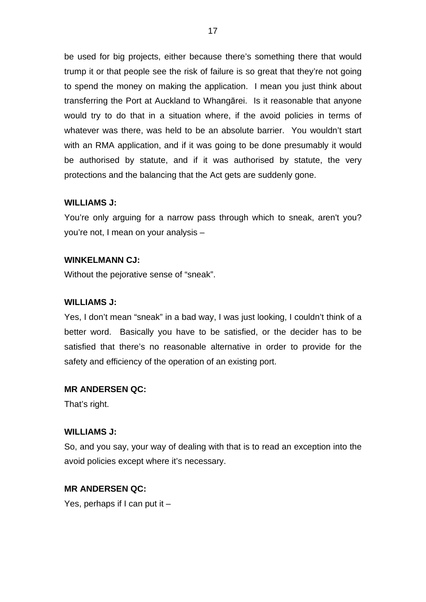be used for big projects, either because there's something there that would trump it or that people see the risk of failure is so great that they're not going to spend the money on making the application. I mean you just think about transferring the Port at Auckland to Whangārei. Is it reasonable that anyone would try to do that in a situation where, if the avoid policies in terms of whatever was there, was held to be an absolute barrier. You wouldn't start with an RMA application, and if it was going to be done presumably it would be authorised by statute, and if it was authorised by statute, the very protections and the balancing that the Act gets are suddenly gone.

### **WILLIAMS J:**

You're only arguing for a narrow pass through which to sneak, aren't you? you're not, I mean on your analysis –

#### **WINKELMANN CJ:**

Without the pejorative sense of "sneak".

#### **WILLIAMS J:**

Yes, I don't mean "sneak" in a bad way, I was just looking, I couldn't think of a better word. Basically you have to be satisfied, or the decider has to be satisfied that there's no reasonable alternative in order to provide for the safety and efficiency of the operation of an existing port.

### **MR ANDERSEN QC:**

That's right.

#### **WILLIAMS J:**

So, and you say, your way of dealing with that is to read an exception into the avoid policies except where it's necessary.

### **MR ANDERSEN QC:**

Yes, perhaps if I can put it –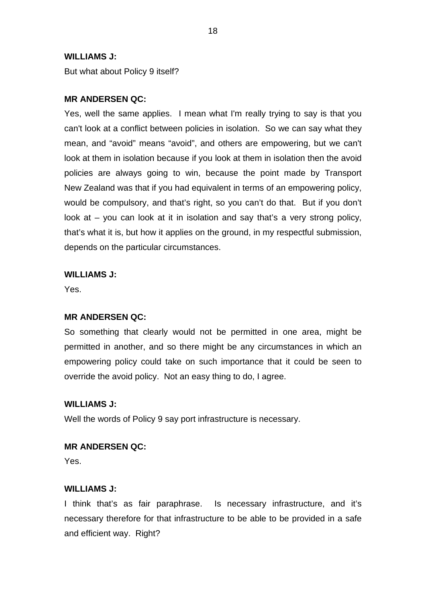### **WILLIAMS J:**

But what about Policy 9 itself?

### **MR ANDERSEN QC:**

Yes, well the same applies. I mean what I'm really trying to say is that you can't look at a conflict between policies in isolation. So we can say what they mean, and "avoid" means "avoid", and others are empowering, but we can't look at them in isolation because if you look at them in isolation then the avoid policies are always going to win, because the point made by Transport New Zealand was that if you had equivalent in terms of an empowering policy, would be compulsory, and that's right, so you can't do that. But if you don't look at – you can look at it in isolation and say that's a very strong policy, that's what it is, but how it applies on the ground, in my respectful submission, depends on the particular circumstances.

### **WILLIAMS J:**

Yes.

### **MR ANDERSEN QC:**

So something that clearly would not be permitted in one area, might be permitted in another, and so there might be any circumstances in which an empowering policy could take on such importance that it could be seen to override the avoid policy. Not an easy thing to do, I agree.

### **WILLIAMS J:**

Well the words of Policy 9 say port infrastructure is necessary.

### **MR ANDERSEN QC:**

Yes.

## **WILLIAMS J:**

I think that's as fair paraphrase. Is necessary infrastructure, and it's necessary therefore for that infrastructure to be able to be provided in a safe and efficient way. Right?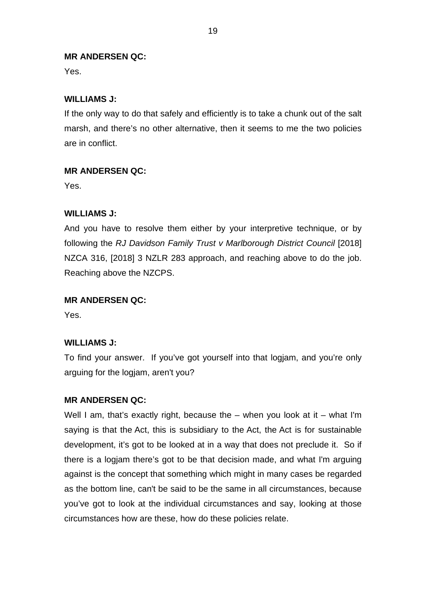Yes.

## **WILLIAMS J:**

If the only way to do that safely and efficiently is to take a chunk out of the salt marsh, and there's no other alternative, then it seems to me the two policies are in conflict.

## **MR ANDERSEN QC:**

Yes.

## **WILLIAMS J:**

And you have to resolve them either by your interpretive technique, or by following the *RJ Davidson Family Trust v Marlborough District Council* [2018] NZCA 316, [2018] 3 NZLR 283 approach, and reaching above to do the job. Reaching above the NZCPS.

## **MR ANDERSEN QC:**

Yes.

## **WILLIAMS J:**

To find your answer. If you've got yourself into that logjam, and you're only arguing for the logjam, aren't you?

### **MR ANDERSEN QC:**

Well I am, that's exactly right, because the  $-$  when you look at it  $-$  what I'm saying is that the Act, this is subsidiary to the Act, the Act is for sustainable development, it's got to be looked at in a way that does not preclude it. So if there is a logjam there's got to be that decision made, and what I'm arguing against is the concept that something which might in many cases be regarded as the bottom line, can't be said to be the same in all circumstances, because you've got to look at the individual circumstances and say, looking at those circumstances how are these, how do these policies relate.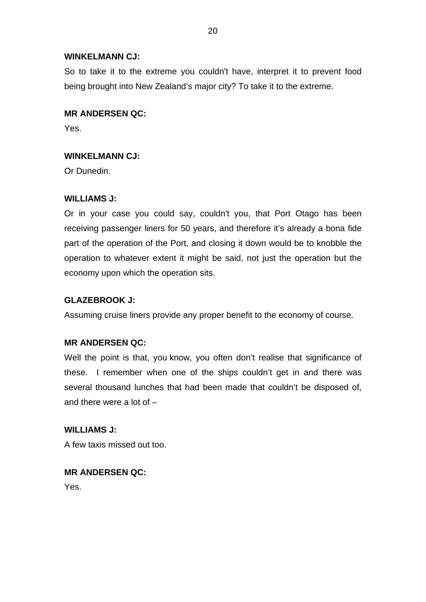## **WINKELMANN CJ:**

So to take it to the extreme you couldn't have, interpret it to prevent food being brought into New Zealand's major city? To take it to the extreme.

## **MR ANDERSEN QC:**

Yes.

## **WINKELMANN CJ:**

Or Dunedin.

## **WILLIAMS J:**

Or in your case you could say, couldn't you, that Port Otago has been receiving passenger liners for 50 years, and therefore it's already a bona fide part of the operation of the Port, and closing it down would be to knobble the operation to whatever extent it might be said, not just the operation but the economy upon which the operation sits.

## **GLAZEBROOK J:**

Assuming cruise liners provide any proper benefit to the economy of course.

## **MR ANDERSEN QC:**

Well the point is that, you know, you often don't realise that significance of these. I remember when one of the ships couldn't get in and there was several thousand lunches that had been made that couldn't be disposed of, and there were a lot of –

**WILLIAMS J:** A few taxis missed out too.

**MR ANDERSEN QC:** Yes.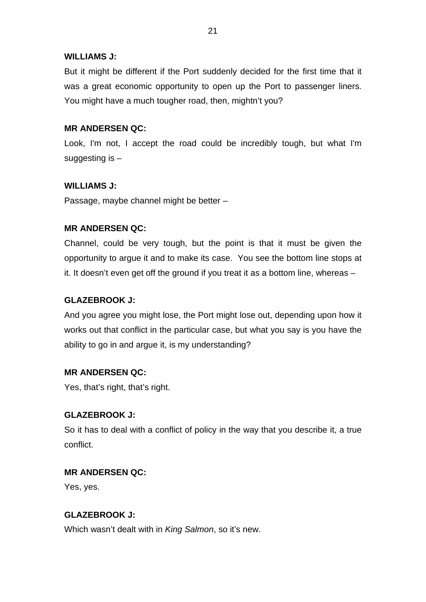## **WILLIAMS J:**

But it might be different if the Port suddenly decided for the first time that it was a great economic opportunity to open up the Port to passenger liners. You might have a much tougher road, then, mightn't you?

## **MR ANDERSEN QC:**

Look, I'm not, I accept the road could be incredibly tough, but what I'm suggesting is –

## **WILLIAMS J:**

Passage, maybe channel might be better –

## **MR ANDERSEN QC:**

Channel, could be very tough, but the point is that it must be given the opportunity to argue it and to make its case. You see the bottom line stops at it. It doesn't even get off the ground if you treat it as a bottom line, whereas –

## **GLAZEBROOK J:**

And you agree you might lose, the Port might lose out, depending upon how it works out that conflict in the particular case, but what you say is you have the ability to go in and argue it, is my understanding?

## **MR ANDERSEN QC:**

Yes, that's right, that's right.

## **GLAZEBROOK J:**

So it has to deal with a conflict of policy in the way that you describe it, a true conflict.

## **MR ANDERSEN QC:**

Yes, yes.

## **GLAZEBROOK J:**

Which wasn't dealt with in *King Salmon*, so it's new.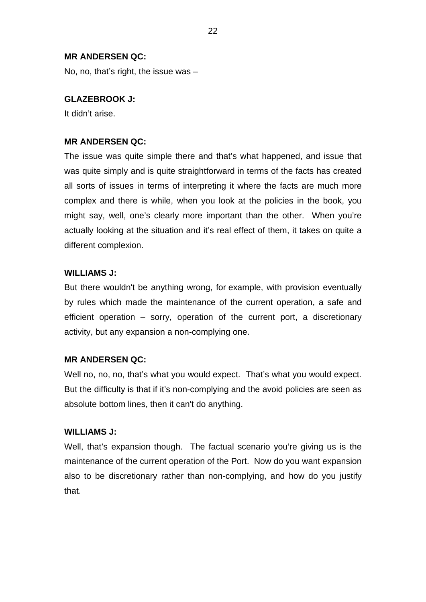No, no, that's right, the issue was –

### **GLAZEBROOK J:**

It didn't arise.

### **MR ANDERSEN QC:**

The issue was quite simple there and that's what happened, and issue that was quite simply and is quite straightforward in terms of the facts has created all sorts of issues in terms of interpreting it where the facts are much more complex and there is while, when you look at the policies in the book, you might say, well, one's clearly more important than the other. When you're actually looking at the situation and it's real effect of them, it takes on quite a different complexion.

### **WILLIAMS J:**

But there wouldn't be anything wrong, for example, with provision eventually by rules which made the maintenance of the current operation, a safe and efficient operation – sorry, operation of the current port, a discretionary activity, but any expansion a non-complying one.

### **MR ANDERSEN QC:**

Well no, no, no, that's what you would expect. That's what you would expect. But the difficulty is that if it's non-complying and the avoid policies are seen as absolute bottom lines, then it can't do anything.

### **WILLIAMS J:**

Well, that's expansion though. The factual scenario you're giving us is the maintenance of the current operation of the Port. Now do you want expansion also to be discretionary rather than non-complying, and how do you justify that.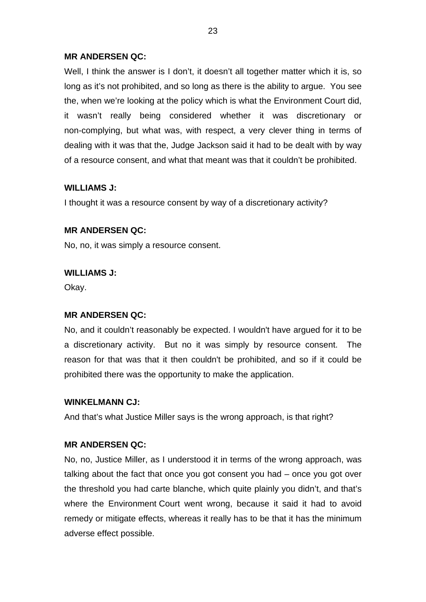Well, I think the answer is I don't, it doesn't all together matter which it is, so long as it's not prohibited, and so long as there is the ability to argue. You see the, when we're looking at the policy which is what the Environment Court did, it wasn't really being considered whether it was discretionary or non-complying, but what was, with respect, a very clever thing in terms of dealing with it was that the, Judge Jackson said it had to be dealt with by way of a resource consent, and what that meant was that it couldn't be prohibited.

## **WILLIAMS J:**

I thought it was a resource consent by way of a discretionary activity?

## **MR ANDERSEN QC:**

No, no, it was simply a resource consent.

## **WILLIAMS J:**

Okay.

## **MR ANDERSEN QC:**

No, and it couldn't reasonably be expected. I wouldn't have argued for it to be a discretionary activity. But no it was simply by resource consent. The reason for that was that it then couldn't be prohibited, and so if it could be prohibited there was the opportunity to make the application.

## **WINKELMANN CJ:**

And that's what Justice Miller says is the wrong approach, is that right?

## **MR ANDERSEN QC:**

No, no, Justice Miller, as I understood it in terms of the wrong approach, was talking about the fact that once you got consent you had – once you got over the threshold you had carte blanche, which quite plainly you didn't, and that's where the Environment Court went wrong, because it said it had to avoid remedy or mitigate effects, whereas it really has to be that it has the minimum adverse effect possible.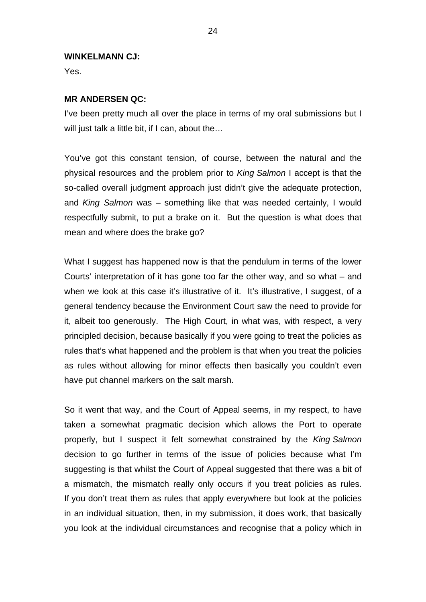### **WINKELMANN CJ:**

Yes.

## **MR ANDERSEN QC:**

I've been pretty much all over the place in terms of my oral submissions but I will just talk a little bit, if I can, about the...

You've got this constant tension, of course, between the natural and the physical resources and the problem prior to *King Salmon* I accept is that the so-called overall judgment approach just didn't give the adequate protection, and *King Salmon* was – something like that was needed certainly, I would respectfully submit, to put a brake on it. But the question is what does that mean and where does the brake go?

What I suggest has happened now is that the pendulum in terms of the lower Courts' interpretation of it has gone too far the other way, and so what – and when we look at this case it's illustrative of it. It's illustrative, I suggest, of a general tendency because the Environment Court saw the need to provide for it, albeit too generously. The High Court, in what was, with respect, a very principled decision, because basically if you were going to treat the policies as rules that's what happened and the problem is that when you treat the policies as rules without allowing for minor effects then basically you couldn't even have put channel markers on the salt marsh.

So it went that way, and the Court of Appeal seems, in my respect, to have taken a somewhat pragmatic decision which allows the Port to operate properly, but I suspect it felt somewhat constrained by the *King Salmon* decision to go further in terms of the issue of policies because what I'm suggesting is that whilst the Court of Appeal suggested that there was a bit of a mismatch, the mismatch really only occurs if you treat policies as rules. If you don't treat them as rules that apply everywhere but look at the policies in an individual situation, then, in my submission, it does work, that basically you look at the individual circumstances and recognise that a policy which in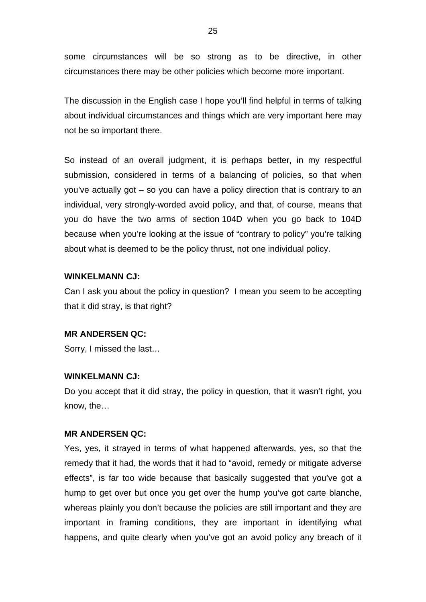some circumstances will be so strong as to be directive, in other circumstances there may be other policies which become more important.

The discussion in the English case I hope you'll find helpful in terms of talking about individual circumstances and things which are very important here may not be so important there.

So instead of an overall judgment, it is perhaps better, in my respectful submission, considered in terms of a balancing of policies, so that when you've actually got – so you can have a policy direction that is contrary to an individual, very strongly-worded avoid policy, and that, of course, means that you do have the two arms of section 104D when you go back to 104D because when you're looking at the issue of "contrary to policy" you're talking about what is deemed to be the policy thrust, not one individual policy.

#### **WINKELMANN CJ:**

Can I ask you about the policy in question? I mean you seem to be accepting that it did stray, is that right?

### **MR ANDERSEN QC:**

Sorry, I missed the last…

#### **WINKELMANN CJ:**

Do you accept that it did stray, the policy in question, that it wasn't right, you know, the…

#### **MR ANDERSEN QC:**

Yes, yes, it strayed in terms of what happened afterwards, yes, so that the remedy that it had, the words that it had to "avoid, remedy or mitigate adverse effects", is far too wide because that basically suggested that you've got a hump to get over but once you get over the hump you've got carte blanche, whereas plainly you don't because the policies are still important and they are important in framing conditions, they are important in identifying what happens, and quite clearly when you've got an avoid policy any breach of it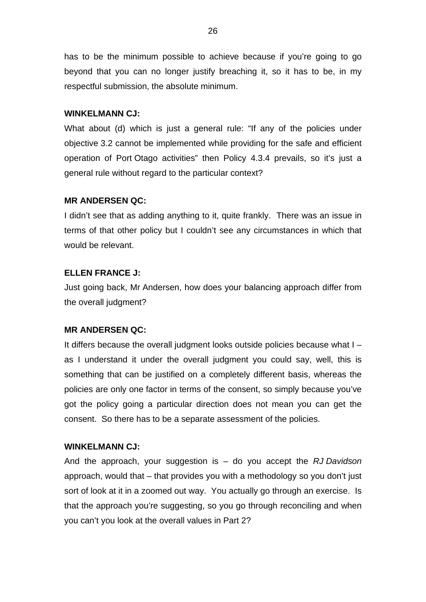has to be the minimum possible to achieve because if you're going to go beyond that you can no longer justify breaching it, so it has to be, in my respectful submission, the absolute minimum.

### **WINKELMANN CJ:**

What about (d) which is just a general rule: "If any of the policies under objective 3.2 cannot be implemented while providing for the safe and efficient operation of Port Otago activities" then Policy 4.3.4 prevails, so it's just a general rule without regard to the particular context?

## **MR ANDERSEN QC:**

I didn't see that as adding anything to it, quite frankly. There was an issue in terms of that other policy but I couldn't see any circumstances in which that would be relevant.

### **ELLEN FRANCE J:**

Just going back, Mr Andersen, how does your balancing approach differ from the overall judgment?

#### **MR ANDERSEN QC:**

It differs because the overall judgment looks outside policies because what I – as I understand it under the overall judgment you could say, well, this is something that can be justified on a completely different basis, whereas the policies are only one factor in terms of the consent, so simply because you've got the policy going a particular direction does not mean you can get the consent. So there has to be a separate assessment of the policies.

### **WINKELMANN CJ:**

And the approach, your suggestion is – do you accept the *RJ Davidson* approach, would that – that provides you with a methodology so you don't just sort of look at it in a zoomed out way. You actually go through an exercise. Is that the approach you're suggesting, so you go through reconciling and when you can't you look at the overall values in Part 2?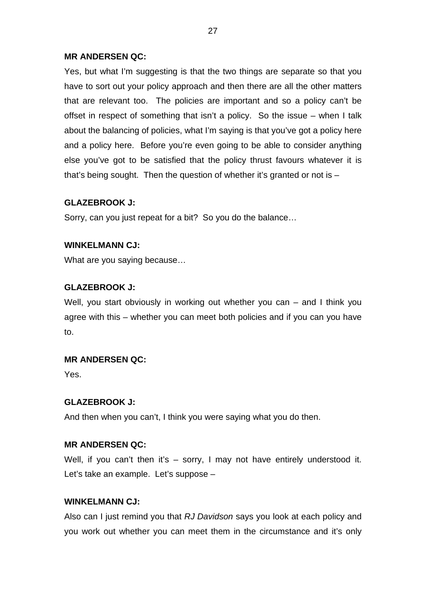Yes, but what I'm suggesting is that the two things are separate so that you have to sort out your policy approach and then there are all the other matters that are relevant too. The policies are important and so a policy can't be offset in respect of something that isn't a policy. So the issue – when I talk about the balancing of policies, what I'm saying is that you've got a policy here and a policy here. Before you're even going to be able to consider anything else you've got to be satisfied that the policy thrust favours whatever it is that's being sought. Then the question of whether it's granted or not is –

## **GLAZEBROOK J:**

Sorry, can you just repeat for a bit? So you do the balance…

## **WINKELMANN CJ:**

What are you saying because…

## **GLAZEBROOK J:**

Well, you start obviously in working out whether you can – and I think you agree with this – whether you can meet both policies and if you can you have to.

### **MR ANDERSEN QC:**

Yes.

## **GLAZEBROOK J:**

And then when you can't, I think you were saying what you do then.

### **MR ANDERSEN QC:**

Well, if you can't then it's - sorry, I may not have entirely understood it. Let's take an example. Let's suppose –

## **WINKELMANN CJ:**

Also can I just remind you that *RJ Davidson* says you look at each policy and you work out whether you can meet them in the circumstance and it's only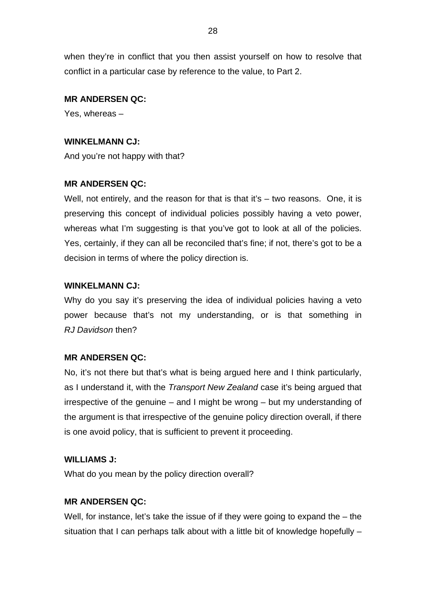when they're in conflict that you then assist yourself on how to resolve that conflict in a particular case by reference to the value, to Part 2.

## **MR ANDERSEN QC:**

Yes, whereas –

## **WINKELMANN CJ:**

And you're not happy with that?

## **MR ANDERSEN QC:**

Well, not entirely, and the reason for that is that it's – two reasons. One, it is preserving this concept of individual policies possibly having a veto power, whereas what I'm suggesting is that you've got to look at all of the policies. Yes, certainly, if they can all be reconciled that's fine; if not, there's got to be a decision in terms of where the policy direction is.

## **WINKELMANN CJ:**

Why do you say it's preserving the idea of individual policies having a veto power because that's not my understanding, or is that something in *RJ Davidson* then?

### **MR ANDERSEN QC:**

No, it's not there but that's what is being argued here and I think particularly, as I understand it, with the *Transport New Zealand* case it's being argued that irrespective of the genuine – and I might be wrong – but my understanding of the argument is that irrespective of the genuine policy direction overall, if there is one avoid policy, that is sufficient to prevent it proceeding.

### **WILLIAMS J:**

What do you mean by the policy direction overall?

### **MR ANDERSEN QC:**

Well, for instance, let's take the issue of if they were going to expand the  $-$  the situation that I can perhaps talk about with a little bit of knowledge hopefully –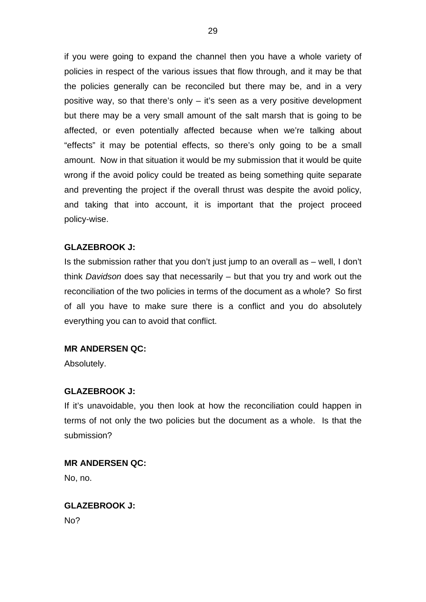if you were going to expand the channel then you have a whole variety of policies in respect of the various issues that flow through, and it may be that the policies generally can be reconciled but there may be, and in a very positive way, so that there's only – it's seen as a very positive development but there may be a very small amount of the salt marsh that is going to be affected, or even potentially affected because when we're talking about "effects" it may be potential effects, so there's only going to be a small amount. Now in that situation it would be my submission that it would be quite wrong if the avoid policy could be treated as being something quite separate and preventing the project if the overall thrust was despite the avoid policy, and taking that into account, it is important that the project proceed policy-wise.

## **GLAZEBROOK J:**

Is the submission rather that you don't just jump to an overall as – well, I don't think *Davidson* does say that necessarily – but that you try and work out the reconciliation of the two policies in terms of the document as a whole? So first of all you have to make sure there is a conflict and you do absolutely everything you can to avoid that conflict.

## **MR ANDERSEN QC:**

Absolutely.

### **GLAZEBROOK J:**

If it's unavoidable, you then look at how the reconciliation could happen in terms of not only the two policies but the document as a whole. Is that the submission?

#### **MR ANDERSEN QC:**

No, no.

## **GLAZEBROOK J:**

No?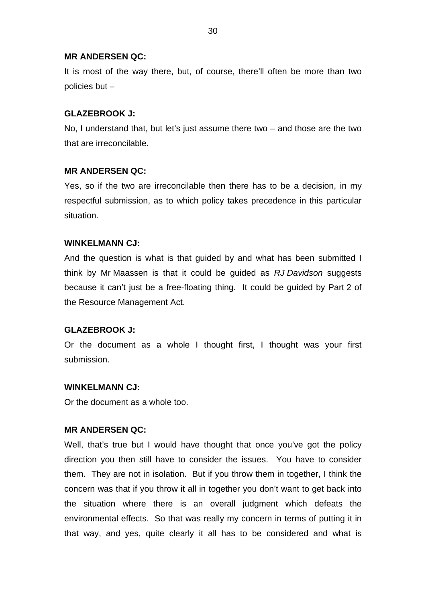It is most of the way there, but, of course, there'll often be more than two policies but –

### **GLAZEBROOK J:**

No, I understand that, but let's just assume there two – and those are the two that are irreconcilable.

### **MR ANDERSEN QC:**

Yes, so if the two are irreconcilable then there has to be a decision, in my respectful submission, as to which policy takes precedence in this particular situation.

### **WINKELMANN CJ:**

And the question is what is that guided by and what has been submitted I think by Mr Maassen is that it could be guided as *RJ Davidson* suggests because it can't just be a free-floating thing. It could be guided by Part 2 of the Resource Management Act.

### **GLAZEBROOK J:**

Or the document as a whole I thought first, I thought was your first submission.

### **WINKELMANN CJ:**

Or the document as a whole too.

#### **MR ANDERSEN QC:**

Well, that's true but I would have thought that once you've got the policy direction you then still have to consider the issues. You have to consider them. They are not in isolation. But if you throw them in together, I think the concern was that if you throw it all in together you don't want to get back into the situation where there is an overall judgment which defeats the environmental effects. So that was really my concern in terms of putting it in that way, and yes, quite clearly it all has to be considered and what is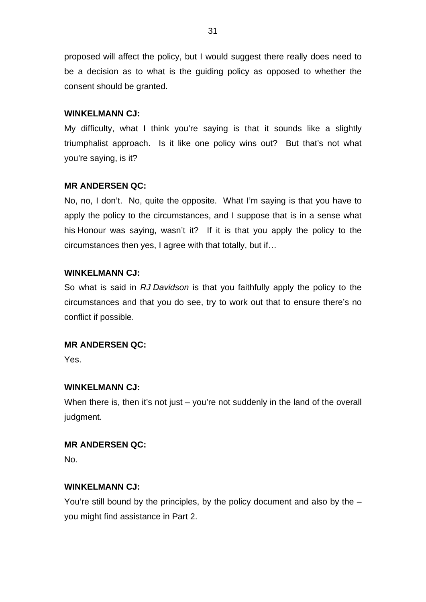proposed will affect the policy, but I would suggest there really does need to be a decision as to what is the guiding policy as opposed to whether the consent should be granted.

### **WINKELMANN CJ:**

My difficulty, what I think you're saying is that it sounds like a slightly triumphalist approach. Is it like one policy wins out? But that's not what you're saying, is it?

## **MR ANDERSEN QC:**

No, no, I don't. No, quite the opposite. What I'm saying is that you have to apply the policy to the circumstances, and I suppose that is in a sense what his Honour was saying, wasn't it? If it is that you apply the policy to the circumstances then yes, I agree with that totally, but if…

## **WINKELMANN CJ:**

So what is said in *RJ Davidson* is that you faithfully apply the policy to the circumstances and that you do see, try to work out that to ensure there's no conflict if possible.

### **MR ANDERSEN QC:**

Yes.

## **WINKELMANN CJ:**

When there is, then it's not just – you're not suddenly in the land of the overall judgment.

### **MR ANDERSEN QC:**

No.

## **WINKELMANN CJ:**

You're still bound by the principles, by the policy document and also by the – you might find assistance in Part 2.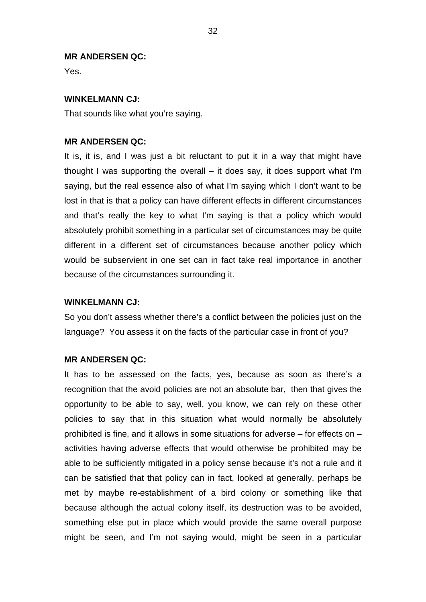Yes.

### **WINKELMANN CJ:**

That sounds like what you're saying.

### **MR ANDERSEN QC:**

It is, it is, and I was just a bit reluctant to put it in a way that might have thought I was supporting the overall – it does say, it does support what I'm saying, but the real essence also of what I'm saying which I don't want to be lost in that is that a policy can have different effects in different circumstances and that's really the key to what I'm saying is that a policy which would absolutely prohibit something in a particular set of circumstances may be quite different in a different set of circumstances because another policy which would be subservient in one set can in fact take real importance in another because of the circumstances surrounding it.

#### **WINKELMANN CJ:**

So you don't assess whether there's a conflict between the policies just on the language? You assess it on the facts of the particular case in front of you?

### **MR ANDERSEN QC:**

It has to be assessed on the facts, yes, because as soon as there's a recognition that the avoid policies are not an absolute bar, then that gives the opportunity to be able to say, well, you know, we can rely on these other policies to say that in this situation what would normally be absolutely prohibited is fine, and it allows in some situations for adverse – for effects on – activities having adverse effects that would otherwise be prohibited may be able to be sufficiently mitigated in a policy sense because it's not a rule and it can be satisfied that that policy can in fact, looked at generally, perhaps be met by maybe re-establishment of a bird colony or something like that because although the actual colony itself, its destruction was to be avoided, something else put in place which would provide the same overall purpose might be seen, and I'm not saying would, might be seen in a particular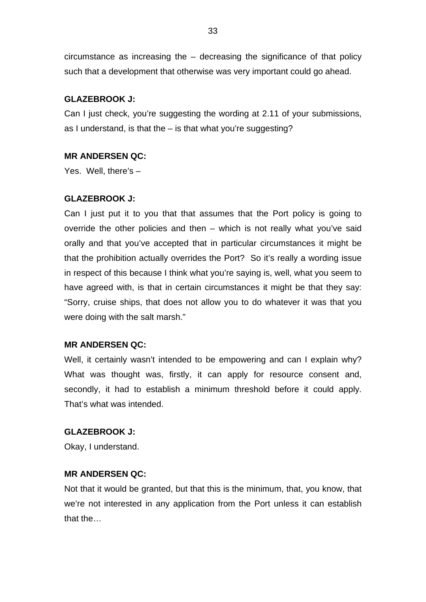circumstance as increasing the – decreasing the significance of that policy such that a development that otherwise was very important could go ahead.

## **GLAZEBROOK J:**

Can I just check, you're suggesting the wording at 2.11 of your submissions, as I understand, is that the – is that what you're suggesting?

### **MR ANDERSEN QC:**

Yes. Well, there's –

### **GLAZEBROOK J:**

Can I just put it to you that that assumes that the Port policy is going to override the other policies and then – which is not really what you've said orally and that you've accepted that in particular circumstances it might be that the prohibition actually overrides the Port? So it's really a wording issue in respect of this because I think what you're saying is, well, what you seem to have agreed with, is that in certain circumstances it might be that they say: "Sorry, cruise ships, that does not allow you to do whatever it was that you were doing with the salt marsh."

### **MR ANDERSEN QC:**

Well, it certainly wasn't intended to be empowering and can I explain why? What was thought was, firstly, it can apply for resource consent and, secondly, it had to establish a minimum threshold before it could apply. That's what was intended.

#### **GLAZEBROOK J:**

Okay, I understand.

### **MR ANDERSEN QC:**

Not that it would be granted, but that this is the minimum, that, you know, that we're not interested in any application from the Port unless it can establish that the…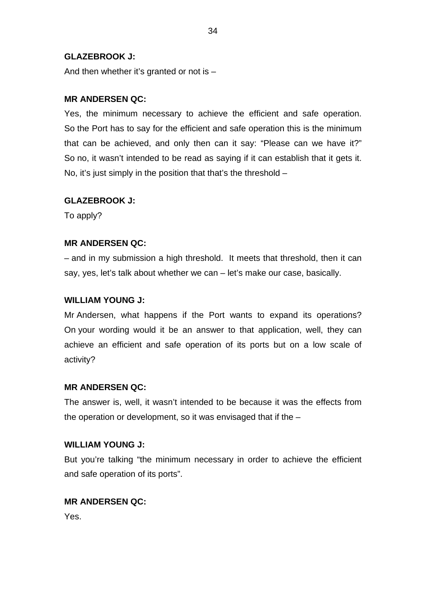## **GLAZEBROOK J:**

And then whether it's granted or not is –

## **MR ANDERSEN QC:**

Yes, the minimum necessary to achieve the efficient and safe operation. So the Port has to say for the efficient and safe operation this is the minimum that can be achieved, and only then can it say: "Please can we have it?" So no, it wasn't intended to be read as saying if it can establish that it gets it. No, it's just simply in the position that that's the threshold –

## **GLAZEBROOK J:**

To apply?

## **MR ANDERSEN QC:**

– and in my submission a high threshold. It meets that threshold, then it can say, yes, let's talk about whether we can – let's make our case, basically.

## **WILLIAM YOUNG J:**

Mr Andersen, what happens if the Port wants to expand its operations? On your wording would it be an answer to that application, well, they can achieve an efficient and safe operation of its ports but on a low scale of activity?

### **MR ANDERSEN QC:**

The answer is, well, it wasn't intended to be because it was the effects from the operation or development, so it was envisaged that if the –

### **WILLIAM YOUNG J:**

But you're talking "the minimum necessary in order to achieve the efficient and safe operation of its ports".

### **MR ANDERSEN QC:**

Yes.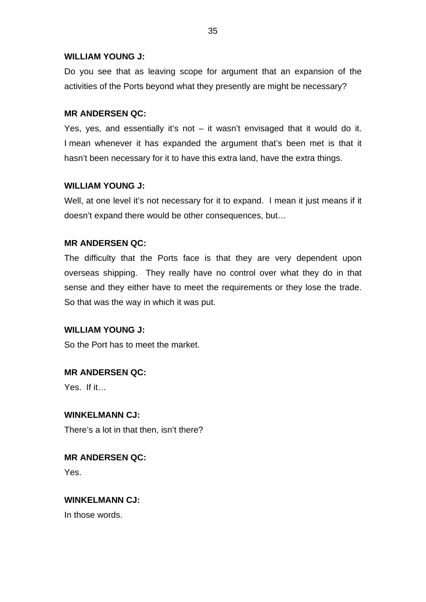## **WILLIAM YOUNG J:**

Do you see that as leaving scope for argument that an expansion of the activities of the Ports beyond what they presently are might be necessary?

## **MR ANDERSEN QC:**

Yes, yes, and essentially it's not  $-$  it wasn't envisaged that it would do it. I mean whenever it has expanded the argument that's been met is that it hasn't been necessary for it to have this extra land, have the extra things.

## **WILLIAM YOUNG J:**

Well, at one level it's not necessary for it to expand. I mean it just means if it doesn't expand there would be other consequences, but…

## **MR ANDERSEN QC:**

The difficulty that the Ports face is that they are very dependent upon overseas shipping. They really have no control over what they do in that sense and they either have to meet the requirements or they lose the trade. So that was the way in which it was put.

## **WILLIAM YOUNG J:**

So the Port has to meet the market.

## **MR ANDERSEN QC:**

Yes. If it…

**WINKELMANN CJ:** There's a lot in that then, isn't there?

**MR ANDERSEN QC:** Yes.

## **WINKELMANN CJ:**

In those words.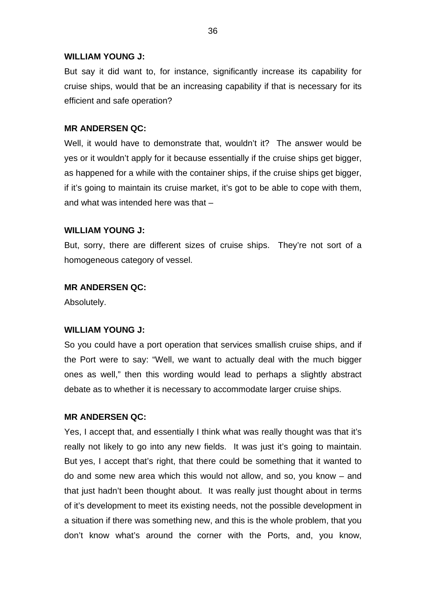### **WILLIAM YOUNG J:**

But say it did want to, for instance, significantly increase its capability for cruise ships, would that be an increasing capability if that is necessary for its efficient and safe operation?

## **MR ANDERSEN QC:**

Well, it would have to demonstrate that, wouldn't it? The answer would be yes or it wouldn't apply for it because essentially if the cruise ships get bigger, as happened for a while with the container ships, if the cruise ships get bigger, if it's going to maintain its cruise market, it's got to be able to cope with them, and what was intended here was that –

## **WILLIAM YOUNG J:**

But, sorry, there are different sizes of cruise ships. They're not sort of a homogeneous category of vessel.

## **MR ANDERSEN QC:**

Absolutely.

## **WILLIAM YOUNG J:**

So you could have a port operation that services smallish cruise ships, and if the Port were to say: "Well, we want to actually deal with the much bigger ones as well," then this wording would lead to perhaps a slightly abstract debate as to whether it is necessary to accommodate larger cruise ships.

## **MR ANDERSEN QC:**

Yes, I accept that, and essentially I think what was really thought was that it's really not likely to go into any new fields. It was just it's going to maintain. But yes, I accept that's right, that there could be something that it wanted to do and some new area which this would not allow, and so, you know – and that just hadn't been thought about. It was really just thought about in terms of it's development to meet its existing needs, not the possible development in a situation if there was something new, and this is the whole problem, that you don't know what's around the corner with the Ports, and, you know,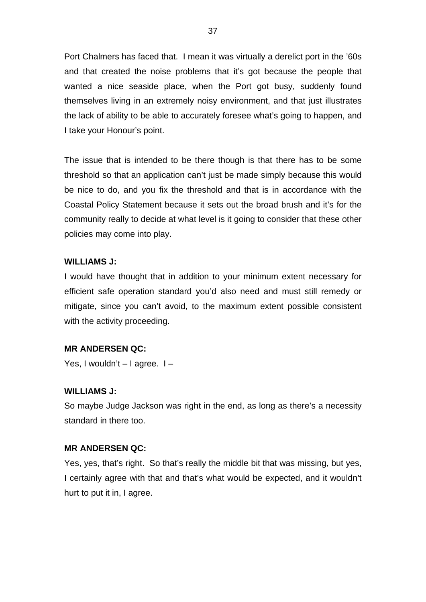Port Chalmers has faced that. I mean it was virtually a derelict port in the '60s and that created the noise problems that it's got because the people that wanted a nice seaside place, when the Port got busy, suddenly found themselves living in an extremely noisy environment, and that just illustrates the lack of ability to be able to accurately foresee what's going to happen, and I take your Honour's point.

The issue that is intended to be there though is that there has to be some threshold so that an application can't just be made simply because this would be nice to do, and you fix the threshold and that is in accordance with the Coastal Policy Statement because it sets out the broad brush and it's for the community really to decide at what level is it going to consider that these other policies may come into play.

# **WILLIAMS J:**

I would have thought that in addition to your minimum extent necessary for efficient safe operation standard you'd also need and must still remedy or mitigate, since you can't avoid, to the maximum extent possible consistent with the activity proceeding.

## **MR ANDERSEN QC:**

Yes, I wouldn't  $-$  I agree.  $1-$ 

## **WILLIAMS J:**

So maybe Judge Jackson was right in the end, as long as there's a necessity standard in there too.

## **MR ANDERSEN QC:**

Yes, yes, that's right. So that's really the middle bit that was missing, but yes, I certainly agree with that and that's what would be expected, and it wouldn't hurt to put it in, I agree.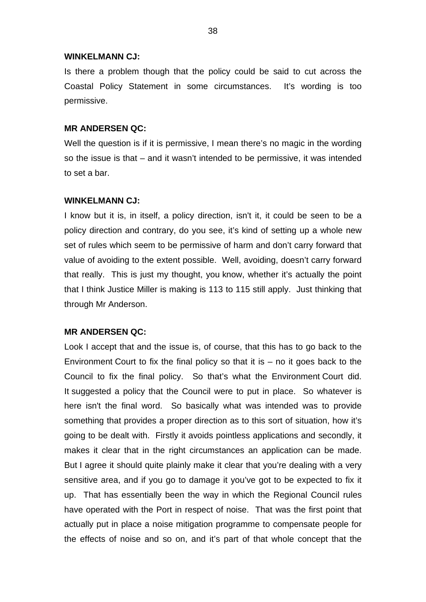#### **WINKELMANN CJ:**

Is there a problem though that the policy could be said to cut across the Coastal Policy Statement in some circumstances. It's wording is too permissive.

## **MR ANDERSEN QC:**

Well the question is if it is permissive, I mean there's no magic in the wording so the issue is that – and it wasn't intended to be permissive, it was intended to set a bar.

## **WINKELMANN CJ:**

I know but it is, in itself, a policy direction, isn't it, it could be seen to be a policy direction and contrary, do you see, it's kind of setting up a whole new set of rules which seem to be permissive of harm and don't carry forward that value of avoiding to the extent possible. Well, avoiding, doesn't carry forward that really. This is just my thought, you know, whether it's actually the point that I think Justice Miller is making is 113 to 115 still apply. Just thinking that through Mr Anderson.

## **MR ANDERSEN QC:**

Look I accept that and the issue is, of course, that this has to go back to the Environment Court to fix the final policy so that it is  $-$  no it goes back to the Council to fix the final policy. So that's what the Environment Court did. It suggested a policy that the Council were to put in place. So whatever is here isn't the final word. So basically what was intended was to provide something that provides a proper direction as to this sort of situation, how it's going to be dealt with. Firstly it avoids pointless applications and secondly, it makes it clear that in the right circumstances an application can be made. But I agree it should quite plainly make it clear that you're dealing with a very sensitive area, and if you go to damage it you've got to be expected to fix it up. That has essentially been the way in which the Regional Council rules have operated with the Port in respect of noise. That was the first point that actually put in place a noise mitigation programme to compensate people for the effects of noise and so on, and it's part of that whole concept that the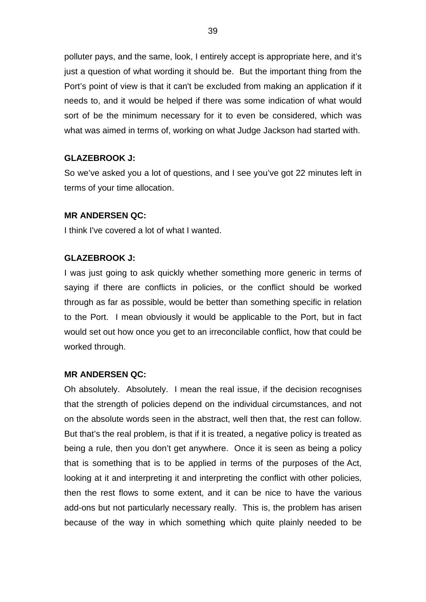polluter pays, and the same, look, I entirely accept is appropriate here, and it's just a question of what wording it should be. But the important thing from the Port's point of view is that it can't be excluded from making an application if it needs to, and it would be helped if there was some indication of what would sort of be the minimum necessary for it to even be considered, which was what was aimed in terms of, working on what Judge Jackson had started with.

# **GLAZEBROOK J:**

So we've asked you a lot of questions, and I see you've got 22 minutes left in terms of your time allocation.

# **MR ANDERSEN QC:**

I think I've covered a lot of what I wanted.

# **GLAZEBROOK J:**

I was just going to ask quickly whether something more generic in terms of saying if there are conflicts in policies, or the conflict should be worked through as far as possible, would be better than something specific in relation to the Port. I mean obviously it would be applicable to the Port, but in fact would set out how once you get to an irreconcilable conflict, how that could be worked through.

## **MR ANDERSEN QC:**

Oh absolutely. Absolutely. I mean the real issue, if the decision recognises that the strength of policies depend on the individual circumstances, and not on the absolute words seen in the abstract, well then that, the rest can follow. But that's the real problem, is that if it is treated, a negative policy is treated as being a rule, then you don't get anywhere. Once it is seen as being a policy that is something that is to be applied in terms of the purposes of the Act, looking at it and interpreting it and interpreting the conflict with other policies, then the rest flows to some extent, and it can be nice to have the various add-ons but not particularly necessary really. This is, the problem has arisen because of the way in which something which quite plainly needed to be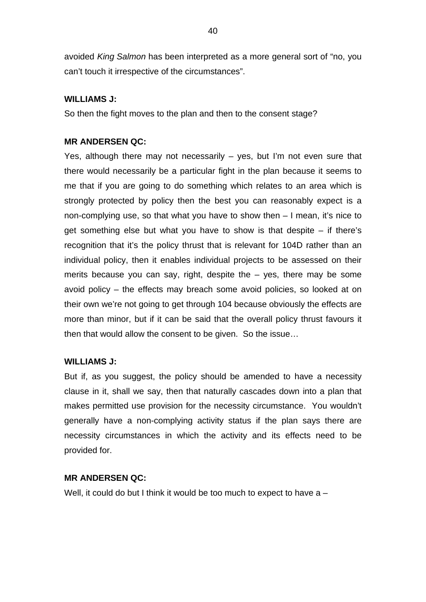avoided *King Salmon* has been interpreted as a more general sort of "no, you can't touch it irrespective of the circumstances".

# **WILLIAMS J:**

So then the fight moves to the plan and then to the consent stage?

# **MR ANDERSEN QC:**

Yes, although there may not necessarily – yes, but I'm not even sure that there would necessarily be a particular fight in the plan because it seems to me that if you are going to do something which relates to an area which is strongly protected by policy then the best you can reasonably expect is a non-complying use, so that what you have to show then – I mean, it's nice to get something else but what you have to show is that despite – if there's recognition that it's the policy thrust that is relevant for 104D rather than an individual policy, then it enables individual projects to be assessed on their merits because you can say, right, despite the  $-$  yes, there may be some avoid policy – the effects may breach some avoid policies, so looked at on their own we're not going to get through 104 because obviously the effects are more than minor, but if it can be said that the overall policy thrust favours it then that would allow the consent to be given. So the issue…

# **WILLIAMS J:**

But if, as you suggest, the policy should be amended to have a necessity clause in it, shall we say, then that naturally cascades down into a plan that makes permitted use provision for the necessity circumstance. You wouldn't generally have a non-complying activity status if the plan says there are necessity circumstances in which the activity and its effects need to be provided for.

# **MR ANDERSEN QC:**

Well, it could do but I think it would be too much to expect to have a –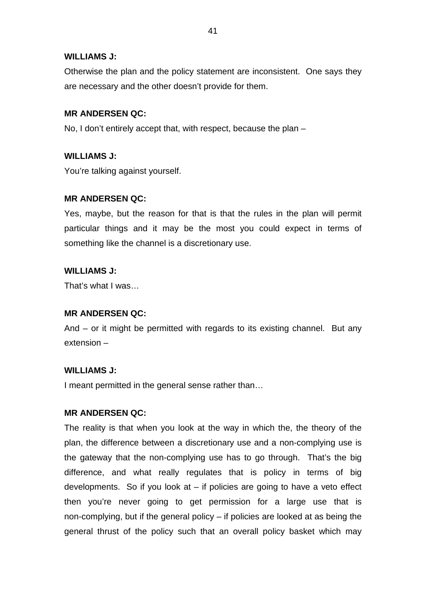# **WILLIAMS J:**

Otherwise the plan and the policy statement are inconsistent. One says they are necessary and the other doesn't provide for them.

# **MR ANDERSEN QC:**

No, I don't entirely accept that, with respect, because the plan –

# **WILLIAMS J:**

You're talking against yourself.

# **MR ANDERSEN QC:**

Yes, maybe, but the reason for that is that the rules in the plan will permit particular things and it may be the most you could expect in terms of something like the channel is a discretionary use.

# **WILLIAMS J:**

That's what I was…

## **MR ANDERSEN QC:**

And – or it might be permitted with regards to its existing channel. But any extension –

# **WILLIAMS J:**

I meant permitted in the general sense rather than…

# **MR ANDERSEN QC:**

The reality is that when you look at the way in which the, the theory of the plan, the difference between a discretionary use and a non-complying use is the gateway that the non-complying use has to go through. That's the big difference, and what really regulates that is policy in terms of big developments. So if you look at  $-$  if policies are going to have a veto effect then you're never going to get permission for a large use that is non-complying, but if the general policy – if policies are looked at as being the general thrust of the policy such that an overall policy basket which may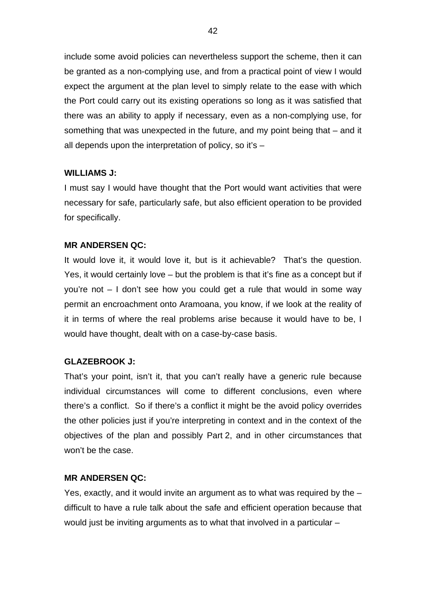include some avoid policies can nevertheless support the scheme, then it can be granted as a non-complying use, and from a practical point of view I would expect the argument at the plan level to simply relate to the ease with which the Port could carry out its existing operations so long as it was satisfied that there was an ability to apply if necessary, even as a non-complying use, for something that was unexpected in the future, and my point being that – and it all depends upon the interpretation of policy, so it's –

# **WILLIAMS J:**

I must say I would have thought that the Port would want activities that were necessary for safe, particularly safe, but also efficient operation to be provided for specifically.

# **MR ANDERSEN QC:**

It would love it, it would love it, but is it achievable? That's the question. Yes, it would certainly love – but the problem is that it's fine as a concept but if you're not – I don't see how you could get a rule that would in some way permit an encroachment onto Aramoana, you know, if we look at the reality of it in terms of where the real problems arise because it would have to be, I would have thought, dealt with on a case-by-case basis.

# **GLAZEBROOK J:**

That's your point, isn't it, that you can't really have a generic rule because individual circumstances will come to different conclusions, even where there's a conflict. So if there's a conflict it might be the avoid policy overrides the other policies just if you're interpreting in context and in the context of the objectives of the plan and possibly Part 2, and in other circumstances that won't be the case.

# **MR ANDERSEN QC:**

Yes, exactly, and it would invite an argument as to what was required by the – difficult to have a rule talk about the safe and efficient operation because that would just be inviting arguments as to what that involved in a particular –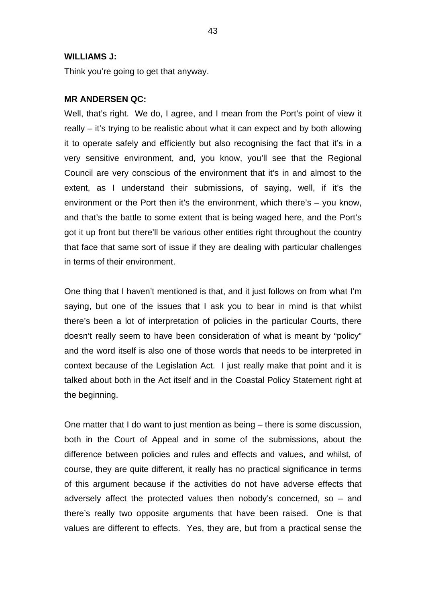#### **WILLIAMS J:**

Think you're going to get that anyway.

## **MR ANDERSEN QC:**

Well, that's right. We do, I agree, and I mean from the Port's point of view it really – it's trying to be realistic about what it can expect and by both allowing it to operate safely and efficiently but also recognising the fact that it's in a very sensitive environment, and, you know, you'll see that the Regional Council are very conscious of the environment that it's in and almost to the extent, as I understand their submissions, of saying, well, if it's the environment or the Port then it's the environment, which there's – you know, and that's the battle to some extent that is being waged here, and the Port's got it up front but there'll be various other entities right throughout the country that face that same sort of issue if they are dealing with particular challenges in terms of their environment.

One thing that I haven't mentioned is that, and it just follows on from what I'm saying, but one of the issues that I ask you to bear in mind is that whilst there's been a lot of interpretation of policies in the particular Courts, there doesn't really seem to have been consideration of what is meant by "policy" and the word itself is also one of those words that needs to be interpreted in context because of the Legislation Act. I just really make that point and it is talked about both in the Act itself and in the Coastal Policy Statement right at the beginning.

One matter that I do want to just mention as being – there is some discussion, both in the Court of Appeal and in some of the submissions, about the difference between policies and rules and effects and values, and whilst, of course, they are quite different, it really has no practical significance in terms of this argument because if the activities do not have adverse effects that adversely affect the protected values then nobody's concerned, so  $-$  and there's really two opposite arguments that have been raised. One is that values are different to effects. Yes, they are, but from a practical sense the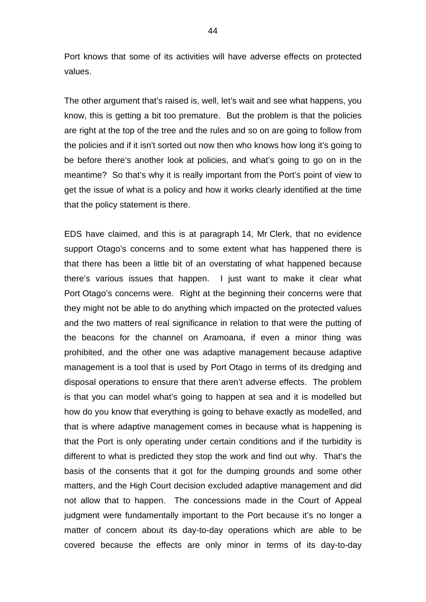Port knows that some of its activities will have adverse effects on protected values.

The other argument that's raised is, well, let's wait and see what happens, you know, this is getting a bit too premature. But the problem is that the policies are right at the top of the tree and the rules and so on are going to follow from the policies and if it isn't sorted out now then who knows how long it's going to be before there's another look at policies, and what's going to go on in the meantime? So that's why it is really important from the Port's point of view to get the issue of what is a policy and how it works clearly identified at the time that the policy statement is there.

EDS have claimed, and this is at paragraph 14, Mr Clerk, that no evidence support Otago's concerns and to some extent what has happened there is that there has been a little bit of an overstating of what happened because there's various issues that happen. I just want to make it clear what Port Otago's concerns were. Right at the beginning their concerns were that they might not be able to do anything which impacted on the protected values and the two matters of real significance in relation to that were the putting of the beacons for the channel on Aramoana, if even a minor thing was prohibited, and the other one was adaptive management because adaptive management is a tool that is used by Port Otago in terms of its dredging and disposal operations to ensure that there aren't adverse effects. The problem is that you can model what's going to happen at sea and it is modelled but how do you know that everything is going to behave exactly as modelled, and that is where adaptive management comes in because what is happening is that the Port is only operating under certain conditions and if the turbidity is different to what is predicted they stop the work and find out why. That's the basis of the consents that it got for the dumping grounds and some other matters, and the High Court decision excluded adaptive management and did not allow that to happen. The concessions made in the Court of Appeal judgment were fundamentally important to the Port because it's no longer a matter of concern about its day-to-day operations which are able to be covered because the effects are only minor in terms of its day-to-day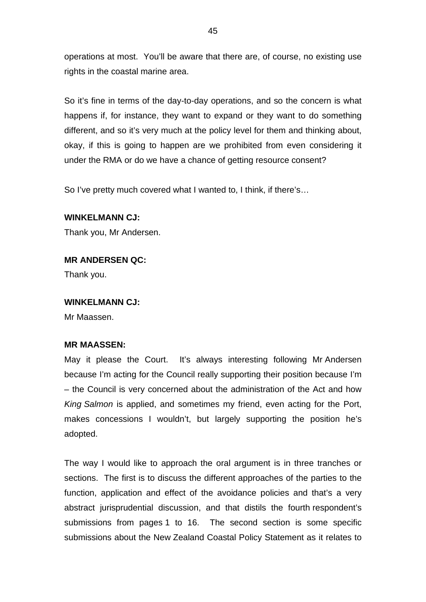operations at most. You'll be aware that there are, of course, no existing use rights in the coastal marine area.

So it's fine in terms of the day-to-day operations, and so the concern is what happens if, for instance, they want to expand or they want to do something different, and so it's very much at the policy level for them and thinking about, okay, if this is going to happen are we prohibited from even considering it under the RMA or do we have a chance of getting resource consent?

So I've pretty much covered what I wanted to, I think, if there's…

## **WINKELMANN CJ:**

Thank you, Mr Andersen.

## **MR ANDERSEN QC:**

Thank you.

## **WINKELMANN CJ:**

Mr Maassen.

## **MR MAASSEN:**

May it please the Court. It's always interesting following Mr Andersen because I'm acting for the Council really supporting their position because I'm – the Council is very concerned about the administration of the Act and how *King Salmon* is applied, and sometimes my friend, even acting for the Port, makes concessions I wouldn't, but largely supporting the position he's adopted.

The way I would like to approach the oral argument is in three tranches or sections. The first is to discuss the different approaches of the parties to the function, application and effect of the avoidance policies and that's a very abstract jurisprudential discussion, and that distils the fourth respondent's submissions from pages 1 to 16. The second section is some specific submissions about the New Zealand Coastal Policy Statement as it relates to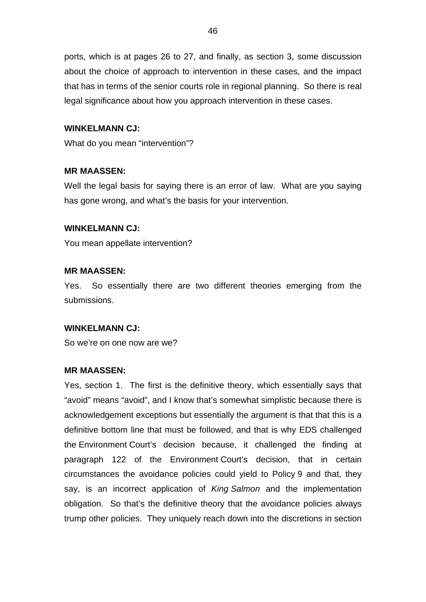ports, which is at pages 26 to 27, and finally, as section 3, some discussion about the choice of approach to intervention in these cases, and the impact that has in terms of the senior courts role in regional planning. So there is real legal significance about how you approach intervention in these cases.

# **WINKELMANN CJ:**

What do you mean "intervention"?

# **MR MAASSEN:**

Well the legal basis for saying there is an error of law. What are you saying has gone wrong, and what's the basis for your intervention.

# **WINKELMANN CJ:**

You mean appellate intervention?

# **MR MAASSEN:**

Yes. So essentially there are two different theories emerging from the submissions.

## **WINKELMANN CJ:**

So we're on one now are we?

## **MR MAASSEN:**

Yes, section 1. The first is the definitive theory, which essentially says that "avoid" means "avoid", and I know that's somewhat simplistic because there is acknowledgement exceptions but essentially the argument is that that this is a definitive bottom line that must be followed, and that is why EDS challenged the Environment Court's decision because, it challenged the finding at paragraph 122 of the Environment Court's decision, that in certain circumstances the avoidance policies could yield to Policy 9 and that, they say, is an incorrect application of *King Salmon* and the implementation obligation. So that's the definitive theory that the avoidance policies always trump other policies. They uniquely reach down into the discretions in section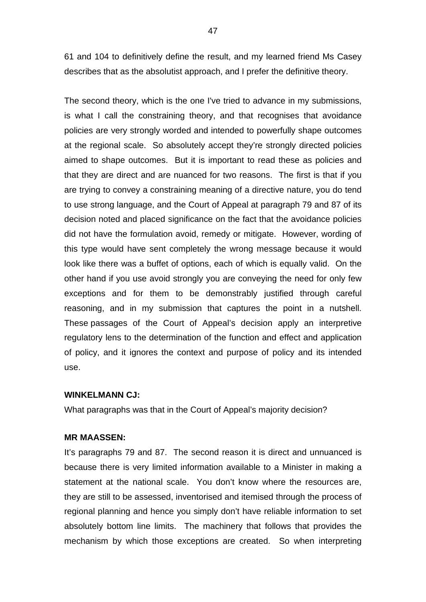61 and 104 to definitively define the result, and my learned friend Ms Casey describes that as the absolutist approach, and I prefer the definitive theory.

The second theory, which is the one I've tried to advance in my submissions, is what I call the constraining theory, and that recognises that avoidance policies are very strongly worded and intended to powerfully shape outcomes at the regional scale. So absolutely accept they're strongly directed policies aimed to shape outcomes. But it is important to read these as policies and that they are direct and are nuanced for two reasons. The first is that if you are trying to convey a constraining meaning of a directive nature, you do tend to use strong language, and the Court of Appeal at paragraph 79 and 87 of its decision noted and placed significance on the fact that the avoidance policies did not have the formulation avoid, remedy or mitigate. However, wording of this type would have sent completely the wrong message because it would look like there was a buffet of options, each of which is equally valid. On the other hand if you use avoid strongly you are conveying the need for only few exceptions and for them to be demonstrably justified through careful reasoning, and in my submission that captures the point in a nutshell. These passages of the Court of Appeal's decision apply an interpretive regulatory lens to the determination of the function and effect and application of policy, and it ignores the context and purpose of policy and its intended use.

#### **WINKELMANN CJ:**

What paragraphs was that in the Court of Appeal's majority decision?

#### **MR MAASSEN:**

It's paragraphs 79 and 87. The second reason it is direct and unnuanced is because there is very limited information available to a Minister in making a statement at the national scale. You don't know where the resources are, they are still to be assessed, inventorised and itemised through the process of regional planning and hence you simply don't have reliable information to set absolutely bottom line limits. The machinery that follows that provides the mechanism by which those exceptions are created. So when interpreting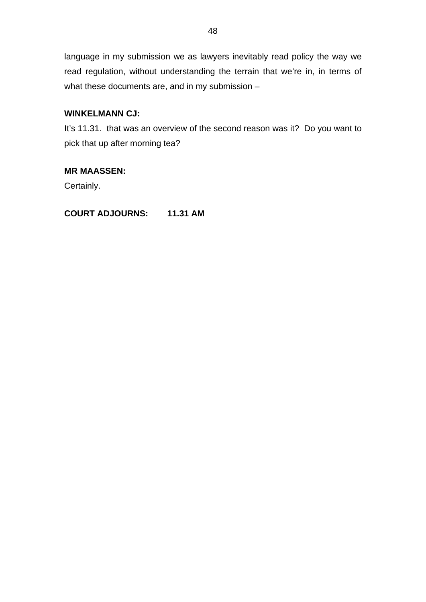language in my submission we as lawyers inevitably read policy the way we read regulation, without understanding the terrain that we're in, in terms of what these documents are, and in my submission –

# **WINKELMANN CJ:**

It's 11.31. that was an overview of the second reason was it? Do you want to pick that up after morning tea?

# **MR MAASSEN:**

Certainly.

**COURT ADJOURNS: 11.31 AM**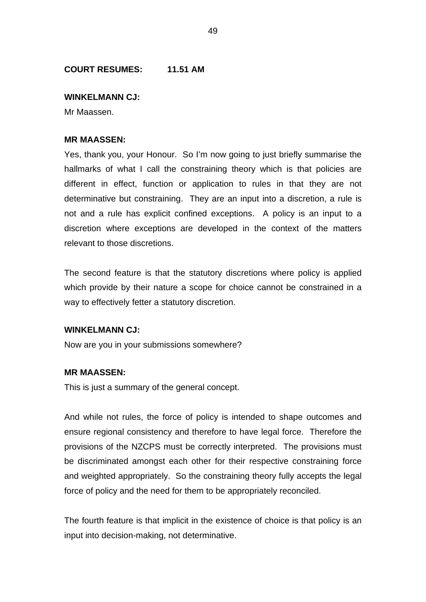# **COURT RESUMES: 11.51 AM**

## **WINKELMANN CJ:**

Mr Maassen.

## **MR MAASSEN:**

Yes, thank you, your Honour. So I'm now going to just briefly summarise the hallmarks of what I call the constraining theory which is that policies are different in effect, function or application to rules in that they are not determinative but constraining. They are an input into a discretion, a rule is not and a rule has explicit confined exceptions. A policy is an input to a discretion where exceptions are developed in the context of the matters relevant to those discretions.

The second feature is that the statutory discretions where policy is applied which provide by their nature a scope for choice cannot be constrained in a way to effectively fetter a statutory discretion.

## **WINKELMANN CJ:**

Now are you in your submissions somewhere?

## **MR MAASSEN:**

This is just a summary of the general concept.

And while not rules, the force of policy is intended to shape outcomes and ensure regional consistency and therefore to have legal force. Therefore the provisions of the NZCPS must be correctly interpreted. The provisions must be discriminated amongst each other for their respective constraining force and weighted appropriately. So the constraining theory fully accepts the legal force of policy and the need for them to be appropriately reconciled.

The fourth feature is that implicit in the existence of choice is that policy is an input into decision-making, not determinative.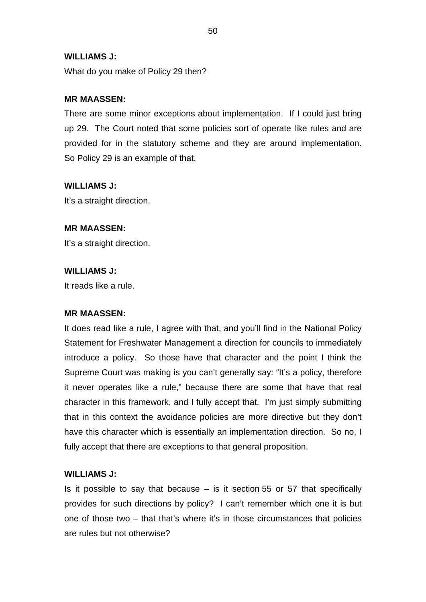## **WILLIAMS J:**

What do you make of Policy 29 then?

# **MR MAASSEN:**

There are some minor exceptions about implementation. If I could just bring up 29. The Court noted that some policies sort of operate like rules and are provided for in the statutory scheme and they are around implementation. So Policy 29 is an example of that.

# **WILLIAMS J:**

It's a straight direction.

# **MR MAASSEN:**

It's a straight direction.

# **WILLIAMS J:**

It reads like a rule.

## **MR MAASSEN:**

It does read like a rule, I agree with that, and you'll find in the National Policy Statement for Freshwater Management a direction for councils to immediately introduce a policy. So those have that character and the point I think the Supreme Court was making is you can't generally say: "It's a policy, therefore it never operates like a rule," because there are some that have that real character in this framework, and I fully accept that. I'm just simply submitting that in this context the avoidance policies are more directive but they don't have this character which is essentially an implementation direction. So no, I fully accept that there are exceptions to that general proposition.

## **WILLIAMS J:**

Is it possible to say that because  $-$  is it section 55 or 57 that specifically provides for such directions by policy? I can't remember which one it is but one of those two – that that's where it's in those circumstances that policies are rules but not otherwise?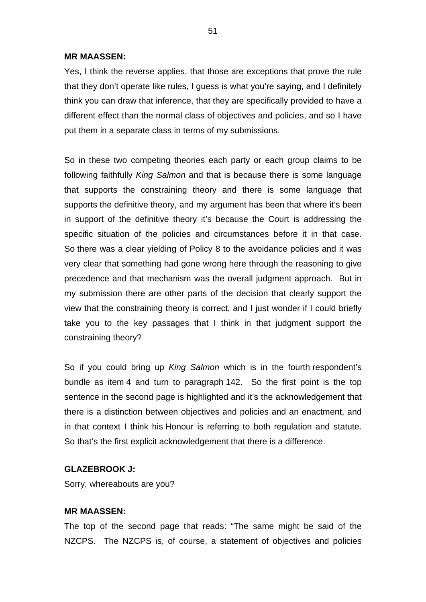Yes, I think the reverse applies, that those are exceptions that prove the rule that they don't operate like rules, I guess is what you're saying, and I definitely think you can draw that inference, that they are specifically provided to have a different effect than the normal class of objectives and policies, and so I have put them in a separate class in terms of my submissions.

So in these two competing theories each party or each group claims to be following faithfully *King Salmon* and that is because there is some language that supports the constraining theory and there is some language that supports the definitive theory, and my argument has been that where it's been in support of the definitive theory it's because the Court is addressing the specific situation of the policies and circumstances before it in that case. So there was a clear yielding of Policy 8 to the avoidance policies and it was very clear that something had gone wrong here through the reasoning to give precedence and that mechanism was the overall judgment approach. But in my submission there are other parts of the decision that clearly support the view that the constraining theory is correct, and I just wonder if I could briefly take you to the key passages that I think in that judgment support the constraining theory?

So if you could bring up *King Salmon* which is in the fourth respondent's bundle as item 4 and turn to paragraph 142. So the first point is the top sentence in the second page is highlighted and it's the acknowledgement that there is a distinction between objectives and policies and an enactment, and in that context I think his Honour is referring to both regulation and statute. So that's the first explicit acknowledgement that there is a difference.

# **GLAZEBROOK J:**

Sorry, whereabouts are you?

# **MR MAASSEN:**

The top of the second page that reads: "The same might be said of the NZCPS. The NZCPS is, of course, a statement of objectives and policies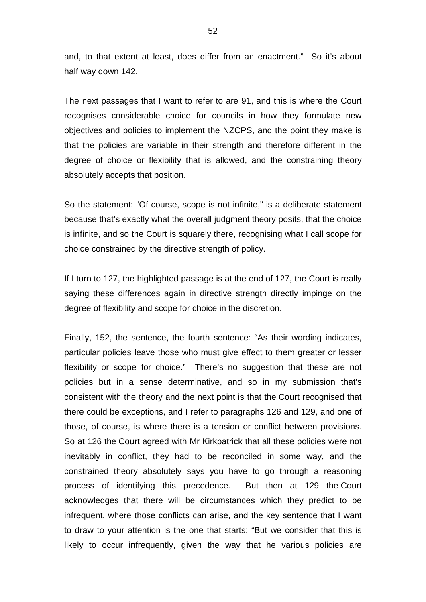and, to that extent at least, does differ from an enactment." So it's about half way down 142.

The next passages that I want to refer to are 91, and this is where the Court recognises considerable choice for councils in how they formulate new objectives and policies to implement the NZCPS, and the point they make is that the policies are variable in their strength and therefore different in the degree of choice or flexibility that is allowed, and the constraining theory absolutely accepts that position.

So the statement: "Of course, scope is not infinite," is a deliberate statement because that's exactly what the overall judgment theory posits, that the choice is infinite, and so the Court is squarely there, recognising what I call scope for choice constrained by the directive strength of policy.

If I turn to 127, the highlighted passage is at the end of 127, the Court is really saying these differences again in directive strength directly impinge on the degree of flexibility and scope for choice in the discretion.

Finally, 152, the sentence, the fourth sentence: "As their wording indicates, particular policies leave those who must give effect to them greater or lesser flexibility or scope for choice." There's no suggestion that these are not policies but in a sense determinative, and so in my submission that's consistent with the theory and the next point is that the Court recognised that there could be exceptions, and I refer to paragraphs 126 and 129, and one of those, of course, is where there is a tension or conflict between provisions. So at 126 the Court agreed with Mr Kirkpatrick that all these policies were not inevitably in conflict, they had to be reconciled in some way, and the constrained theory absolutely says you have to go through a reasoning process of identifying this precedence. But then at 129 the Court acknowledges that there will be circumstances which they predict to be infrequent, where those conflicts can arise, and the key sentence that I want to draw to your attention is the one that starts: "But we consider that this is likely to occur infrequently, given the way that he various policies are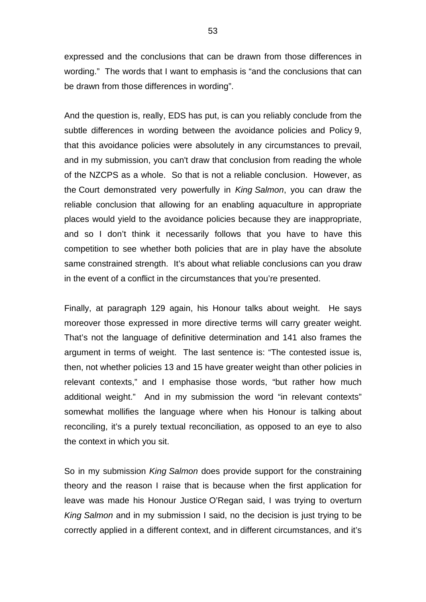expressed and the conclusions that can be drawn from those differences in wording." The words that I want to emphasis is "and the conclusions that can be drawn from those differences in wording".

And the question is, really, EDS has put, is can you reliably conclude from the subtle differences in wording between the avoidance policies and Policy 9, that this avoidance policies were absolutely in any circumstances to prevail, and in my submission, you can't draw that conclusion from reading the whole of the NZCPS as a whole. So that is not a reliable conclusion. However, as the Court demonstrated very powerfully in *King Salmon*, you can draw the reliable conclusion that allowing for an enabling aquaculture in appropriate places would yield to the avoidance policies because they are inappropriate, and so I don't think it necessarily follows that you have to have this competition to see whether both policies that are in play have the absolute same constrained strength. It's about what reliable conclusions can you draw in the event of a conflict in the circumstances that you're presented.

Finally, at paragraph 129 again, his Honour talks about weight. He says moreover those expressed in more directive terms will carry greater weight. That's not the language of definitive determination and 141 also frames the argument in terms of weight. The last sentence is: "The contested issue is, then, not whether policies 13 and 15 have greater weight than other policies in relevant contexts," and I emphasise those words, "but rather how much additional weight." And in my submission the word "in relevant contexts" somewhat mollifies the language where when his Honour is talking about reconciling, it's a purely textual reconciliation, as opposed to an eye to also the context in which you sit.

So in my submission *King Salmon* does provide support for the constraining theory and the reason I raise that is because when the first application for leave was made his Honour Justice O'Regan said, I was trying to overturn *King Salmon* and in my submission I said, no the decision is just trying to be correctly applied in a different context, and in different circumstances, and it's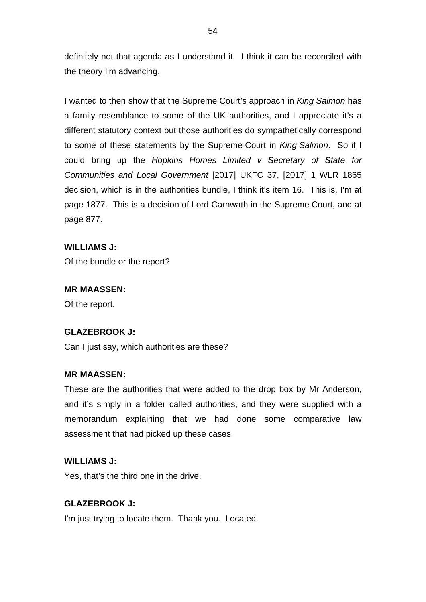definitely not that agenda as I understand it. I think it can be reconciled with the theory I'm advancing.

I wanted to then show that the Supreme Court's approach in *King Salmon* has a family resemblance to some of the UK authorities, and I appreciate it's a different statutory context but those authorities do sympathetically correspond to some of these statements by the Supreme Court in *King Salmon*. So if I could bring up the *Hopkins Homes Limited v Secretary of State for Communities and Local Government* [2017] UKFC 37, [2017] 1 WLR 1865 decision, which is in the authorities bundle, I think it's item 16. This is, I'm at page 1877. This is a decision of Lord Carnwath in the Supreme Court, and at page 877.

# **WILLIAMS J:**

Of the bundle or the report?

# **MR MAASSEN:**

Of the report.

# **GLAZEBROOK J:**

Can I just say, which authorities are these?

# **MR MAASSEN:**

These are the authorities that were added to the drop box by Mr Anderson, and it's simply in a folder called authorities, and they were supplied with a memorandum explaining that we had done some comparative law assessment that had picked up these cases.

# **WILLIAMS J:**

Yes, that's the third one in the drive.

# **GLAZEBROOK J:**

I'm just trying to locate them. Thank you. Located.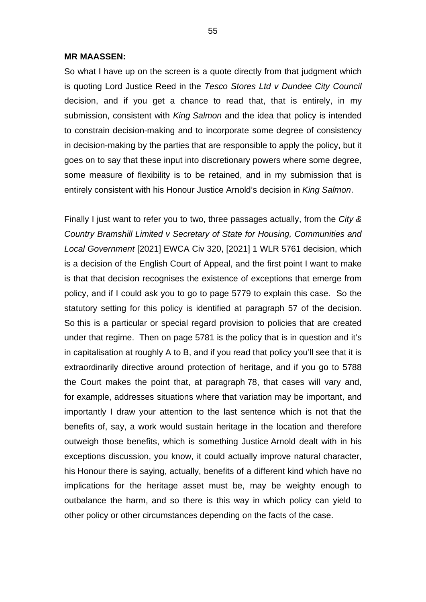So what I have up on the screen is a quote directly from that judgment which is quoting Lord Justice Reed in the *Tesco Stores Ltd v Dundee City Council* decision, and if you get a chance to read that, that is entirely, in my submission, consistent with *King Salmon* and the idea that policy is intended to constrain decision-making and to incorporate some degree of consistency in decision-making by the parties that are responsible to apply the policy, but it goes on to say that these input into discretionary powers where some degree, some measure of flexibility is to be retained, and in my submission that is entirely consistent with his Honour Justice Arnold's decision in *King Salmon*.

Finally I just want to refer you to two, three passages actually, from the *City & Country Bramshill Limited v Secretary of State for Housing, Communities and Local Government* [2021] EWCA Civ 320, [2021] 1 WLR 5761 decision, which is a decision of the English Court of Appeal, and the first point I want to make is that that decision recognises the existence of exceptions that emerge from policy, and if I could ask you to go to page 5779 to explain this case. So the statutory setting for this policy is identified at paragraph 57 of the decision. So this is a particular or special regard provision to policies that are created under that regime. Then on page 5781 is the policy that is in question and it's in capitalisation at roughly A to B, and if you read that policy you'll see that it is extraordinarily directive around protection of heritage, and if you go to 5788 the Court makes the point that, at paragraph 78, that cases will vary and, for example, addresses situations where that variation may be important, and importantly I draw your attention to the last sentence which is not that the benefits of, say, a work would sustain heritage in the location and therefore outweigh those benefits, which is something Justice Arnold dealt with in his exceptions discussion, you know, it could actually improve natural character, his Honour there is saying, actually, benefits of a different kind which have no implications for the heritage asset must be, may be weighty enough to outbalance the harm, and so there is this way in which policy can yield to other policy or other circumstances depending on the facts of the case.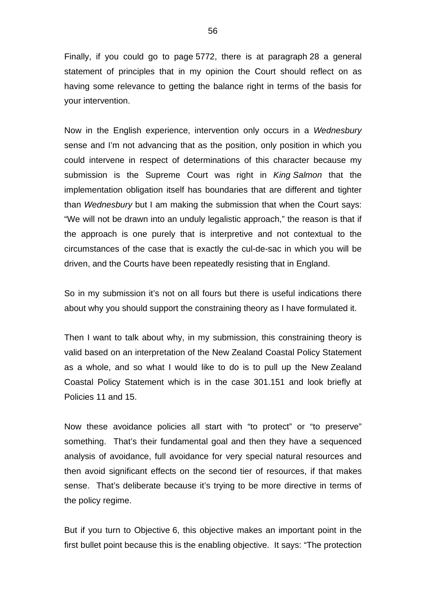Finally, if you could go to page 5772, there is at paragraph 28 a general statement of principles that in my opinion the Court should reflect on as having some relevance to getting the balance right in terms of the basis for your intervention.

Now in the English experience, intervention only occurs in a *Wednesbury* sense and I'm not advancing that as the position, only position in which you could intervene in respect of determinations of this character because my submission is the Supreme Court was right in *King Salmon* that the implementation obligation itself has boundaries that are different and tighter than *Wednesbury* but I am making the submission that when the Court says: "We will not be drawn into an unduly legalistic approach," the reason is that if the approach is one purely that is interpretive and not contextual to the circumstances of the case that is exactly the cul-de-sac in which you will be driven, and the Courts have been repeatedly resisting that in England.

So in my submission it's not on all fours but there is useful indications there about why you should support the constraining theory as I have formulated it.

Then I want to talk about why, in my submission, this constraining theory is valid based on an interpretation of the New Zealand Coastal Policy Statement as a whole, and so what I would like to do is to pull up the New Zealand Coastal Policy Statement which is in the case 301.151 and look briefly at Policies 11 and 15.

Now these avoidance policies all start with "to protect" or "to preserve" something. That's their fundamental goal and then they have a sequenced analysis of avoidance, full avoidance for very special natural resources and then avoid significant effects on the second tier of resources, if that makes sense. That's deliberate because it's trying to be more directive in terms of the policy regime.

But if you turn to Objective 6, this objective makes an important point in the first bullet point because this is the enabling objective. It says: "The protection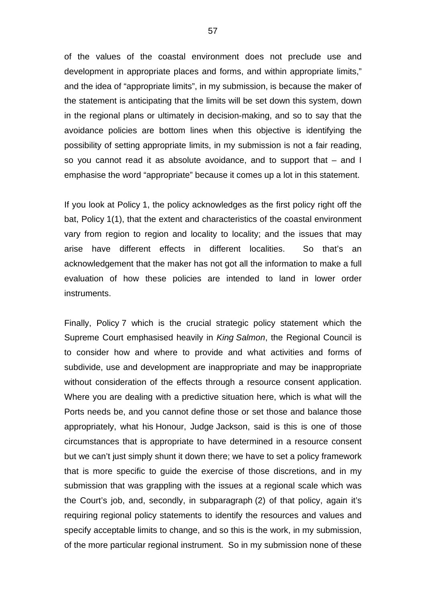of the values of the coastal environment does not preclude use and development in appropriate places and forms, and within appropriate limits," and the idea of "appropriate limits", in my submission, is because the maker of the statement is anticipating that the limits will be set down this system, down in the regional plans or ultimately in decision-making, and so to say that the avoidance policies are bottom lines when this objective is identifying the possibility of setting appropriate limits, in my submission is not a fair reading, so you cannot read it as absolute avoidance, and to support that – and I emphasise the word "appropriate" because it comes up a lot in this statement.

If you look at Policy 1, the policy acknowledges as the first policy right off the bat, Policy 1(1), that the extent and characteristics of the coastal environment vary from region to region and locality to locality; and the issues that may arise have different effects in different localities. So that's an acknowledgement that the maker has not got all the information to make a full evaluation of how these policies are intended to land in lower order instruments.

Finally, Policy 7 which is the crucial strategic policy statement which the Supreme Court emphasised heavily in *King Salmon*, the Regional Council is to consider how and where to provide and what activities and forms of subdivide, use and development are inappropriate and may be inappropriate without consideration of the effects through a resource consent application. Where you are dealing with a predictive situation here, which is what will the Ports needs be, and you cannot define those or set those and balance those appropriately, what his Honour, Judge Jackson, said is this is one of those circumstances that is appropriate to have determined in a resource consent but we can't just simply shunt it down there; we have to set a policy framework that is more specific to guide the exercise of those discretions, and in my submission that was grappling with the issues at a regional scale which was the Court's job, and, secondly, in subparagraph (2) of that policy, again it's requiring regional policy statements to identify the resources and values and specify acceptable limits to change, and so this is the work, in my submission, of the more particular regional instrument. So in my submission none of these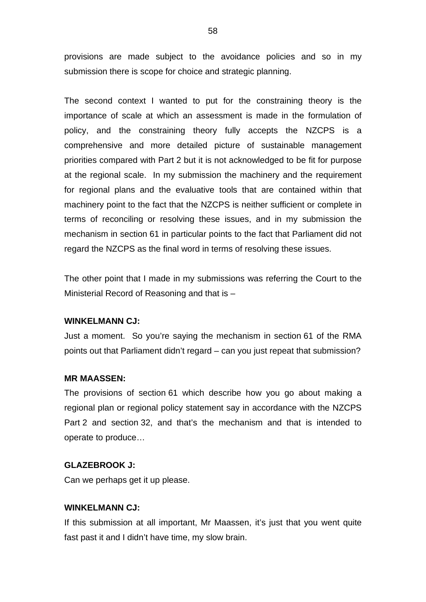provisions are made subject to the avoidance policies and so in my submission there is scope for choice and strategic planning.

The second context I wanted to put for the constraining theory is the importance of scale at which an assessment is made in the formulation of policy, and the constraining theory fully accepts the NZCPS is a comprehensive and more detailed picture of sustainable management priorities compared with Part 2 but it is not acknowledged to be fit for purpose at the regional scale. In my submission the machinery and the requirement for regional plans and the evaluative tools that are contained within that machinery point to the fact that the NZCPS is neither sufficient or complete in terms of reconciling or resolving these issues, and in my submission the mechanism in section 61 in particular points to the fact that Parliament did not regard the NZCPS as the final word in terms of resolving these issues.

The other point that I made in my submissions was referring the Court to the Ministerial Record of Reasoning and that is –

#### **WINKELMANN CJ:**

Just a moment. So you're saying the mechanism in section 61 of the RMA points out that Parliament didn't regard – can you just repeat that submission?

#### **MR MAASSEN:**

The provisions of section 61 which describe how you go about making a regional plan or regional policy statement say in accordance with the NZCPS Part 2 and section 32, and that's the mechanism and that is intended to operate to produce…

## **GLAZEBROOK J:**

Can we perhaps get it up please.

#### **WINKELMANN CJ:**

If this submission at all important, Mr Maassen, it's just that you went quite fast past it and I didn't have time, my slow brain.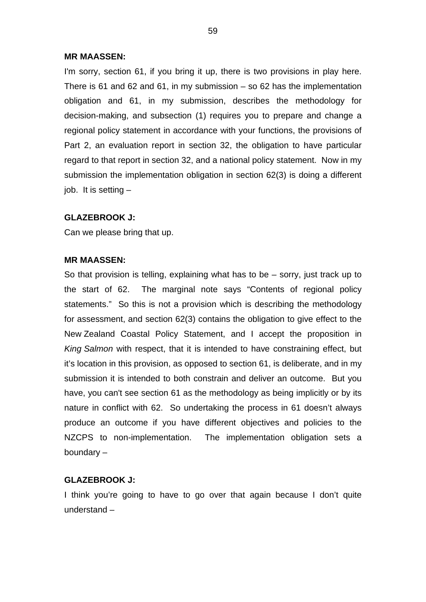I'm sorry, section 61, if you bring it up, there is two provisions in play here. There is 61 and 62 and 61, in my submission  $-$  so 62 has the implementation obligation and 61, in my submission, describes the methodology for decision-making, and subsection (1) requires you to prepare and change a regional policy statement in accordance with your functions, the provisions of Part 2, an evaluation report in section 32, the obligation to have particular regard to that report in section 32, and a national policy statement. Now in my submission the implementation obligation in section 62(3) is doing a different job. It is setting –

## **GLAZEBROOK J:**

Can we please bring that up.

#### **MR MAASSEN:**

So that provision is telling, explaining what has to be – sorry, just track up to the start of 62. The marginal note says "Contents of regional policy statements." So this is not a provision which is describing the methodology for assessment, and section 62(3) contains the obligation to give effect to the New Zealand Coastal Policy Statement, and I accept the proposition in *King Salmon* with respect, that it is intended to have constraining effect, but it's location in this provision, as opposed to section 61, is deliberate, and in my submission it is intended to both constrain and deliver an outcome. But you have, you can't see section 61 as the methodology as being implicitly or by its nature in conflict with 62. So undertaking the process in 61 doesn't always produce an outcome if you have different objectives and policies to the NZCPS to non-implementation. The implementation obligation sets a boundary –

#### **GLAZEBROOK J:**

I think you're going to have to go over that again because I don't quite understand –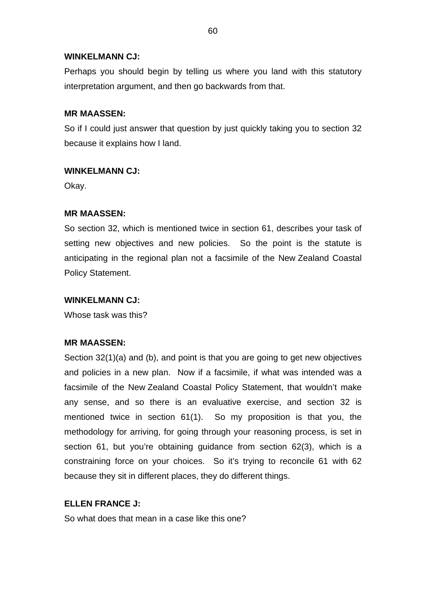# **WINKELMANN CJ:**

Perhaps you should begin by telling us where you land with this statutory interpretation argument, and then go backwards from that.

# **MR MAASSEN:**

So if I could just answer that question by just quickly taking you to section 32 because it explains how I land.

# **WINKELMANN CJ:**

Okay.

# **MR MAASSEN:**

So section 32, which is mentioned twice in section 61, describes your task of setting new objectives and new policies. So the point is the statute is anticipating in the regional plan not a facsimile of the New Zealand Coastal Policy Statement.

# **WINKELMANN CJ:**

Whose task was this?

# **MR MAASSEN:**

Section 32(1)(a) and (b), and point is that you are going to get new objectives and policies in a new plan. Now if a facsimile, if what was intended was a facsimile of the New Zealand Coastal Policy Statement, that wouldn't make any sense, and so there is an evaluative exercise, and section 32 is mentioned twice in section 61(1). So my proposition is that you, the methodology for arriving, for going through your reasoning process, is set in section 61, but you're obtaining quidance from section 62(3), which is a constraining force on your choices. So it's trying to reconcile 61 with 62 because they sit in different places, they do different things.

# **ELLEN FRANCE J:**

So what does that mean in a case like this one?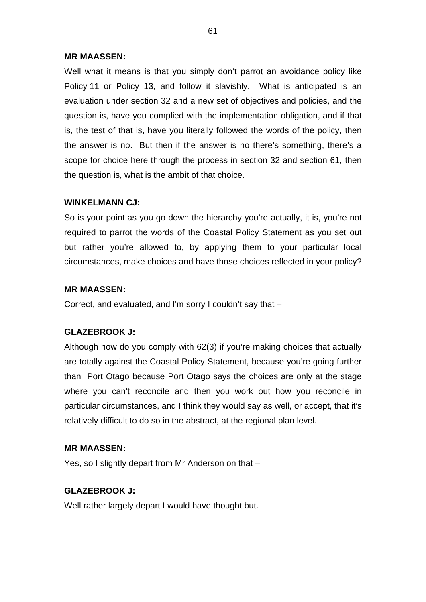Well what it means is that you simply don't parrot an avoidance policy like Policy 11 or Policy 13, and follow it slavishly. What is anticipated is an evaluation under section 32 and a new set of objectives and policies, and the question is, have you complied with the implementation obligation, and if that is, the test of that is, have you literally followed the words of the policy, then the answer is no. But then if the answer is no there's something, there's a scope for choice here through the process in section 32 and section 61, then the question is, what is the ambit of that choice.

# **WINKELMANN CJ:**

So is your point as you go down the hierarchy you're actually, it is, you're not required to parrot the words of the Coastal Policy Statement as you set out but rather you're allowed to, by applying them to your particular local circumstances, make choices and have those choices reflected in your policy?

# **MR MAASSEN:**

Correct, and evaluated, and I'm sorry I couldn't say that –

# **GLAZEBROOK J:**

Although how do you comply with 62(3) if you're making choices that actually are totally against the Coastal Policy Statement, because you're going further than Port Otago because Port Otago says the choices are only at the stage where you can't reconcile and then you work out how you reconcile in particular circumstances, and I think they would say as well, or accept, that it's relatively difficult to do so in the abstract, at the regional plan level.

# **MR MAASSEN:**

Yes, so I slightly depart from Mr Anderson on that –

# **GLAZEBROOK J:**

Well rather largely depart I would have thought but.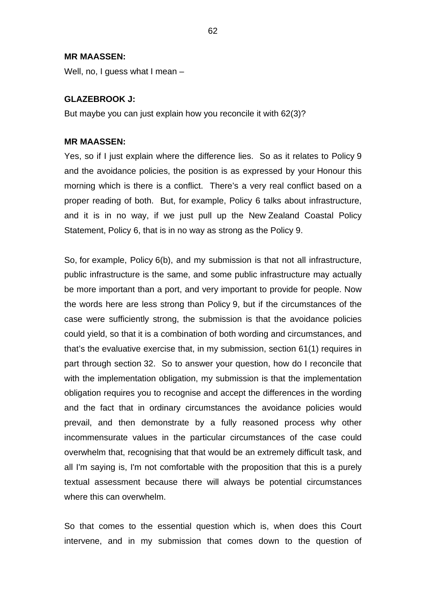Well, no, I guess what I mean –

## **GLAZEBROOK J:**

But maybe you can just explain how you reconcile it with 62(3)?

## **MR MAASSEN:**

Yes, so if I just explain where the difference lies. So as it relates to Policy 9 and the avoidance policies, the position is as expressed by your Honour this morning which is there is a conflict. There's a very real conflict based on a proper reading of both. But, for example, Policy 6 talks about infrastructure, and it is in no way, if we just pull up the New Zealand Coastal Policy Statement, Policy 6, that is in no way as strong as the Policy 9.

So, for example, Policy 6(b), and my submission is that not all infrastructure, public infrastructure is the same, and some public infrastructure may actually be more important than a port, and very important to provide for people. Now the words here are less strong than Policy 9, but if the circumstances of the case were sufficiently strong, the submission is that the avoidance policies could yield, so that it is a combination of both wording and circumstances, and that's the evaluative exercise that, in my submission, section 61(1) requires in part through section 32. So to answer your question, how do I reconcile that with the implementation obligation, my submission is that the implementation obligation requires you to recognise and accept the differences in the wording and the fact that in ordinary circumstances the avoidance policies would prevail, and then demonstrate by a fully reasoned process why other incommensurate values in the particular circumstances of the case could overwhelm that, recognising that that would be an extremely difficult task, and all I'm saying is, I'm not comfortable with the proposition that this is a purely textual assessment because there will always be potential circumstances where this can overwhelm.

So that comes to the essential question which is, when does this Court intervene, and in my submission that comes down to the question of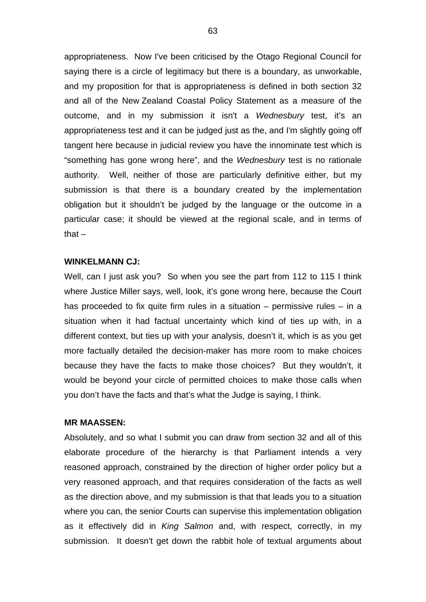appropriateness. Now I've been criticised by the Otago Regional Council for saying there is a circle of legitimacy but there is a boundary, as unworkable, and my proposition for that is appropriateness is defined in both section 32 and all of the New Zealand Coastal Policy Statement as a measure of the outcome, and in my submission it isn't a *Wednesbury* test, it's an appropriateness test and it can be judged just as the, and I'm slightly going off tangent here because in judicial review you have the innominate test which is "something has gone wrong here", and the *Wednesbury* test is no rationale authority. Well, neither of those are particularly definitive either, but my submission is that there is a boundary created by the implementation obligation but it shouldn't be judged by the language or the outcome in a particular case; it should be viewed at the regional scale, and in terms of that $-$ 

# **WINKELMANN CJ:**

Well, can I just ask you? So when you see the part from 112 to 115 I think where Justice Miller says, well, look, it's gone wrong here, because the Court has proceeded to fix quite firm rules in a situation – permissive rules – in a situation when it had factual uncertainty which kind of ties up with, in a different context, but ties up with your analysis, doesn't it, which is as you get more factually detailed the decision-maker has more room to make choices because they have the facts to make those choices? But they wouldn't, it would be beyond your circle of permitted choices to make those calls when you don't have the facts and that's what the Judge is saying, I think.

#### **MR MAASSEN:**

Absolutely, and so what I submit you can draw from section 32 and all of this elaborate procedure of the hierarchy is that Parliament intends a very reasoned approach, constrained by the direction of higher order policy but a very reasoned approach, and that requires consideration of the facts as well as the direction above, and my submission is that that leads you to a situation where you can, the senior Courts can supervise this implementation obligation as it effectively did in *King Salmon* and, with respect, correctly, in my submission. It doesn't get down the rabbit hole of textual arguments about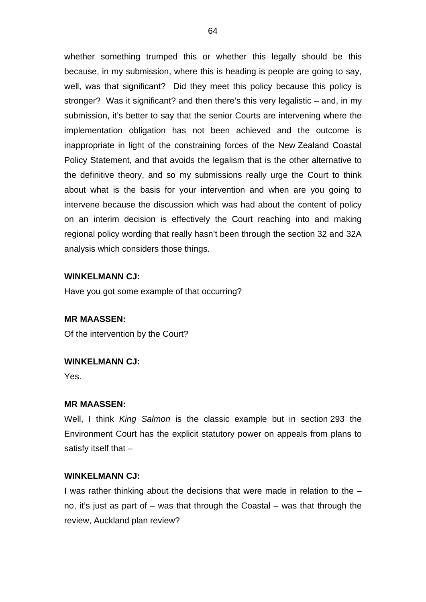whether something trumped this or whether this legally should be this because, in my submission, where this is heading is people are going to say, well, was that significant? Did they meet this policy because this policy is stronger? Was it significant? and then there's this very legalistic – and, in my submission, it's better to say that the senior Courts are intervening where the implementation obligation has not been achieved and the outcome is inappropriate in light of the constraining forces of the New Zealand Coastal Policy Statement, and that avoids the legalism that is the other alternative to the definitive theory, and so my submissions really urge the Court to think about what is the basis for your intervention and when are you going to intervene because the discussion which was had about the content of policy on an interim decision is effectively the Court reaching into and making regional policy wording that really hasn't been through the section 32 and 32A analysis which considers those things.

## **WINKELMANN CJ:**

Have you got some example of that occurring?

## **MR MAASSEN:**

Of the intervention by the Court?

#### **WINKELMANN CJ:**

Yes.

#### **MR MAASSEN:**

Well, I think *King Salmon* is the classic example but in section 293 the Environment Court has the explicit statutory power on appeals from plans to satisfy itself that –

## **WINKELMANN CJ:**

I was rather thinking about the decisions that were made in relation to the – no, it's just as part of  $-$  was that through the Coastal  $-$  was that through the review, Auckland plan review?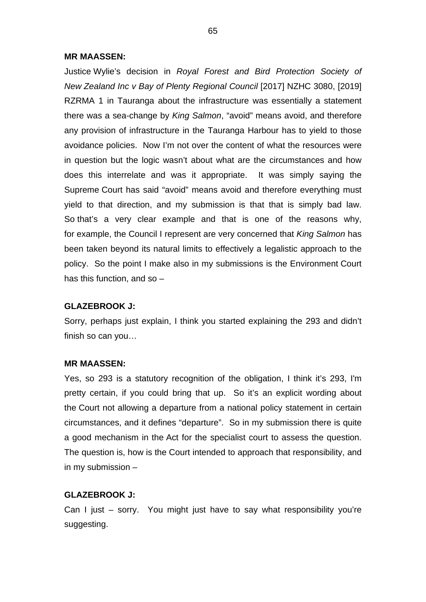Justice Wylie's decision in *Royal Forest and Bird Protection Society of New Zealand Inc v Bay of Plenty Regional Council* [2017] NZHC 3080, [2019] RZRMA 1 in Tauranga about the infrastructure was essentially a statement there was a sea-change by *King Salmon*, "avoid" means avoid, and therefore any provision of infrastructure in the Tauranga Harbour has to yield to those avoidance policies. Now I'm not over the content of what the resources were in question but the logic wasn't about what are the circumstances and how does this interrelate and was it appropriate. It was simply saying the Supreme Court has said "avoid" means avoid and therefore everything must yield to that direction, and my submission is that that is simply bad law. So that's a very clear example and that is one of the reasons why, for example, the Council I represent are very concerned that *King Salmon* has been taken beyond its natural limits to effectively a legalistic approach to the policy. So the point I make also in my submissions is the Environment Court has this function, and so –

## **GLAZEBROOK J:**

Sorry, perhaps just explain, I think you started explaining the 293 and didn't finish so can you…

## **MR MAASSEN:**

Yes, so 293 is a statutory recognition of the obligation, I think it's 293, I'm pretty certain, if you could bring that up. So it's an explicit wording about the Court not allowing a departure from a national policy statement in certain circumstances, and it defines "departure". So in my submission there is quite a good mechanism in the Act for the specialist court to assess the question. The question is, how is the Court intended to approach that responsibility, and in my submission –

#### **GLAZEBROOK J:**

Can I just – sorry. You might just have to say what responsibility you're suggesting.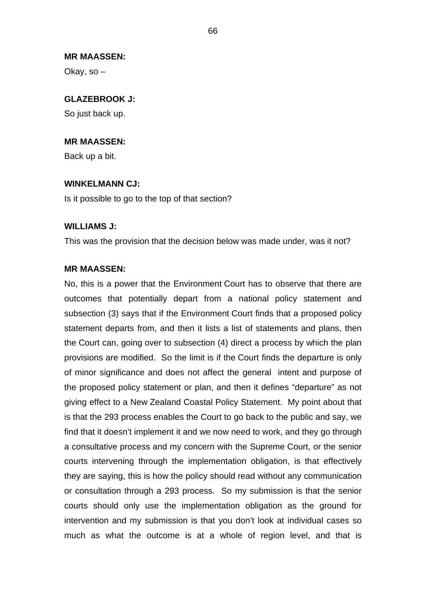Okay, so –

# **GLAZEBROOK J:**

So just back up.

# **MR MAASSEN:**

Back up a bit.

# **WINKELMANN CJ:**

Is it possible to go to the top of that section?

## **WILLIAMS J:**

This was the provision that the decision below was made under, was it not?

## **MR MAASSEN:**

No, this is a power that the Environment Court has to observe that there are outcomes that potentially depart from a national policy statement and subsection (3) says that if the Environment Court finds that a proposed policy statement departs from, and then it lists a list of statements and plans, then the Court can, going over to subsection (4) direct a process by which the plan provisions are modified. So the limit is if the Court finds the departure is only of minor significance and does not affect the general intent and purpose of the proposed policy statement or plan, and then it defines "departure" as not giving effect to a New Zealand Coastal Policy Statement. My point about that is that the 293 process enables the Court to go back to the public and say, we find that it doesn't implement it and we now need to work, and they go through a consultative process and my concern with the Supreme Court, or the senior courts intervening through the implementation obligation, is that effectively they are saying, this is how the policy should read without any communication or consultation through a 293 process. So my submission is that the senior courts should only use the implementation obligation as the ground for intervention and my submission is that you don't look at individual cases so much as what the outcome is at a whole of region level, and that is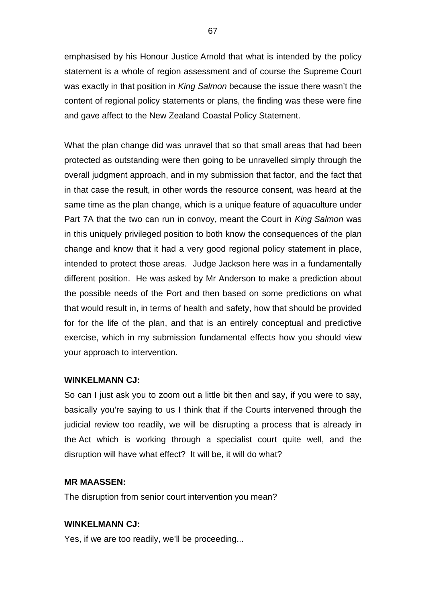emphasised by his Honour Justice Arnold that what is intended by the policy statement is a whole of region assessment and of course the Supreme Court was exactly in that position in *King Salmon* because the issue there wasn't the content of regional policy statements or plans, the finding was these were fine and gave affect to the New Zealand Coastal Policy Statement.

What the plan change did was unravel that so that small areas that had been protected as outstanding were then going to be unravelled simply through the overall judgment approach, and in my submission that factor, and the fact that in that case the result, in other words the resource consent, was heard at the same time as the plan change, which is a unique feature of aquaculture under Part 7A that the two can run in convoy, meant the Court in *King Salmon* was in this uniquely privileged position to both know the consequences of the plan change and know that it had a very good regional policy statement in place, intended to protect those areas. Judge Jackson here was in a fundamentally different position. He was asked by Mr Anderson to make a prediction about the possible needs of the Port and then based on some predictions on what that would result in, in terms of health and safety, how that should be provided for for the life of the plan, and that is an entirely conceptual and predictive exercise, which in my submission fundamental effects how you should view your approach to intervention.

## **WINKELMANN CJ:**

So can I just ask you to zoom out a little bit then and say, if you were to say, basically you're saying to us I think that if the Courts intervened through the judicial review too readily, we will be disrupting a process that is already in the Act which is working through a specialist court quite well, and the disruption will have what effect? It will be, it will do what?

#### **MR MAASSEN:**

The disruption from senior court intervention you mean?

## **WINKELMANN CJ:**

Yes, if we are too readily, we'll be proceeding...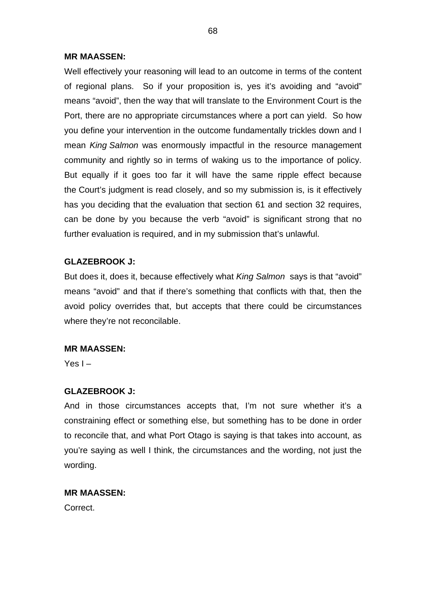Well effectively your reasoning will lead to an outcome in terms of the content of regional plans. So if your proposition is, yes it's avoiding and "avoid" means "avoid", then the way that will translate to the Environment Court is the Port, there are no appropriate circumstances where a port can yield. So how you define your intervention in the outcome fundamentally trickles down and I mean *King Salmon* was enormously impactful in the resource management community and rightly so in terms of waking us to the importance of policy. But equally if it goes too far it will have the same ripple effect because the Court's judgment is read closely, and so my submission is, is it effectively has you deciding that the evaluation that section 61 and section 32 requires, can be done by you because the verb "avoid" is significant strong that no further evaluation is required, and in my submission that's unlawful.

# **GLAZEBROOK J:**

But does it, does it, because effectively what *King Salmon* says is that "avoid" means "avoid" and that if there's something that conflicts with that, then the avoid policy overrides that, but accepts that there could be circumstances where they're not reconcilable.

# **MR MAASSEN:**

Yes  $I -$ 

# **GLAZEBROOK J:**

And in those circumstances accepts that, I'm not sure whether it's a constraining effect or something else, but something has to be done in order to reconcile that, and what Port Otago is saying is that takes into account, as you're saying as well I think, the circumstances and the wording, not just the wording.

# **MR MAASSEN:**

Correct.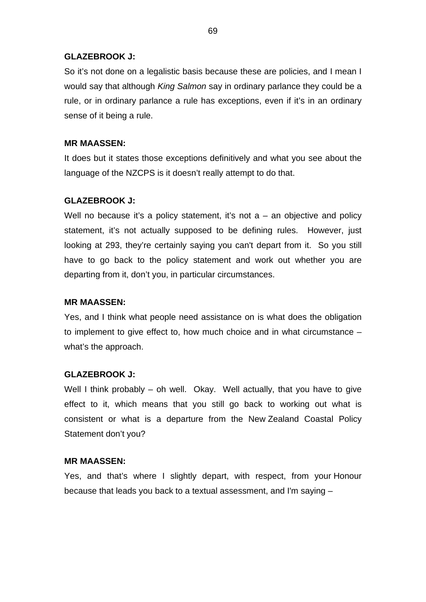## **GLAZEBROOK J:**

So it's not done on a legalistic basis because these are policies, and I mean I would say that although *King Salmon* say in ordinary parlance they could be a rule, or in ordinary parlance a rule has exceptions, even if it's in an ordinary sense of it being a rule.

# **MR MAASSEN:**

It does but it states those exceptions definitively and what you see about the language of the NZCPS is it doesn't really attempt to do that.

# **GLAZEBROOK J:**

Well no because it's a policy statement, it's not  $a - a$ n objective and policy statement, it's not actually supposed to be defining rules. However, just looking at 293, they're certainly saying you can't depart from it. So you still have to go back to the policy statement and work out whether you are departing from it, don't you, in particular circumstances.

# **MR MAASSEN:**

Yes, and I think what people need assistance on is what does the obligation to implement to give effect to, how much choice and in what circumstance – what's the approach.

# **GLAZEBROOK J:**

Well I think probably – oh well. Okay. Well actually, that you have to give effect to it, which means that you still go back to working out what is consistent or what is a departure from the New Zealand Coastal Policy Statement don't you?

## **MR MAASSEN:**

Yes, and that's where I slightly depart, with respect, from your Honour because that leads you back to a textual assessment, and I'm saying –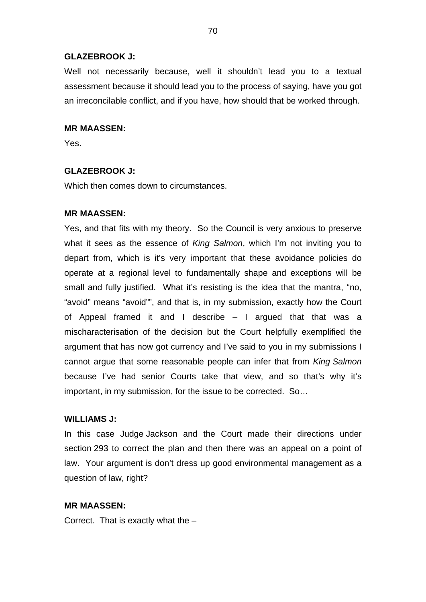## **GLAZEBROOK J:**

Well not necessarily because, well it shouldn't lead you to a textual assessment because it should lead you to the process of saying, have you got an irreconcilable conflict, and if you have, how should that be worked through.

#### **MR MAASSEN:**

Yes.

## **GLAZEBROOK J:**

Which then comes down to circumstances.

## **MR MAASSEN:**

Yes, and that fits with my theory. So the Council is very anxious to preserve what it sees as the essence of *King Salmon*, which I'm not inviting you to depart from, which is it's very important that these avoidance policies do operate at a regional level to fundamentally shape and exceptions will be small and fully justified. What it's resisting is the idea that the mantra, "no, "avoid" means "avoid"", and that is, in my submission, exactly how the Court of Appeal framed it and I describe – I argued that that was a mischaracterisation of the decision but the Court helpfully exemplified the argument that has now got currency and I've said to you in my submissions I cannot argue that some reasonable people can infer that from *King Salmon* because I've had senior Courts take that view, and so that's why it's important, in my submission, for the issue to be corrected. So…

## **WILLIAMS J:**

In this case Judge Jackson and the Court made their directions under section 293 to correct the plan and then there was an appeal on a point of law. Your argument is don't dress up good environmental management as a question of law, right?

## **MR MAASSEN:**

Correct. That is exactly what the –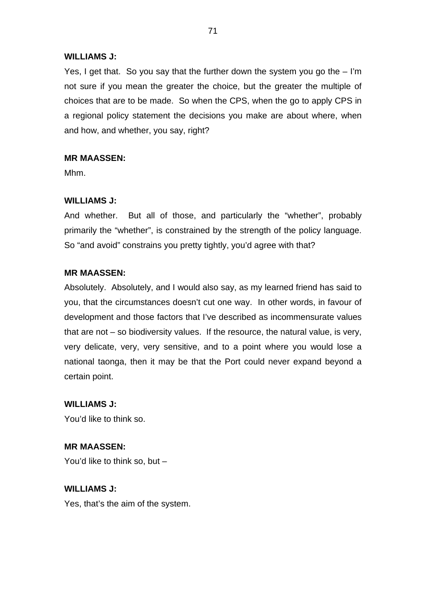# **WILLIAMS J:**

Yes, I get that. So you say that the further down the system you go the – I'm not sure if you mean the greater the choice, but the greater the multiple of choices that are to be made. So when the CPS, when the go to apply CPS in a regional policy statement the decisions you make are about where, when and how, and whether, you say, right?

# **MR MAASSEN:**

Mhm.

# **WILLIAMS J:**

And whether. But all of those, and particularly the "whether", probably primarily the "whether", is constrained by the strength of the policy language. So "and avoid" constrains you pretty tightly, you'd agree with that?

# **MR MAASSEN:**

Absolutely. Absolutely, and I would also say, as my learned friend has said to you, that the circumstances doesn't cut one way. In other words, in favour of development and those factors that I've described as incommensurate values that are not – so biodiversity values. If the resource, the natural value, is very, very delicate, very, very sensitive, and to a point where you would lose a national taonga, then it may be that the Port could never expand beyond a certain point.

**WILLIAMS J:** You'd like to think so.

**MR MAASSEN:** You'd like to think so, but –

**WILLIAMS J:** Yes, that's the aim of the system.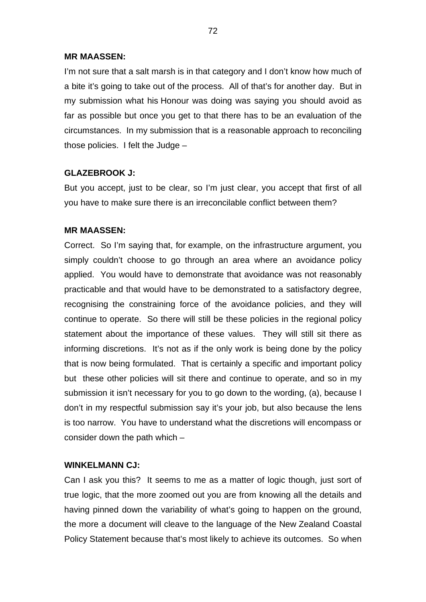I'm not sure that a salt marsh is in that category and I don't know how much of a bite it's going to take out of the process. All of that's for another day. But in my submission what his Honour was doing was saying you should avoid as far as possible but once you get to that there has to be an evaluation of the circumstances. In my submission that is a reasonable approach to reconciling those policies. I felt the Judge –

## **GLAZEBROOK J:**

But you accept, just to be clear, so I'm just clear, you accept that first of all you have to make sure there is an irreconcilable conflict between them?

## **MR MAASSEN:**

Correct. So I'm saying that, for example, on the infrastructure argument, you simply couldn't choose to go through an area where an avoidance policy applied. You would have to demonstrate that avoidance was not reasonably practicable and that would have to be demonstrated to a satisfactory degree, recognising the constraining force of the avoidance policies, and they will continue to operate. So there will still be these policies in the regional policy statement about the importance of these values. They will still sit there as informing discretions. It's not as if the only work is being done by the policy that is now being formulated. That is certainly a specific and important policy but these other policies will sit there and continue to operate, and so in my submission it isn't necessary for you to go down to the wording, (a), because I don't in my respectful submission say it's your job, but also because the lens is too narrow. You have to understand what the discretions will encompass or consider down the path which –

## **WINKELMANN CJ:**

Can I ask you this? It seems to me as a matter of logic though, just sort of true logic, that the more zoomed out you are from knowing all the details and having pinned down the variability of what's going to happen on the ground, the more a document will cleave to the language of the New Zealand Coastal Policy Statement because that's most likely to achieve its outcomes. So when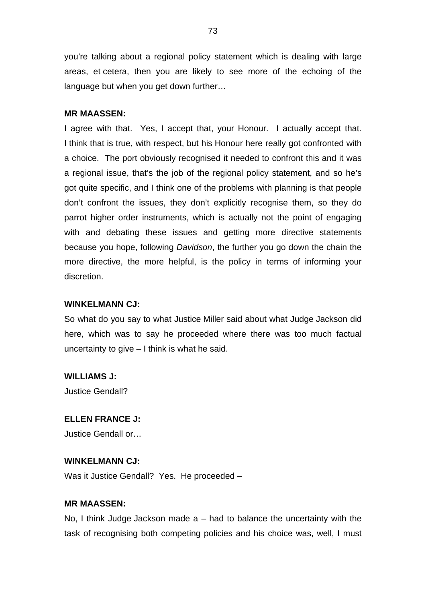you're talking about a regional policy statement which is dealing with large areas, et cetera, then you are likely to see more of the echoing of the language but when you get down further…

#### **MR MAASSEN:**

I agree with that. Yes, I accept that, your Honour. I actually accept that. I think that is true, with respect, but his Honour here really got confronted with a choice. The port obviously recognised it needed to confront this and it was a regional issue, that's the job of the regional policy statement, and so he's got quite specific, and I think one of the problems with planning is that people don't confront the issues, they don't explicitly recognise them, so they do parrot higher order instruments, which is actually not the point of engaging with and debating these issues and getting more directive statements because you hope, following *Davidson*, the further you go down the chain the more directive, the more helpful, is the policy in terms of informing your discretion.

### **WINKELMANN CJ:**

So what do you say to what Justice Miller said about what Judge Jackson did here, which was to say he proceeded where there was too much factual uncertainty to give – I think is what he said.

#### **WILLIAMS J:**

Justice Gendall?

#### **ELLEN FRANCE J:**

Justice Gendall or…

#### **WINKELMANN CJ:**

Was it Justice Gendall? Yes. He proceeded –

#### **MR MAASSEN:**

No, I think Judge Jackson made  $a - had$  to balance the uncertainty with the task of recognising both competing policies and his choice was, well, I must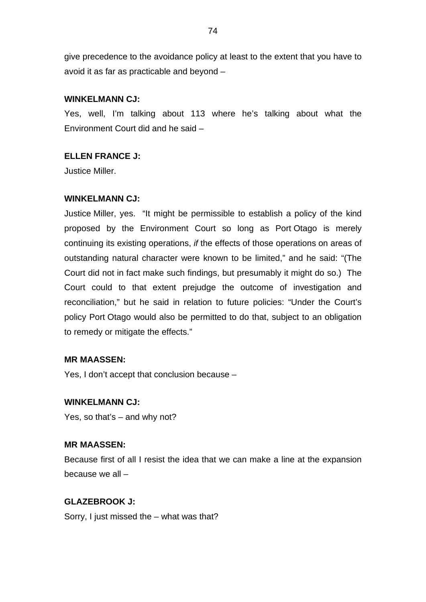give precedence to the avoidance policy at least to the extent that you have to avoid it as far as practicable and beyond –

## **WINKELMANN CJ:**

Yes, well, I'm talking about 113 where he's talking about what the Environment Court did and he said –

# **ELLEN FRANCE J:**

Justice Miller.

## **WINKELMANN CJ:**

Justice Miller, yes. "It might be permissible to establish a policy of the kind proposed by the Environment Court so long as Port Otago is merely continuing its existing operations, *if* the effects of those operations on areas of outstanding natural character were known to be limited," and he said: "(The Court did not in fact make such findings, but presumably it might do so.) The Court could to that extent prejudge the outcome of investigation and reconciliation," but he said in relation to future policies: "Under the Court's policy Port Otago would also be permitted to do that, subject to an obligation to remedy or mitigate the effects."

## **MR MAASSEN:**

Yes, I don't accept that conclusion because –

# **WINKELMANN CJ:**

Yes, so that's – and why not?

## **MR MAASSEN:**

Because first of all I resist the idea that we can make a line at the expansion because we all –

# **GLAZEBROOK J:**

Sorry, I just missed the – what was that?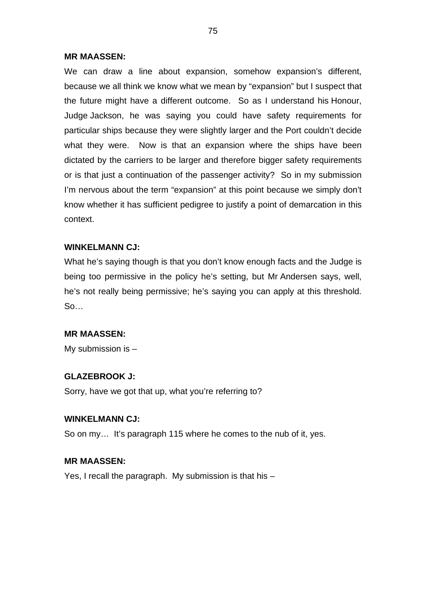#### **MR MAASSEN:**

We can draw a line about expansion, somehow expansion's different, because we all think we know what we mean by "expansion" but I suspect that the future might have a different outcome. So as I understand his Honour, Judge Jackson, he was saying you could have safety requirements for particular ships because they were slightly larger and the Port couldn't decide what they were. Now is that an expansion where the ships have been dictated by the carriers to be larger and therefore bigger safety requirements or is that just a continuation of the passenger activity? So in my submission I'm nervous about the term "expansion" at this point because we simply don't know whether it has sufficient pedigree to justify a point of demarcation in this context.

#### **WINKELMANN CJ:**

What he's saying though is that you don't know enough facts and the Judge is being too permissive in the policy he's setting, but Mr Andersen says, well, he's not really being permissive; he's saying you can apply at this threshold. So…

#### **MR MAASSEN:**

My submission is –

### **GLAZEBROOK J:**

Sorry, have we got that up, what you're referring to?

## **WINKELMANN CJ:**

So on my… It's paragraph 115 where he comes to the nub of it, yes.

#### **MR MAASSEN:**

Yes, I recall the paragraph. My submission is that his –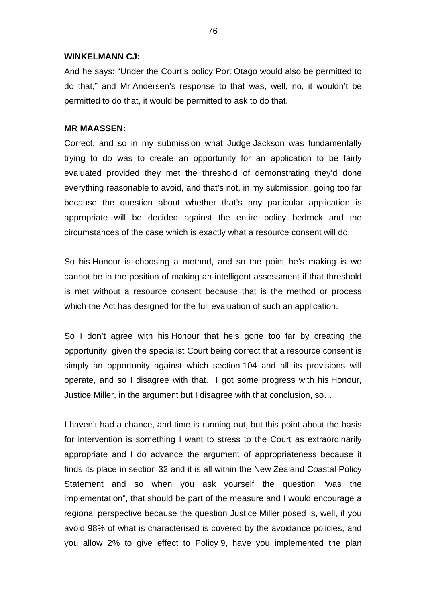#### **WINKELMANN CJ:**

And he says: "Under the Court's policy Port Otago would also be permitted to do that," and Mr Andersen's response to that was, well, no, it wouldn't be permitted to do that, it would be permitted to ask to do that.

### **MR MAASSEN:**

Correct, and so in my submission what Judge Jackson was fundamentally trying to do was to create an opportunity for an application to be fairly evaluated provided they met the threshold of demonstrating they'd done everything reasonable to avoid, and that's not, in my submission, going too far because the question about whether that's any particular application is appropriate will be decided against the entire policy bedrock and the circumstances of the case which is exactly what a resource consent will do.

So his Honour is choosing a method, and so the point he's making is we cannot be in the position of making an intelligent assessment if that threshold is met without a resource consent because that is the method or process which the Act has designed for the full evaluation of such an application.

So I don't agree with his Honour that he's gone too far by creating the opportunity, given the specialist Court being correct that a resource consent is simply an opportunity against which section 104 and all its provisions will operate, and so I disagree with that. I got some progress with his Honour, Justice Miller, in the argument but I disagree with that conclusion, so…

I haven't had a chance, and time is running out, but this point about the basis for intervention is something I want to stress to the Court as extraordinarily appropriate and I do advance the argument of appropriateness because it finds its place in section 32 and it is all within the New Zealand Coastal Policy Statement and so when you ask yourself the question "was the implementation", that should be part of the measure and I would encourage a regional perspective because the question Justice Miller posed is, well, if you avoid 98% of what is characterised is covered by the avoidance policies, and you allow 2% to give effect to Policy 9, have you implemented the plan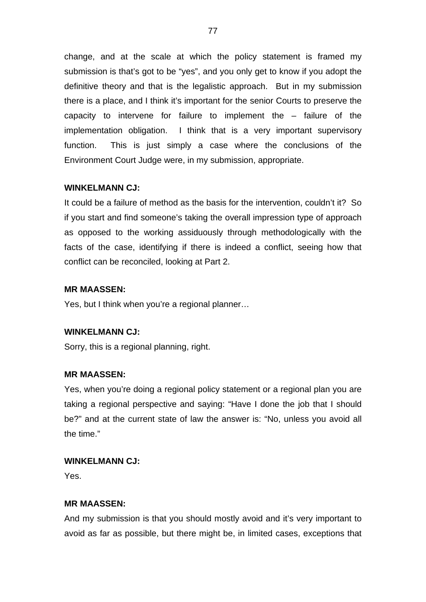change, and at the scale at which the policy statement is framed my submission is that's got to be "yes", and you only get to know if you adopt the definitive theory and that is the legalistic approach. But in my submission there is a place, and I think it's important for the senior Courts to preserve the capacity to intervene for failure to implement the – failure of the implementation obligation. I think that is a very important supervisory function. This is just simply a case where the conclusions of the Environment Court Judge were, in my submission, appropriate.

## **WINKELMANN CJ:**

It could be a failure of method as the basis for the intervention, couldn't it? So if you start and find someone's taking the overall impression type of approach as opposed to the working assiduously through methodologically with the facts of the case, identifying if there is indeed a conflict, seeing how that conflict can be reconciled, looking at Part 2.

### **MR MAASSEN:**

Yes, but I think when you're a regional planner…

### **WINKELMANN CJ:**

Sorry, this is a regional planning, right.

### **MR MAASSEN:**

Yes, when you're doing a regional policy statement or a regional plan you are taking a regional perspective and saying: "Have I done the job that I should be?" and at the current state of law the answer is: "No, unless you avoid all the time."

### **WINKELMANN CJ:**

Yes.

### **MR MAASSEN:**

And my submission is that you should mostly avoid and it's very important to avoid as far as possible, but there might be, in limited cases, exceptions that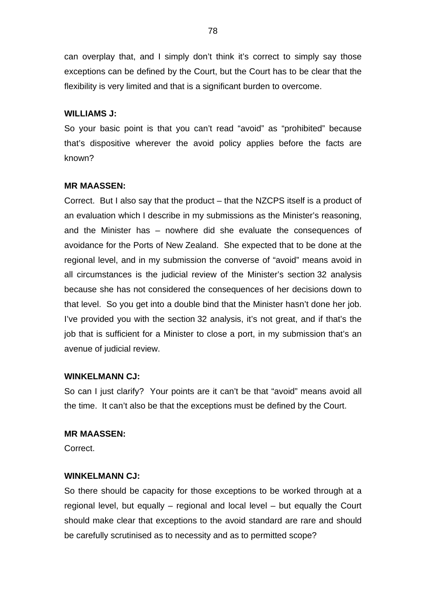can overplay that, and I simply don't think it's correct to simply say those exceptions can be defined by the Court, but the Court has to be clear that the flexibility is very limited and that is a significant burden to overcome.

### **WILLIAMS J:**

So your basic point is that you can't read "avoid" as "prohibited" because that's dispositive wherever the avoid policy applies before the facts are known?

## **MR MAASSEN:**

Correct. But I also say that the product – that the NZCPS itself is a product of an evaluation which I describe in my submissions as the Minister's reasoning, and the Minister has – nowhere did she evaluate the consequences of avoidance for the Ports of New Zealand. She expected that to be done at the regional level, and in my submission the converse of "avoid" means avoid in all circumstances is the judicial review of the Minister's section 32 analysis because she has not considered the consequences of her decisions down to that level. So you get into a double bind that the Minister hasn't done her job. I've provided you with the section 32 analysis, it's not great, and if that's the job that is sufficient for a Minister to close a port, in my submission that's an avenue of judicial review.

### **WINKELMANN CJ:**

So can I just clarify? Your points are it can't be that "avoid" means avoid all the time. It can't also be that the exceptions must be defined by the Court.

### **MR MAASSEN:**

Correct.

### **WINKELMANN CJ:**

So there should be capacity for those exceptions to be worked through at a regional level, but equally – regional and local level – but equally the Court should make clear that exceptions to the avoid standard are rare and should be carefully scrutinised as to necessity and as to permitted scope?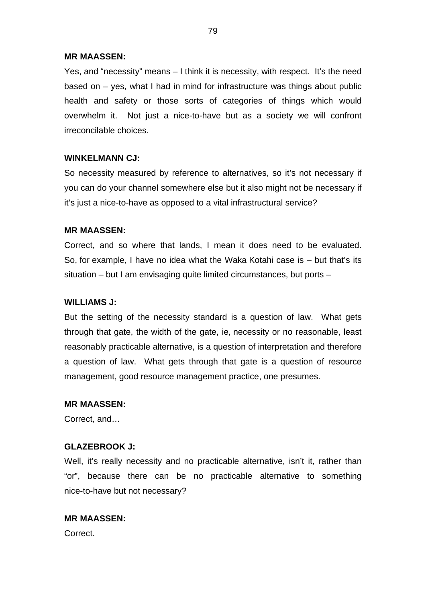#### **MR MAASSEN:**

Yes, and "necessity" means – I think it is necessity, with respect. It's the need based on – yes, what I had in mind for infrastructure was things about public health and safety or those sorts of categories of things which would overwhelm it. Not just a nice-to-have but as a society we will confront irreconcilable choices.

#### **WINKELMANN CJ:**

So necessity measured by reference to alternatives, so it's not necessary if you can do your channel somewhere else but it also might not be necessary if it's just a nice-to-have as opposed to a vital infrastructural service?

### **MR MAASSEN:**

Correct, and so where that lands, I mean it does need to be evaluated. So, for example, I have no idea what the Waka Kotahi case is – but that's its situation – but I am envisaging quite limited circumstances, but ports –

## **WILLIAMS J:**

But the setting of the necessity standard is a question of law. What gets through that gate, the width of the gate, ie, necessity or no reasonable, least reasonably practicable alternative, is a question of interpretation and therefore a question of law. What gets through that gate is a question of resource management, good resource management practice, one presumes.

#### **MR MAASSEN:**

Correct, and…

### **GLAZEBROOK J:**

Well, it's really necessity and no practicable alternative, isn't it, rather than "or", because there can be no practicable alternative to something nice-to-have but not necessary?

## **MR MAASSEN:**

Correct.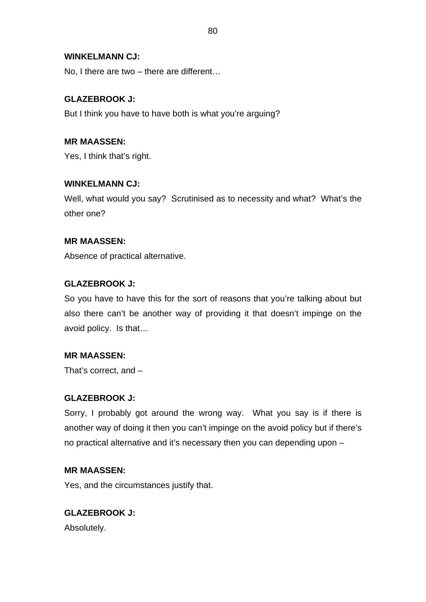## **WINKELMANN CJ:**

No, I there are two – there are different…

## **GLAZEBROOK J:**

But I think you have to have both is what you're arguing?

# **MR MAASSEN:**

Yes, I think that's right.

## **WINKELMANN CJ:**

Well, what would you say? Scrutinised as to necessity and what? What's the other one?

## **MR MAASSEN:**

Absence of practical alternative.

## **GLAZEBROOK J:**

So you have to have this for the sort of reasons that you're talking about but also there can't be another way of providing it that doesn't impinge on the avoid policy. Is that…

## **MR MAASSEN:**

That's correct, and –

## **GLAZEBROOK J:**

Sorry, I probably got around the wrong way. What you say is if there is another way of doing it then you can't impinge on the avoid policy but if there's no practical alternative and it's necessary then you can depending upon –

### **MR MAASSEN:**

Yes, and the circumstances justify that.

## **GLAZEBROOK J:**

Absolutely.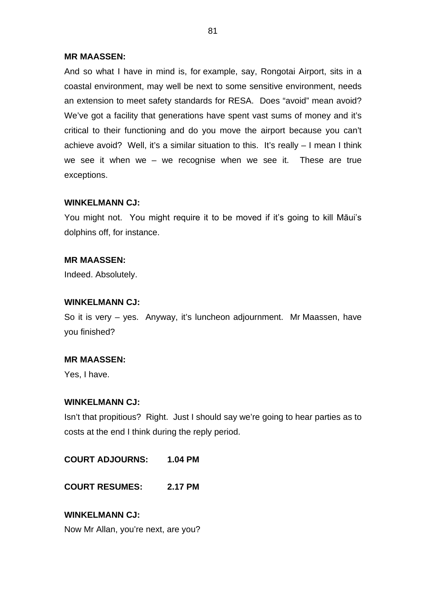#### **MR MAASSEN:**

And so what I have in mind is, for example, say, Rongotai Airport, sits in a coastal environment, may well be next to some sensitive environment, needs an extension to meet safety standards for RESA. Does "avoid" mean avoid? We've got a facility that generations have spent vast sums of money and it's critical to their functioning and do you move the airport because you can't achieve avoid? Well, it's a similar situation to this. It's really – I mean I think we see it when we – we recognise when we see it. These are true exceptions.

#### **WINKELMANN CJ:**

You might not. You might require it to be moved if it's going to kill Māui's dolphins off, for instance.

### **MR MAASSEN:**

Indeed. Absolutely.

#### **WINKELMANN CJ:**

So it is very – yes. Anyway, it's luncheon adjournment. Mr Maassen, have you finished?

#### **MR MAASSEN:**

Yes, I have.

#### **WINKELMANN CJ:**

Isn't that propitious? Right. Just I should say we're going to hear parties as to costs at the end I think during the reply period.

**COURT ADJOURNS: 1.04 PM**

**COURT RESUMES: 2.17 PM**

## **WINKELMANN CJ:**

Now Mr Allan, you're next, are you?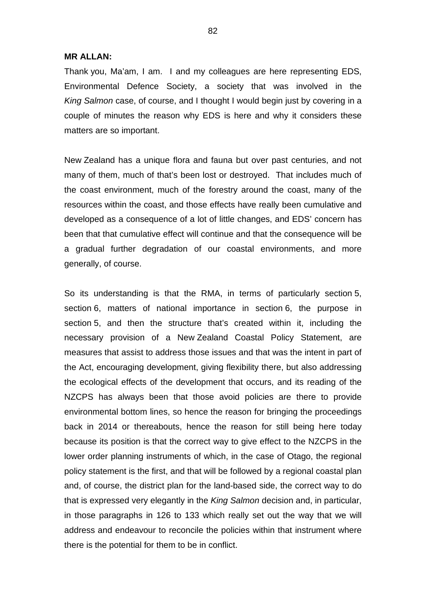#### **MR ALLAN:**

Thank you, Ma'am, I am. I and my colleagues are here representing EDS, Environmental Defence Society, a society that was involved in the *King Salmon* case, of course, and I thought I would begin just by covering in a couple of minutes the reason why EDS is here and why it considers these matters are so important.

New Zealand has a unique flora and fauna but over past centuries, and not many of them, much of that's been lost or destroyed. That includes much of the coast environment, much of the forestry around the coast, many of the resources within the coast, and those effects have really been cumulative and developed as a consequence of a lot of little changes, and EDS' concern has been that that cumulative effect will continue and that the consequence will be a gradual further degradation of our coastal environments, and more generally, of course.

So its understanding is that the RMA, in terms of particularly section 5, section 6, matters of national importance in section 6, the purpose in section 5, and then the structure that's created within it, including the necessary provision of a New Zealand Coastal Policy Statement, are measures that assist to address those issues and that was the intent in part of the Act, encouraging development, giving flexibility there, but also addressing the ecological effects of the development that occurs, and its reading of the NZCPS has always been that those avoid policies are there to provide environmental bottom lines, so hence the reason for bringing the proceedings back in 2014 or thereabouts, hence the reason for still being here today because its position is that the correct way to give effect to the NZCPS in the lower order planning instruments of which, in the case of Otago, the regional policy statement is the first, and that will be followed by a regional coastal plan and, of course, the district plan for the land-based side, the correct way to do that is expressed very elegantly in the *King Salmon* decision and, in particular, in those paragraphs in 126 to 133 which really set out the way that we will address and endeavour to reconcile the policies within that instrument where there is the potential for them to be in conflict.

82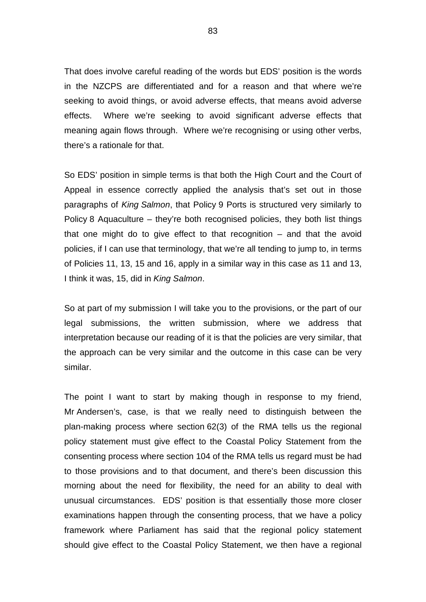That does involve careful reading of the words but EDS' position is the words in the NZCPS are differentiated and for a reason and that where we're seeking to avoid things, or avoid adverse effects, that means avoid adverse effects. Where we're seeking to avoid significant adverse effects that meaning again flows through. Where we're recognising or using other verbs, there's a rationale for that.

So EDS' position in simple terms is that both the High Court and the Court of Appeal in essence correctly applied the analysis that's set out in those paragraphs of *King Salmon*, that Policy 9 Ports is structured very similarly to Policy 8 Aquaculture – they're both recognised policies, they both list things that one might do to give effect to that recognition – and that the avoid policies, if I can use that terminology, that we're all tending to jump to, in terms of Policies 11, 13, 15 and 16, apply in a similar way in this case as 11 and 13, I think it was, 15, did in *King Salmon*.

So at part of my submission I will take you to the provisions, or the part of our legal submissions, the written submission, where we address that interpretation because our reading of it is that the policies are very similar, that the approach can be very similar and the outcome in this case can be very similar.

The point I want to start by making though in response to my friend, Mr Andersen's, case, is that we really need to distinguish between the plan-making process where section 62(3) of the RMA tells us the regional policy statement must give effect to the Coastal Policy Statement from the consenting process where section 104 of the RMA tells us regard must be had to those provisions and to that document, and there's been discussion this morning about the need for flexibility, the need for an ability to deal with unusual circumstances. EDS' position is that essentially those more closer examinations happen through the consenting process, that we have a policy framework where Parliament has said that the regional policy statement should give effect to the Coastal Policy Statement, we then have a regional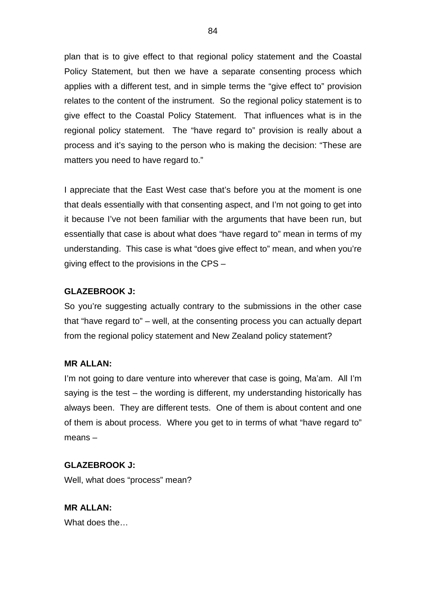plan that is to give effect to that regional policy statement and the Coastal Policy Statement, but then we have a separate consenting process which applies with a different test, and in simple terms the "give effect to" provision relates to the content of the instrument. So the regional policy statement is to give effect to the Coastal Policy Statement. That influences what is in the regional policy statement. The "have regard to" provision is really about a process and it's saying to the person who is making the decision: "These are matters you need to have regard to."

I appreciate that the East West case that's before you at the moment is one that deals essentially with that consenting aspect, and I'm not going to get into it because I've not been familiar with the arguments that have been run, but essentially that case is about what does "have regard to" mean in terms of my understanding. This case is what "does give effect to" mean, and when you're giving effect to the provisions in the CPS –

# **GLAZEBROOK J:**

So you're suggesting actually contrary to the submissions in the other case that "have regard to" – well, at the consenting process you can actually depart from the regional policy statement and New Zealand policy statement?

## **MR ALLAN:**

I'm not going to dare venture into wherever that case is going, Ma'am. All I'm saying is the test – the wording is different, my understanding historically has always been. They are different tests. One of them is about content and one of them is about process. Where you get to in terms of what "have regard to" means –

## **GLAZEBROOK J:**

Well, what does "process" mean?

**MR ALLAN:** What does the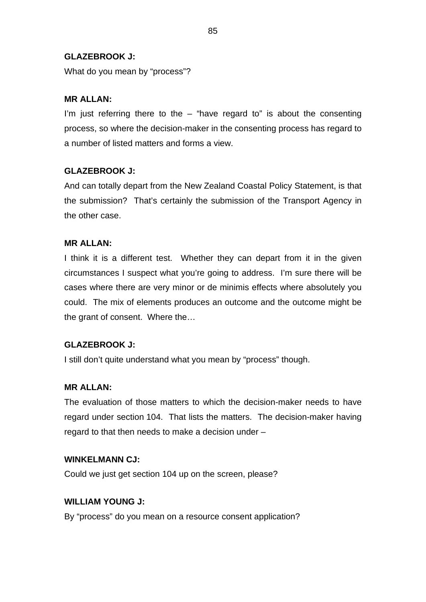## **GLAZEBROOK J:**

What do you mean by "process"?

# **MR ALLAN:**

I'm just referring there to the  $-$  "have regard to" is about the consenting process, so where the decision-maker in the consenting process has regard to a number of listed matters and forms a view.

# **GLAZEBROOK J:**

And can totally depart from the New Zealand Coastal Policy Statement, is that the submission? That's certainly the submission of the Transport Agency in the other case.

# **MR ALLAN:**

I think it is a different test. Whether they can depart from it in the given circumstances I suspect what you're going to address. I'm sure there will be cases where there are very minor or de minimis effects where absolutely you could. The mix of elements produces an outcome and the outcome might be the grant of consent. Where the…

## **GLAZEBROOK J:**

I still don't quite understand what you mean by "process" though.

## **MR ALLAN:**

The evaluation of those matters to which the decision-maker needs to have regard under section 104. That lists the matters. The decision-maker having regard to that then needs to make a decision under –

## **WINKELMANN CJ:**

Could we just get section 104 up on the screen, please?

## **WILLIAM YOUNG J:**

By "process" do you mean on a resource consent application?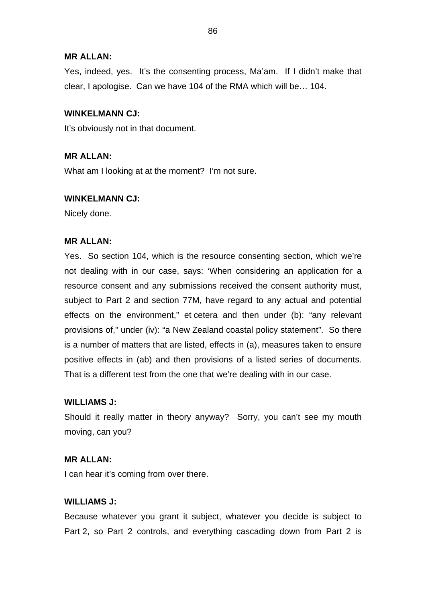### **MR ALLAN:**

Yes, indeed, yes. It's the consenting process, Ma'am. If I didn't make that clear, I apologise. Can we have 104 of the RMA which will be… 104.

## **WINKELMANN CJ:**

It's obviously not in that document.

## **MR ALLAN:**

What am I looking at at the moment? I'm not sure.

## **WINKELMANN CJ:**

Nicely done.

## **MR ALLAN:**

Yes. So section 104, which is the resource consenting section, which we're not dealing with in our case, says: 'When considering an application for a resource consent and any submissions received the consent authority must, subject to Part 2 and section 77M, have regard to any actual and potential effects on the environment," et cetera and then under (b): "any relevant provisions of," under (iv): "a New Zealand coastal policy statement". So there is a number of matters that are listed, effects in (a), measures taken to ensure positive effects in (ab) and then provisions of a listed series of documents. That is a different test from the one that we're dealing with in our case.

## **WILLIAMS J:**

Should it really matter in theory anyway? Sorry, you can't see my mouth moving, can you?

### **MR ALLAN:**

I can hear it's coming from over there.

## **WILLIAMS J:**

Because whatever you grant it subject, whatever you decide is subject to Part 2, so Part 2 controls, and everything cascading down from Part 2 is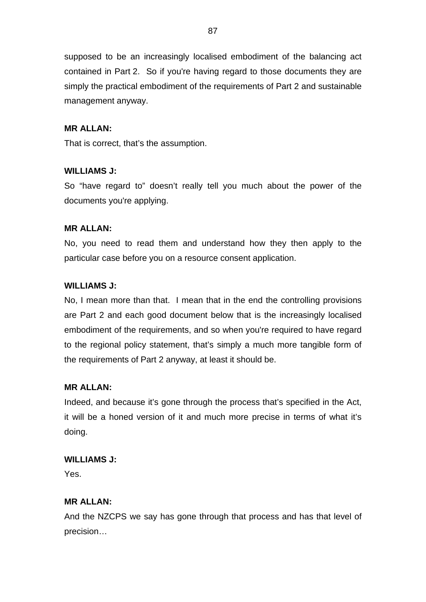supposed to be an increasingly localised embodiment of the balancing act contained in Part 2. So if you're having regard to those documents they are simply the practical embodiment of the requirements of Part 2 and sustainable management anyway.

# **MR ALLAN:**

That is correct, that's the assumption.

# **WILLIAMS J:**

So "have regard to" doesn't really tell you much about the power of the documents you're applying.

## **MR ALLAN:**

No, you need to read them and understand how they then apply to the particular case before you on a resource consent application.

# **WILLIAMS J:**

No, I mean more than that. I mean that in the end the controlling provisions are Part 2 and each good document below that is the increasingly localised embodiment of the requirements, and so when you're required to have regard to the regional policy statement, that's simply a much more tangible form of the requirements of Part 2 anyway, at least it should be.

## **MR ALLAN:**

Indeed, and because it's gone through the process that's specified in the Act, it will be a honed version of it and much more precise in terms of what it's doing.

## **WILLIAMS J:**

Yes.

# **MR ALLAN:**

And the NZCPS we say has gone through that process and has that level of precision…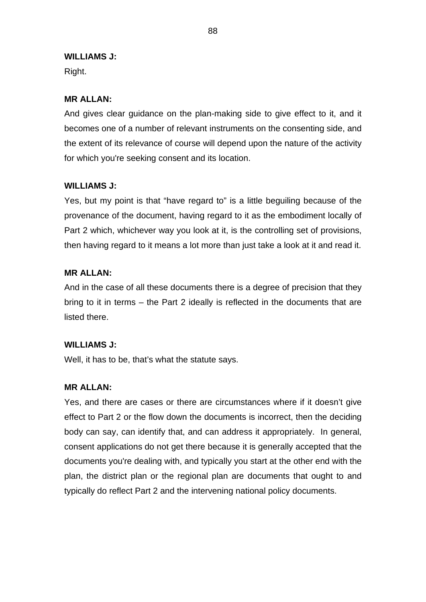### **WILLIAMS J:**

Right.

## **MR ALLAN:**

And gives clear guidance on the plan-making side to give effect to it, and it becomes one of a number of relevant instruments on the consenting side, and the extent of its relevance of course will depend upon the nature of the activity for which you're seeking consent and its location.

## **WILLIAMS J:**

Yes, but my point is that "have regard to" is a little beguiling because of the provenance of the document, having regard to it as the embodiment locally of Part 2 which, whichever way you look at it, is the controlling set of provisions, then having regard to it means a lot more than just take a look at it and read it.

## **MR ALLAN:**

And in the case of all these documents there is a degree of precision that they bring to it in terms – the Part 2 ideally is reflected in the documents that are listed there.

## **WILLIAMS J:**

Well, it has to be, that's what the statute says.

### **MR ALLAN:**

Yes, and there are cases or there are circumstances where if it doesn't give effect to Part 2 or the flow down the documents is incorrect, then the deciding body can say, can identify that, and can address it appropriately. In general, consent applications do not get there because it is generally accepted that the documents you're dealing with, and typically you start at the other end with the plan, the district plan or the regional plan are documents that ought to and typically do reflect Part 2 and the intervening national policy documents.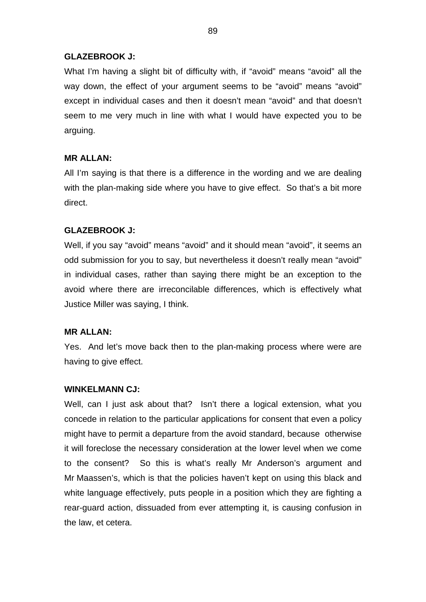## **GLAZEBROOK J:**

What I'm having a slight bit of difficulty with, if "avoid" means "avoid" all the way down, the effect of your argument seems to be "avoid" means "avoid" except in individual cases and then it doesn't mean "avoid" and that doesn't seem to me very much in line with what I would have expected you to be arguing.

## **MR ALLAN:**

All I'm saying is that there is a difference in the wording and we are dealing with the plan-making side where you have to give effect. So that's a bit more direct.

## **GLAZEBROOK J:**

Well, if you say "avoid" means "avoid" and it should mean "avoid", it seems an odd submission for you to say, but nevertheless it doesn't really mean "avoid" in individual cases, rather than saying there might be an exception to the avoid where there are irreconcilable differences, which is effectively what Justice Miller was saying, I think.

### **MR ALLAN:**

Yes. And let's move back then to the plan-making process where were are having to give effect.

### **WINKELMANN CJ:**

Well, can I just ask about that? Isn't there a logical extension, what you concede in relation to the particular applications for consent that even a policy might have to permit a departure from the avoid standard, because otherwise it will foreclose the necessary consideration at the lower level when we come to the consent? So this is what's really Mr Anderson's argument and Mr Maassen's, which is that the policies haven't kept on using this black and white language effectively, puts people in a position which they are fighting a rear-guard action, dissuaded from ever attempting it, is causing confusion in the law, et cetera.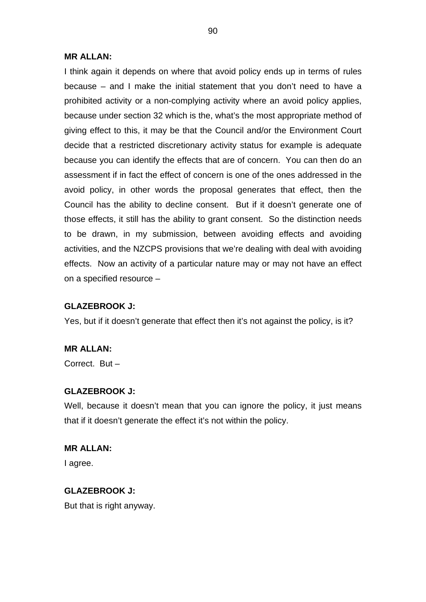#### **MR ALLAN:**

I think again it depends on where that avoid policy ends up in terms of rules because – and I make the initial statement that you don't need to have a prohibited activity or a non-complying activity where an avoid policy applies, because under section 32 which is the, what's the most appropriate method of giving effect to this, it may be that the Council and/or the Environment Court decide that a restricted discretionary activity status for example is adequate because you can identify the effects that are of concern. You can then do an assessment if in fact the effect of concern is one of the ones addressed in the avoid policy, in other words the proposal generates that effect, then the Council has the ability to decline consent. But if it doesn't generate one of those effects, it still has the ability to grant consent. So the distinction needs to be drawn, in my submission, between avoiding effects and avoiding activities, and the NZCPS provisions that we're dealing with deal with avoiding effects. Now an activity of a particular nature may or may not have an effect on a specified resource –

### **GLAZEBROOK J:**

Yes, but if it doesn't generate that effect then it's not against the policy, is it?

**MR ALLAN:**

Correct. But –

## **GLAZEBROOK J:**

Well, because it doesn't mean that you can ignore the policy, it just means that if it doesn't generate the effect it's not within the policy.

# **MR ALLAN:**

I agree.

# **GLAZEBROOK J:**

But that is right anyway.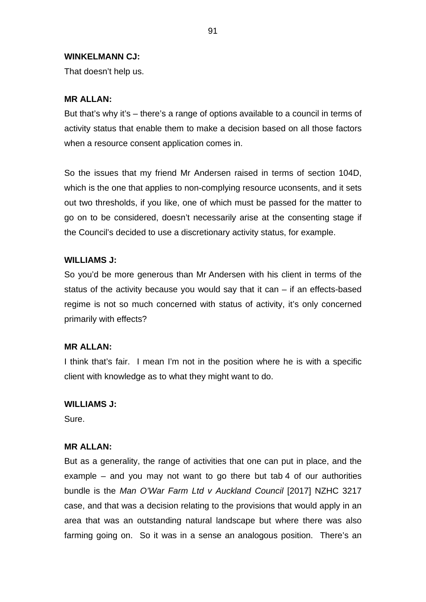#### **WINKELMANN CJ:**

That doesn't help us.

### **MR ALLAN:**

But that's why it's – there's a range of options available to a council in terms of activity status that enable them to make a decision based on all those factors when a resource consent application comes in.

So the issues that my friend Mr Andersen raised in terms of section 104D, which is the one that applies to non-complying resource uconsents, and it sets out two thresholds, if you like, one of which must be passed for the matter to go on to be considered, doesn't necessarily arise at the consenting stage if the Council's decided to use a discretionary activity status, for example.

### **WILLIAMS J:**

So you'd be more generous than Mr Andersen with his client in terms of the status of the activity because you would say that it can – if an effects-based regime is not so much concerned with status of activity, it's only concerned primarily with effects?

#### **MR ALLAN:**

I think that's fair. I mean I'm not in the position where he is with a specific client with knowledge as to what they might want to do.

#### **WILLIAMS J:**

Sure.

### **MR ALLAN:**

But as a generality, the range of activities that one can put in place, and the example – and you may not want to go there but tab 4 of our authorities bundle is the *Man O'War Farm Ltd v Auckland Council* [2017] NZHC 3217 case, and that was a decision relating to the provisions that would apply in an area that was an outstanding natural landscape but where there was also farming going on. So it was in a sense an analogous position. There's an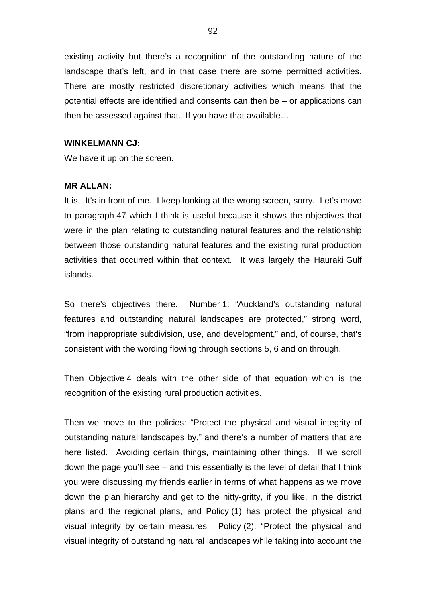existing activity but there's a recognition of the outstanding nature of the landscape that's left, and in that case there are some permitted activities. There are mostly restricted discretionary activities which means that the potential effects are identified and consents can then be – or applications can then be assessed against that. If you have that available…

#### **WINKELMANN CJ:**

We have it up on the screen.

### **MR ALLAN:**

It is. It's in front of me. I keep looking at the wrong screen, sorry. Let's move to paragraph 47 which I think is useful because it shows the objectives that were in the plan relating to outstanding natural features and the relationship between those outstanding natural features and the existing rural production activities that occurred within that context. It was largely the Hauraki Gulf islands.

So there's objectives there. Number 1: "Auckland's outstanding natural features and outstanding natural landscapes are protected," strong word, "from inappropriate subdivision, use, and development," and, of course, that's consistent with the wording flowing through sections 5, 6 and on through.

Then Objective 4 deals with the other side of that equation which is the recognition of the existing rural production activities.

Then we move to the policies: "Protect the physical and visual integrity of outstanding natural landscapes by," and there's a number of matters that are here listed. Avoiding certain things, maintaining other things. If we scroll down the page you'll see – and this essentially is the level of detail that I think you were discussing my friends earlier in terms of what happens as we move down the plan hierarchy and get to the nitty-gritty, if you like, in the district plans and the regional plans, and Policy (1) has protect the physical and visual integrity by certain measures. Policy (2): "Protect the physical and visual integrity of outstanding natural landscapes while taking into account the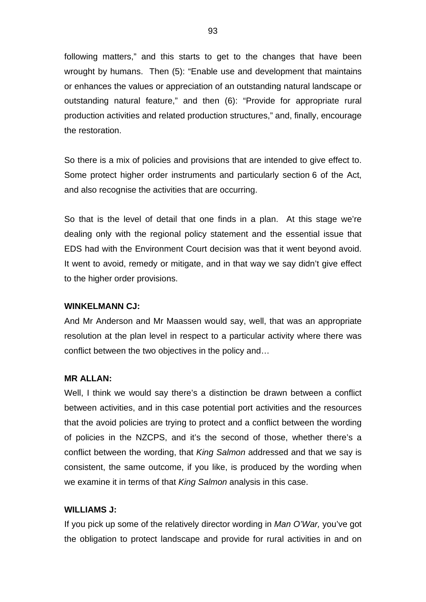following matters," and this starts to get to the changes that have been wrought by humans. Then (5): "Enable use and development that maintains or enhances the values or appreciation of an outstanding natural landscape or outstanding natural feature," and then (6): "Provide for appropriate rural production activities and related production structures," and, finally, encourage the restoration.

So there is a mix of policies and provisions that are intended to give effect to. Some protect higher order instruments and particularly section 6 of the Act, and also recognise the activities that are occurring.

So that is the level of detail that one finds in a plan. At this stage we're dealing only with the regional policy statement and the essential issue that EDS had with the Environment Court decision was that it went beyond avoid. It went to avoid, remedy or mitigate, and in that way we say didn't give effect to the higher order provisions.

### **WINKELMANN CJ:**

And Mr Anderson and Mr Maassen would say, well, that was an appropriate resolution at the plan level in respect to a particular activity where there was conflict between the two objectives in the policy and…

### **MR ALLAN:**

Well, I think we would say there's a distinction be drawn between a conflict between activities, and in this case potential port activities and the resources that the avoid policies are trying to protect and a conflict between the wording of policies in the NZCPS, and it's the second of those, whether there's a conflict between the wording, that *King Salmon* addressed and that we say is consistent, the same outcome, if you like, is produced by the wording when we examine it in terms of that *King Salmon* analysis in this case.

## **WILLIAMS J:**

If you pick up some of the relatively director wording in *Man O'War,* you've got the obligation to protect landscape and provide for rural activities in and on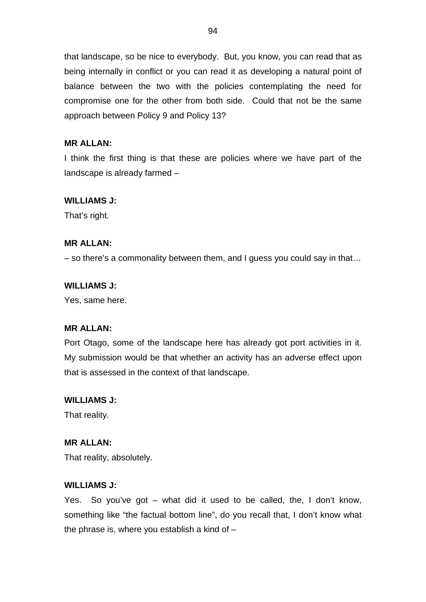that landscape, so be nice to everybody. But, you know, you can read that as being internally in conflict or you can read it as developing a natural point of balance between the two with the policies contemplating the need for compromise one for the other from both side. Could that not be the same approach between Policy 9 and Policy 13?

## **MR ALLAN:**

I think the first thing is that these are policies where we have part of the landscape is already farmed –

## **WILLIAMS J:**

That's right.

## **MR ALLAN:**

– so there's a commonality between them, and I guess you could say in that…

### **WILLIAMS J:**

Yes, same here.

## **MR ALLAN:**

Port Otago, some of the landscape here has already got port activities in it. My submission would be that whether an activity has an adverse effect upon that is assessed in the context of that landscape.

### **WILLIAMS J:**

That reality.

## **MR ALLAN:**

That reality, absolutely.

### **WILLIAMS J:**

Yes. So you've got – what did it used to be called, the, I don't know, something like "the factual bottom line", do you recall that, I don't know what the phrase is, where you establish a kind of  $-$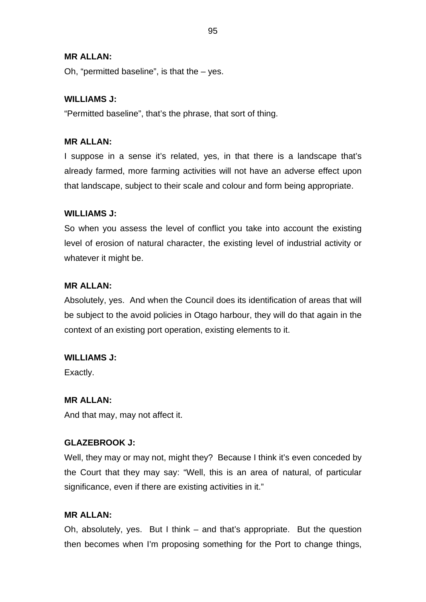## **MR ALLAN:**

Oh, "permitted baseline", is that the  $-$  yes.

## **WILLIAMS J:**

"Permitted baseline", that's the phrase, that sort of thing.

## **MR ALLAN:**

I suppose in a sense it's related, yes, in that there is a landscape that's already farmed, more farming activities will not have an adverse effect upon that landscape, subject to their scale and colour and form being appropriate.

## **WILLIAMS J:**

So when you assess the level of conflict you take into account the existing level of erosion of natural character, the existing level of industrial activity or whatever it might be.

## **MR ALLAN:**

Absolutely, yes. And when the Council does its identification of areas that will be subject to the avoid policies in Otago harbour, they will do that again in the context of an existing port operation, existing elements to it.

## **WILLIAMS J:**

Exactly.

### **MR ALLAN:**

And that may, may not affect it.

## **GLAZEBROOK J:**

Well, they may or may not, might they? Because I think it's even conceded by the Court that they may say: "Well, this is an area of natural, of particular significance, even if there are existing activities in it."

## **MR ALLAN:**

Oh, absolutely, yes. But I think – and that's appropriate. But the question then becomes when I'm proposing something for the Port to change things,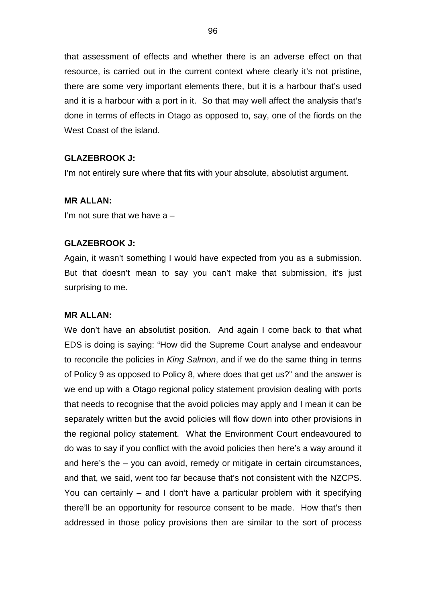that assessment of effects and whether there is an adverse effect on that resource, is carried out in the current context where clearly it's not pristine, there are some very important elements there, but it is a harbour that's used and it is a harbour with a port in it. So that may well affect the analysis that's done in terms of effects in Otago as opposed to, say, one of the fiords on the West Coast of the island.

## **GLAZEBROOK J:**

I'm not entirely sure where that fits with your absolute, absolutist argument.

## **MR ALLAN:**

I'm not sure that we have  $a -$ 

## **GLAZEBROOK J:**

Again, it wasn't something I would have expected from you as a submission. But that doesn't mean to say you can't make that submission, it's just surprising to me.

### **MR ALLAN:**

We don't have an absolutist position. And again I come back to that what EDS is doing is saying: "How did the Supreme Court analyse and endeavour to reconcile the policies in *King Salmon*, and if we do the same thing in terms of Policy 9 as opposed to Policy 8, where does that get us?" and the answer is we end up with a Otago regional policy statement provision dealing with ports that needs to recognise that the avoid policies may apply and I mean it can be separately written but the avoid policies will flow down into other provisions in the regional policy statement. What the Environment Court endeavoured to do was to say if you conflict with the avoid policies then here's a way around it and here's the – you can avoid, remedy or mitigate in certain circumstances, and that, we said, went too far because that's not consistent with the NZCPS. You can certainly – and I don't have a particular problem with it specifying there'll be an opportunity for resource consent to be made. How that's then addressed in those policy provisions then are similar to the sort of process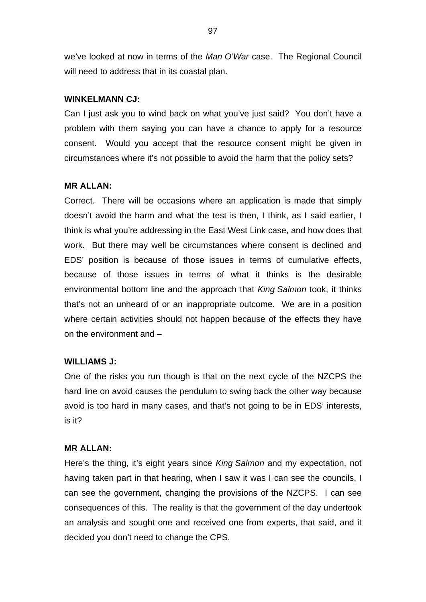we've looked at now in terms of the *Man O'War* case. The Regional Council will need to address that in its coastal plan.

### **WINKELMANN CJ:**

Can I just ask you to wind back on what you've just said? You don't have a problem with them saying you can have a chance to apply for a resource consent. Would you accept that the resource consent might be given in circumstances where it's not possible to avoid the harm that the policy sets?

### **MR ALLAN:**

Correct. There will be occasions where an application is made that simply doesn't avoid the harm and what the test is then, I think, as I said earlier, I think is what you're addressing in the East West Link case, and how does that work. But there may well be circumstances where consent is declined and EDS' position is because of those issues in terms of cumulative effects, because of those issues in terms of what it thinks is the desirable environmental bottom line and the approach that *King Salmon* took, it thinks that's not an unheard of or an inappropriate outcome. We are in a position where certain activities should not happen because of the effects they have on the environment and –

#### **WILLIAMS J:**

One of the risks you run though is that on the next cycle of the NZCPS the hard line on avoid causes the pendulum to swing back the other way because avoid is too hard in many cases, and that's not going to be in EDS' interests, is it?

### **MR ALLAN:**

Here's the thing, it's eight years since *King Salmon* and my expectation, not having taken part in that hearing, when I saw it was I can see the councils, I can see the government, changing the provisions of the NZCPS. I can see consequences of this. The reality is that the government of the day undertook an analysis and sought one and received one from experts, that said, and it decided you don't need to change the CPS.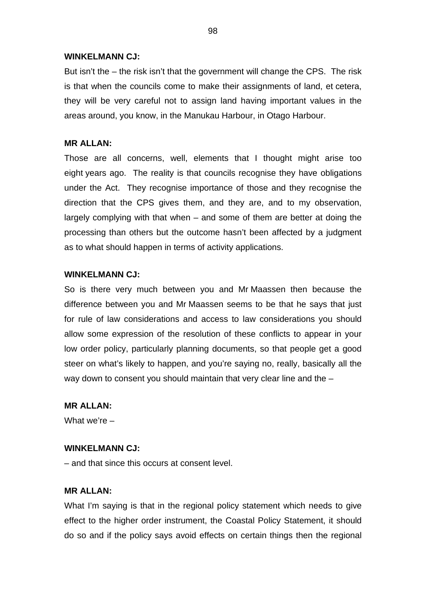### **WINKELMANN CJ:**

But isn't the – the risk isn't that the government will change the CPS. The risk is that when the councils come to make their assignments of land, et cetera, they will be very careful not to assign land having important values in the areas around, you know, in the Manukau Harbour, in Otago Harbour.

#### **MR ALLAN:**

Those are all concerns, well, elements that I thought might arise too eight years ago. The reality is that councils recognise they have obligations under the Act. They recognise importance of those and they recognise the direction that the CPS gives them, and they are, and to my observation, largely complying with that when – and some of them are better at doing the processing than others but the outcome hasn't been affected by a judgment as to what should happen in terms of activity applications.

#### **WINKELMANN CJ:**

So is there very much between you and Mr Maassen then because the difference between you and Mr Maassen seems to be that he says that just for rule of law considerations and access to law considerations you should allow some expression of the resolution of these conflicts to appear in your low order policy, particularly planning documents, so that people get a good steer on what's likely to happen, and you're saying no, really, basically all the way down to consent you should maintain that very clear line and the –

## **MR ALLAN:**

What we're –

#### **WINKELMANN CJ:**

– and that since this occurs at consent level.

## **MR ALLAN:**

What I'm saying is that in the regional policy statement which needs to give effect to the higher order instrument, the Coastal Policy Statement, it should do so and if the policy says avoid effects on certain things then the regional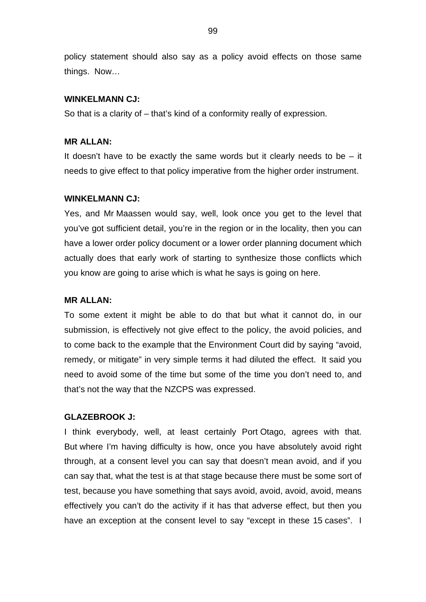policy statement should also say as a policy avoid effects on those same things. Now…

## **WINKELMANN CJ:**

So that is a clarity of – that's kind of a conformity really of expression.

### **MR ALLAN:**

It doesn't have to be exactly the same words but it clearly needs to be  $-$  it needs to give effect to that policy imperative from the higher order instrument.

#### **WINKELMANN CJ:**

Yes, and Mr Maassen would say, well, look once you get to the level that you've got sufficient detail, you're in the region or in the locality, then you can have a lower order policy document or a lower order planning document which actually does that early work of starting to synthesize those conflicts which you know are going to arise which is what he says is going on here.

#### **MR ALLAN:**

To some extent it might be able to do that but what it cannot do, in our submission, is effectively not give effect to the policy, the avoid policies, and to come back to the example that the Environment Court did by saying "avoid, remedy, or mitigate" in very simple terms it had diluted the effect. It said you need to avoid some of the time but some of the time you don't need to, and that's not the way that the NZCPS was expressed.

#### **GLAZEBROOK J:**

I think everybody, well, at least certainly Port Otago, agrees with that. But where I'm having difficulty is how, once you have absolutely avoid right through, at a consent level you can say that doesn't mean avoid, and if you can say that, what the test is at that stage because there must be some sort of test, because you have something that says avoid, avoid, avoid, avoid, means effectively you can't do the activity if it has that adverse effect, but then you have an exception at the consent level to say "except in these 15 cases". I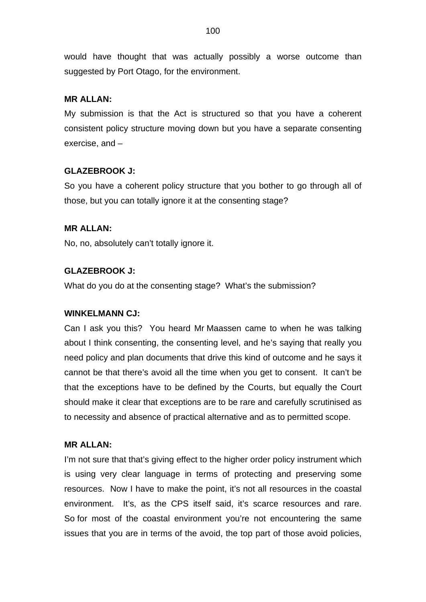would have thought that was actually possibly a worse outcome than suggested by Port Otago, for the environment.

## **MR ALLAN:**

My submission is that the Act is structured so that you have a coherent consistent policy structure moving down but you have a separate consenting exercise, and –

# **GLAZEBROOK J:**

So you have a coherent policy structure that you bother to go through all of those, but you can totally ignore it at the consenting stage?

# **MR ALLAN:**

No, no, absolutely can't totally ignore it.

# **GLAZEBROOK J:**

What do you do at the consenting stage? What's the submission?

## **WINKELMANN CJ:**

Can I ask you this? You heard Mr Maassen came to when he was talking about I think consenting, the consenting level, and he's saying that really you need policy and plan documents that drive this kind of outcome and he says it cannot be that there's avoid all the time when you get to consent. It can't be that the exceptions have to be defined by the Courts, but equally the Court should make it clear that exceptions are to be rare and carefully scrutinised as to necessity and absence of practical alternative and as to permitted scope.

## **MR ALLAN:**

I'm not sure that that's giving effect to the higher order policy instrument which is using very clear language in terms of protecting and preserving some resources. Now I have to make the point, it's not all resources in the coastal environment. It's, as the CPS itself said, it's scarce resources and rare. So for most of the coastal environment you're not encountering the same issues that you are in terms of the avoid, the top part of those avoid policies,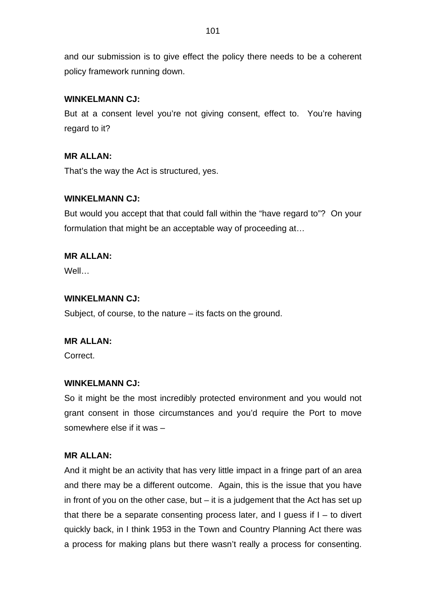and our submission is to give effect the policy there needs to be a coherent policy framework running down.

# **WINKELMANN CJ:**

But at a consent level you're not giving consent, effect to. You're having regard to it?

# **MR ALLAN:**

That's the way the Act is structured, yes.

# **WINKELMANN CJ:**

But would you accept that that could fall within the "have regard to"? On your formulation that might be an acceptable way of proceeding at…

# **MR ALLAN:**

Well…

## **WINKELMANN CJ:**

Subject, of course, to the nature – its facts on the ground.

## **MR ALLAN:**

Correct.

## **WINKELMANN CJ:**

So it might be the most incredibly protected environment and you would not grant consent in those circumstances and you'd require the Port to move somewhere else if it was –

## **MR ALLAN:**

And it might be an activity that has very little impact in a fringe part of an area and there may be a different outcome. Again, this is the issue that you have in front of you on the other case, but  $-$  it is a judgement that the Act has set up that there be a separate consenting process later, and I guess if  $I -$  to divert quickly back, in I think 1953 in the Town and Country Planning Act there was a process for making plans but there wasn't really a process for consenting.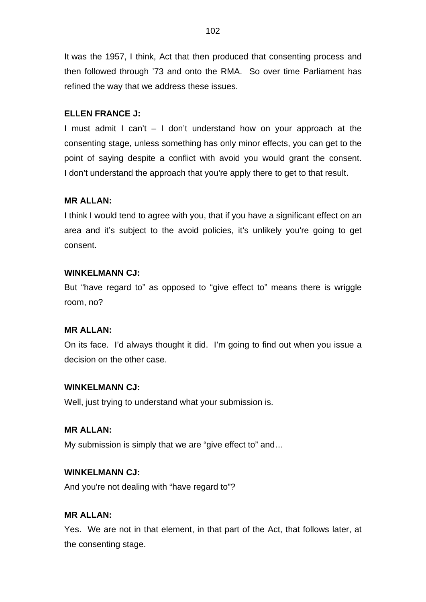It was the 1957, I think, Act that then produced that consenting process and then followed through '73 and onto the RMA. So over time Parliament has refined the way that we address these issues.

## **ELLEN FRANCE J:**

I must admit I can't – I don't understand how on your approach at the consenting stage, unless something has only minor effects, you can get to the point of saying despite a conflict with avoid you would grant the consent. I don't understand the approach that you're apply there to get to that result.

## **MR ALLAN:**

I think I would tend to agree with you, that if you have a significant effect on an area and it's subject to the avoid policies, it's unlikely you're going to get consent.

### **WINKELMANN CJ:**

But "have regard to" as opposed to "give effect to" means there is wriggle room, no?

### **MR ALLAN:**

On its face. I'd always thought it did. I'm going to find out when you issue a decision on the other case.

# **WINKELMANN CJ:**

Well, just trying to understand what your submission is.

### **MR ALLAN:**

My submission is simply that we are "give effect to" and…

### **WINKELMANN CJ:**

And you're not dealing with "have regard to"?

## **MR ALLAN:**

Yes. We are not in that element, in that part of the Act, that follows later, at the consenting stage.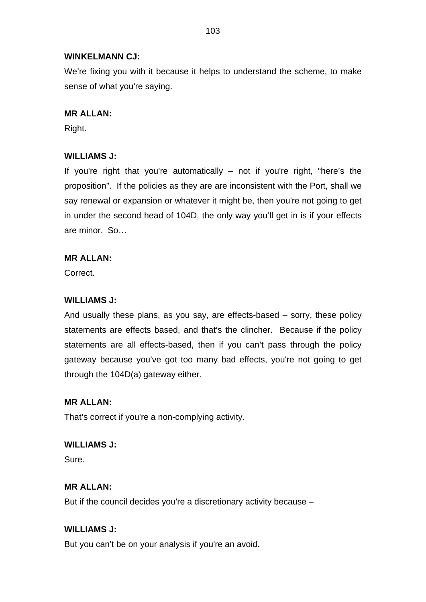## **WINKELMANN CJ:**

We're fixing you with it because it helps to understand the scheme, to make sense of what you're saying.

## **MR ALLAN:**

Right.

# **WILLIAMS J:**

If you're right that you're automatically  $-$  not if you're right, "here's the proposition". If the policies as they are are inconsistent with the Port, shall we say renewal or expansion or whatever it might be, then you're not going to get in under the second head of 104D, the only way you'll get in is if your effects are minor. So…

## **MR ALLAN:**

**Correct** 

# **WILLIAMS J:**

And usually these plans, as you say, are effects-based – sorry, these policy statements are effects based, and that's the clincher. Because if the policy statements are all effects-based, then if you can't pass through the policy gateway because you've got too many bad effects, you're not going to get through the 104D(a) gateway either.

## **MR ALLAN:**

That's correct if you're a non-complying activity.

**WILLIAMS J:** Sure.

## **MR ALLAN:**

But if the council decides you're a discretionary activity because –

## **WILLIAMS J:**

But you can't be on your analysis if you're an avoid.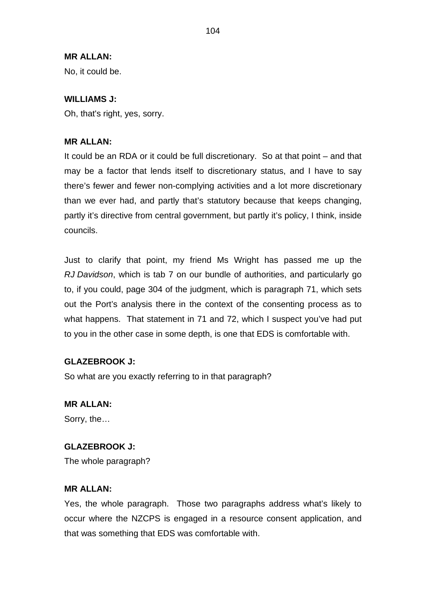## **MR ALLAN:**

No, it could be.

## **WILLIAMS J:**

Oh, that's right, yes, sorry.

## **MR ALLAN:**

It could be an RDA or it could be full discretionary. So at that point – and that may be a factor that lends itself to discretionary status, and I have to say there's fewer and fewer non-complying activities and a lot more discretionary than we ever had, and partly that's statutory because that keeps changing, partly it's directive from central government, but partly it's policy, I think, inside councils.

Just to clarify that point, my friend Ms Wright has passed me up the *RJ Davidson*, which is tab 7 on our bundle of authorities, and particularly go to, if you could, page 304 of the judgment, which is paragraph 71, which sets out the Port's analysis there in the context of the consenting process as to what happens. That statement in 71 and 72, which I suspect you've had put to you in the other case in some depth, is one that EDS is comfortable with.

## **GLAZEBROOK J:**

So what are you exactly referring to in that paragraph?

# **MR ALLAN:**

Sorry, the…

### **GLAZEBROOK J:**

The whole paragraph?

### **MR ALLAN:**

Yes, the whole paragraph. Those two paragraphs address what's likely to occur where the NZCPS is engaged in a resource consent application, and that was something that EDS was comfortable with.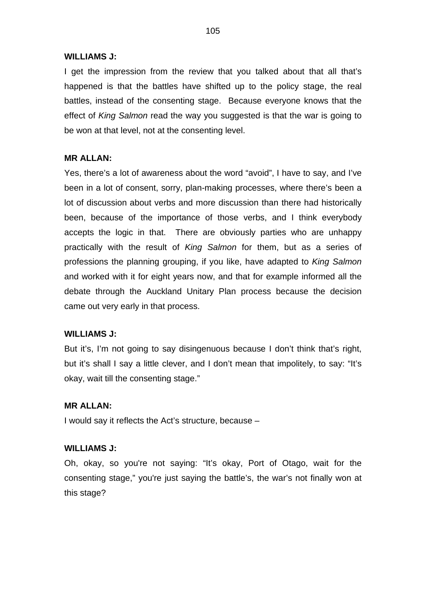#### **WILLIAMS J:**

I get the impression from the review that you talked about that all that's happened is that the battles have shifted up to the policy stage, the real battles, instead of the consenting stage. Because everyone knows that the effect of *King Salmon* read the way you suggested is that the war is going to be won at that level, not at the consenting level.

#### **MR ALLAN:**

Yes, there's a lot of awareness about the word "avoid", I have to say, and I've been in a lot of consent, sorry, plan-making processes, where there's been a lot of discussion about verbs and more discussion than there had historically been, because of the importance of those verbs, and I think everybody accepts the logic in that. There are obviously parties who are unhappy practically with the result of *King Salmon* for them, but as a series of professions the planning grouping, if you like, have adapted to *King Salmon* and worked with it for eight years now, and that for example informed all the debate through the Auckland Unitary Plan process because the decision came out very early in that process.

#### **WILLIAMS J:**

But it's, I'm not going to say disingenuous because I don't think that's right, but it's shall I say a little clever, and I don't mean that impolitely, to say: "It's okay, wait till the consenting stage."

### **MR ALLAN:**

I would say it reflects the Act's structure, because –

#### **WILLIAMS J:**

Oh, okay, so you're not saying: "It's okay, Port of Otago, wait for the consenting stage," you're just saying the battle's, the war's not finally won at this stage?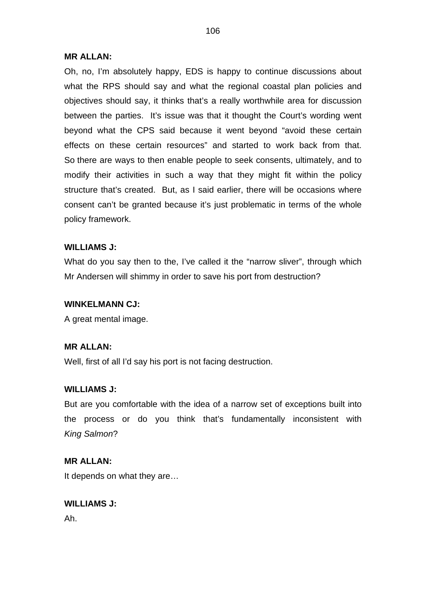### **MR ALLAN:**

Oh, no, I'm absolutely happy, EDS is happy to continue discussions about what the RPS should say and what the regional coastal plan policies and objectives should say, it thinks that's a really worthwhile area for discussion between the parties. It's issue was that it thought the Court's wording went beyond what the CPS said because it went beyond "avoid these certain effects on these certain resources" and started to work back from that. So there are ways to then enable people to seek consents, ultimately, and to modify their activities in such a way that they might fit within the policy structure that's created. But, as I said earlier, there will be occasions where consent can't be granted because it's just problematic in terms of the whole policy framework.

## **WILLIAMS J:**

What do you say then to the, I've called it the "narrow sliver", through which Mr Andersen will shimmy in order to save his port from destruction?

### **WINKELMANN CJ:**

A great mental image.

### **MR ALLAN:**

Well, first of all I'd say his port is not facing destruction.

## **WILLIAMS J:**

But are you comfortable with the idea of a narrow set of exceptions built into the process or do you think that's fundamentally inconsistent with *King Salmon*?

### **MR ALLAN:**

It depends on what they are…

### **WILLIAMS J:**

Ah.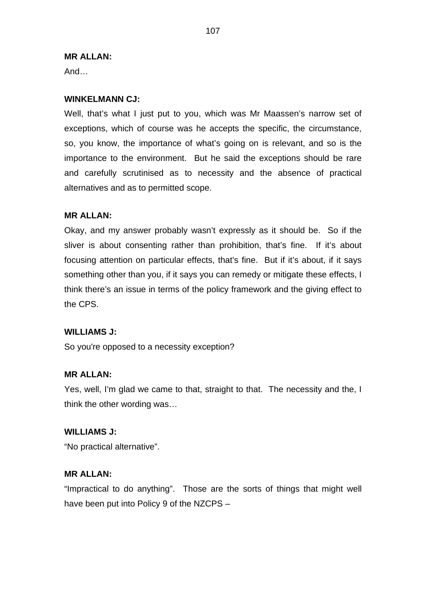### **MR ALLAN:**

And…

## **WINKELMANN CJ:**

Well, that's what I just put to you, which was Mr Maassen's narrow set of exceptions, which of course was he accepts the specific, the circumstance, so, you know, the importance of what's going on is relevant, and so is the importance to the environment. But he said the exceptions should be rare and carefully scrutinised as to necessity and the absence of practical alternatives and as to permitted scope.

## **MR ALLAN:**

Okay, and my answer probably wasn't expressly as it should be. So if the sliver is about consenting rather than prohibition, that's fine. If it's about focusing attention on particular effects, that's fine. But if it's about, if it says something other than you, if it says you can remedy or mitigate these effects, I think there's an issue in terms of the policy framework and the giving effect to the CPS.

### **WILLIAMS J:**

So you're opposed to a necessity exception?

## **MR ALLAN:**

Yes, well, I'm glad we came to that, straight to that. The necessity and the, I think the other wording was…

## **WILLIAMS J:**

"No practical alternative".

## **MR ALLAN:**

"Impractical to do anything". Those are the sorts of things that might well have been put into Policy 9 of the NZCPS –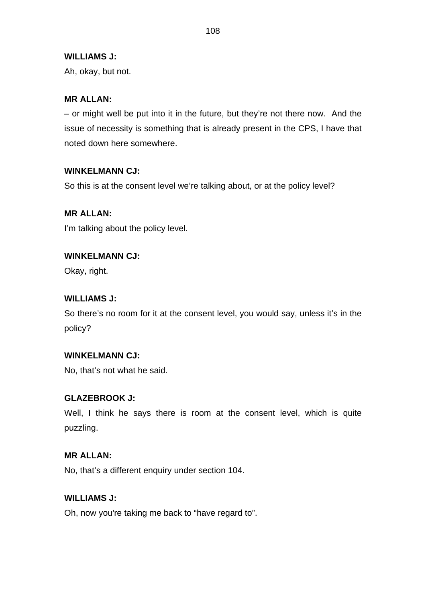## **WILLIAMS J:**

Ah, okay, but not.

# **MR ALLAN:**

– or might well be put into it in the future, but they're not there now. And the issue of necessity is something that is already present in the CPS, I have that noted down here somewhere.

# **WINKELMANN CJ:**

So this is at the consent level we're talking about, or at the policy level?

# **MR ALLAN:**

I'm talking about the policy level.

# **WINKELMANN CJ:**

Okay, right.

# **WILLIAMS J:**

So there's no room for it at the consent level, you would say, unless it's in the policy?

# **WINKELMANN CJ:**

No, that's not what he said.

# **GLAZEBROOK J:**

Well, I think he says there is room at the consent level, which is quite puzzling.

# **MR ALLAN:**

No, that's a different enquiry under section 104.

# **WILLIAMS J:**

Oh, now you're taking me back to "have regard to".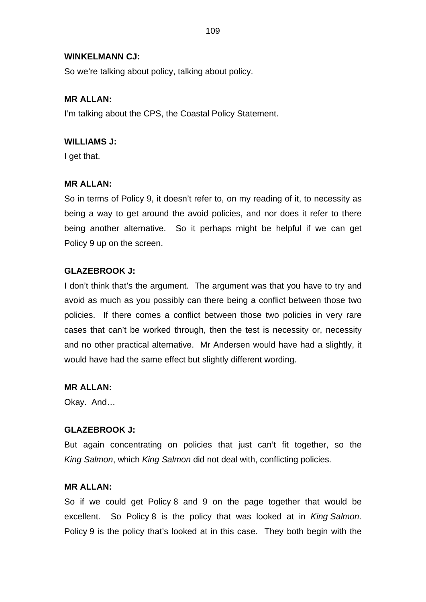### **WINKELMANN CJ:**

So we're talking about policy, talking about policy.

### **MR ALLAN:**

I'm talking about the CPS, the Coastal Policy Statement.

### **WILLIAMS J:**

I get that.

## **MR ALLAN:**

So in terms of Policy 9, it doesn't refer to, on my reading of it, to necessity as being a way to get around the avoid policies, and nor does it refer to there being another alternative. So it perhaps might be helpful if we can get Policy 9 up on the screen.

## **GLAZEBROOK J:**

I don't think that's the argument. The argument was that you have to try and avoid as much as you possibly can there being a conflict between those two policies. If there comes a conflict between those two policies in very rare cases that can't be worked through, then the test is necessity or, necessity and no other practical alternative. Mr Andersen would have had a slightly, it would have had the same effect but slightly different wording.

**MR ALLAN:**

Okay. And…

### **GLAZEBROOK J:**

But again concentrating on policies that just can't fit together, so the *King Salmon*, which *King Salmon* did not deal with, conflicting policies.

### **MR ALLAN:**

So if we could get Policy 8 and 9 on the page together that would be excellent. So Policy 8 is the policy that was looked at in *King Salmon*. Policy 9 is the policy that's looked at in this case. They both begin with the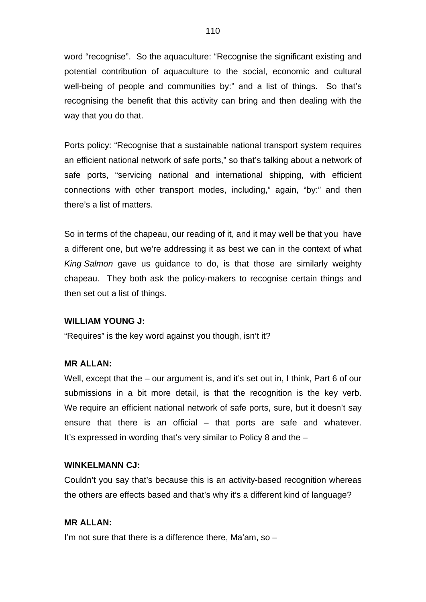word "recognise". So the aquaculture: "Recognise the significant existing and potential contribution of aquaculture to the social, economic and cultural well-being of people and communities by:" and a list of things. So that's recognising the benefit that this activity can bring and then dealing with the way that you do that.

Ports policy: "Recognise that a sustainable national transport system requires an efficient national network of safe ports," so that's talking about a network of safe ports, "servicing national and international shipping, with efficient connections with other transport modes, including," again, "by:" and then there's a list of matters.

So in terms of the chapeau, our reading of it, and it may well be that you have a different one, but we're addressing it as best we can in the context of what *King Salmon* gave us guidance to do, is that those are similarly weighty chapeau. They both ask the policy-makers to recognise certain things and then set out a list of things.

#### **WILLIAM YOUNG J:**

"Requires" is the key word against you though, isn't it?

### **MR ALLAN:**

Well, except that the – our argument is, and it's set out in, I think, Part 6 of our submissions in a bit more detail, is that the recognition is the key verb. We require an efficient national network of safe ports, sure, but it doesn't say ensure that there is an official – that ports are safe and whatever. It's expressed in wording that's very similar to Policy 8 and the –

#### **WINKELMANN CJ:**

Couldn't you say that's because this is an activity-based recognition whereas the others are effects based and that's why it's a different kind of language?

### **MR ALLAN:**

I'm not sure that there is a difference there, Ma'am, so –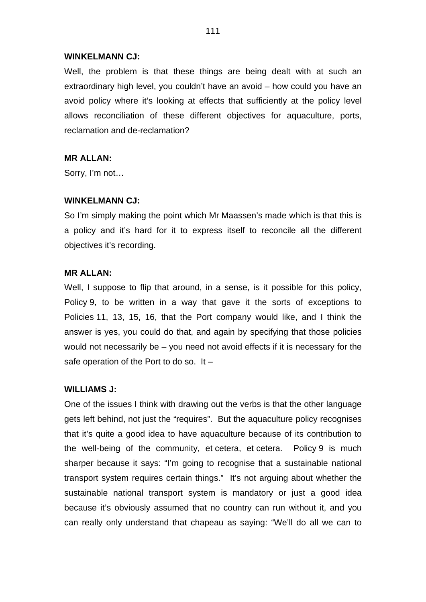#### **WINKELMANN CJ:**

Well, the problem is that these things are being dealt with at such an extraordinary high level, you couldn't have an avoid – how could you have an avoid policy where it's looking at effects that sufficiently at the policy level allows reconciliation of these different objectives for aquaculture, ports, reclamation and de-reclamation?

#### **MR ALLAN:**

Sorry, I'm not…

#### **WINKELMANN CJ:**

So I'm simply making the point which Mr Maassen's made which is that this is a policy and it's hard for it to express itself to reconcile all the different objectives it's recording.

#### **MR ALLAN:**

Well, I suppose to flip that around, in a sense, is it possible for this policy, Policy 9, to be written in a way that gave it the sorts of exceptions to Policies 11, 13, 15, 16, that the Port company would like, and I think the answer is yes, you could do that, and again by specifying that those policies would not necessarily be – you need not avoid effects if it is necessary for the safe operation of the Port to do so. It –

### **WILLIAMS J:**

One of the issues I think with drawing out the verbs is that the other language gets left behind, not just the "requires". But the aquaculture policy recognises that it's quite a good idea to have aquaculture because of its contribution to the well-being of the community, et cetera, et cetera. Policy 9 is much sharper because it says: "I'm going to recognise that a sustainable national transport system requires certain things." It's not arguing about whether the sustainable national transport system is mandatory or just a good idea because it's obviously assumed that no country can run without it, and you can really only understand that chapeau as saying: "We'll do all we can to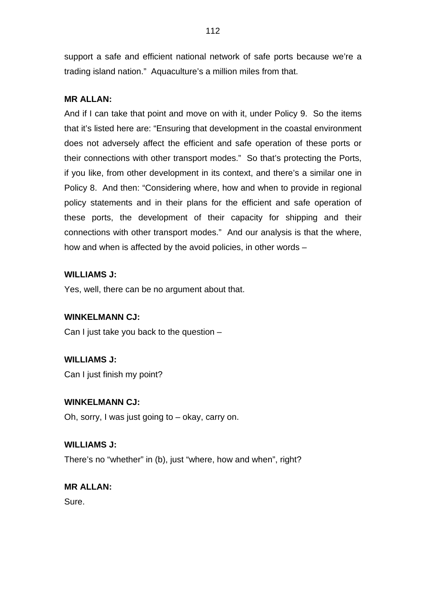support a safe and efficient national network of safe ports because we're a trading island nation." Aquaculture's a million miles from that.

## **MR ALLAN:**

And if I can take that point and move on with it, under Policy 9. So the items that it's listed here are: "Ensuring that development in the coastal environment does not adversely affect the efficient and safe operation of these ports or their connections with other transport modes." So that's protecting the Ports, if you like, from other development in its context, and there's a similar one in Policy 8. And then: "Considering where, how and when to provide in regional policy statements and in their plans for the efficient and safe operation of these ports, the development of their capacity for shipping and their connections with other transport modes." And our analysis is that the where, how and when is affected by the avoid policies, in other words –

## **WILLIAMS J:**

Yes, well, there can be no argument about that.

# **WINKELMANN CJ:**

Can I just take you back to the question –

# **WILLIAMS J:**

Can I just finish my point?

## **WINKELMANN CJ:**

Oh, sorry, I was just going to – okay, carry on.

## **WILLIAMS J:**

There's no "whether" in (b), just "where, how and when", right?

# **MR ALLAN:**

Sure.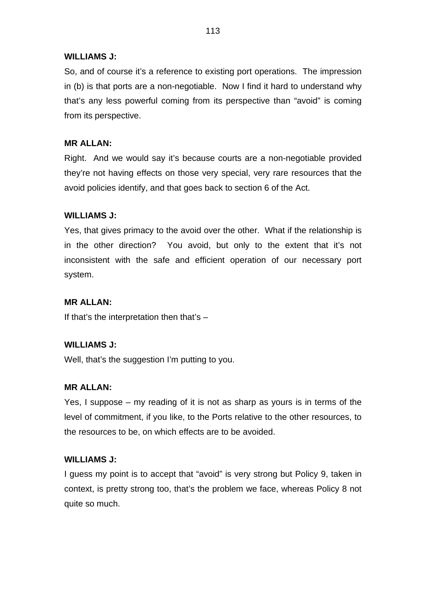## **WILLIAMS J:**

So, and of course it's a reference to existing port operations. The impression in (b) is that ports are a non-negotiable. Now I find it hard to understand why that's any less powerful coming from its perspective than "avoid" is coming from its perspective.

## **MR ALLAN:**

Right. And we would say it's because courts are a non-negotiable provided they're not having effects on those very special, very rare resources that the avoid policies identify, and that goes back to section 6 of the Act.

## **WILLIAMS J:**

Yes, that gives primacy to the avoid over the other. What if the relationship is in the other direction? You avoid, but only to the extent that it's not inconsistent with the safe and efficient operation of our necessary port system.

# **MR ALLAN:**

If that's the interpretation then that's  $-$ 

## **WILLIAMS J:**

Well, that's the suggestion I'm putting to you.

# **MR ALLAN:**

Yes, I suppose – my reading of it is not as sharp as yours is in terms of the level of commitment, if you like, to the Ports relative to the other resources, to the resources to be, on which effects are to be avoided.

## **WILLIAMS J:**

I guess my point is to accept that "avoid" is very strong but Policy 9, taken in context, is pretty strong too, that's the problem we face, whereas Policy 8 not quite so much.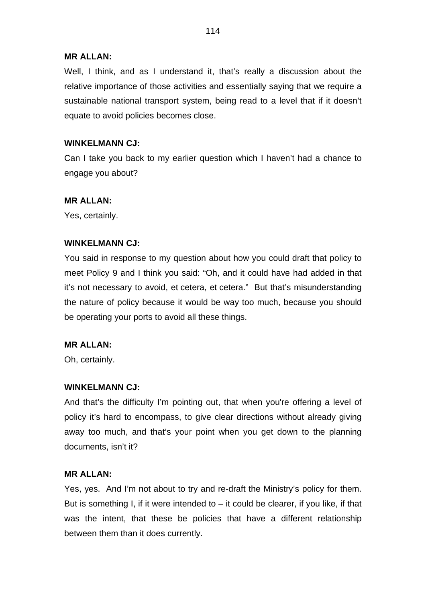### **MR ALLAN:**

Well, I think, and as I understand it, that's really a discussion about the relative importance of those activities and essentially saying that we require a sustainable national transport system, being read to a level that if it doesn't equate to avoid policies becomes close.

## **WINKELMANN CJ:**

Can I take you back to my earlier question which I haven't had a chance to engage you about?

### **MR ALLAN:**

Yes, certainly.

### **WINKELMANN CJ:**

You said in response to my question about how you could draft that policy to meet Policy 9 and I think you said: "Oh, and it could have had added in that it's not necessary to avoid, et cetera, et cetera." But that's misunderstanding the nature of policy because it would be way too much, because you should be operating your ports to avoid all these things.

### **MR ALLAN:**

Oh, certainly.

### **WINKELMANN CJ:**

And that's the difficulty I'm pointing out, that when you're offering a level of policy it's hard to encompass, to give clear directions without already giving away too much, and that's your point when you get down to the planning documents, isn't it?

## **MR ALLAN:**

Yes, yes. And I'm not about to try and re-draft the Ministry's policy for them. But is something I, if it were intended to  $-$  it could be clearer, if you like, if that was the intent, that these be policies that have a different relationship between them than it does currently.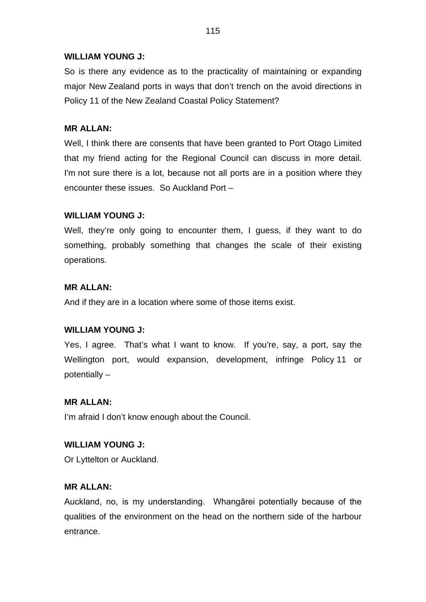## **WILLIAM YOUNG J:**

So is there any evidence as to the practicality of maintaining or expanding major New Zealand ports in ways that don't trench on the avoid directions in Policy 11 of the New Zealand Coastal Policy Statement?

## **MR ALLAN:**

Well, I think there are consents that have been granted to Port Otago Limited that my friend acting for the Regional Council can discuss in more detail. I'm not sure there is a lot, because not all ports are in a position where they encounter these issues. So Auckland Port –

## **WILLIAM YOUNG J:**

Well, they're only going to encounter them, I guess, if they want to do something, probably something that changes the scale of their existing operations.

## **MR ALLAN:**

And if they are in a location where some of those items exist.

# **WILLIAM YOUNG J:**

Yes, I agree. That's what I want to know. If you're, say, a port, say the Wellington port, would expansion, development, infringe Policy 11 or potentially –

## **MR ALLAN:**

I'm afraid I don't know enough about the Council.

## **WILLIAM YOUNG J:**

Or Lyttelton or Auckland.

# **MR ALLAN:**

Auckland, no, is my understanding. Whangārei potentially because of the qualities of the environment on the head on the northern side of the harbour entrance.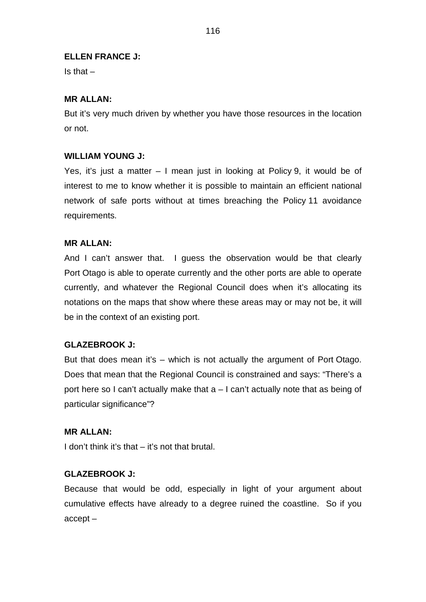### **ELLEN FRANCE J:**

 $Is that -$ 

## **MR ALLAN:**

But it's very much driven by whether you have those resources in the location or not.

### **WILLIAM YOUNG J:**

Yes, it's just a matter – I mean just in looking at Policy 9, it would be of interest to me to know whether it is possible to maintain an efficient national network of safe ports without at times breaching the Policy 11 avoidance requirements.

### **MR ALLAN:**

And I can't answer that. I guess the observation would be that clearly Port Otago is able to operate currently and the other ports are able to operate currently, and whatever the Regional Council does when it's allocating its notations on the maps that show where these areas may or may not be, it will be in the context of an existing port.

### **GLAZEBROOK J:**

But that does mean it's – which is not actually the argument of Port Otago. Does that mean that the Regional Council is constrained and says: "There's a port here so I can't actually make that a – I can't actually note that as being of particular significance"?

### **MR ALLAN:**

I don't think it's that – it's not that brutal.

### **GLAZEBROOK J:**

Because that would be odd, especially in light of your argument about cumulative effects have already to a degree ruined the coastline. So if you accept –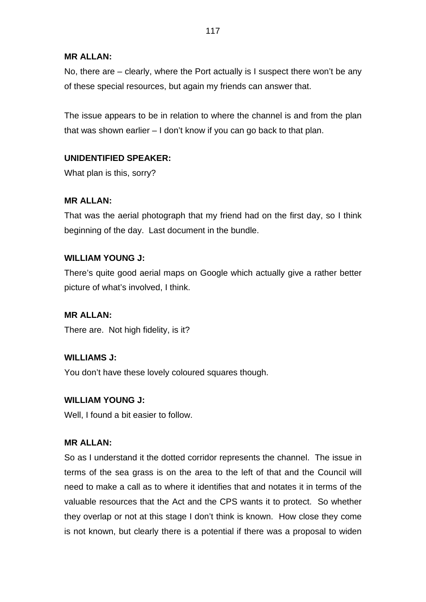## **MR ALLAN:**

No, there are – clearly, where the Port actually is I suspect there won't be any of these special resources, but again my friends can answer that.

The issue appears to be in relation to where the channel is and from the plan that was shown earlier – I don't know if you can go back to that plan.

# **UNIDENTIFIED SPEAKER:**

What plan is this, sorry?

# **MR ALLAN:**

That was the aerial photograph that my friend had on the first day, so I think beginning of the day. Last document in the bundle.

# **WILLIAM YOUNG J:**

There's quite good aerial maps on Google which actually give a rather better picture of what's involved, I think.

# **MR ALLAN:**

There are. Not high fidelity, is it?

# **WILLIAMS J:**

You don't have these lovely coloured squares though.

# **WILLIAM YOUNG J:**

Well, I found a bit easier to follow.

# **MR ALLAN:**

So as I understand it the dotted corridor represents the channel. The issue in terms of the sea grass is on the area to the left of that and the Council will need to make a call as to where it identifies that and notates it in terms of the valuable resources that the Act and the CPS wants it to protect. So whether they overlap or not at this stage I don't think is known. How close they come is not known, but clearly there is a potential if there was a proposal to widen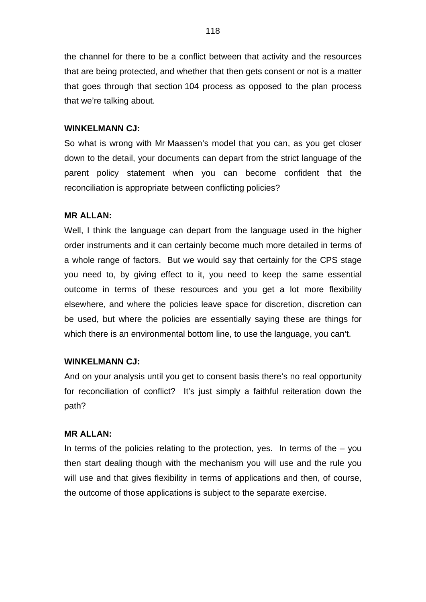the channel for there to be a conflict between that activity and the resources that are being protected, and whether that then gets consent or not is a matter that goes through that section 104 process as opposed to the plan process that we're talking about.

#### **WINKELMANN CJ:**

So what is wrong with Mr Maassen's model that you can, as you get closer down to the detail, your documents can depart from the strict language of the parent policy statement when you can become confident that the reconciliation is appropriate between conflicting policies?

### **MR ALLAN:**

Well, I think the language can depart from the language used in the higher order instruments and it can certainly become much more detailed in terms of a whole range of factors. But we would say that certainly for the CPS stage you need to, by giving effect to it, you need to keep the same essential outcome in terms of these resources and you get a lot more flexibility elsewhere, and where the policies leave space for discretion, discretion can be used, but where the policies are essentially saying these are things for which there is an environmental bottom line, to use the language, you can't.

#### **WINKELMANN CJ:**

And on your analysis until you get to consent basis there's no real opportunity for reconciliation of conflict? It's just simply a faithful reiteration down the path?

#### **MR ALLAN:**

In terms of the policies relating to the protection, yes. In terms of the  $-$  you then start dealing though with the mechanism you will use and the rule you will use and that gives flexibility in terms of applications and then, of course, the outcome of those applications is subject to the separate exercise.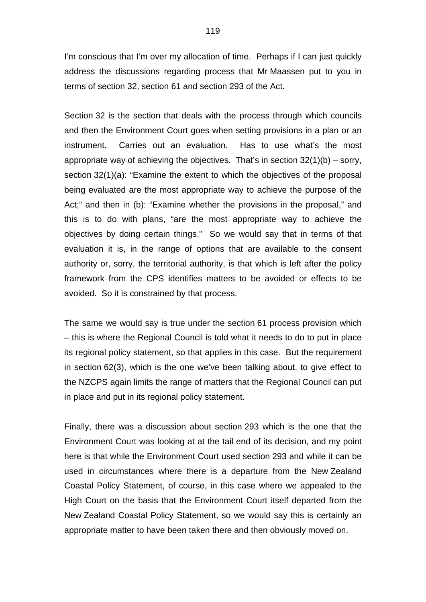I'm conscious that I'm over my allocation of time. Perhaps if I can just quickly address the discussions regarding process that Mr Maassen put to you in terms of section 32, section 61 and section 293 of the Act.

Section 32 is the section that deals with the process through which councils and then the Environment Court goes when setting provisions in a plan or an instrument. Carries out an evaluation. Has to use what's the most appropriate way of achieving the objectives. That's in section  $32(1)(b)$  – sorry, section 32(1)(a): "Examine the extent to which the objectives of the proposal being evaluated are the most appropriate way to achieve the purpose of the Act;" and then in (b): "Examine whether the provisions in the proposal," and this is to do with plans, "are the most appropriate way to achieve the objectives by doing certain things." So we would say that in terms of that evaluation it is, in the range of options that are available to the consent authority or, sorry, the territorial authority, is that which is left after the policy framework from the CPS identifies matters to be avoided or effects to be avoided. So it is constrained by that process.

The same we would say is true under the section 61 process provision which – this is where the Regional Council is told what it needs to do to put in place its regional policy statement, so that applies in this case. But the requirement in section 62(3), which is the one we've been talking about, to give effect to the NZCPS again limits the range of matters that the Regional Council can put in place and put in its regional policy statement.

Finally, there was a discussion about section 293 which is the one that the Environment Court was looking at at the tail end of its decision, and my point here is that while the Environment Court used section 293 and while it can be used in circumstances where there is a departure from the New Zealand Coastal Policy Statement, of course, in this case where we appealed to the High Court on the basis that the Environment Court itself departed from the New Zealand Coastal Policy Statement, so we would say this is certainly an appropriate matter to have been taken there and then obviously moved on.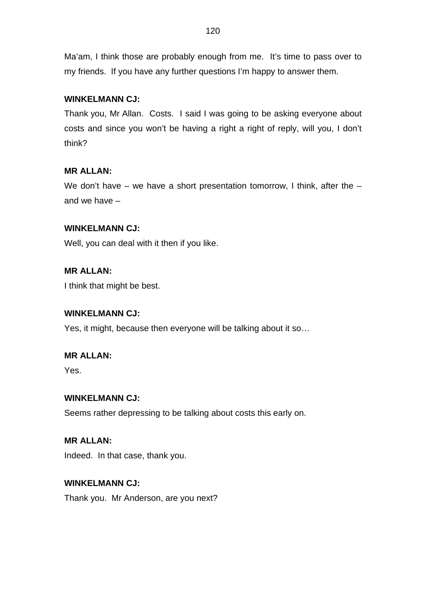Ma'am, I think those are probably enough from me. It's time to pass over to my friends. If you have any further questions I'm happy to answer them.

# **WINKELMANN CJ:**

Thank you, Mr Allan. Costs. I said I was going to be asking everyone about costs and since you won't be having a right a right of reply, will you, I don't think?

# **MR ALLAN:**

We don't have – we have a short presentation tomorrow, I think, after the  $$ and we have –

# **WINKELMANN CJ:**

Well, you can deal with it then if you like.

# **MR ALLAN:**

I think that might be best.

# **WINKELMANN CJ:**

Yes, it might, because then everyone will be talking about it so…

# **MR ALLAN:**

Yes.

# **WINKELMANN CJ:**

Seems rather depressing to be talking about costs this early on.

# **MR ALLAN:**

Indeed. In that case, thank you.

# **WINKELMANN CJ:**

Thank you. Mr Anderson, are you next?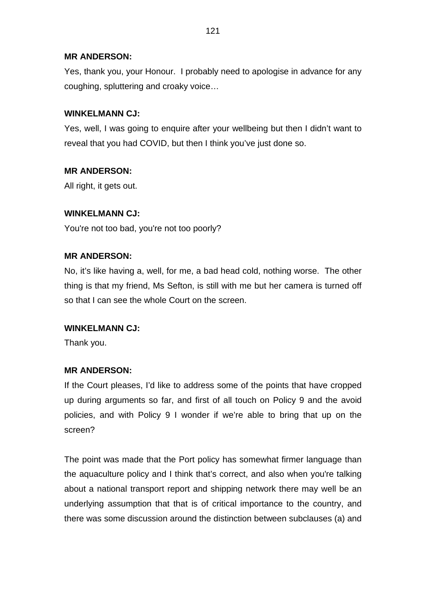## **MR ANDERSON:**

Yes, thank you, your Honour. I probably need to apologise in advance for any coughing, spluttering and croaky voice…

## **WINKELMANN CJ:**

Yes, well, I was going to enquire after your wellbeing but then I didn't want to reveal that you had COVID, but then I think you've just done so.

## **MR ANDERSON:**

All right, it gets out.

### **WINKELMANN CJ:**

You're not too bad, you're not too poorly?

### **MR ANDERSON:**

No, it's like having a, well, for me, a bad head cold, nothing worse. The other thing is that my friend, Ms Sefton, is still with me but her camera is turned off so that I can see the whole Court on the screen.

### **WINKELMANN CJ:**

Thank you.

## **MR ANDERSON:**

If the Court pleases, I'd like to address some of the points that have cropped up during arguments so far, and first of all touch on Policy 9 and the avoid policies, and with Policy 9 I wonder if we're able to bring that up on the screen?

The point was made that the Port policy has somewhat firmer language than the aquaculture policy and I think that's correct, and also when you're talking about a national transport report and shipping network there may well be an underlying assumption that that is of critical importance to the country, and there was some discussion around the distinction between subclauses (a) and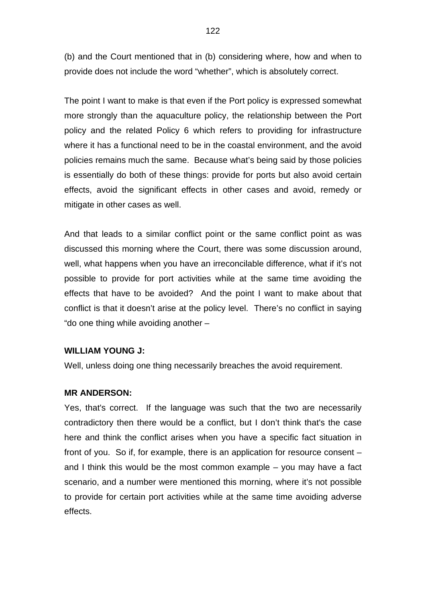(b) and the Court mentioned that in (b) considering where, how and when to provide does not include the word "whether", which is absolutely correct.

The point I want to make is that even if the Port policy is expressed somewhat more strongly than the aquaculture policy, the relationship between the Port policy and the related Policy 6 which refers to providing for infrastructure where it has a functional need to be in the coastal environment, and the avoid policies remains much the same. Because what's being said by those policies is essentially do both of these things: provide for ports but also avoid certain effects, avoid the significant effects in other cases and avoid, remedy or mitigate in other cases as well.

And that leads to a similar conflict point or the same conflict point as was discussed this morning where the Court, there was some discussion around, well, what happens when you have an irreconcilable difference, what if it's not possible to provide for port activities while at the same time avoiding the effects that have to be avoided? And the point I want to make about that conflict is that it doesn't arise at the policy level. There's no conflict in saying "do one thing while avoiding another –

### **WILLIAM YOUNG J:**

Well, unless doing one thing necessarily breaches the avoid requirement.

### **MR ANDERSON:**

Yes, that's correct. If the language was such that the two are necessarily contradictory then there would be a conflict, but I don't think that's the case here and think the conflict arises when you have a specific fact situation in front of you. So if, for example, there is an application for resource consent – and I think this would be the most common example – you may have a fact scenario, and a number were mentioned this morning, where it's not possible to provide for certain port activities while at the same time avoiding adverse effects.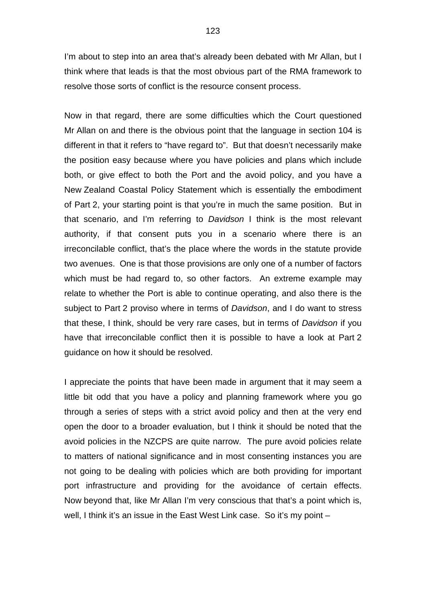I'm about to step into an area that's already been debated with Mr Allan, but I think where that leads is that the most obvious part of the RMA framework to resolve those sorts of conflict is the resource consent process.

Now in that regard, there are some difficulties which the Court questioned Mr Allan on and there is the obvious point that the language in section 104 is different in that it refers to "have regard to". But that doesn't necessarily make the position easy because where you have policies and plans which include both, or give effect to both the Port and the avoid policy, and you have a New Zealand Coastal Policy Statement which is essentially the embodiment of Part 2, your starting point is that you're in much the same position. But in that scenario, and I'm referring to *Davidson* I think is the most relevant authority, if that consent puts you in a scenario where there is an irreconcilable conflict, that's the place where the words in the statute provide two avenues. One is that those provisions are only one of a number of factors which must be had regard to, so other factors. An extreme example may relate to whether the Port is able to continue operating, and also there is the subject to Part 2 proviso where in terms of *Davidson*, and I do want to stress that these, I think, should be very rare cases, but in terms of *Davidson* if you have that irreconcilable conflict then it is possible to have a look at Part 2 guidance on how it should be resolved.

I appreciate the points that have been made in argument that it may seem a little bit odd that you have a policy and planning framework where you go through a series of steps with a strict avoid policy and then at the very end open the door to a broader evaluation, but I think it should be noted that the avoid policies in the NZCPS are quite narrow. The pure avoid policies relate to matters of national significance and in most consenting instances you are not going to be dealing with policies which are both providing for important port infrastructure and providing for the avoidance of certain effects. Now beyond that, like Mr Allan I'm very conscious that that's a point which is, well, I think it's an issue in the East West Link case. So it's my point –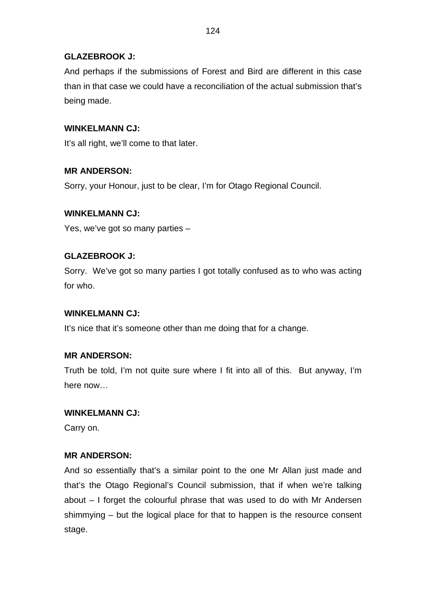# **GLAZEBROOK J:**

And perhaps if the submissions of Forest and Bird are different in this case than in that case we could have a reconciliation of the actual submission that's being made.

## **WINKELMANN CJ:**

It's all right, we'll come to that later.

## **MR ANDERSON:**

Sorry, your Honour, just to be clear, I'm for Otago Regional Council.

## **WINKELMANN CJ:**

Yes, we've got so many parties –

## **GLAZEBROOK J:**

Sorry. We've got so many parties I got totally confused as to who was acting for who.

## **WINKELMANN CJ:**

It's nice that it's someone other than me doing that for a change.

# **MR ANDERSON:**

Truth be told, I'm not quite sure where I fit into all of this. But anyway, I'm here now…

## **WINKELMANN CJ:**

Carry on.

# **MR ANDERSON:**

And so essentially that's a similar point to the one Mr Allan just made and that's the Otago Regional's Council submission, that if when we're talking about – I forget the colourful phrase that was used to do with Mr Andersen shimmying – but the logical place for that to happen is the resource consent stage.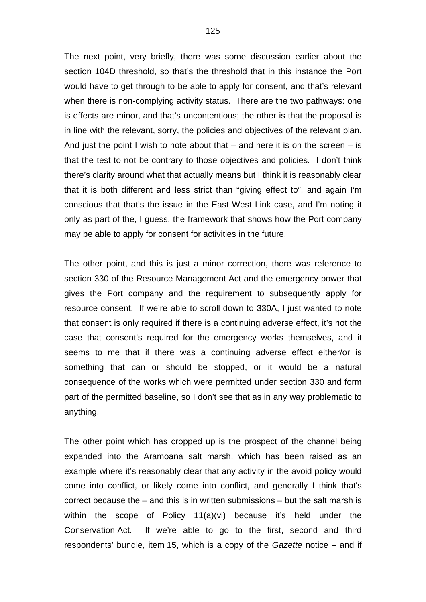The next point, very briefly, there was some discussion earlier about the section 104D threshold, so that's the threshold that in this instance the Port would have to get through to be able to apply for consent, and that's relevant when there is non-complying activity status. There are the two pathways: one is effects are minor, and that's uncontentious; the other is that the proposal is in line with the relevant, sorry, the policies and objectives of the relevant plan. And just the point I wish to note about that  $-$  and here it is on the screen  $-$  is that the test to not be contrary to those objectives and policies. I don't think there's clarity around what that actually means but I think it is reasonably clear that it is both different and less strict than "giving effect to", and again I'm conscious that that's the issue in the East West Link case, and I'm noting it only as part of the, I guess, the framework that shows how the Port company may be able to apply for consent for activities in the future.

The other point, and this is just a minor correction, there was reference to section 330 of the Resource Management Act and the emergency power that gives the Port company and the requirement to subsequently apply for resource consent. If we're able to scroll down to 330A, I just wanted to note that consent is only required if there is a continuing adverse effect, it's not the case that consent's required for the emergency works themselves, and it seems to me that if there was a continuing adverse effect either/or is something that can or should be stopped, or it would be a natural consequence of the works which were permitted under section 330 and form part of the permitted baseline, so I don't see that as in any way problematic to anything.

The other point which has cropped up is the prospect of the channel being expanded into the Aramoana salt marsh, which has been raised as an example where it's reasonably clear that any activity in the avoid policy would come into conflict, or likely come into conflict, and generally I think that's correct because the – and this is in written submissions – but the salt marsh is within the scope of Policy 11(a)(vi) because it's held under the Conservation Act. If we're able to go to the first, second and third respondents' bundle, item 15, which is a copy of the *Gazette* notice – and if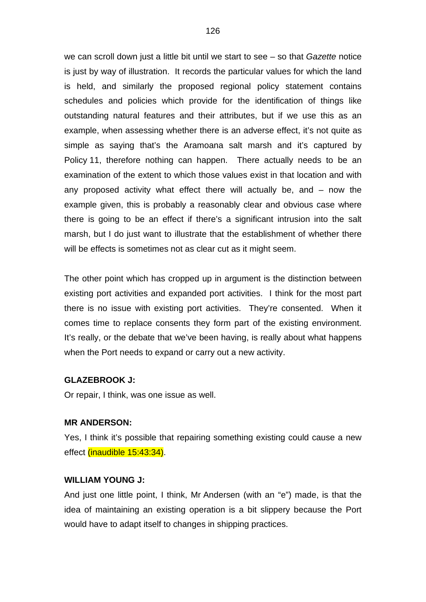we can scroll down just a little bit until we start to see – so that *Gazette* notice is just by way of illustration. It records the particular values for which the land is held, and similarly the proposed regional policy statement contains schedules and policies which provide for the identification of things like outstanding natural features and their attributes, but if we use this as an example, when assessing whether there is an adverse effect, it's not quite as simple as saying that's the Aramoana salt marsh and it's captured by Policy 11, therefore nothing can happen. There actually needs to be an examination of the extent to which those values exist in that location and with any proposed activity what effect there will actually be, and – now the example given, this is probably a reasonably clear and obvious case where there is going to be an effect if there's a significant intrusion into the salt marsh, but I do just want to illustrate that the establishment of whether there will be effects is sometimes not as clear cut as it might seem.

The other point which has cropped up in argument is the distinction between existing port activities and expanded port activities. I think for the most part there is no issue with existing port activities. They're consented. When it comes time to replace consents they form part of the existing environment. It's really, or the debate that we've been having, is really about what happens when the Port needs to expand or carry out a new activity.

### **GLAZEBROOK J:**

Or repair, I think, was one issue as well.

### **MR ANDERSON:**

Yes, I think it's possible that repairing something existing could cause a new effect (inaudible 15:43:34).

#### **WILLIAM YOUNG J:**

And just one little point, I think, Mr Andersen (with an "e") made, is that the idea of maintaining an existing operation is a bit slippery because the Port would have to adapt itself to changes in shipping practices.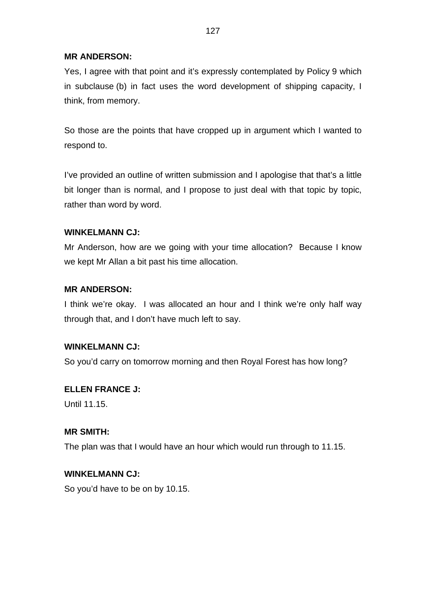## **MR ANDERSON:**

Yes, I agree with that point and it's expressly contemplated by Policy 9 which in subclause (b) in fact uses the word development of shipping capacity, I think, from memory.

So those are the points that have cropped up in argument which I wanted to respond to.

I've provided an outline of written submission and I apologise that that's a little bit longer than is normal, and I propose to just deal with that topic by topic, rather than word by word.

## **WINKELMANN CJ:**

Mr Anderson, how are we going with your time allocation? Because I know we kept Mr Allan a bit past his time allocation.

## **MR ANDERSON:**

I think we're okay. I was allocated an hour and I think we're only half way through that, and I don't have much left to say.

## **WINKELMANN CJ:**

So you'd carry on tomorrow morning and then Royal Forest has how long?

# **ELLEN FRANCE J:**

Until 11.15

# **MR SMITH:**

The plan was that I would have an hour which would run through to 11.15.

## **WINKELMANN CJ:**

So you'd have to be on by 10.15.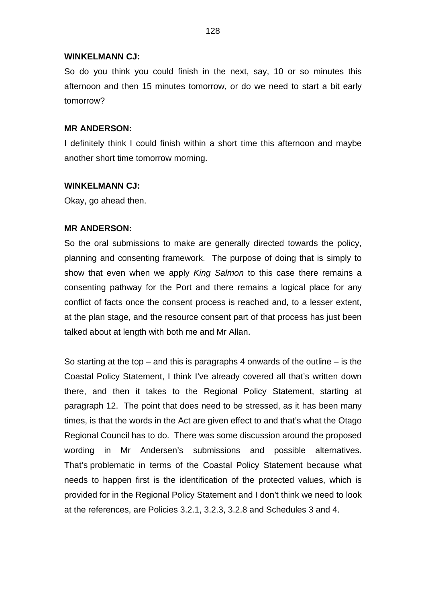#### **WINKELMANN CJ:**

So do you think you could finish in the next, say, 10 or so minutes this afternoon and then 15 minutes tomorrow, or do we need to start a bit early tomorrow?

### **MR ANDERSON:**

I definitely think I could finish within a short time this afternoon and maybe another short time tomorrow morning.

### **WINKELMANN CJ:**

Okay, go ahead then.

### **MR ANDERSON:**

So the oral submissions to make are generally directed towards the policy, planning and consenting framework. The purpose of doing that is simply to show that even when we apply *King Salmon* to this case there remains a consenting pathway for the Port and there remains a logical place for any conflict of facts once the consent process is reached and, to a lesser extent, at the plan stage, and the resource consent part of that process has just been talked about at length with both me and Mr Allan.

So starting at the top – and this is paragraphs 4 onwards of the outline – is the Coastal Policy Statement, I think I've already covered all that's written down there, and then it takes to the Regional Policy Statement, starting at paragraph 12. The point that does need to be stressed, as it has been many times, is that the words in the Act are given effect to and that's what the Otago Regional Council has to do. There was some discussion around the proposed wording in Mr Andersen's submissions and possible alternatives. That's problematic in terms of the Coastal Policy Statement because what needs to happen first is the identification of the protected values, which is provided for in the Regional Policy Statement and I don't think we need to look at the references, are Policies 3.2.1, 3.2.3, 3.2.8 and Schedules 3 and 4.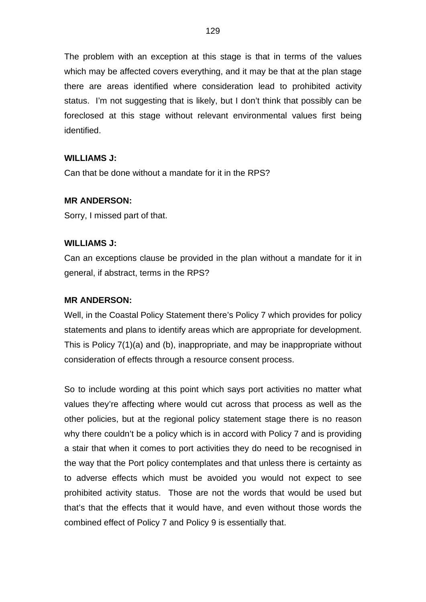The problem with an exception at this stage is that in terms of the values which may be affected covers everything, and it may be that at the plan stage there are areas identified where consideration lead to prohibited activity status. I'm not suggesting that is likely, but I don't think that possibly can be foreclosed at this stage without relevant environmental values first being identified.

## **WILLIAMS J:**

Can that be done without a mandate for it in the RPS?

## **MR ANDERSON:**

Sorry, I missed part of that.

## **WILLIAMS J:**

Can an exceptions clause be provided in the plan without a mandate for it in general, if abstract, terms in the RPS?

### **MR ANDERSON:**

Well, in the Coastal Policy Statement there's Policy 7 which provides for policy statements and plans to identify areas which are appropriate for development. This is Policy 7(1)(a) and (b), inappropriate, and may be inappropriate without consideration of effects through a resource consent process.

So to include wording at this point which says port activities no matter what values they're affecting where would cut across that process as well as the other policies, but at the regional policy statement stage there is no reason why there couldn't be a policy which is in accord with Policy 7 and is providing a stair that when it comes to port activities they do need to be recognised in the way that the Port policy contemplates and that unless there is certainty as to adverse effects which must be avoided you would not expect to see prohibited activity status. Those are not the words that would be used but that's that the effects that it would have, and even without those words the combined effect of Policy 7 and Policy 9 is essentially that.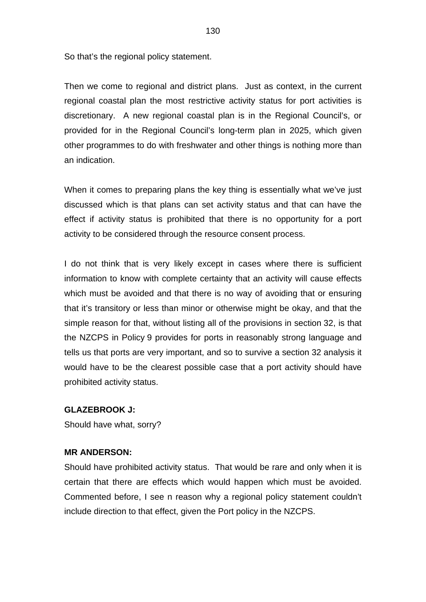So that's the regional policy statement.

Then we come to regional and district plans. Just as context, in the current regional coastal plan the most restrictive activity status for port activities is discretionary. A new regional coastal plan is in the Regional Council's, or provided for in the Regional Council's long-term plan in 2025, which given other programmes to do with freshwater and other things is nothing more than an indication.

When it comes to preparing plans the key thing is essentially what we've just discussed which is that plans can set activity status and that can have the effect if activity status is prohibited that there is no opportunity for a port activity to be considered through the resource consent process.

I do not think that is very likely except in cases where there is sufficient information to know with complete certainty that an activity will cause effects which must be avoided and that there is no way of avoiding that or ensuring that it's transitory or less than minor or otherwise might be okay, and that the simple reason for that, without listing all of the provisions in section 32, is that the NZCPS in Policy 9 provides for ports in reasonably strong language and tells us that ports are very important, and so to survive a section 32 analysis it would have to be the clearest possible case that a port activity should have prohibited activity status.

## **GLAZEBROOK J:**

Should have what, sorry?

## **MR ANDERSON:**

Should have prohibited activity status. That would be rare and only when it is certain that there are effects which would happen which must be avoided. Commented before, I see n reason why a regional policy statement couldn't include direction to that effect, given the Port policy in the NZCPS.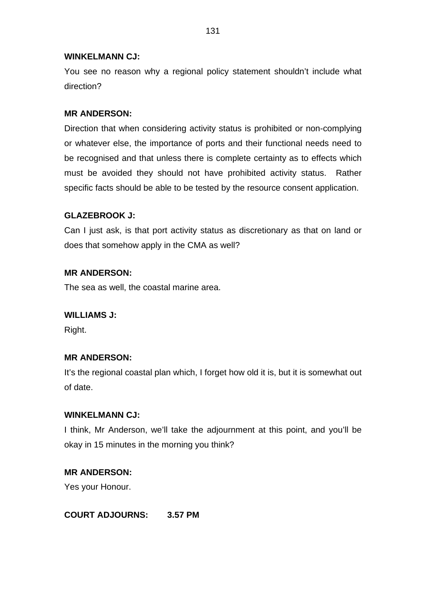### **WINKELMANN CJ:**

You see no reason why a regional policy statement shouldn't include what direction?

### **MR ANDERSON:**

Direction that when considering activity status is prohibited or non-complying or whatever else, the importance of ports and their functional needs need to be recognised and that unless there is complete certainty as to effects which must be avoided they should not have prohibited activity status. Rather specific facts should be able to be tested by the resource consent application.

## **GLAZEBROOK J:**

Can I just ask, is that port activity status as discretionary as that on land or does that somehow apply in the CMA as well?

### **MR ANDERSON:**

The sea as well, the coastal marine area.

### **WILLIAMS J:**

Right.

### **MR ANDERSON:**

It's the regional coastal plan which, I forget how old it is, but it is somewhat out of date.

### **WINKELMANN CJ:**

I think, Mr Anderson, we'll take the adjournment at this point, and you'll be okay in 15 minutes in the morning you think?

## **MR ANDERSON:**

Yes your Honour.

## **COURT ADJOURNS: 3.57 PM**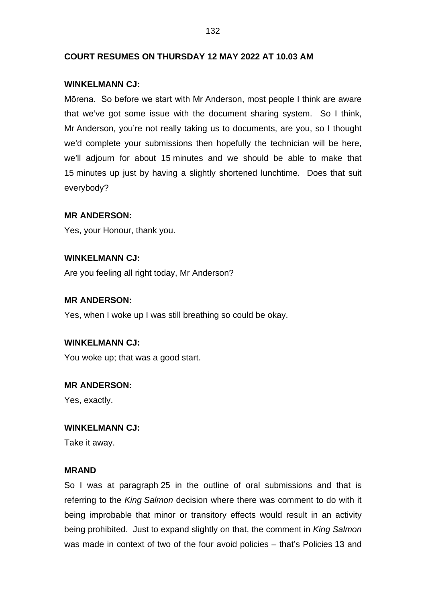### **COURT RESUMES ON THURSDAY 12 MAY 2022 AT 10.03 AM**

#### **WINKELMANN CJ:**

Mōrena. So before we start with Mr Anderson, most people I think are aware that we've got some issue with the document sharing system. So I think, Mr Anderson, you're not really taking us to documents, are you, so I thought we'd complete your submissions then hopefully the technician will be here, we'll adjourn for about 15 minutes and we should be able to make that 15 minutes up just by having a slightly shortened lunchtime. Does that suit everybody?

### **MR ANDERSON:**

Yes, your Honour, thank you.

### **WINKELMANN CJ:**

Are you feeling all right today, Mr Anderson?

### **MR ANDERSON:**

Yes, when I woke up I was still breathing so could be okay.

### **WINKELMANN CJ:**

You woke up; that was a good start.

#### **MR ANDERSON:**

Yes, exactly.

#### **WINKELMANN CJ:**

Take it away.

### **MRAND**

So I was at paragraph 25 in the outline of oral submissions and that is referring to the *King Salmon* decision where there was comment to do with it being improbable that minor or transitory effects would result in an activity being prohibited. Just to expand slightly on that, the comment in *King Salmon* was made in context of two of the four avoid policies – that's Policies 13 and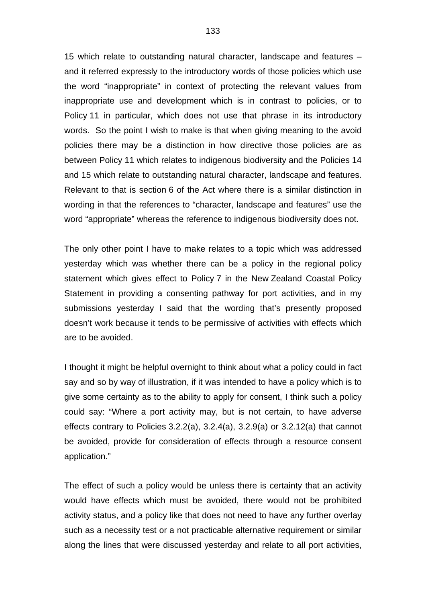15 which relate to outstanding natural character, landscape and features – and it referred expressly to the introductory words of those policies which use the word "inappropriate" in context of protecting the relevant values from inappropriate use and development which is in contrast to policies, or to Policy 11 in particular, which does not use that phrase in its introductory words. So the point I wish to make is that when giving meaning to the avoid policies there may be a distinction in how directive those policies are as between Policy 11 which relates to indigenous biodiversity and the Policies 14 and 15 which relate to outstanding natural character, landscape and features. Relevant to that is section 6 of the Act where there is a similar distinction in wording in that the references to "character, landscape and features" use the word "appropriate" whereas the reference to indigenous biodiversity does not.

The only other point I have to make relates to a topic which was addressed yesterday which was whether there can be a policy in the regional policy statement which gives effect to Policy 7 in the New Zealand Coastal Policy Statement in providing a consenting pathway for port activities, and in my submissions yesterday I said that the wording that's presently proposed doesn't work because it tends to be permissive of activities with effects which are to be avoided.

I thought it might be helpful overnight to think about what a policy could in fact say and so by way of illustration, if it was intended to have a policy which is to give some certainty as to the ability to apply for consent, I think such a policy could say: "Where a port activity may, but is not certain, to have adverse effects contrary to Policies 3.2.2(a), 3.2.4(a), 3.2.9(a) or 3.2.12(a) that cannot be avoided, provide for consideration of effects through a resource consent application."

The effect of such a policy would be unless there is certainty that an activity would have effects which must be avoided, there would not be prohibited activity status, and a policy like that does not need to have any further overlay such as a necessity test or a not practicable alternative requirement or similar along the lines that were discussed yesterday and relate to all port activities,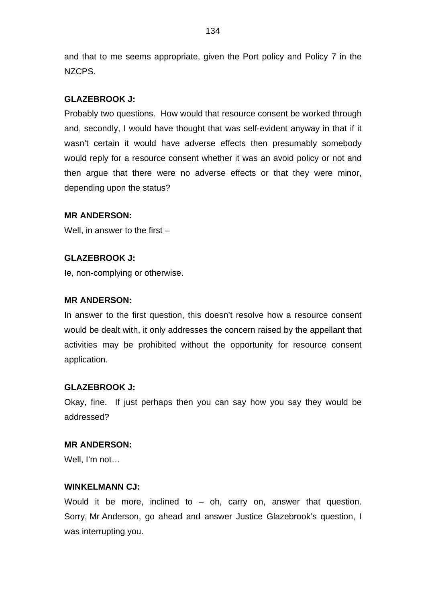and that to me seems appropriate, given the Port policy and Policy 7 in the NZCPS.

## **GLAZEBROOK J:**

Probably two questions. How would that resource consent be worked through and, secondly, I would have thought that was self-evident anyway in that if it wasn't certain it would have adverse effects then presumably somebody would reply for a resource consent whether it was an avoid policy or not and then argue that there were no adverse effects or that they were minor, depending upon the status?

## **MR ANDERSON:**

Well, in answer to the first –

## **GLAZEBROOK J:**

Ie, non-complying or otherwise.

## **MR ANDERSON:**

In answer to the first question, this doesn't resolve how a resource consent would be dealt with, it only addresses the concern raised by the appellant that activities may be prohibited without the opportunity for resource consent application.

## **GLAZEBROOK J:**

Okay, fine. If just perhaps then you can say how you say they would be addressed?

## **MR ANDERSON:**

Well, I'm not…

## **WINKELMANN CJ:**

Would it be more, inclined to  $-$  oh, carry on, answer that question. Sorry, Mr Anderson, go ahead and answer Justice Glazebrook's question, I was interrupting you.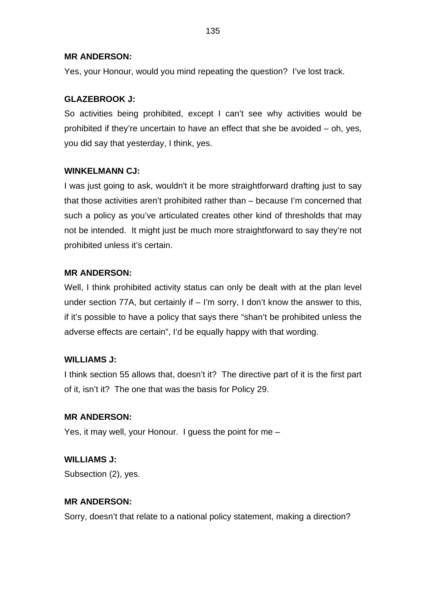## **MR ANDERSON:**

Yes, your Honour, would you mind repeating the question? I've lost track.

# **GLAZEBROOK J:**

So activities being prohibited, except I can't see why activities would be prohibited if they're uncertain to have an effect that she be avoided – oh, yes, you did say that yesterday, I think, yes.

# **WINKELMANN CJ:**

I was just going to ask, wouldn't it be more straightforward drafting just to say that those activities aren't prohibited rather than – because I'm concerned that such a policy as you've articulated creates other kind of thresholds that may not be intended. It might just be much more straightforward to say they're not prohibited unless it's certain.

# **MR ANDERSON:**

Well, I think prohibited activity status can only be dealt with at the plan level under section 77A, but certainly if – I'm sorry, I don't know the answer to this, if it's possible to have a policy that says there "shan't be prohibited unless the adverse effects are certain", I'd be equally happy with that wording.

# **WILLIAMS J:**

I think section 55 allows that, doesn't it? The directive part of it is the first part of it, isn't it? The one that was the basis for Policy 29.

# **MR ANDERSON:**

Yes, it may well, your Honour. I guess the point for me –

# **WILLIAMS J:**

Subsection (2), yes.

# **MR ANDERSON:**

Sorry, doesn't that relate to a national policy statement, making a direction?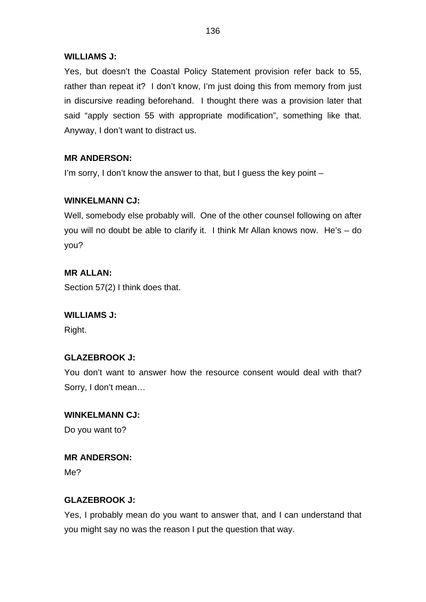## **WILLIAMS J:**

Yes, but doesn't the Coastal Policy Statement provision refer back to 55, rather than repeat it? I don't know, I'm just doing this from memory from just in discursive reading beforehand. I thought there was a provision later that said "apply section 55 with appropriate modification", something like that. Anyway, I don't want to distract us.

# **MR ANDERSON:**

I'm sorry, I don't know the answer to that, but I guess the key point –

# **WINKELMANN CJ:**

Well, somebody else probably will. One of the other counsel following on after you will no doubt be able to clarify it. I think Mr Allan knows now. He's – do you?

# **MR ALLAN:**

Section 57(2) I think does that.

# **WILLIAMS J:**

Right.

# **GLAZEBROOK J:**

You don't want to answer how the resource consent would deal with that? Sorry, I don't mean…

# **WINKELMANN CJ:**

Do you want to?

# **MR ANDERSON:**

Me?

# **GLAZEBROOK J:**

Yes, I probably mean do you want to answer that, and I can understand that you might say no was the reason I put the question that way.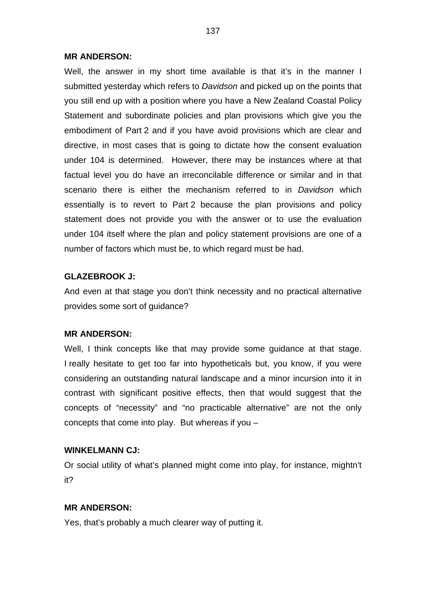#### **MR ANDERSON:**

Well, the answer in my short time available is that it's in the manner I submitted yesterday which refers to *Davidson* and picked up on the points that you still end up with a position where you have a New Zealand Coastal Policy Statement and subordinate policies and plan provisions which give you the embodiment of Part 2 and if you have avoid provisions which are clear and directive, in most cases that is going to dictate how the consent evaluation under 104 is determined. However, there may be instances where at that factual level you do have an irreconcilable difference or similar and in that scenario there is either the mechanism referred to in *Davidson* which essentially is to revert to Part 2 because the plan provisions and policy statement does not provide you with the answer or to use the evaluation under 104 itself where the plan and policy statement provisions are one of a number of factors which must be, to which regard must be had.

### **GLAZEBROOK J:**

And even at that stage you don't think necessity and no practical alternative provides some sort of guidance?

#### **MR ANDERSON:**

Well, I think concepts like that may provide some guidance at that stage. I really hesitate to get too far into hypotheticals but, you know, if you were considering an outstanding natural landscape and a minor incursion into it in contrast with significant positive effects, then that would suggest that the concepts of "necessity" and "no practicable alternative" are not the only concepts that come into play. But whereas if you –

#### **WINKELMANN CJ:**

Or social utility of what's planned might come into play, for instance, mightn't it?

#### **MR ANDERSON:**

Yes, that's probably a much clearer way of putting it.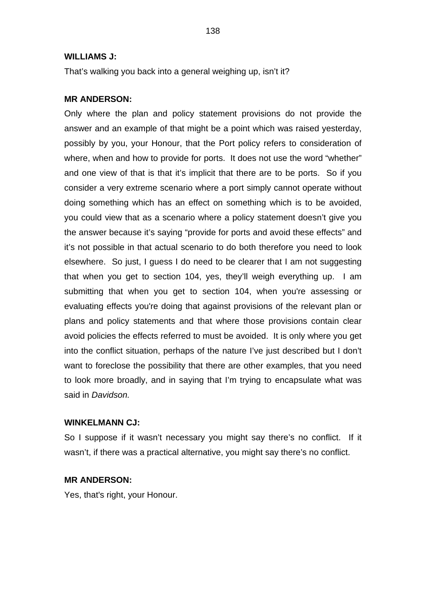#### **WILLIAMS J:**

That's walking you back into a general weighing up, isn't it?

#### **MR ANDERSON:**

Only where the plan and policy statement provisions do not provide the answer and an example of that might be a point which was raised yesterday, possibly by you, your Honour, that the Port policy refers to consideration of where, when and how to provide for ports. It does not use the word "whether" and one view of that is that it's implicit that there are to be ports. So if you consider a very extreme scenario where a port simply cannot operate without doing something which has an effect on something which is to be avoided, you could view that as a scenario where a policy statement doesn't give you the answer because it's saying "provide for ports and avoid these effects" and it's not possible in that actual scenario to do both therefore you need to look elsewhere. So just, I guess I do need to be clearer that I am not suggesting that when you get to section 104, yes, they'll weigh everything up. I am submitting that when you get to section 104, when you're assessing or evaluating effects you're doing that against provisions of the relevant plan or plans and policy statements and that where those provisions contain clear avoid policies the effects referred to must be avoided. It is only where you get into the conflict situation, perhaps of the nature I've just described but I don't want to foreclose the possibility that there are other examples, that you need to look more broadly, and in saying that I'm trying to encapsulate what was said in *Davidson.*

#### **WINKELMANN CJ:**

So I suppose if it wasn't necessary you might say there's no conflict. If it wasn't, if there was a practical alternative, you might say there's no conflict.

#### **MR ANDERSON:**

Yes, that's right, your Honour.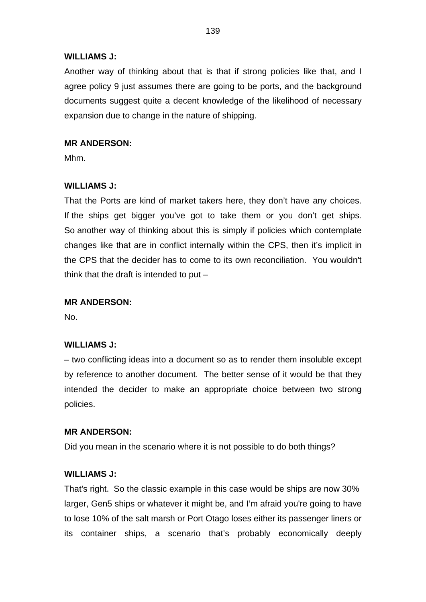### **WILLIAMS J:**

Another way of thinking about that is that if strong policies like that, and I agree policy 9 just assumes there are going to be ports, and the background documents suggest quite a decent knowledge of the likelihood of necessary expansion due to change in the nature of shipping.

## **MR ANDERSON:**

Mhm.

## **WILLIAMS J:**

That the Ports are kind of market takers here, they don't have any choices. If the ships get bigger you've got to take them or you don't get ships. So another way of thinking about this is simply if policies which contemplate changes like that are in conflict internally within the CPS, then it's implicit in the CPS that the decider has to come to its own reconciliation. You wouldn't think that the draft is intended to put  $-$ 

## **MR ANDERSON:**

No.

## **WILLIAMS J:**

– two conflicting ideas into a document so as to render them insoluble except by reference to another document. The better sense of it would be that they intended the decider to make an appropriate choice between two strong policies.

## **MR ANDERSON:**

Did you mean in the scenario where it is not possible to do both things?

## **WILLIAMS J:**

That's right. So the classic example in this case would be ships are now 30% larger, Gen5 ships or whatever it might be, and I'm afraid you're going to have to lose 10% of the salt marsh or Port Otago loses either its passenger liners or its container ships, a scenario that's probably economically deeply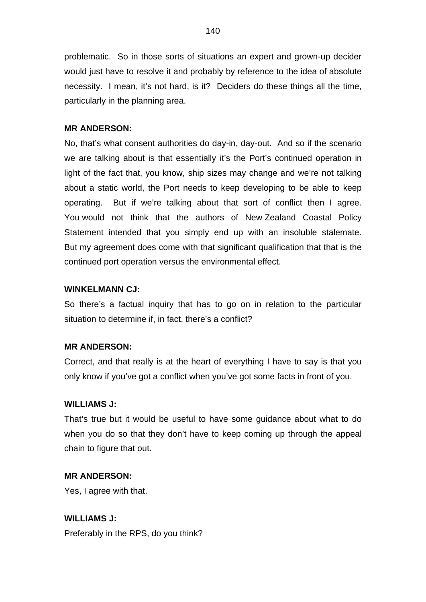problematic. So in those sorts of situations an expert and grown-up decider would just have to resolve it and probably by reference to the idea of absolute necessity. I mean, it's not hard, is it? Deciders do these things all the time, particularly in the planning area.

## **MR ANDERSON:**

No, that's what consent authorities do day-in, day-out. And so if the scenario we are talking about is that essentially it's the Port's continued operation in light of the fact that, you know, ship sizes may change and we're not talking about a static world, the Port needs to keep developing to be able to keep operating. But if we're talking about that sort of conflict then I agree. You would not think that the authors of New Zealand Coastal Policy Statement intended that you simply end up with an insoluble stalemate. But my agreement does come with that significant qualification that that is the continued port operation versus the environmental effect.

## **WINKELMANN CJ:**

So there's a factual inquiry that has to go on in relation to the particular situation to determine if, in fact, there's a conflict?

## **MR ANDERSON:**

Correct, and that really is at the heart of everything I have to say is that you only know if you've got a conflict when you've got some facts in front of you.

## **WILLIAMS J:**

That's true but it would be useful to have some guidance about what to do when you do so that they don't have to keep coming up through the appeal chain to figure that out.

## **MR ANDERSON:**

Yes, I agree with that.

**WILLIAMS J:** Preferably in the RPS, do you think?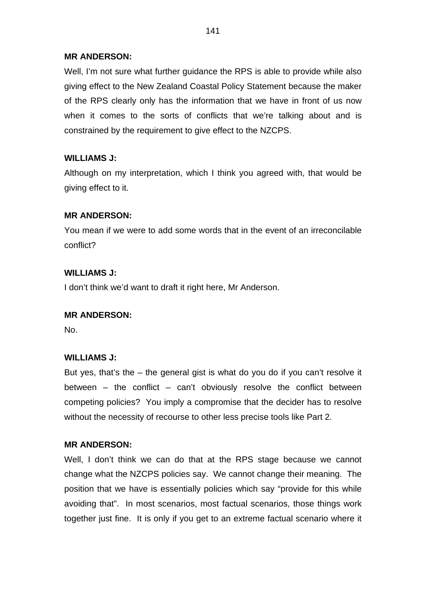## **MR ANDERSON:**

Well, I'm not sure what further guidance the RPS is able to provide while also giving effect to the New Zealand Coastal Policy Statement because the maker of the RPS clearly only has the information that we have in front of us now when it comes to the sorts of conflicts that we're talking about and is constrained by the requirement to give effect to the NZCPS.

# **WILLIAMS J:**

Although on my interpretation, which I think you agreed with, that would be giving effect to it.

## **MR ANDERSON:**

You mean if we were to add some words that in the event of an irreconcilable conflict?

## **WILLIAMS J:**

I don't think we'd want to draft it right here, Mr Anderson.

## **MR ANDERSON:**

No.

# **WILLIAMS J:**

But yes, that's the – the general gist is what do you do if you can't resolve it between – the conflict – can't obviously resolve the conflict between competing policies? You imply a compromise that the decider has to resolve without the necessity of recourse to other less precise tools like Part 2.

## **MR ANDERSON:**

Well, I don't think we can do that at the RPS stage because we cannot change what the NZCPS policies say. We cannot change their meaning. The position that we have is essentially policies which say "provide for this while avoiding that". In most scenarios, most factual scenarios, those things work together just fine. It is only if you get to an extreme factual scenario where it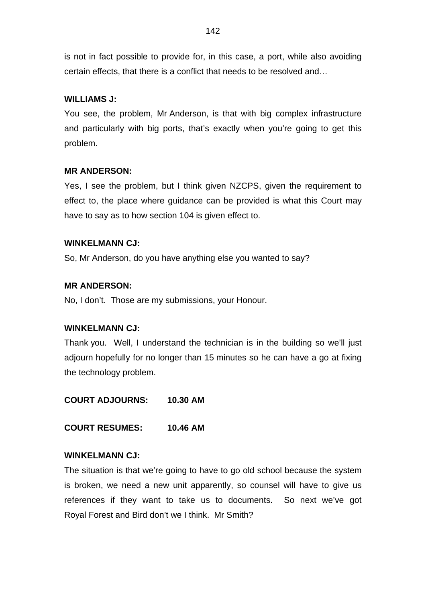is not in fact possible to provide for, in this case, a port, while also avoiding certain effects, that there is a conflict that needs to be resolved and…

## **WILLIAMS J:**

You see, the problem, Mr Anderson, is that with big complex infrastructure and particularly with big ports, that's exactly when you're going to get this problem.

## **MR ANDERSON:**

Yes, I see the problem, but I think given NZCPS, given the requirement to effect to, the place where guidance can be provided is what this Court may have to say as to how section 104 is given effect to.

## **WINKELMANN CJ:**

So, Mr Anderson, do you have anything else you wanted to say?

## **MR ANDERSON:**

No, I don't. Those are my submissions, your Honour.

# **WINKELMANN CJ:**

Thank you. Well, I understand the technician is in the building so we'll just adjourn hopefully for no longer than 15 minutes so he can have a go at fixing the technology problem.

**COURT ADJOURNS: 10.30 AM**

**COURT RESUMES: 10.46 AM**

## **WINKELMANN CJ:**

The situation is that we're going to have to go old school because the system is broken, we need a new unit apparently, so counsel will have to give us references if they want to take us to documents. So next we've got Royal Forest and Bird don't we I think. Mr Smith?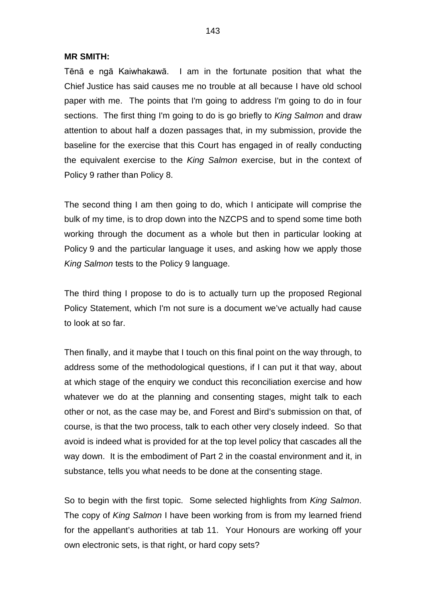#### **MR SMITH:**

Tēnā e ngā Kaiwhakawā. I am in the fortunate position that what the Chief Justice has said causes me no trouble at all because I have old school paper with me. The points that I'm going to address I'm going to do in four sections. The first thing I'm going to do is go briefly to *King Salmon* and draw attention to about half a dozen passages that, in my submission, provide the baseline for the exercise that this Court has engaged in of really conducting the equivalent exercise to the *King Salmon* exercise, but in the context of Policy 9 rather than Policy 8.

The second thing I am then going to do, which I anticipate will comprise the bulk of my time, is to drop down into the NZCPS and to spend some time both working through the document as a whole but then in particular looking at Policy 9 and the particular language it uses, and asking how we apply those *King Salmon* tests to the Policy 9 language.

The third thing I propose to do is to actually turn up the proposed Regional Policy Statement, which I'm not sure is a document we've actually had cause to look at so far.

Then finally, and it maybe that I touch on this final point on the way through, to address some of the methodological questions, if I can put it that way, about at which stage of the enquiry we conduct this reconciliation exercise and how whatever we do at the planning and consenting stages, might talk to each other or not, as the case may be, and Forest and Bird's submission on that, of course, is that the two process, talk to each other very closely indeed. So that avoid is indeed what is provided for at the top level policy that cascades all the way down. It is the embodiment of Part 2 in the coastal environment and it, in substance, tells you what needs to be done at the consenting stage.

So to begin with the first topic. Some selected highlights from *King Salmon*. The copy of *King Salmon* I have been working from is from my learned friend for the appellant's authorities at tab 11. Your Honours are working off your own electronic sets, is that right, or hard copy sets?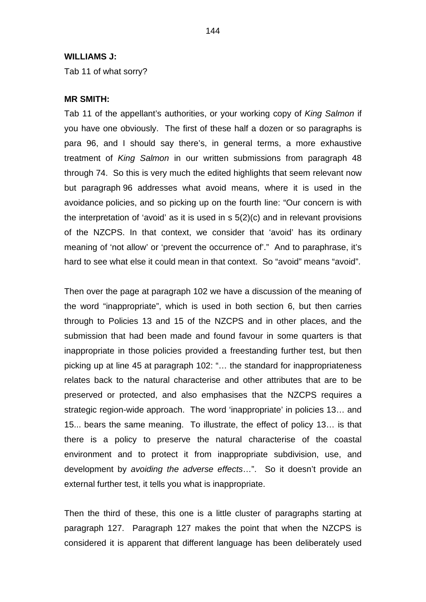#### **WILLIAMS J:**

Tab 11 of what sorry?

#### **MR SMITH:**

Tab 11 of the appellant's authorities, or your working copy of *King Salmon* if you have one obviously. The first of these half a dozen or so paragraphs is para 96, and I should say there's, in general terms, a more exhaustive treatment of *King Salmon* in our written submissions from paragraph 48 through 74. So this is very much the edited highlights that seem relevant now but paragraph 96 addresses what avoid means, where it is used in the avoidance policies, and so picking up on the fourth line: "Our concern is with the interpretation of 'avoid' as it is used in s 5(2)(c) and in relevant provisions of the NZCPS. In that context, we consider that 'avoid' has its ordinary meaning of 'not allow' or 'prevent the occurrence of'." And to paraphrase, it's hard to see what else it could mean in that context. So "avoid" means "avoid".

Then over the page at paragraph 102 we have a discussion of the meaning of the word "inappropriate", which is used in both section 6, but then carries through to Policies 13 and 15 of the NZCPS and in other places, and the submission that had been made and found favour in some quarters is that inappropriate in those policies provided a freestanding further test, but then picking up at line 45 at paragraph 102: "… the standard for inappropriateness relates back to the natural characterise and other attributes that are to be preserved or protected, and also emphasises that the NZCPS requires a strategic region-wide approach. The word 'inappropriate' in policies 13… and 15... bears the same meaning. To illustrate, the effect of policy 13… is that there is a policy to preserve the natural characterise of the coastal environment and to protect it from inappropriate subdivision, use, and development by *avoiding the adverse effects*…". So it doesn't provide an external further test, it tells you what is inappropriate.

Then the third of these, this one is a little cluster of paragraphs starting at paragraph 127. Paragraph 127 makes the point that when the NZCPS is considered it is apparent that different language has been deliberately used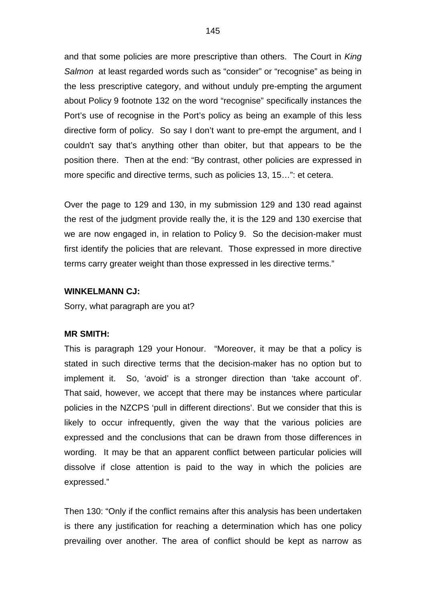and that some policies are more prescriptive than others. The Court in *King Salmon* at least regarded words such as "consider" or "recognise" as being in the less prescriptive category, and without unduly pre-empting the argument about Policy 9 footnote 132 on the word "recognise" specifically instances the Port's use of recognise in the Port's policy as being an example of this less directive form of policy. So say I don't want to pre-empt the argument, and I couldn't say that's anything other than obiter, but that appears to be the position there. Then at the end: "By contrast, other policies are expressed in more specific and directive terms, such as policies 13, 15…": et cetera.

Over the page to 129 and 130, in my submission 129 and 130 read against the rest of the judgment provide really the, it is the 129 and 130 exercise that we are now engaged in, in relation to Policy 9. So the decision-maker must first identify the policies that are relevant. Those expressed in more directive terms carry greater weight than those expressed in les directive terms."

#### **WINKELMANN CJ:**

Sorry, what paragraph are you at?

#### **MR SMITH:**

This is paragraph 129 your Honour. "Moreover, it may be that a policy is stated in such directive terms that the decision-maker has no option but to implement it. So, 'avoid' is a stronger direction than 'take account of'. That said, however, we accept that there may be instances where particular policies in the NZCPS 'pull in different directions'. But we consider that this is likely to occur infrequently, given the way that the various policies are expressed and the conclusions that can be drawn from those differences in wording. It may be that an apparent conflict between particular policies will dissolve if close attention is paid to the way in which the policies are expressed."

Then 130: "Only if the conflict remains after this analysis has been undertaken is there any justification for reaching a determination which has one policy prevailing over another. The area of conflict should be kept as narrow as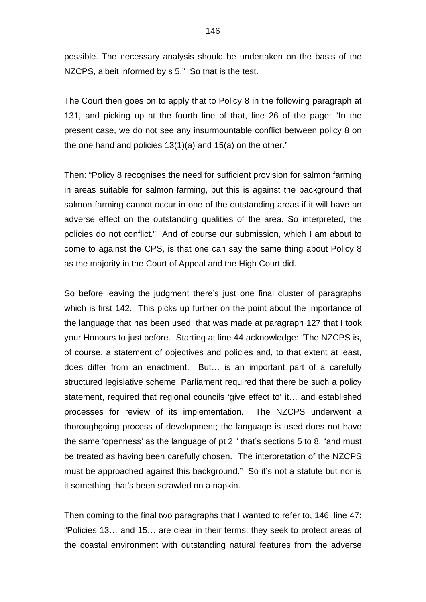possible. The necessary analysis should be undertaken on the basis of the NZCPS, albeit informed by s 5." So that is the test.

The Court then goes on to apply that to Policy 8 in the following paragraph at 131, and picking up at the fourth line of that, line 26 of the page: "In the present case, we do not see any insurmountable conflict between policy 8 on the one hand and policies 13(1)(a) and 15(a) on the other."

Then: "Policy 8 recognises the need for sufficient provision for salmon farming in areas suitable for salmon farming, but this is against the background that salmon farming cannot occur in one of the outstanding areas if it will have an adverse effect on the outstanding qualities of the area. So interpreted, the policies do not conflict." And of course our submission, which I am about to come to against the CPS, is that one can say the same thing about Policy 8 as the majority in the Court of Appeal and the High Court did.

So before leaving the judgment there's just one final cluster of paragraphs which is first 142. This picks up further on the point about the importance of the language that has been used, that was made at paragraph 127 that I took your Honours to just before. Starting at line 44 acknowledge: "The NZCPS is, of course, a statement of objectives and policies and, to that extent at least, does differ from an enactment. But… is an important part of a carefully structured legislative scheme: Parliament required that there be such a policy statement, required that regional councils 'give effect to' it… and established processes for review of its implementation. The NZCPS underwent a thoroughgoing process of development; the language is used does not have the same 'openness' as the language of pt 2," that's sections 5 to 8, "and must be treated as having been carefully chosen. The interpretation of the NZCPS must be approached against this background." So it's not a statute but nor is it something that's been scrawled on a napkin.

Then coming to the final two paragraphs that I wanted to refer to, 146, line 47: "Policies 13… and 15… are clear in their terms: they seek to protect areas of the coastal environment with outstanding natural features from the adverse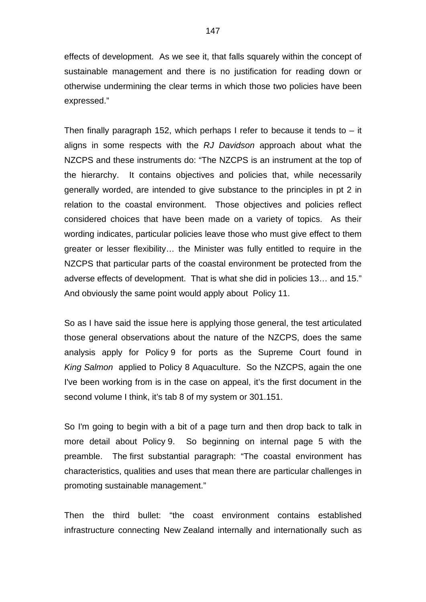effects of development. As we see it, that falls squarely within the concept of sustainable management and there is no justification for reading down or otherwise undermining the clear terms in which those two policies have been expressed."

Then finally paragraph 152, which perhaps I refer to because it tends to  $-$  it aligns in some respects with the *RJ Davidson* approach about what the NZCPS and these instruments do: "The NZCPS is an instrument at the top of the hierarchy. It contains objectives and policies that, while necessarily generally worded, are intended to give substance to the principles in pt 2 in relation to the coastal environment. Those objectives and policies reflect considered choices that have been made on a variety of topics. As their wording indicates, particular policies leave those who must give effect to them greater or lesser flexibility… the Minister was fully entitled to require in the NZCPS that particular parts of the coastal environment be protected from the adverse effects of development. That is what she did in policies 13… and 15." And obviously the same point would apply about Policy 11.

So as I have said the issue here is applying those general, the test articulated those general observations about the nature of the NZCPS, does the same analysis apply for Policy 9 for ports as the Supreme Court found in *King Salmon* applied to Policy 8 Aquaculture. So the NZCPS, again the one I've been working from is in the case on appeal, it's the first document in the second volume I think, it's tab 8 of my system or 301.151.

So I'm going to begin with a bit of a page turn and then drop back to talk in more detail about Policy 9. So beginning on internal page 5 with the preamble. The first substantial paragraph: "The coastal environment has characteristics, qualities and uses that mean there are particular challenges in promoting sustainable management."

Then the third bullet: "the coast environment contains established infrastructure connecting New Zealand internally and internationally such as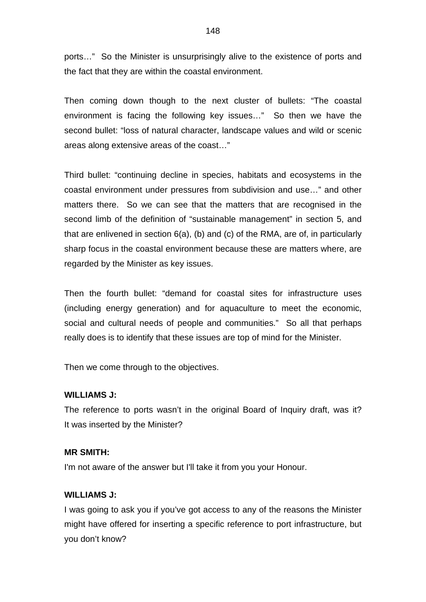ports…" So the Minister is unsurprisingly alive to the existence of ports and the fact that they are within the coastal environment.

Then coming down though to the next cluster of bullets: "The coastal environment is facing the following key issues…" So then we have the second bullet: "loss of natural character, landscape values and wild or scenic areas along extensive areas of the coast…"

Third bullet: "continuing decline in species, habitats and ecosystems in the coastal environment under pressures from subdivision and use…" and other matters there. So we can see that the matters that are recognised in the second limb of the definition of "sustainable management" in section 5, and that are enlivened in section 6(a), (b) and (c) of the RMA, are of, in particularly sharp focus in the coastal environment because these are matters where, are regarded by the Minister as key issues.

Then the fourth bullet: "demand for coastal sites for infrastructure uses (including energy generation) and for aquaculture to meet the economic, social and cultural needs of people and communities." So all that perhaps really does is to identify that these issues are top of mind for the Minister.

Then we come through to the objectives.

## **WILLIAMS J:**

The reference to ports wasn't in the original Board of Inquiry draft, was it? It was inserted by the Minister?

## **MR SMITH:**

I'm not aware of the answer but I'll take it from you your Honour.

## **WILLIAMS J:**

I was going to ask you if you've got access to any of the reasons the Minister might have offered for inserting a specific reference to port infrastructure, but you don't know?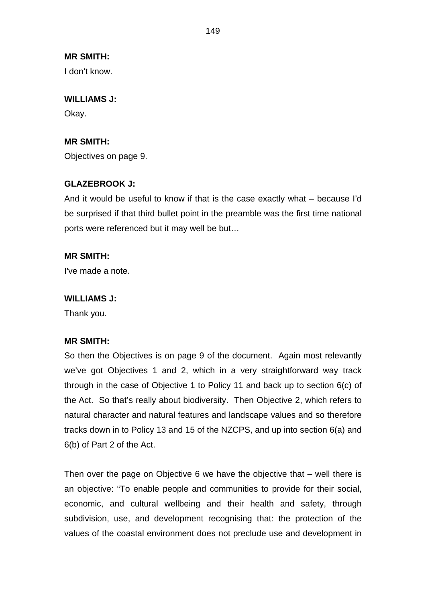I don't know.

#### **WILLIAMS J:**

Okay.

## **MR SMITH:**

Objectives on page 9.

## **GLAZEBROOK J:**

And it would be useful to know if that is the case exactly what – because I'd be surprised if that third bullet point in the preamble was the first time national ports were referenced but it may well be but…

## **MR SMITH:**

I've made a note.

#### **WILLIAMS J:**

Thank you.

## **MR SMITH:**

So then the Objectives is on page 9 of the document. Again most relevantly we've got Objectives 1 and 2, which in a very straightforward way track through in the case of Objective 1 to Policy 11 and back up to section 6(c) of the Act. So that's really about biodiversity. Then Objective 2, which refers to natural character and natural features and landscape values and so therefore tracks down in to Policy 13 and 15 of the NZCPS, and up into section 6(a) and 6(b) of Part 2 of the Act.

Then over the page on Objective 6 we have the objective that – well there is an objective: "To enable people and communities to provide for their social, economic, and cultural wellbeing and their health and safety, through subdivision, use, and development recognising that: the protection of the values of the coastal environment does not preclude use and development in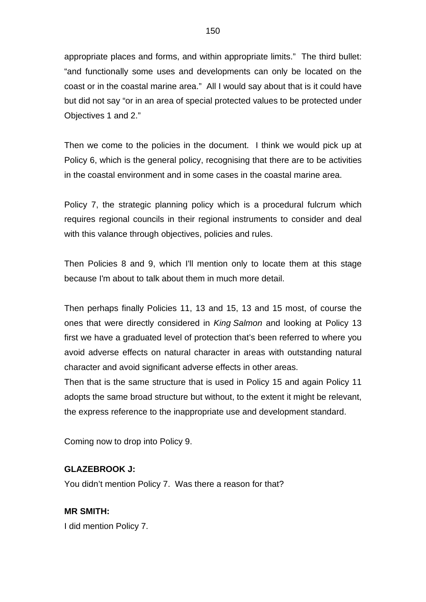appropriate places and forms, and within appropriate limits." The third bullet: "and functionally some uses and developments can only be located on the coast or in the coastal marine area." All I would say about that is it could have but did not say "or in an area of special protected values to be protected under Objectives 1 and 2."

Then we come to the policies in the document. I think we would pick up at Policy 6, which is the general policy, recognising that there are to be activities in the coastal environment and in some cases in the coastal marine area.

Policy 7, the strategic planning policy which is a procedural fulcrum which requires regional councils in their regional instruments to consider and deal with this valance through objectives, policies and rules.

Then Policies 8 and 9, which I'll mention only to locate them at this stage because I'm about to talk about them in much more detail.

Then perhaps finally Policies 11, 13 and 15, 13 and 15 most, of course the ones that were directly considered in *King Salmon* and looking at Policy 13 first we have a graduated level of protection that's been referred to where you avoid adverse effects on natural character in areas with outstanding natural character and avoid significant adverse effects in other areas.

Then that is the same structure that is used in Policy 15 and again Policy 11 adopts the same broad structure but without, to the extent it might be relevant, the express reference to the inappropriate use and development standard.

Coming now to drop into Policy 9.

## **GLAZEBROOK J:**

You didn't mention Policy 7. Was there a reason for that?

**MR SMITH:** I did mention Policy 7.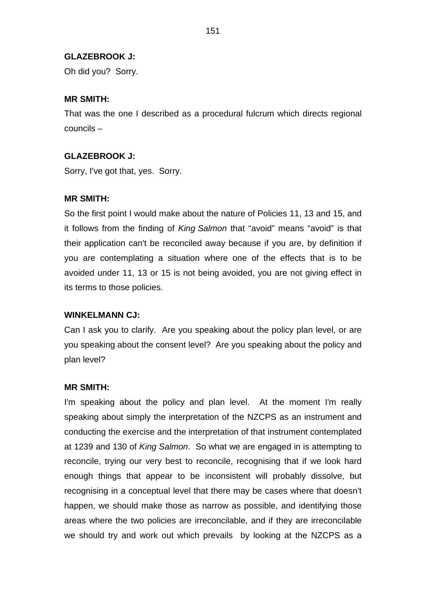#### **GLAZEBROOK J:**

Oh did you? Sorry.

#### **MR SMITH:**

That was the one I described as a procedural fulcrum which directs regional councils –

#### **GLAZEBROOK J:**

Sorry, I've got that, yes. Sorry.

#### **MR SMITH:**

So the first point I would make about the nature of Policies 11, 13 and 15, and it follows from the finding of *King Salmon* that "avoid" means "avoid" is that their application can't be reconciled away because if you are, by definition if you are contemplating a situation where one of the effects that is to be avoided under 11, 13 or 15 is not being avoided, you are not giving effect in its terms to those policies.

#### **WINKELMANN CJ:**

Can I ask you to clarify. Are you speaking about the policy plan level, or are you speaking about the consent level? Are you speaking about the policy and plan level?

#### **MR SMITH:**

I'm speaking about the policy and plan level. At the moment I'm really speaking about simply the interpretation of the NZCPS as an instrument and conducting the exercise and the interpretation of that instrument contemplated at 1239 and 130 of *King Salmon*. So what we are engaged in is attempting to reconcile, trying our very best to reconcile, recognising that if we look hard enough things that appear to be inconsistent will probably dissolve, but recognising in a conceptual level that there may be cases where that doesn't happen, we should make those as narrow as possible, and identifying those areas where the two policies are irreconcilable, and if they are irreconcilable we should try and work out which prevails by looking at the NZCPS as a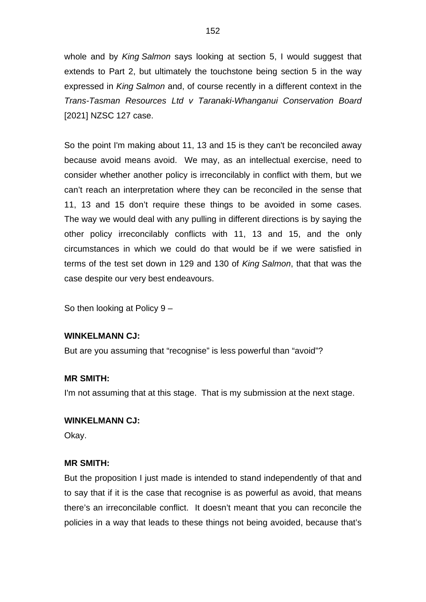whole and by *King Salmon* says looking at section 5, I would suggest that extends to Part 2, but ultimately the touchstone being section 5 in the way expressed in *King Salmon* and, of course recently in a different context in the *Trans-Tasman Resources Ltd v Taranaki-Whanganui Conservation Board* [2021] NZSC 127 case.

So the point I'm making about 11, 13 and 15 is they can't be reconciled away because avoid means avoid. We may, as an intellectual exercise, need to consider whether another policy is irreconcilably in conflict with them, but we can't reach an interpretation where they can be reconciled in the sense that 11, 13 and 15 don't require these things to be avoided in some cases. The way we would deal with any pulling in different directions is by saying the other policy irreconcilably conflicts with 11, 13 and 15, and the only circumstances in which we could do that would be if we were satisfied in terms of the test set down in 129 and 130 of *King Salmon*, that that was the case despite our very best endeavours.

So then looking at Policy 9 –

## **WINKELMANN CJ:**

But are you assuming that "recognise" is less powerful than "avoid"?

## **MR SMITH:**

I'm not assuming that at this stage. That is my submission at the next stage.

#### **WINKELMANN CJ:**

Okay.

## **MR SMITH:**

But the proposition I just made is intended to stand independently of that and to say that if it is the case that recognise is as powerful as avoid, that means there's an irreconcilable conflict. It doesn't meant that you can reconcile the policies in a way that leads to these things not being avoided, because that's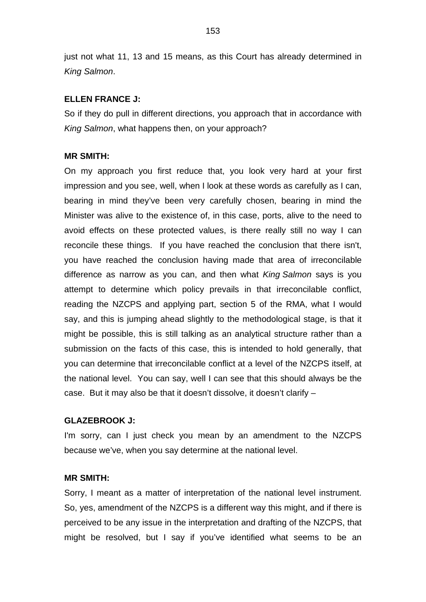just not what 11, 13 and 15 means, as this Court has already determined in *King Salmon*.

#### **ELLEN FRANCE J:**

So if they do pull in different directions, you approach that in accordance with *King Salmon*, what happens then, on your approach?

#### **MR SMITH:**

On my approach you first reduce that, you look very hard at your first impression and you see, well, when I look at these words as carefully as I can, bearing in mind they've been very carefully chosen, bearing in mind the Minister was alive to the existence of, in this case, ports, alive to the need to avoid effects on these protected values, is there really still no way I can reconcile these things. If you have reached the conclusion that there isn't, you have reached the conclusion having made that area of irreconcilable difference as narrow as you can, and then what *King Salmon* says is you attempt to determine which policy prevails in that irreconcilable conflict, reading the NZCPS and applying part, section 5 of the RMA, what I would say, and this is jumping ahead slightly to the methodological stage, is that it might be possible, this is still talking as an analytical structure rather than a submission on the facts of this case, this is intended to hold generally, that you can determine that irreconcilable conflict at a level of the NZCPS itself, at the national level. You can say, well I can see that this should always be the case. But it may also be that it doesn't dissolve, it doesn't clarify –

#### **GLAZEBROOK J:**

I'm sorry, can I just check you mean by an amendment to the NZCPS because we've, when you say determine at the national level.

#### **MR SMITH:**

Sorry, I meant as a matter of interpretation of the national level instrument. So, yes, amendment of the NZCPS is a different way this might, and if there is perceived to be any issue in the interpretation and drafting of the NZCPS, that might be resolved, but I say if you've identified what seems to be an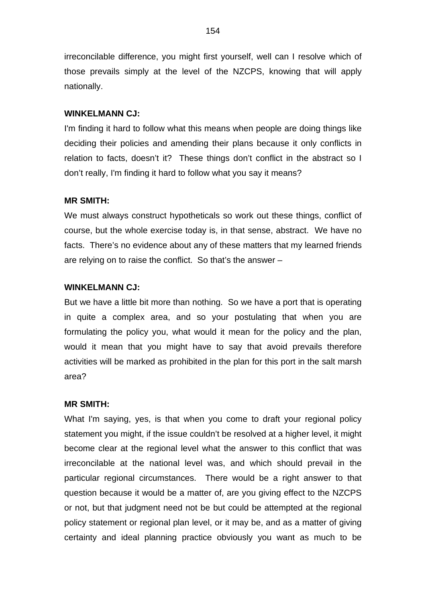irreconcilable difference, you might first yourself, well can I resolve which of those prevails simply at the level of the NZCPS, knowing that will apply nationally.

#### **WINKELMANN CJ:**

I'm finding it hard to follow what this means when people are doing things like deciding their policies and amending their plans because it only conflicts in relation to facts, doesn't it? These things don't conflict in the abstract so I don't really, I'm finding it hard to follow what you say it means?

## **MR SMITH:**

We must always construct hypotheticals so work out these things, conflict of course, but the whole exercise today is, in that sense, abstract. We have no facts. There's no evidence about any of these matters that my learned friends are relying on to raise the conflict. So that's the answer –

## **WINKELMANN CJ:**

But we have a little bit more than nothing. So we have a port that is operating in quite a complex area, and so your postulating that when you are formulating the policy you, what would it mean for the policy and the plan, would it mean that you might have to say that avoid prevails therefore activities will be marked as prohibited in the plan for this port in the salt marsh area?

### **MR SMITH:**

What I'm saying, yes, is that when you come to draft your regional policy statement you might, if the issue couldn't be resolved at a higher level, it might become clear at the regional level what the answer to this conflict that was irreconcilable at the national level was, and which should prevail in the particular regional circumstances. There would be a right answer to that question because it would be a matter of, are you giving effect to the NZCPS or not, but that judgment need not be but could be attempted at the regional policy statement or regional plan level, or it may be, and as a matter of giving certainty and ideal planning practice obviously you want as much to be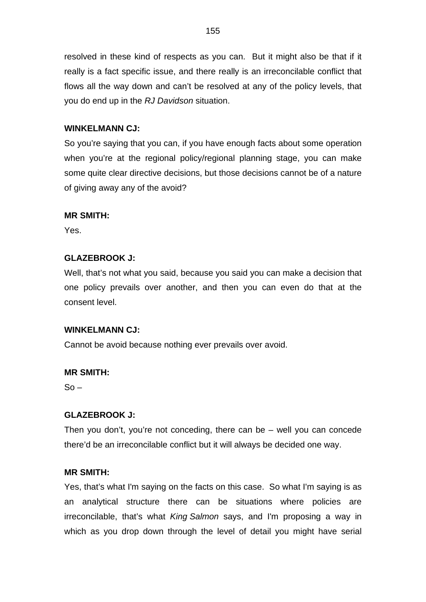resolved in these kind of respects as you can. But it might also be that if it really is a fact specific issue, and there really is an irreconcilable conflict that flows all the way down and can't be resolved at any of the policy levels, that you do end up in the *RJ Davidson* situation.

## **WINKELMANN CJ:**

So you're saying that you can, if you have enough facts about some operation when you're at the regional policy/regional planning stage, you can make some quite clear directive decisions, but those decisions cannot be of a nature of giving away any of the avoid?

## **MR SMITH:**

Yes.

## **GLAZEBROOK J:**

Well, that's not what you said, because you said you can make a decision that one policy prevails over another, and then you can even do that at the consent level.

## **WINKELMANN CJ:**

Cannot be avoid because nothing ever prevails over avoid.

## **MR SMITH:**

 $So -$ 

## **GLAZEBROOK J:**

Then you don't, you're not conceding, there can be – well you can concede there'd be an irreconcilable conflict but it will always be decided one way.

## **MR SMITH:**

Yes, that's what I'm saying on the facts on this case. So what I'm saying is as an analytical structure there can be situations where policies are irreconcilable, that's what *King Salmon* says, and I'm proposing a way in which as you drop down through the level of detail you might have serial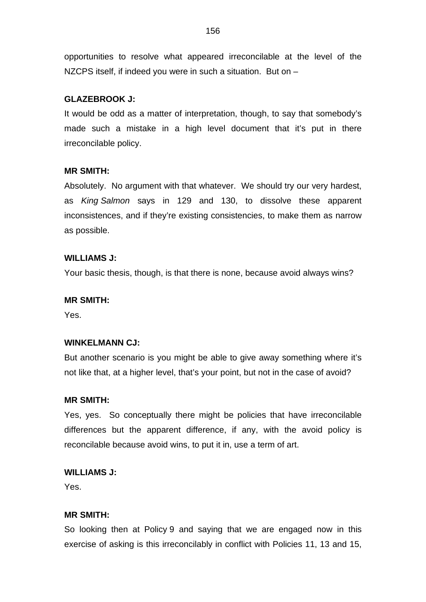opportunities to resolve what appeared irreconcilable at the level of the NZCPS itself, if indeed you were in such a situation. But on –

## **GLAZEBROOK J:**

It would be odd as a matter of interpretation, though, to say that somebody's made such a mistake in a high level document that it's put in there irreconcilable policy.

## **MR SMITH:**

Absolutely. No argument with that whatever. We should try our very hardest, as *King Salmon* says in 129 and 130, to dissolve these apparent inconsistences, and if they're existing consistencies, to make them as narrow as possible.

## **WILLIAMS J:**

Your basic thesis, though, is that there is none, because avoid always wins?

## **MR SMITH:**

Yes.

## **WINKELMANN CJ:**

But another scenario is you might be able to give away something where it's not like that, at a higher level, that's your point, but not in the case of avoid?

## **MR SMITH:**

Yes, yes. So conceptually there might be policies that have irreconcilable differences but the apparent difference, if any, with the avoid policy is reconcilable because avoid wins, to put it in, use a term of art.

## **WILLIAMS J:**

Yes.

## **MR SMITH:**

So looking then at Policy 9 and saying that we are engaged now in this exercise of asking is this irreconcilably in conflict with Policies 11, 13 and 15,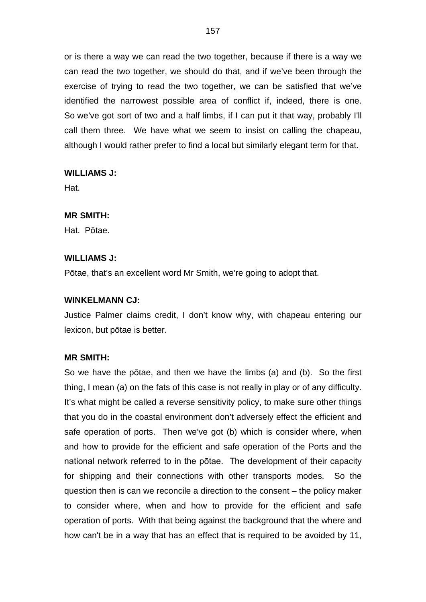or is there a way we can read the two together, because if there is a way we can read the two together, we should do that, and if we've been through the exercise of trying to read the two together, we can be satisfied that we've identified the narrowest possible area of conflict if, indeed, there is one. So we've got sort of two and a half limbs, if I can put it that way, probably I'll call them three. We have what we seem to insist on calling the chapeau, although I would rather prefer to find a local but similarly elegant term for that.

## **WILLIAMS J:**

Hat.

#### **MR SMITH:**

Hat. Pōtae.

#### **WILLIAMS J:**

Pōtae, that's an excellent word Mr Smith, we're going to adopt that.

#### **WINKELMANN CJ:**

Justice Palmer claims credit, I don't know why, with chapeau entering our lexicon, but pōtae is better.

#### **MR SMITH:**

So we have the pōtae, and then we have the limbs (a) and (b). So the first thing, I mean (a) on the fats of this case is not really in play or of any difficulty. It's what might be called a reverse sensitivity policy, to make sure other things that you do in the coastal environment don't adversely effect the efficient and safe operation of ports. Then we've got (b) which is consider where, when and how to provide for the efficient and safe operation of the Ports and the national network referred to in the pōtae. The development of their capacity for shipping and their connections with other transports modes. So the question then is can we reconcile a direction to the consent – the policy maker to consider where, when and how to provide for the efficient and safe operation of ports. With that being against the background that the where and how can't be in a way that has an effect that is required to be avoided by 11,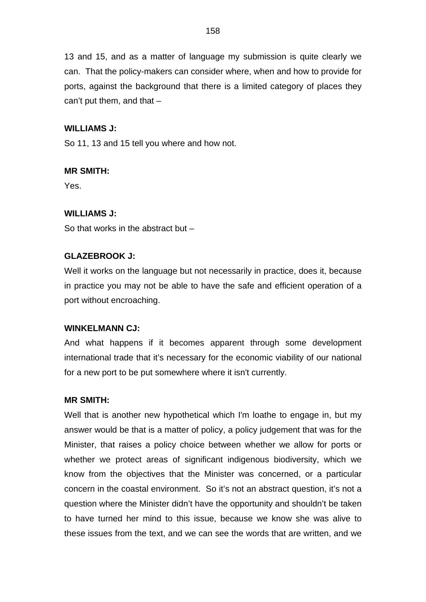13 and 15, and as a matter of language my submission is quite clearly we can. That the policy-makers can consider where, when and how to provide for ports, against the background that there is a limited category of places they can't put them, and that –

## **WILLIAMS J:**

So 11, 13 and 15 tell you where and how not.

## **MR SMITH:**

Yes.

## **WILLIAMS J:**

So that works in the abstract but –

## **GLAZEBROOK J:**

Well it works on the language but not necessarily in practice, does it, because in practice you may not be able to have the safe and efficient operation of a port without encroaching.

#### **WINKELMANN CJ:**

And what happens if it becomes apparent through some development international trade that it's necessary for the economic viability of our national for a new port to be put somewhere where it isn't currently.

#### **MR SMITH:**

Well that is another new hypothetical which I'm loathe to engage in, but my answer would be that is a matter of policy, a policy judgement that was for the Minister, that raises a policy choice between whether we allow for ports or whether we protect areas of significant indigenous biodiversity, which we know from the objectives that the Minister was concerned, or a particular concern in the coastal environment. So it's not an abstract question, it's not a question where the Minister didn't have the opportunity and shouldn't be taken to have turned her mind to this issue, because we know she was alive to these issues from the text, and we can see the words that are written, and we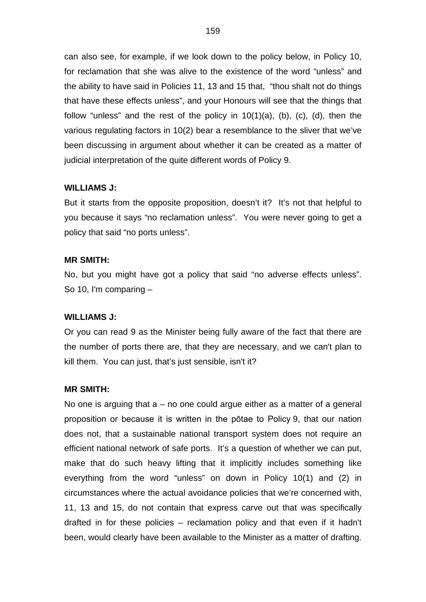can also see, for example, if we look down to the policy below, in Policy 10, for reclamation that she was alive to the existence of the word "unless" and the ability to have said in Policies 11, 13 and 15 that, "thou shalt not do things that have these effects unless", and your Honours will see that the things that follow "unless" and the rest of the policy in 10(1)(a), (b), (c), (d), then the various regulating factors in 10(2) bear a resemblance to the sliver that we've been discussing in argument about whether it can be created as a matter of judicial interpretation of the quite different words of Policy 9.

### **WILLIAMS J:**

But it starts from the opposite proposition, doesn't it? It's not that helpful to you because it says "no reclamation unless". You were never going to get a policy that said "no ports unless".

#### **MR SMITH:**

No, but you might have got a policy that said "no adverse effects unless". So 10, I'm comparing –

#### **WILLIAMS J:**

Or you can read 9 as the Minister being fully aware of the fact that there are the number of ports there are, that they are necessary, and we can't plan to kill them. You can just, that's just sensible, isn't it?

#### **MR SMITH:**

No one is arguing that  $a - no$  one could argue either as a matter of a general proposition or because it is written in the pōtae to Policy 9, that our nation does not, that a sustainable national transport system does not require an efficient national network of safe ports. It's a question of whether we can put, make that do such heavy lifting that it implicitly includes something like everything from the word "unless" on down in Policy 10(1) and (2) in circumstances where the actual avoidance policies that we're concerned with, 11, 13 and 15, do not contain that express carve out that was specifically drafted in for these policies – reclamation policy and that even if it hadn't been, would clearly have been available to the Minister as a matter of drafting.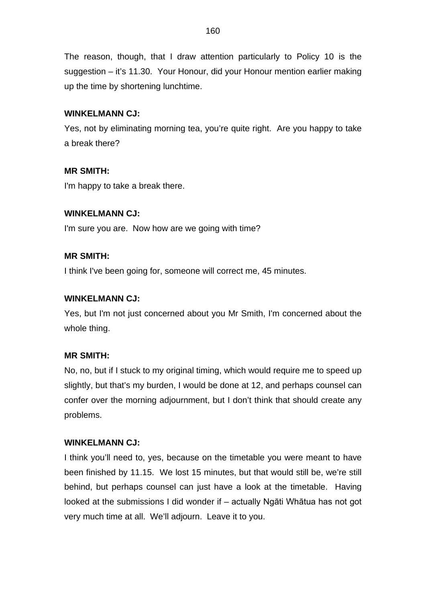The reason, though, that I draw attention particularly to Policy 10 is the suggestion – it's 11.30. Your Honour, did your Honour mention earlier making up the time by shortening lunchtime.

## **WINKELMANN CJ:**

Yes, not by eliminating morning tea, you're quite right. Are you happy to take a break there?

## **MR SMITH:**

I'm happy to take a break there.

## **WINKELMANN CJ:**

I'm sure you are. Now how are we going with time?

## **MR SMITH:**

I think I've been going for, someone will correct me, 45 minutes.

## **WINKELMANN CJ:**

Yes, but I'm not just concerned about you Mr Smith, I'm concerned about the whole thing.

#### **MR SMITH:**

No, no, but if I stuck to my original timing, which would require me to speed up slightly, but that's my burden, I would be done at 12, and perhaps counsel can confer over the morning adjournment, but I don't think that should create any problems.

#### **WINKELMANN CJ:**

I think you'll need to, yes, because on the timetable you were meant to have been finished by 11.15. We lost 15 minutes, but that would still be, we're still behind, but perhaps counsel can just have a look at the timetable. Having looked at the submissions I did wonder if – actually Ngāti Whātua has not got very much time at all. We'll adjourn. Leave it to you.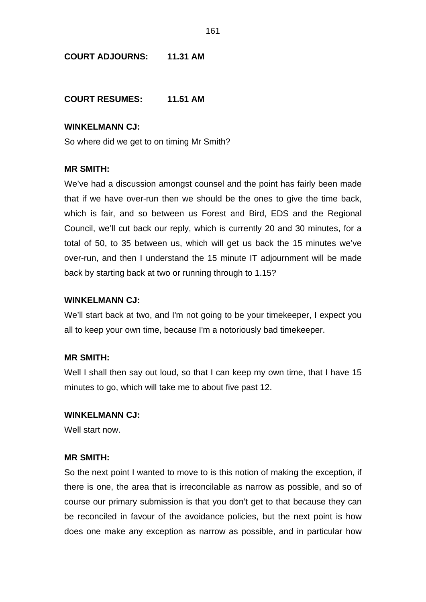## **COURT ADJOURNS: 11.31 AM**

**COURT RESUMES: 11.51 AM**

#### **WINKELMANN CJ:**

So where did we get to on timing Mr Smith?

## **MR SMITH:**

We've had a discussion amongst counsel and the point has fairly been made that if we have over-run then we should be the ones to give the time back, which is fair, and so between us Forest and Bird, EDS and the Regional Council, we'll cut back our reply, which is currently 20 and 30 minutes, for a total of 50, to 35 between us, which will get us back the 15 minutes we've over-run, and then I understand the 15 minute IT adjournment will be made back by starting back at two or running through to 1.15?

#### **WINKELMANN CJ:**

We'll start back at two, and I'm not going to be your timekeeper, I expect you all to keep your own time, because I'm a notoriously bad timekeeper.

#### **MR SMITH:**

Well I shall then say out loud, so that I can keep my own time, that I have 15 minutes to go, which will take me to about five past 12.

#### **WINKELMANN CJ:**

Well start now.

#### **MR SMITH:**

So the next point I wanted to move to is this notion of making the exception, if there is one, the area that is irreconcilable as narrow as possible, and so of course our primary submission is that you don't get to that because they can be reconciled in favour of the avoidance policies, but the next point is how does one make any exception as narrow as possible, and in particular how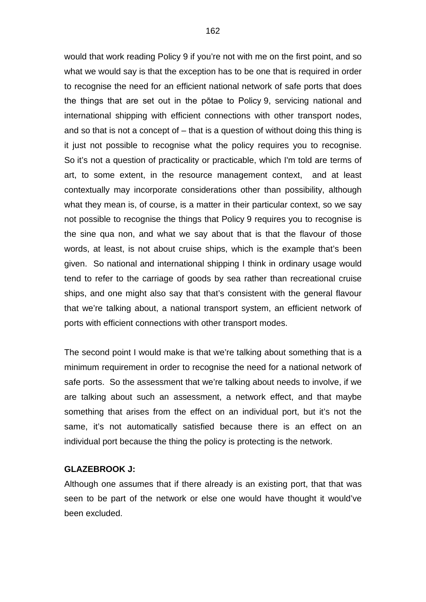would that work reading Policy 9 if you're not with me on the first point, and so what we would say is that the exception has to be one that is required in order to recognise the need for an efficient national network of safe ports that does the things that are set out in the pōtae to Policy 9, servicing national and international shipping with efficient connections with other transport nodes, and so that is not a concept of  $-$  that is a question of without doing this thing is it just not possible to recognise what the policy requires you to recognise. So it's not a question of practicality or practicable, which I'm told are terms of art, to some extent, in the resource management context, and at least contextually may incorporate considerations other than possibility, although what they mean is, of course, is a matter in their particular context, so we say not possible to recognise the things that Policy 9 requires you to recognise is the sine qua non, and what we say about that is that the flavour of those words, at least, is not about cruise ships, which is the example that's been given. So national and international shipping I think in ordinary usage would tend to refer to the carriage of goods by sea rather than recreational cruise ships, and one might also say that that's consistent with the general flavour that we're talking about, a national transport system, an efficient network of ports with efficient connections with other transport modes.

The second point I would make is that we're talking about something that is a minimum requirement in order to recognise the need for a national network of safe ports. So the assessment that we're talking about needs to involve, if we are talking about such an assessment, a network effect, and that maybe something that arises from the effect on an individual port, but it's not the same, it's not automatically satisfied because there is an effect on an individual port because the thing the policy is protecting is the network.

#### **GLAZEBROOK J:**

Although one assumes that if there already is an existing port, that that was seen to be part of the network or else one would have thought it would've been excluded.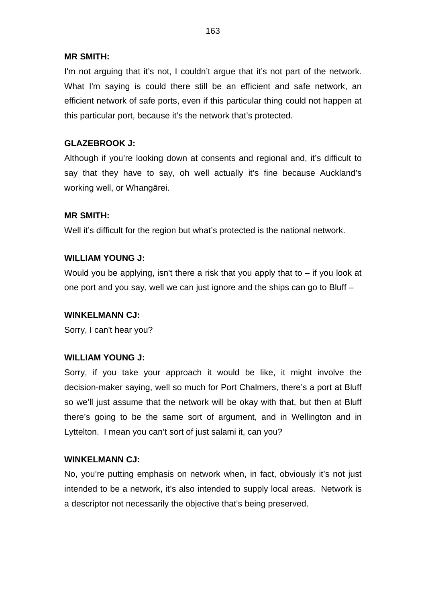I'm not arguing that it's not, I couldn't argue that it's not part of the network. What I'm saying is could there still be an efficient and safe network, an efficient network of safe ports, even if this particular thing could not happen at this particular port, because it's the network that's protected.

## **GLAZEBROOK J:**

Although if you're looking down at consents and regional and, it's difficult to say that they have to say, oh well actually it's fine because Auckland's working well, or Whangārei.

## **MR SMITH:**

Well it's difficult for the region but what's protected is the national network.

## **WILLIAM YOUNG J:**

Would you be applying, isn't there a risk that you apply that to – if you look at one port and you say, well we can just ignore and the ships can go to Bluff –

#### **WINKELMANN CJ:**

Sorry, I can't hear you?

#### **WILLIAM YOUNG J:**

Sorry, if you take your approach it would be like, it might involve the decision-maker saying, well so much for Port Chalmers, there's a port at Bluff so we'll just assume that the network will be okay with that, but then at Bluff there's going to be the same sort of argument, and in Wellington and in Lyttelton. I mean you can't sort of just salami it, can you?

#### **WINKELMANN CJ:**

No, you're putting emphasis on network when, in fact, obviously it's not just intended to be a network, it's also intended to supply local areas. Network is a descriptor not necessarily the objective that's being preserved.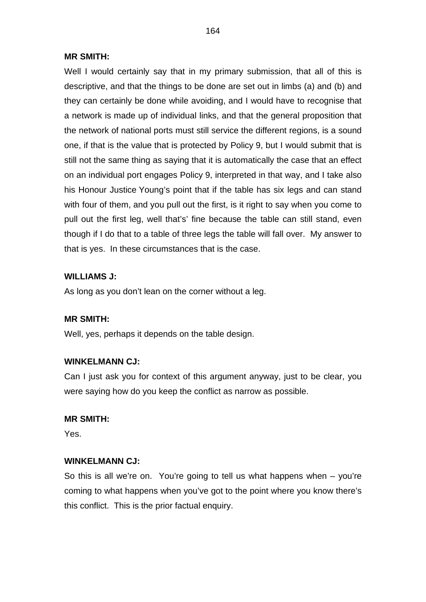Well I would certainly say that in my primary submission, that all of this is descriptive, and that the things to be done are set out in limbs (a) and (b) and they can certainly be done while avoiding, and I would have to recognise that a network is made up of individual links, and that the general proposition that the network of national ports must still service the different regions, is a sound one, if that is the value that is protected by Policy 9, but I would submit that is still not the same thing as saying that it is automatically the case that an effect on an individual port engages Policy 9, interpreted in that way, and I take also his Honour Justice Young's point that if the table has six legs and can stand with four of them, and you pull out the first, is it right to say when you come to pull out the first leg, well that's' fine because the table can still stand, even though if I do that to a table of three legs the table will fall over. My answer to that is yes. In these circumstances that is the case.

## **WILLIAMS J:**

As long as you don't lean on the corner without a leg.

#### **MR SMITH:**

Well, yes, perhaps it depends on the table design.

#### **WINKELMANN CJ:**

Can I just ask you for context of this argument anyway, just to be clear, you were saying how do you keep the conflict as narrow as possible.

#### **MR SMITH:**

Yes.

#### **WINKELMANN CJ:**

So this is all we're on. You're going to tell us what happens when – you're coming to what happens when you've got to the point where you know there's this conflict. This is the prior factual enquiry.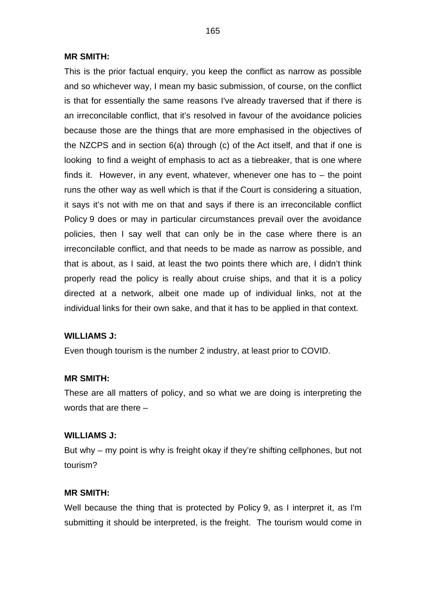This is the prior factual enquiry, you keep the conflict as narrow as possible and so whichever way, I mean my basic submission, of course, on the conflict is that for essentially the same reasons I've already traversed that if there is an irreconcilable conflict, that it's resolved in favour of the avoidance policies because those are the things that are more emphasised in the objectives of the NZCPS and in section 6(a) through (c) of the Act itself, and that if one is looking to find a weight of emphasis to act as a tiebreaker, that is one where finds it. However, in any event, whatever, whenever one has to  $-$  the point runs the other way as well which is that if the Court is considering a situation, it says it's not with me on that and says if there is an irreconcilable conflict Policy 9 does or may in particular circumstances prevail over the avoidance policies, then I say well that can only be in the case where there is an irreconcilable conflict, and that needs to be made as narrow as possible, and that is about, as I said, at least the two points there which are, I didn't think properly read the policy is really about cruise ships, and that it is a policy directed at a network, albeit one made up of individual links, not at the individual links for their own sake, and that it has to be applied in that context.

#### **WILLIAMS J:**

Even though tourism is the number 2 industry, at least prior to COVID.

#### **MR SMITH:**

These are all matters of policy, and so what we are doing is interpreting the words that are there –

#### **WILLIAMS J:**

But why – my point is why is freight okay if they're shifting cellphones, but not tourism?

## **MR SMITH:**

Well because the thing that is protected by Policy 9, as I interpret it, as I'm submitting it should be interpreted, is the freight. The tourism would come in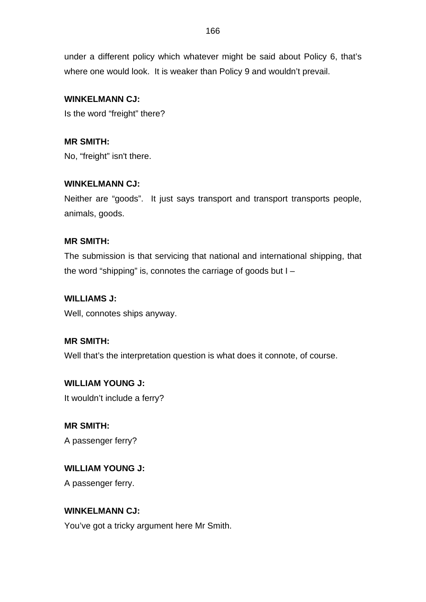under a different policy which whatever might be said about Policy 6, that's where one would look. It is weaker than Policy 9 and wouldn't prevail.

## **WINKELMANN CJ:**

Is the word "freight" there?

**MR SMITH:** No, "freight" isn't there.

## **WINKELMANN CJ:**

Neither are "goods". It just says transport and transport transports people, animals, goods.

## **MR SMITH:**

The submission is that servicing that national and international shipping, that the word "shipping" is, connotes the carriage of goods but  $I -$ 

## **WILLIAMS J:**

Well, connotes ships anyway.

**MR SMITH:**

Well that's the interpretation question is what does it connote, of course.

**WILLIAM YOUNG J:** It wouldn't include a ferry?

**MR SMITH:** A passenger ferry?

**WILLIAM YOUNG J:**

A passenger ferry.

## **WINKELMANN CJ:**

You've got a tricky argument here Mr Smith.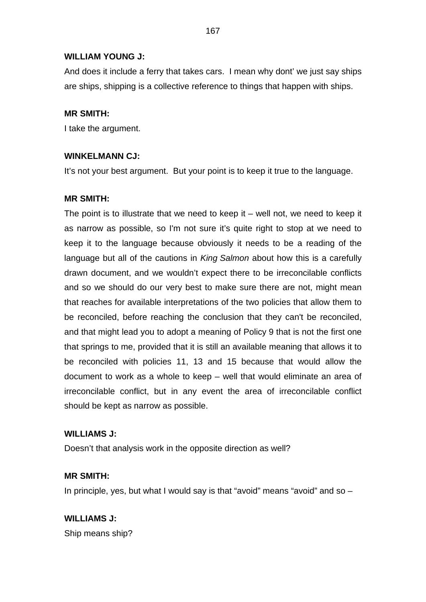## **WILLIAM YOUNG J:**

And does it include a ferry that takes cars. I mean why dont' we just say ships are ships, shipping is a collective reference to things that happen with ships.

## **MR SMITH:**

I take the argument.

## **WINKELMANN CJ:**

It's not your best argument. But your point is to keep it true to the language.

## **MR SMITH:**

The point is to illustrate that we need to keep it  $-$  well not, we need to keep it as narrow as possible, so I'm not sure it's quite right to stop at we need to keep it to the language because obviously it needs to be a reading of the language but all of the cautions in *King Salmon* about how this is a carefully drawn document, and we wouldn't expect there to be irreconcilable conflicts and so we should do our very best to make sure there are not, might mean that reaches for available interpretations of the two policies that allow them to be reconciled, before reaching the conclusion that they can't be reconciled, and that might lead you to adopt a meaning of Policy 9 that is not the first one that springs to me, provided that it is still an available meaning that allows it to be reconciled with policies 11, 13 and 15 because that would allow the document to work as a whole to keep – well that would eliminate an area of irreconcilable conflict, but in any event the area of irreconcilable conflict should be kept as narrow as possible.

## **WILLIAMS J:**

Doesn't that analysis work in the opposite direction as well?

## **MR SMITH:**

In principle, yes, but what I would say is that "avoid" means "avoid" and so  $-$ 

**WILLIAMS J:** Ship means ship?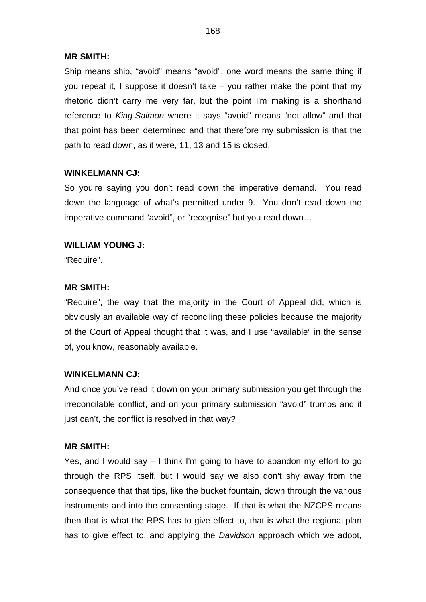Ship means ship, "avoid" means "avoid", one word means the same thing if you repeat it, I suppose it doesn't take – you rather make the point that my rhetoric didn't carry me very far, but the point I'm making is a shorthand reference to *King Salmon* where it says "avoid" means "not allow" and that that point has been determined and that therefore my submission is that the path to read down, as it were, 11, 13 and 15 is closed.

## **WINKELMANN CJ:**

So you're saying you don't read down the imperative demand. You read down the language of what's permitted under 9. You don't read down the imperative command "avoid", or "recognise" but you read down…

## **WILLIAM YOUNG J:**

"Require".

## **MR SMITH:**

"Require", the way that the majority in the Court of Appeal did, which is obviously an available way of reconciling these policies because the majority of the Court of Appeal thought that it was, and I use "available" in the sense of, you know, reasonably available.

#### **WINKELMANN CJ:**

And once you've read it down on your primary submission you get through the irreconcilable conflict, and on your primary submission "avoid" trumps and it just can't, the conflict is resolved in that way?

#### **MR SMITH:**

Yes, and I would say – I think I'm going to have to abandon my effort to go through the RPS itself, but I would say we also don't shy away from the consequence that that tips, like the bucket fountain, down through the various instruments and into the consenting stage. If that is what the NZCPS means then that is what the RPS has to give effect to, that is what the regional plan has to give effect to, and applying the *Davidson* approach which we adopt,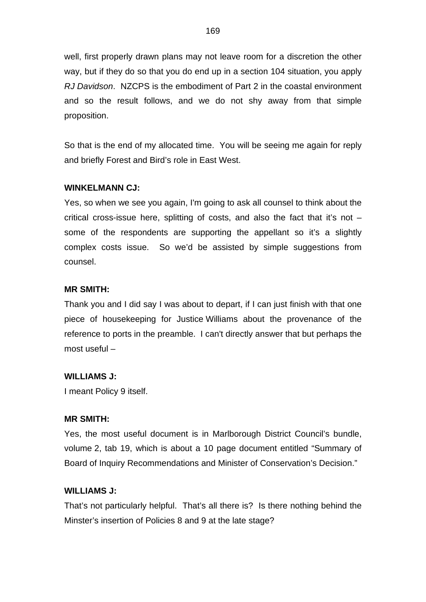well, first properly drawn plans may not leave room for a discretion the other way, but if they do so that you do end up in a section 104 situation, you apply *RJ Davidson*. NZCPS is the embodiment of Part 2 in the coastal environment and so the result follows, and we do not shy away from that simple proposition.

So that is the end of my allocated time. You will be seeing me again for reply and briefly Forest and Bird's role in East West.

#### **WINKELMANN CJ:**

Yes, so when we see you again, I'm going to ask all counsel to think about the critical cross-issue here, splitting of costs, and also the fact that it's not – some of the respondents are supporting the appellant so it's a slightly complex costs issue. So we'd be assisted by simple suggestions from counsel.

### **MR SMITH:**

Thank you and I did say I was about to depart, if I can just finish with that one piece of housekeeping for Justice Williams about the provenance of the reference to ports in the preamble. I can't directly answer that but perhaps the most useful –

## **WILLIAMS J:**

I meant Policy 9 itself.

#### **MR SMITH:**

Yes, the most useful document is in Marlborough District Council's bundle, volume 2, tab 19, which is about a 10 page document entitled "Summary of Board of Inquiry Recommendations and Minister of Conservation's Decision."

#### **WILLIAMS J:**

That's not particularly helpful. That's all there is? Is there nothing behind the Minster's insertion of Policies 8 and 9 at the late stage?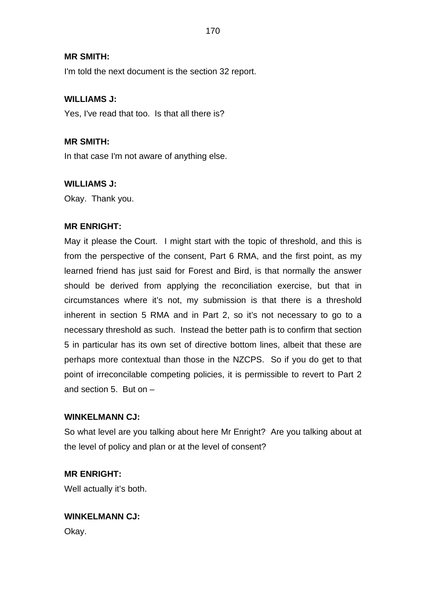I'm told the next document is the section 32 report.

## **WILLIAMS J:**

Yes, I've read that too. Is that all there is?

## **MR SMITH:**

In that case I'm not aware of anything else.

## **WILLIAMS J:**

Okay. Thank you.

## **MR ENRIGHT:**

May it please the Court. I might start with the topic of threshold, and this is from the perspective of the consent, Part 6 RMA, and the first point, as my learned friend has just said for Forest and Bird, is that normally the answer should be derived from applying the reconciliation exercise, but that in circumstances where it's not, my submission is that there is a threshold inherent in section 5 RMA and in Part 2, so it's not necessary to go to a necessary threshold as such. Instead the better path is to confirm that section 5 in particular has its own set of directive bottom lines, albeit that these are perhaps more contextual than those in the NZCPS. So if you do get to that point of irreconcilable competing policies, it is permissible to revert to Part 2 and section 5. But on –

## **WINKELMANN CJ:**

So what level are you talking about here Mr Enright? Are you talking about at the level of policy and plan or at the level of consent?

## **MR ENRIGHT:**

Well actually it's both.

## **WINKELMANN CJ:**

Okay.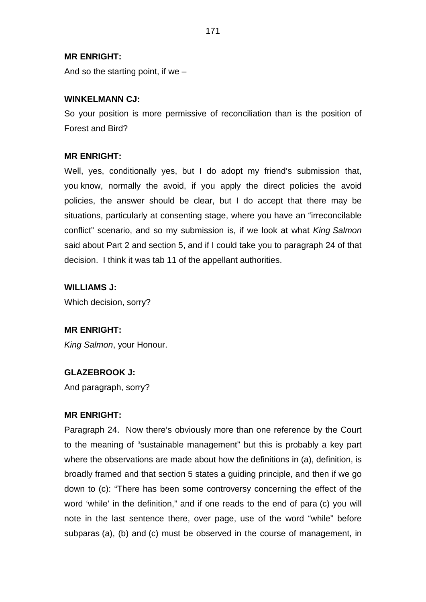## **MR ENRIGHT:**

And so the starting point, if we –

#### **WINKELMANN CJ:**

So your position is more permissive of reconciliation than is the position of Forest and Bird?

#### **MR ENRIGHT:**

Well, yes, conditionally yes, but I do adopt my friend's submission that, you know, normally the avoid, if you apply the direct policies the avoid policies, the answer should be clear, but I do accept that there may be situations, particularly at consenting stage, where you have an "irreconcilable conflict" scenario, and so my submission is, if we look at what *King Salmon* said about Part 2 and section 5, and if I could take you to paragraph 24 of that decision. I think it was tab 11 of the appellant authorities.

#### **WILLIAMS J:**

Which decision, sorry?

## **MR ENRIGHT:**

*King Salmon*, your Honour.

#### **GLAZEBROOK J:**

And paragraph, sorry?

#### **MR ENRIGHT:**

Paragraph 24. Now there's obviously more than one reference by the Court to the meaning of "sustainable management" but this is probably a key part where the observations are made about how the definitions in (a), definition, is broadly framed and that section 5 states a guiding principle, and then if we go down to (c): "There has been some controversy concerning the effect of the word 'while' in the definition," and if one reads to the end of para (c) you will note in the last sentence there, over page, use of the word "while" before subparas (a), (b) and (c) must be observed in the course of management, in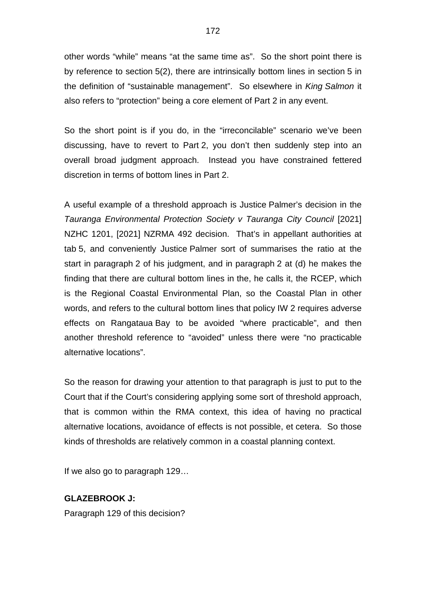other words "while" means "at the same time as". So the short point there is by reference to section 5(2), there are intrinsically bottom lines in section 5 in the definition of "sustainable management". So elsewhere in *King Salmon* it also refers to "protection" being a core element of Part 2 in any event.

So the short point is if you do, in the "irreconcilable" scenario we've been discussing, have to revert to Part 2, you don't then suddenly step into an overall broad judgment approach. Instead you have constrained fettered discretion in terms of bottom lines in Part 2.

A useful example of a threshold approach is Justice Palmer's decision in the *Tauranga Environmental Protection Society v Tauranga City Council* [2021] NZHC 1201, [2021] NZRMA 492 decision. That's in appellant authorities at tab 5, and conveniently Justice Palmer sort of summarises the ratio at the start in paragraph 2 of his judgment, and in paragraph 2 at (d) he makes the finding that there are cultural bottom lines in the, he calls it, the RCEP, which is the Regional Coastal Environmental Plan, so the Coastal Plan in other words, and refers to the cultural bottom lines that policy IW 2 requires adverse effects on Rangataua Bay to be avoided "where practicable", and then another threshold reference to "avoided" unless there were "no practicable alternative locations".

So the reason for drawing your attention to that paragraph is just to put to the Court that if the Court's considering applying some sort of threshold approach, that is common within the RMA context, this idea of having no practical alternative locations, avoidance of effects is not possible, et cetera. So those kinds of thresholds are relatively common in a coastal planning context.

If we also go to paragraph 129…

## **GLAZEBROOK J:**

Paragraph 129 of this decision?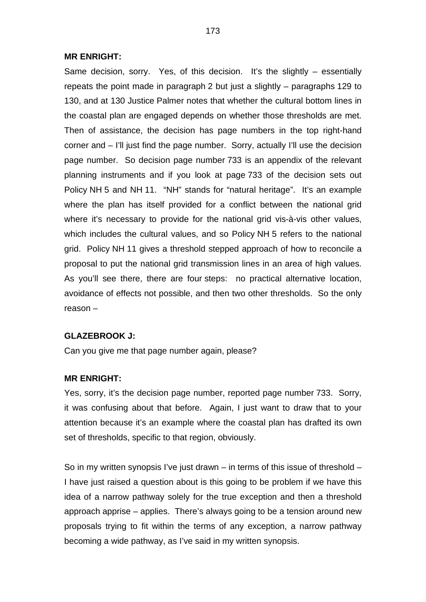#### **MR ENRIGHT:**

Same decision, sorry. Yes, of this decision. It's the slightly – essentially repeats the point made in paragraph 2 but just a slightly – paragraphs 129 to 130, and at 130 Justice Palmer notes that whether the cultural bottom lines in the coastal plan are engaged depends on whether those thresholds are met. Then of assistance, the decision has page numbers in the top right-hand corner and – I'll just find the page number. Sorry, actually I'll use the decision page number. So decision page number 733 is an appendix of the relevant planning instruments and if you look at page 733 of the decision sets out Policy NH 5 and NH 11. "NH" stands for "natural heritage". It's an example where the plan has itself provided for a conflict between the national grid where it's necessary to provide for the national grid vis-à-vis other values, which includes the cultural values, and so Policy NH 5 refers to the national grid. Policy NH 11 gives a threshold stepped approach of how to reconcile a proposal to put the national grid transmission lines in an area of high values. As you'll see there, there are four steps: no practical alternative location, avoidance of effects not possible, and then two other thresholds. So the only reason –

## **GLAZEBROOK J:**

Can you give me that page number again, please?

#### **MR ENRIGHT:**

Yes, sorry, it's the decision page number, reported page number 733. Sorry, it was confusing about that before. Again, I just want to draw that to your attention because it's an example where the coastal plan has drafted its own set of thresholds, specific to that region, obviously.

So in my written synopsis I've just drawn – in terms of this issue of threshold – I have just raised a question about is this going to be problem if we have this idea of a narrow pathway solely for the true exception and then a threshold approach apprise – applies. There's always going to be a tension around new proposals trying to fit within the terms of any exception, a narrow pathway becoming a wide pathway, as I've said in my written synopsis.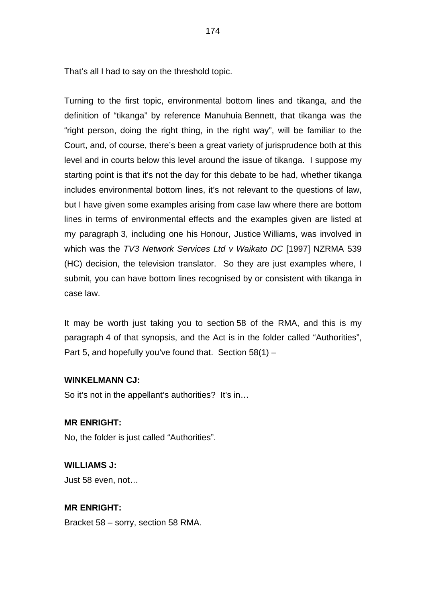That's all I had to say on the threshold topic.

Turning to the first topic, environmental bottom lines and tikanga, and the definition of "tikanga" by reference Manuhuia Bennett, that tikanga was the "right person, doing the right thing, in the right way", will be familiar to the Court, and, of course, there's been a great variety of jurisprudence both at this level and in courts below this level around the issue of tikanga. I suppose my starting point is that it's not the day for this debate to be had, whether tikanga includes environmental bottom lines, it's not relevant to the questions of law, but I have given some examples arising from case law where there are bottom lines in terms of environmental effects and the examples given are listed at my paragraph 3, including one his Honour, Justice Williams, was involved in which was the *TV3 Network Services Ltd v Waikato DC* [1997] NZRMA 539 (HC) decision, the television translator. So they are just examples where, I submit, you can have bottom lines recognised by or consistent with tikanga in case law.

It may be worth just taking you to section 58 of the RMA, and this is my paragraph 4 of that synopsis, and the Act is in the folder called "Authorities", Part 5, and hopefully you've found that. Section 58(1) –

## **WINKELMANN CJ:**

So it's not in the appellant's authorities? It's in...

## **MR ENRIGHT:**

No, the folder is just called "Authorities".

# **WILLIAMS J:**

Just 58 even, not…

## **MR ENRIGHT:**

Bracket 58 – sorry, section 58 RMA.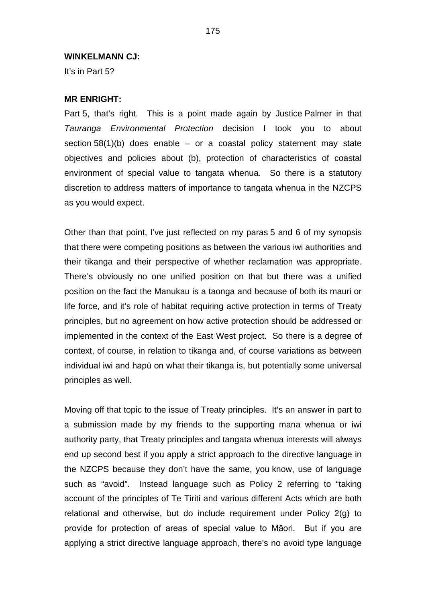#### **WINKELMANN CJ:**

It's in Part 5?

## **MR ENRIGHT:**

Part 5, that's right. This is a point made again by Justice Palmer in that *Tauranga Environmental Protection* decision I took you to about section  $58(1)(b)$  does enable – or a coastal policy statement may state objectives and policies about (b), protection of characteristics of coastal environment of special value to tangata whenua. So there is a statutory discretion to address matters of importance to tangata whenua in the NZCPS as you would expect.

Other than that point, I've just reflected on my paras 5 and 6 of my synopsis that there were competing positions as between the various iwi authorities and their tikanga and their perspective of whether reclamation was appropriate. There's obviously no one unified position on that but there was a unified position on the fact the Manukau is a taonga and because of both its mauri or life force, and it's role of habitat requiring active protection in terms of Treaty principles, but no agreement on how active protection should be addressed or implemented in the context of the East West project. So there is a degree of context, of course, in relation to tikanga and, of course variations as between individual iwi and hapū on what their tikanga is, but potentially some universal principles as well.

Moving off that topic to the issue of Treaty principles. It's an answer in part to a submission made by my friends to the supporting mana whenua or iwi authority party, that Treaty principles and tangata whenua interests will always end up second best if you apply a strict approach to the directive language in the NZCPS because they don't have the same, you know, use of language such as "avoid". Instead language such as Policy 2 referring to "taking account of the principles of Te Tiriti and various different Acts which are both relational and otherwise, but do include requirement under Policy 2(g) to provide for protection of areas of special value to Māori. But if you are applying a strict directive language approach, there's no avoid type language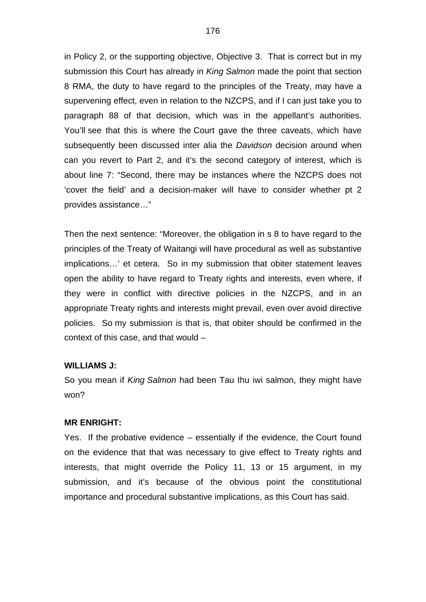in Policy 2, or the supporting objective, Objective 3. That is correct but in my submission this Court has already in *King Salmon* made the point that section 8 RMA, the duty to have regard to the principles of the Treaty, may have a supervening effect, even in relation to the NZCPS, and if I can just take you to paragraph 88 of that decision, which was in the appellant's authorities. You'll see that this is where the Court gave the three caveats, which have subsequently been discussed inter alia the *Davidson* decision around when can you revert to Part 2, and it's the second category of interest, which is about line 7: "Second, there may be instances where the NZCPS does not 'cover the field' and a decision-maker will have to consider whether pt 2 provides assistance…"

Then the next sentence: "Moreover, the obligation in s 8 to have regard to the principles of the Treaty of Waitangi will have procedural as well as substantive implications…' et cetera. So in my submission that obiter statement leaves open the ability to have regard to Treaty rights and interests, even where, if they were in conflict with directive policies in the NZCPS, and in an appropriate Treaty rights and interests might prevail, even over avoid directive policies. So my submission is that is, that obiter should be confirmed in the context of this case, and that would –

## **WILLIAMS J:**

So you mean if *King Salmon* had been Tau Ihu iwi salmon, they might have won?

#### **MR ENRIGHT:**

Yes. If the probative evidence – essentially if the evidence, the Court found on the evidence that that was necessary to give effect to Treaty rights and interests, that might override the Policy 11, 13 or 15 argument, in my submission, and it's because of the obvious point the constitutional importance and procedural substantive implications, as this Court has said.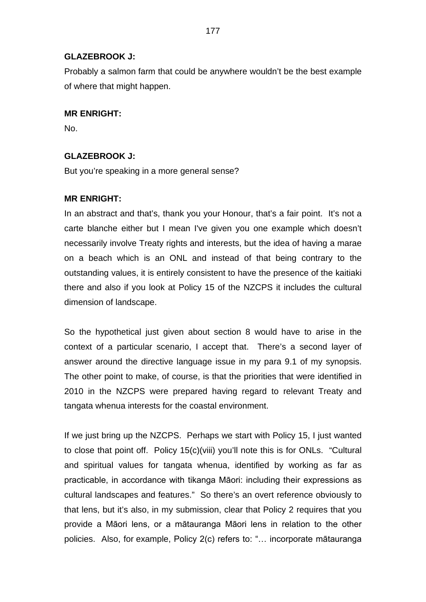## **GLAZEBROOK J:**

Probably a salmon farm that could be anywhere wouldn't be the best example of where that might happen.

## **MR ENRIGHT:**

No.

## **GLAZEBROOK J:**

But you're speaking in a more general sense?

## **MR ENRIGHT:**

In an abstract and that's, thank you your Honour, that's a fair point. It's not a carte blanche either but I mean I've given you one example which doesn't necessarily involve Treaty rights and interests, but the idea of having a marae on a beach which is an ONL and instead of that being contrary to the outstanding values, it is entirely consistent to have the presence of the kaitiaki there and also if you look at Policy 15 of the NZCPS it includes the cultural dimension of landscape.

So the hypothetical just given about section 8 would have to arise in the context of a particular scenario, I accept that. There's a second layer of answer around the directive language issue in my para 9.1 of my synopsis. The other point to make, of course, is that the priorities that were identified in 2010 in the NZCPS were prepared having regard to relevant Treaty and tangata whenua interests for the coastal environment.

If we just bring up the NZCPS. Perhaps we start with Policy 15, I just wanted to close that point off. Policy 15(c)(viii) you'll note this is for ONLs. "Cultural and spiritual values for tangata whenua, identified by working as far as practicable, in accordance with tikanga Māori: including their expressions as cultural landscapes and features." So there's an overt reference obviously to that lens, but it's also, in my submission, clear that Policy 2 requires that you provide a Māori lens, or a mātauranga Māori lens in relation to the other policies. Also, for example, Policy 2(c) refers to: "… incorporate mātauranga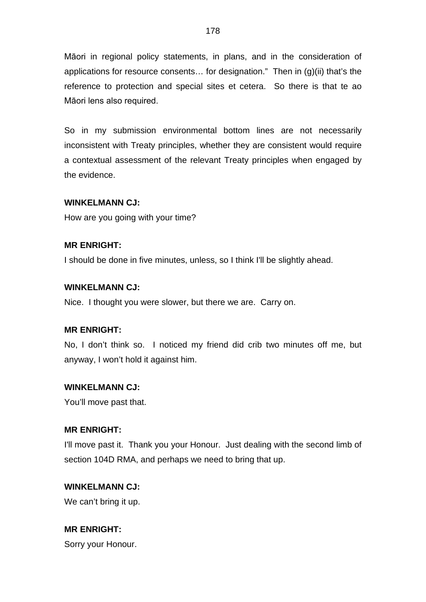Māori in regional policy statements, in plans, and in the consideration of applications for resource consents… for designation." Then in (g)(ii) that's the reference to protection and special sites et cetera. So there is that te ao Māori lens also required.

So in my submission environmental bottom lines are not necessarily inconsistent with Treaty principles, whether they are consistent would require a contextual assessment of the relevant Treaty principles when engaged by the evidence.

## **WINKELMANN CJ:**

How are you going with your time?

## **MR ENRIGHT:**

I should be done in five minutes, unless, so I think I'll be slightly ahead.

#### **WINKELMANN CJ:**

Nice. I thought you were slower, but there we are. Carry on.

#### **MR ENRIGHT:**

No, I don't think so. I noticed my friend did crib two minutes off me, but anyway, I won't hold it against him.

#### **WINKELMANN CJ:**

You'll move past that.

## **MR ENRIGHT:**

I'll move past it. Thank you your Honour. Just dealing with the second limb of section 104D RMA, and perhaps we need to bring that up.

#### **WINKELMANN CJ:**

We can't bring it up.

**MR ENRIGHT:** Sorry your Honour.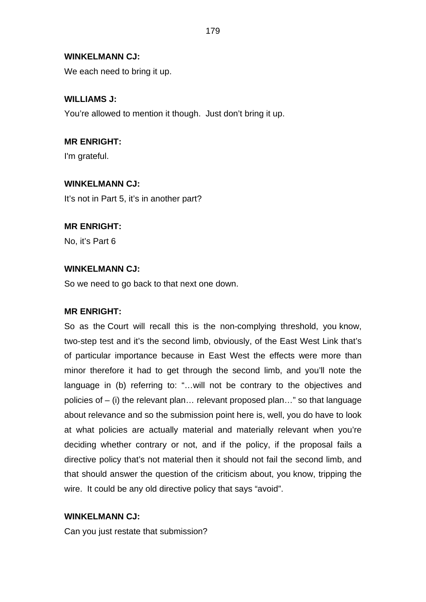## **WINKELMANN CJ:**

We each need to bring it up.

## **WILLIAMS J:**

You're allowed to mention it though. Just don't bring it up.

# **MR ENRIGHT:**

I'm grateful.

## **WINKELMANN CJ:**

It's not in Part 5, it's in another part?

## **MR ENRIGHT:**

No, it's Part 6

## **WINKELMANN CJ:**

So we need to go back to that next one down.

## **MR ENRIGHT:**

So as the Court will recall this is the non-complying threshold, you know, two-step test and it's the second limb, obviously, of the East West Link that's of particular importance because in East West the effects were more than minor therefore it had to get through the second limb, and you'll note the language in (b) referring to: "…will not be contrary to the objectives and policies of – (i) the relevant plan… relevant proposed plan…" so that language about relevance and so the submission point here is, well, you do have to look at what policies are actually material and materially relevant when you're deciding whether contrary or not, and if the policy, if the proposal fails a directive policy that's not material then it should not fail the second limb, and that should answer the question of the criticism about, you know, tripping the wire. It could be any old directive policy that says "avoid".

### **WINKELMANN CJ:**

Can you just restate that submission?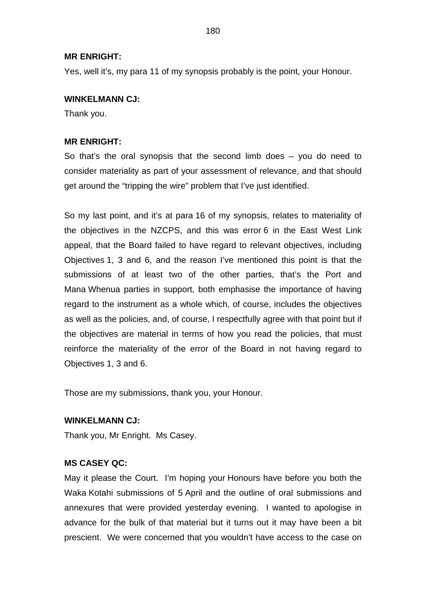## **MR ENRIGHT:**

Yes, well it's, my para 11 of my synopsis probably is the point, your Honour.

## **WINKELMANN CJ:**

Thank you.

## **MR ENRIGHT:**

So that's the oral synopsis that the second limb does – you do need to consider materiality as part of your assessment of relevance, and that should get around the "tripping the wire" problem that I've just identified.

So my last point, and it's at para 16 of my synopsis, relates to materiality of the objectives in the NZCPS, and this was error 6 in the East West Link appeal, that the Board failed to have regard to relevant objectives, including Objectives 1, 3 and 6, and the reason I've mentioned this point is that the submissions of at least two of the other parties, that's the Port and Mana Whenua parties in support, both emphasise the importance of having regard to the instrument as a whole which, of course, includes the objectives as well as the policies, and, of course, I respectfully agree with that point but if the objectives are material in terms of how you read the policies, that must reinforce the materiality of the error of the Board in not having regard to Objectives 1, 3 and 6.

Those are my submissions, thank you, your Honour.

## **WINKELMANN CJ:**

Thank you, Mr Enright. Ms Casey.

## **MS CASEY QC:**

May it please the Court. I'm hoping your Honours have before you both the Waka Kotahi submissions of 5 April and the outline of oral submissions and annexures that were provided yesterday evening. I wanted to apologise in advance for the bulk of that material but it turns out it may have been a bit prescient. We were concerned that you wouldn't have access to the case on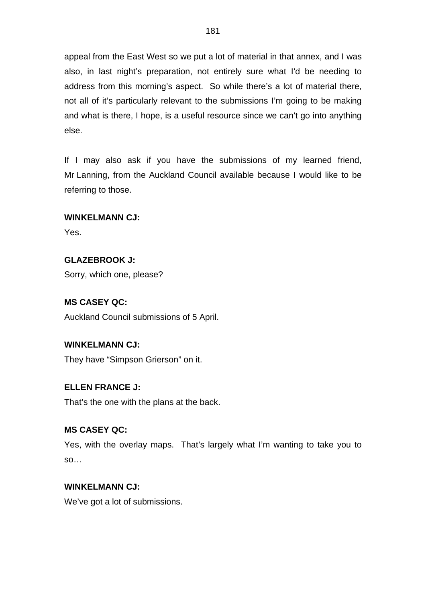appeal from the East West so we put a lot of material in that annex, and I was also, in last night's preparation, not entirely sure what I'd be needing to address from this morning's aspect. So while there's a lot of material there, not all of it's particularly relevant to the submissions I'm going to be making and what is there, I hope, is a useful resource since we can't go into anything else.

If I may also ask if you have the submissions of my learned friend, Mr Lanning, from the Auckland Council available because I would like to be referring to those.

# **WINKELMANN CJ:**

Yes.

# **GLAZEBROOK J:**

Sorry, which one, please?

# **MS CASEY QC:**

Auckland Council submissions of 5 April.

# **WINKELMANN CJ:**

They have "Simpson Grierson" on it.

# **ELLEN FRANCE J:**

That's the one with the plans at the back.

# **MS CASEY QC:**

Yes, with the overlay maps. That's largely what I'm wanting to take you to so…

# **WINKELMANN CJ:**

We've got a lot of submissions.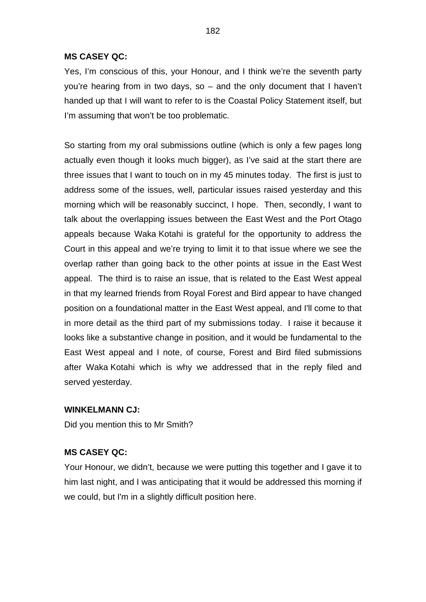Yes, I'm conscious of this, your Honour, and I think we're the seventh party you're hearing from in two days, so – and the only document that I haven't handed up that I will want to refer to is the Coastal Policy Statement itself, but I'm assuming that won't be too problematic.

So starting from my oral submissions outline (which is only a few pages long actually even though it looks much bigger), as I've said at the start there are three issues that I want to touch on in my 45 minutes today. The first is just to address some of the issues, well, particular issues raised yesterday and this morning which will be reasonably succinct, I hope. Then, secondly, I want to talk about the overlapping issues between the East West and the Port Otago appeals because Waka Kotahi is grateful for the opportunity to address the Court in this appeal and we're trying to limit it to that issue where we see the overlap rather than going back to the other points at issue in the East West appeal. The third is to raise an issue, that is related to the East West appeal in that my learned friends from Royal Forest and Bird appear to have changed position on a foundational matter in the East West appeal, and I'll come to that in more detail as the third part of my submissions today. I raise it because it looks like a substantive change in position, and it would be fundamental to the East West appeal and I note, of course, Forest and Bird filed submissions after Waka Kotahi which is why we addressed that in the reply filed and served yesterday.

#### **WINKELMANN CJ:**

Did you mention this to Mr Smith?

# **MS CASEY QC:**

Your Honour, we didn't, because we were putting this together and I gave it to him last night, and I was anticipating that it would be addressed this morning if we could, but I'm in a slightly difficult position here.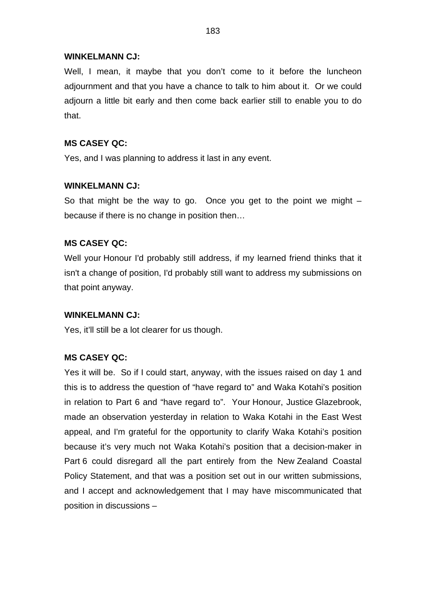### **WINKELMANN CJ:**

Well, I mean, it maybe that you don't come to it before the luncheon adjournment and that you have a chance to talk to him about it. Or we could adjourn a little bit early and then come back earlier still to enable you to do that.

# **MS CASEY QC:**

Yes, and I was planning to address it last in any event.

### **WINKELMANN CJ:**

So that might be the way to go. Once you get to the point we might  $$ because if there is no change in position then…

# **MS CASEY QC:**

Well your Honour I'd probably still address, if my learned friend thinks that it isn't a change of position, I'd probably still want to address my submissions on that point anyway.

#### **WINKELMANN CJ:**

Yes, it'll still be a lot clearer for us though.

# **MS CASEY QC:**

Yes it will be. So if I could start, anyway, with the issues raised on day 1 and this is to address the question of "have regard to" and Waka Kotahi's position in relation to Part 6 and "have regard to". Your Honour, Justice Glazebrook, made an observation yesterday in relation to Waka Kotahi in the East West appeal, and I'm grateful for the opportunity to clarify Waka Kotahi's position because it's very much not Waka Kotahi's position that a decision-maker in Part 6 could disregard all the part entirely from the New Zealand Coastal Policy Statement, and that was a position set out in our written submissions, and I accept and acknowledgement that I may have miscommunicated that position in discussions –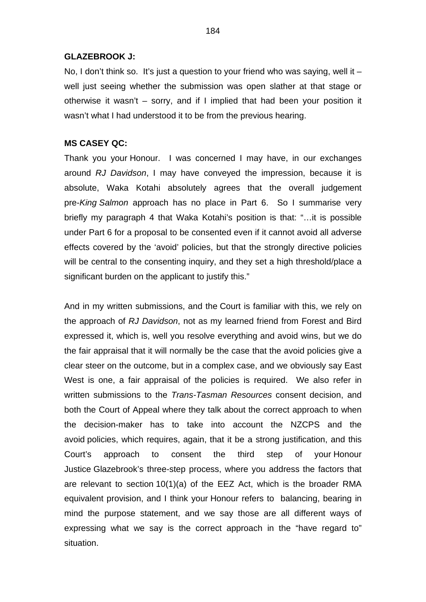#### **GLAZEBROOK J:**

No, I don't think so. It's just a question to your friend who was saying, well it  $$ well just seeing whether the submission was open slather at that stage or otherwise it wasn't – sorry, and if I implied that had been your position it wasn't what I had understood it to be from the previous hearing.

#### **MS CASEY QC:**

Thank you your Honour. I was concerned I may have, in our exchanges around *RJ Davidson*, I may have conveyed the impression, because it is absolute, Waka Kotahi absolutely agrees that the overall judgement pre-*King Salmon* approach has no place in Part 6. So I summarise very briefly my paragraph 4 that Waka Kotahi's position is that: "…it is possible under Part 6 for a proposal to be consented even if it cannot avoid all adverse effects covered by the 'avoid' policies, but that the strongly directive policies will be central to the consenting inquiry, and they set a high threshold/place a significant burden on the applicant to justify this."

And in my written submissions, and the Court is familiar with this, we rely on the approach of *RJ Davidson*, not as my learned friend from Forest and Bird expressed it, which is, well you resolve everything and avoid wins, but we do the fair appraisal that it will normally be the case that the avoid policies give a clear steer on the outcome, but in a complex case, and we obviously say East West is one, a fair appraisal of the policies is required. We also refer in written submissions to the *Trans-Tasman Resources* consent decision, and both the Court of Appeal where they talk about the correct approach to when the decision-maker has to take into account the NZCPS and the avoid policies, which requires, again, that it be a strong justification, and this Court's approach to consent the third step of your Honour Justice Glazebrook's three-step process, where you address the factors that are relevant to section 10(1)(a) of the EEZ Act, which is the broader RMA equivalent provision, and I think your Honour refers to balancing, bearing in mind the purpose statement, and we say those are all different ways of expressing what we say is the correct approach in the "have regard to" situation.

184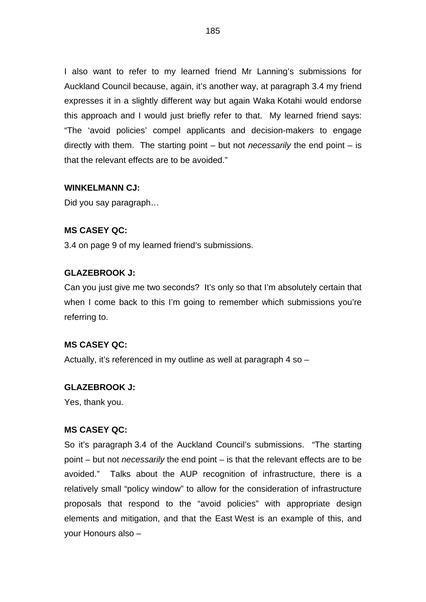I also want to refer to my learned friend Mr Lanning's submissions for Auckland Council because, again, it's another way, at paragraph 3.4 my friend expresses it in a slightly different way but again Waka Kotahi would endorse this approach and I would just briefly refer to that. My learned friend says: "The 'avoid policies' compel applicants and decision-makers to engage directly with them. The starting point – but not *necessarily* the end point – is that the relevant effects are to be avoided."

### **WINKELMANN CJ:**

Did you say paragraph…

# **MS CASEY QC:**

3.4 on page 9 of my learned friend's submissions.

#### **GLAZEBROOK J:**

Can you just give me two seconds? It's only so that I'm absolutely certain that when I come back to this I'm going to remember which submissions you're referring to.

### **MS CASEY QC:**

Actually, it's referenced in my outline as well at paragraph 4 so –

#### **GLAZEBROOK J:**

Yes, thank you.

#### **MS CASEY QC:**

So it's paragraph 3.4 of the Auckland Council's submissions. "The starting point – but not *necessarily* the end point – is that the relevant effects are to be avoided." Talks about the AUP recognition of infrastructure, there is a relatively small "policy window" to allow for the consideration of infrastructure proposals that respond to the "avoid policies" with appropriate design elements and mitigation, and that the East West is an example of this, and your Honours also –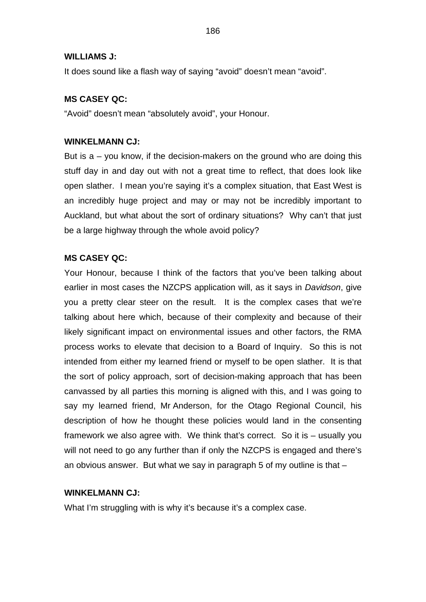#### **WILLIAMS J:**

It does sound like a flash way of saying "avoid" doesn't mean "avoid".

### **MS CASEY QC:**

"Avoid" doesn't mean "absolutely avoid", your Honour.

#### **WINKELMANN CJ:**

But is  $a - y$  know, if the decision-makers on the ground who are doing this stuff day in and day out with not a great time to reflect, that does look like open slather. I mean you're saying it's a complex situation, that East West is an incredibly huge project and may or may not be incredibly important to Auckland, but what about the sort of ordinary situations? Why can't that just be a large highway through the whole avoid policy?

#### **MS CASEY QC:**

Your Honour, because I think of the factors that you've been talking about earlier in most cases the NZCPS application will, as it says in *Davidson*, give you a pretty clear steer on the result. It is the complex cases that we're talking about here which, because of their complexity and because of their likely significant impact on environmental issues and other factors, the RMA process works to elevate that decision to a Board of Inquiry. So this is not intended from either my learned friend or myself to be open slather. It is that the sort of policy approach, sort of decision-making approach that has been canvassed by all parties this morning is aligned with this, and I was going to say my learned friend, Mr Anderson, for the Otago Regional Council, his description of how he thought these policies would land in the consenting framework we also agree with. We think that's correct. So it is – usually you will not need to go any further than if only the NZCPS is engaged and there's an obvious answer. But what we say in paragraph 5 of my outline is that –

#### **WINKELMANN CJ:**

What I'm struggling with is why it's because it's a complex case.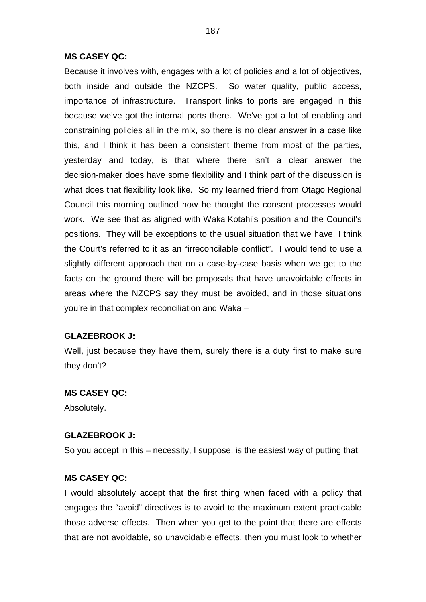Because it involves with, engages with a lot of policies and a lot of objectives, both inside and outside the NZCPS. So water quality, public access, importance of infrastructure. Transport links to ports are engaged in this because we've got the internal ports there. We've got a lot of enabling and constraining policies all in the mix, so there is no clear answer in a case like this, and I think it has been a consistent theme from most of the parties, yesterday and today, is that where there isn't a clear answer the decision-maker does have some flexibility and I think part of the discussion is what does that flexibility look like. So my learned friend from Otago Regional Council this morning outlined how he thought the consent processes would work. We see that as aligned with Waka Kotahi's position and the Council's positions. They will be exceptions to the usual situation that we have, I think the Court's referred to it as an "irreconcilable conflict". I would tend to use a slightly different approach that on a case-by-case basis when we get to the facts on the ground there will be proposals that have unavoidable effects in areas where the NZCPS say they must be avoided, and in those situations you're in that complex reconciliation and Waka –

#### **GLAZEBROOK J:**

Well, just because they have them, surely there is a duty first to make sure they don't?

#### **MS CASEY QC:**

Absolutely.

#### **GLAZEBROOK J:**

So you accept in this – necessity, I suppose, is the easiest way of putting that.

#### **MS CASEY QC:**

I would absolutely accept that the first thing when faced with a policy that engages the "avoid" directives is to avoid to the maximum extent practicable those adverse effects. Then when you get to the point that there are effects that are not avoidable, so unavoidable effects, then you must look to whether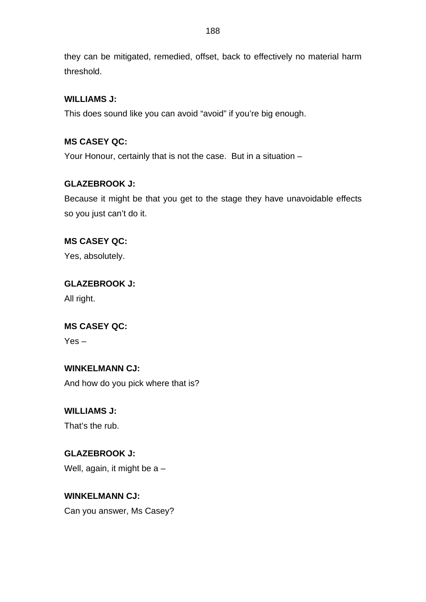they can be mitigated, remedied, offset, back to effectively no material harm threshold.

# **WILLIAMS J:**

This does sound like you can avoid "avoid" if you're big enough.

# **MS CASEY QC:**

Your Honour, certainly that is not the case. But in a situation –

# **GLAZEBROOK J:**

Because it might be that you get to the stage they have unavoidable effects so you just can't do it.

# **MS CASEY QC:**

Yes, absolutely.

# **GLAZEBROOK J:** All right.

# **MS CASEY QC:**

Yes –

# **WINKELMANN CJ:**

And how do you pick where that is?

# **WILLIAMS J:**

That's the rub.

# **GLAZEBROOK J:** Well, again, it might be a –

# **WINKELMANN CJ:**

Can you answer, Ms Casey?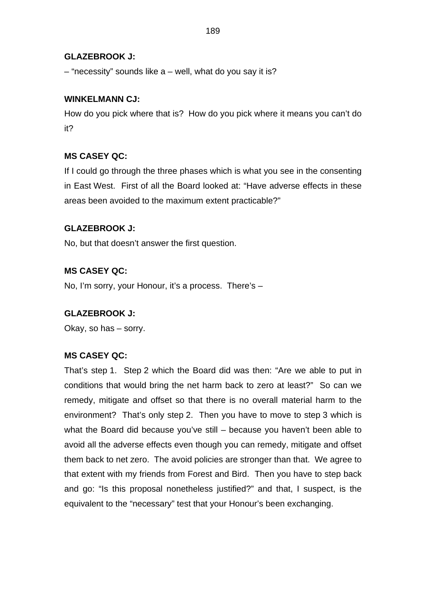# **GLAZEBROOK J:**

– "necessity" sounds like a – well, what do you say it is?

### **WINKELMANN CJ:**

How do you pick where that is? How do you pick where it means you can't do it?

# **MS CASEY QC:**

If I could go through the three phases which is what you see in the consenting in East West. First of all the Board looked at: "Have adverse effects in these areas been avoided to the maximum extent practicable?"

### **GLAZEBROOK J:**

No, but that doesn't answer the first question.

# **MS CASEY QC:**

No, I'm sorry, your Honour, it's a process. There's –

#### **GLAZEBROOK J:**

Okay, so has – sorry.

# **MS CASEY QC:**

That's step 1. Step 2 which the Board did was then: "Are we able to put in conditions that would bring the net harm back to zero at least?" So can we remedy, mitigate and offset so that there is no overall material harm to the environment? That's only step 2. Then you have to move to step 3 which is what the Board did because you've still – because you haven't been able to avoid all the adverse effects even though you can remedy, mitigate and offset them back to net zero. The avoid policies are stronger than that. We agree to that extent with my friends from Forest and Bird. Then you have to step back and go: "Is this proposal nonetheless justified?" and that, I suspect, is the equivalent to the "necessary" test that your Honour's been exchanging.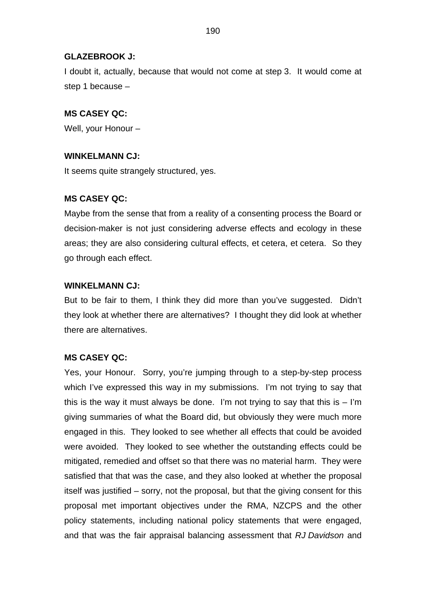### **GLAZEBROOK J:**

I doubt it, actually, because that would not come at step 3. It would come at step 1 because –

### **MS CASEY QC:**

Well, your Honour –

#### **WINKELMANN CJ:**

It seems quite strangely structured, yes.

### **MS CASEY QC:**

Maybe from the sense that from a reality of a consenting process the Board or decision-maker is not just considering adverse effects and ecology in these areas; they are also considering cultural effects, et cetera, et cetera. So they go through each effect.

#### **WINKELMANN CJ:**

But to be fair to them, I think they did more than you've suggested. Didn't they look at whether there are alternatives? I thought they did look at whether there are alternatives.

#### **MS CASEY QC:**

Yes, your Honour. Sorry, you're jumping through to a step-by-step process which I've expressed this way in my submissions. I'm not trying to say that this is the way it must always be done. I'm not trying to say that this is  $-$  I'm giving summaries of what the Board did, but obviously they were much more engaged in this. They looked to see whether all effects that could be avoided were avoided. They looked to see whether the outstanding effects could be mitigated, remedied and offset so that there was no material harm. They were satisfied that that was the case, and they also looked at whether the proposal itself was justified – sorry, not the proposal, but that the giving consent for this proposal met important objectives under the RMA, NZCPS and the other policy statements, including national policy statements that were engaged, and that was the fair appraisal balancing assessment that *RJ Davidson* and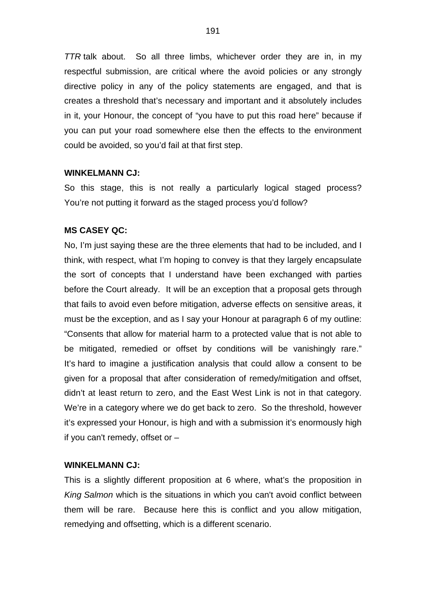*TTR* talk about. So all three limbs, whichever order they are in, in my respectful submission, are critical where the avoid policies or any strongly directive policy in any of the policy statements are engaged, and that is creates a threshold that's necessary and important and it absolutely includes in it, your Honour, the concept of "you have to put this road here" because if you can put your road somewhere else then the effects to the environment could be avoided, so you'd fail at that first step.

#### **WINKELMANN CJ:**

So this stage, this is not really a particularly logical staged process? You're not putting it forward as the staged process you'd follow?

#### **MS CASEY QC:**

No, I'm just saying these are the three elements that had to be included, and I think, with respect, what I'm hoping to convey is that they largely encapsulate the sort of concepts that I understand have been exchanged with parties before the Court already. It will be an exception that a proposal gets through that fails to avoid even before mitigation, adverse effects on sensitive areas, it must be the exception, and as I say your Honour at paragraph 6 of my outline: "Consents that allow for material harm to a protected value that is not able to be mitigated, remedied or offset by conditions will be vanishingly rare." It's hard to imagine a justification analysis that could allow a consent to be given for a proposal that after consideration of remedy/mitigation and offset, didn't at least return to zero, and the East West Link is not in that category. We're in a category where we do get back to zero. So the threshold, however it's expressed your Honour, is high and with a submission it's enormously high if you can't remedy, offset or  $-$ 

#### **WINKELMANN CJ:**

This is a slightly different proposition at 6 where, what's the proposition in *King Salmon* which is the situations in which you can't avoid conflict between them will be rare. Because here this is conflict and you allow mitigation, remedying and offsetting, which is a different scenario.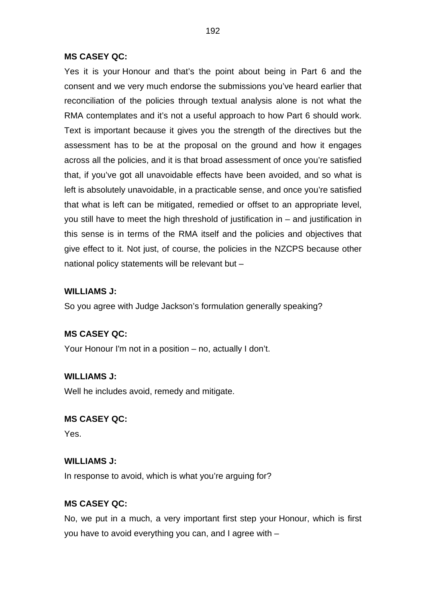Yes it is your Honour and that's the point about being in Part 6 and the consent and we very much endorse the submissions you've heard earlier that reconciliation of the policies through textual analysis alone is not what the RMA contemplates and it's not a useful approach to how Part 6 should work. Text is important because it gives you the strength of the directives but the assessment has to be at the proposal on the ground and how it engages across all the policies, and it is that broad assessment of once you're satisfied that, if you've got all unavoidable effects have been avoided, and so what is left is absolutely unavoidable, in a practicable sense, and once you're satisfied that what is left can be mitigated, remedied or offset to an appropriate level, you still have to meet the high threshold of justification in – and justification in this sense is in terms of the RMA itself and the policies and objectives that give effect to it. Not just, of course, the policies in the NZCPS because other national policy statements will be relevant but –

#### **WILLIAMS J:**

So you agree with Judge Jackson's formulation generally speaking?

# **MS CASEY QC:**

Your Honour I'm not in a position – no, actually I don't.

#### **WILLIAMS J:**

Well he includes avoid, remedy and mitigate.

### **MS CASEY QC:**

Yes.

### **WILLIAMS J:**

In response to avoid, which is what you're arguing for?

#### **MS CASEY QC:**

No, we put in a much, a very important first step your Honour, which is first you have to avoid everything you can, and I agree with –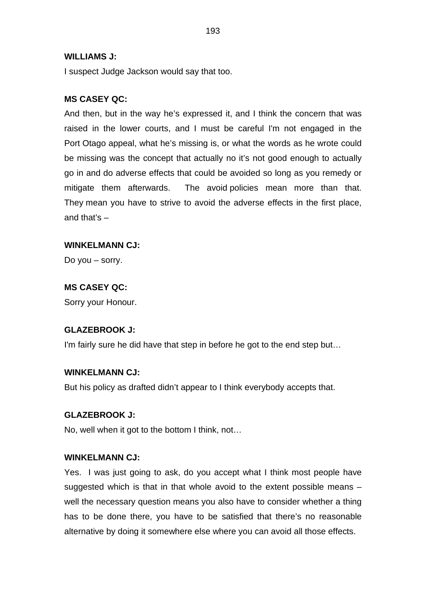#### **WILLIAMS J:**

I suspect Judge Jackson would say that too.

# **MS CASEY QC:**

And then, but in the way he's expressed it, and I think the concern that was raised in the lower courts, and I must be careful I'm not engaged in the Port Otago appeal, what he's missing is, or what the words as he wrote could be missing was the concept that actually no it's not good enough to actually go in and do adverse effects that could be avoided so long as you remedy or mitigate them afterwards. The avoid policies mean more than that. They mean you have to strive to avoid the adverse effects in the first place, and that's –

### **WINKELMANN CJ:**

Do you – sorry.

### **MS CASEY QC:**

Sorry your Honour.

#### **GLAZEBROOK J:**

I'm fairly sure he did have that step in before he got to the end step but…

# **WINKELMANN CJ:**

But his policy as drafted didn't appear to I think everybody accepts that.

#### **GLAZEBROOK J:**

No, well when it got to the bottom I think, not…

#### **WINKELMANN CJ:**

Yes. I was just going to ask, do you accept what I think most people have suggested which is that in that whole avoid to the extent possible means – well the necessary question means you also have to consider whether a thing has to be done there, you have to be satisfied that there's no reasonable alternative by doing it somewhere else where you can avoid all those effects.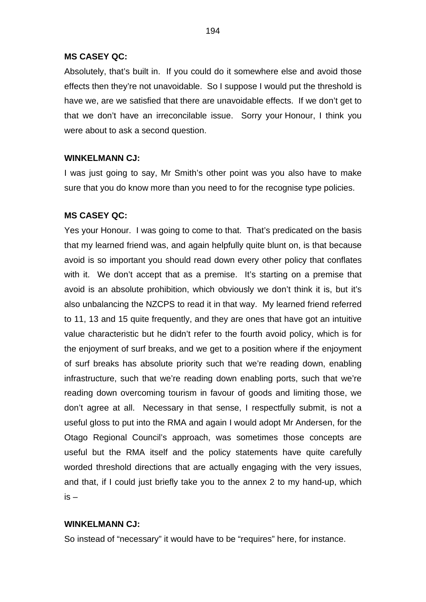Absolutely, that's built in. If you could do it somewhere else and avoid those effects then they're not unavoidable. So I suppose I would put the threshold is have we, are we satisfied that there are unavoidable effects. If we don't get to that we don't have an irreconcilable issue. Sorry your Honour, I think you were about to ask a second question.

### **WINKELMANN CJ:**

I was just going to say, Mr Smith's other point was you also have to make sure that you do know more than you need to for the recognise type policies.

### **MS CASEY QC:**

Yes your Honour. I was going to come to that. That's predicated on the basis that my learned friend was, and again helpfully quite blunt on, is that because avoid is so important you should read down every other policy that conflates with it. We don't accept that as a premise. It's starting on a premise that avoid is an absolute prohibition, which obviously we don't think it is, but it's also unbalancing the NZCPS to read it in that way. My learned friend referred to 11, 13 and 15 quite frequently, and they are ones that have got an intuitive value characteristic but he didn't refer to the fourth avoid policy, which is for the enjoyment of surf breaks, and we get to a position where if the enjoyment of surf breaks has absolute priority such that we're reading down, enabling infrastructure, such that we're reading down enabling ports, such that we're reading down overcoming tourism in favour of goods and limiting those, we don't agree at all. Necessary in that sense, I respectfully submit, is not a useful gloss to put into the RMA and again I would adopt Mr Andersen, for the Otago Regional Council's approach, was sometimes those concepts are useful but the RMA itself and the policy statements have quite carefully worded threshold directions that are actually engaging with the very issues, and that, if I could just briefly take you to the annex 2 to my hand-up, which  $is -$ 

#### **WINKELMANN CJ:**

So instead of "necessary" it would have to be "requires" here, for instance.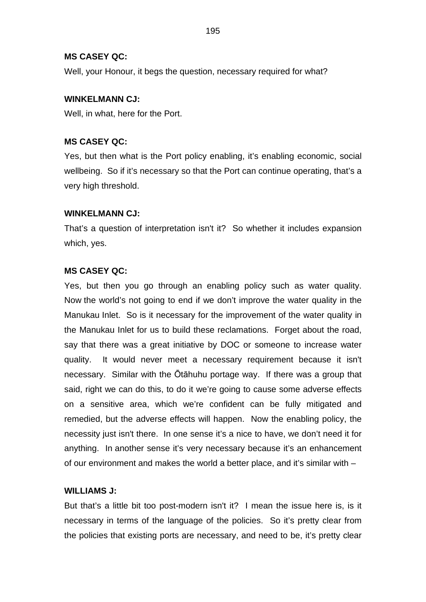Well, your Honour, it begs the question, necessary required for what?

### **WINKELMANN CJ:**

Well, in what, here for the Port.

# **MS CASEY QC:**

Yes, but then what is the Port policy enabling, it's enabling economic, social wellbeing. So if it's necessary so that the Port can continue operating, that's a very high threshold.

# **WINKELMANN CJ:**

That's a question of interpretation isn't it? So whether it includes expansion which, yes.

# **MS CASEY QC:**

Yes, but then you go through an enabling policy such as water quality. Now the world's not going to end if we don't improve the water quality in the Manukau Inlet. So is it necessary for the improvement of the water quality in the Manukau Inlet for us to build these reclamations. Forget about the road, say that there was a great initiative by DOC or someone to increase water quality. It would never meet a necessary requirement because it isn't necessary. Similar with the Ōtāhuhu portage way. If there was a group that said, right we can do this, to do it we're going to cause some adverse effects on a sensitive area, which we're confident can be fully mitigated and remedied, but the adverse effects will happen. Now the enabling policy, the necessity just isn't there. In one sense it's a nice to have, we don't need it for anything. In another sense it's very necessary because it's an enhancement of our environment and makes the world a better place, and it's similar with –

# **WILLIAMS J:**

But that's a little bit too post-modern isn't it? I mean the issue here is, is it necessary in terms of the language of the policies. So it's pretty clear from the policies that existing ports are necessary, and need to be, it's pretty clear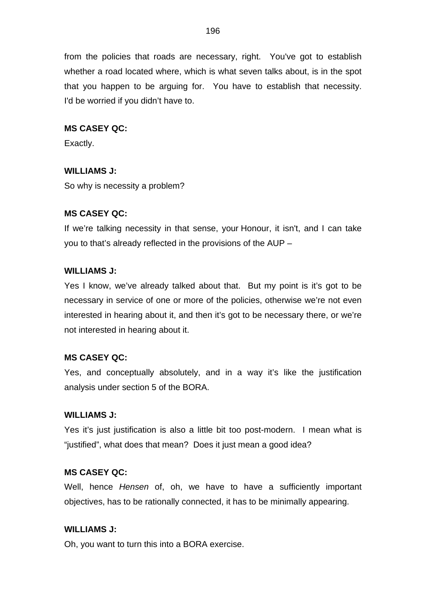from the policies that roads are necessary, right. You've got to establish whether a road located where, which is what seven talks about, is in the spot that you happen to be arguing for. You have to establish that necessity. I'd be worried if you didn't have to.

# **MS CASEY QC:**

Exactly.

# **WILLIAMS J:**

So why is necessity a problem?

# **MS CASEY QC:**

If we're talking necessity in that sense, your Honour, it isn't, and I can take you to that's already reflected in the provisions of the AUP –

# **WILLIAMS J:**

Yes I know, we've already talked about that. But my point is it's got to be necessary in service of one or more of the policies, otherwise we're not even interested in hearing about it, and then it's got to be necessary there, or we're not interested in hearing about it.

# **MS CASEY QC:**

Yes, and conceptually absolutely, and in a way it's like the justification analysis under section 5 of the BORA.

# **WILLIAMS J:**

Yes it's just justification is also a little bit too post-modern. I mean what is "justified", what does that mean? Does it just mean a good idea?

# **MS CASEY QC:**

Well, hence *Hensen* of, oh, we have to have a sufficiently important objectives, has to be rationally connected, it has to be minimally appearing.

# **WILLIAMS J:**

Oh, you want to turn this into a BORA exercise.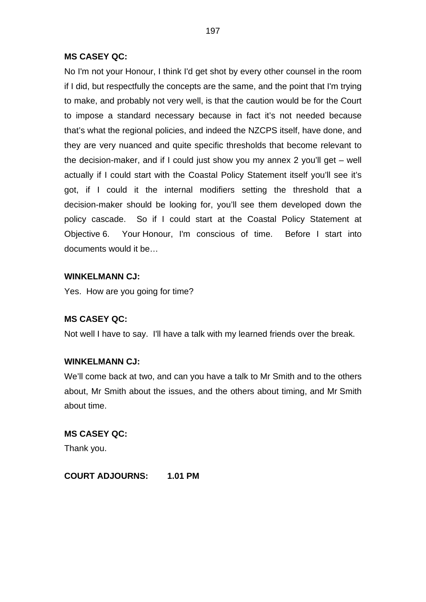No I'm not your Honour, I think I'd get shot by every other counsel in the room if I did, but respectfully the concepts are the same, and the point that I'm trying to make, and probably not very well, is that the caution would be for the Court to impose a standard necessary because in fact it's not needed because that's what the regional policies, and indeed the NZCPS itself, have done, and they are very nuanced and quite specific thresholds that become relevant to the decision-maker, and if I could just show you my annex 2 you'll get – well actually if I could start with the Coastal Policy Statement itself you'll see it's got, if I could it the internal modifiers setting the threshold that a decision-maker should be looking for, you'll see them developed down the policy cascade. So if I could start at the Coastal Policy Statement at Objective 6. Your Honour, I'm conscious of time. Before I start into documents would it be…

### **WINKELMANN CJ:**

Yes. How are you going for time?

#### **MS CASEY QC:**

Not well I have to say. I'll have a talk with my learned friends over the break.

#### **WINKELMANN CJ:**

We'll come back at two, and can you have a talk to Mr Smith and to the others about, Mr Smith about the issues, and the others about timing, and Mr Smith about time.

# **MS CASEY QC:** Thank you.

**COURT ADJOURNS: 1.01 PM**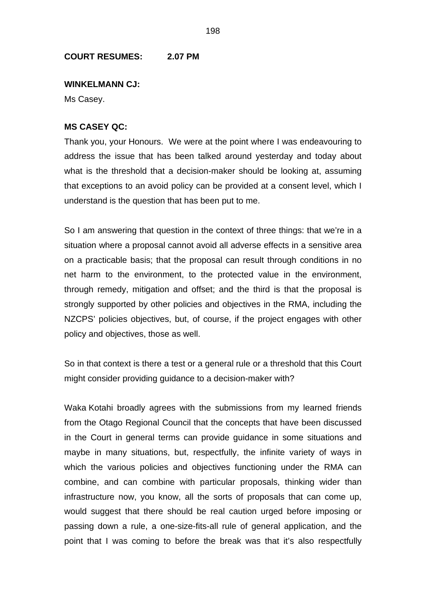#### **COURT RESUMES: 2.07 PM**

#### **WINKELMANN CJ:**

Ms Casey.

#### **MS CASEY QC:**

Thank you, your Honours. We were at the point where I was endeavouring to address the issue that has been talked around yesterday and today about what is the threshold that a decision-maker should be looking at, assuming that exceptions to an avoid policy can be provided at a consent level, which I understand is the question that has been put to me.

So I am answering that question in the context of three things: that we're in a situation where a proposal cannot avoid all adverse effects in a sensitive area on a practicable basis; that the proposal can result through conditions in no net harm to the environment, to the protected value in the environment, through remedy, mitigation and offset; and the third is that the proposal is strongly supported by other policies and objectives in the RMA, including the NZCPS' policies objectives, but, of course, if the project engages with other policy and objectives, those as well.

So in that context is there a test or a general rule or a threshold that this Court might consider providing guidance to a decision-maker with?

Waka Kotahi broadly agrees with the submissions from my learned friends from the Otago Regional Council that the concepts that have been discussed in the Court in general terms can provide guidance in some situations and maybe in many situations, but, respectfully, the infinite variety of ways in which the various policies and objectives functioning under the RMA can combine, and can combine with particular proposals, thinking wider than infrastructure now, you know, all the sorts of proposals that can come up, would suggest that there should be real caution urged before imposing or passing down a rule, a one-size-fits-all rule of general application, and the point that I was coming to before the break was that it's also respectfully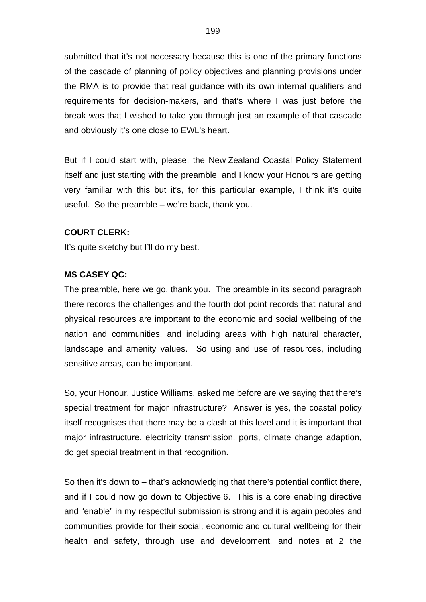submitted that it's not necessary because this is one of the primary functions of the cascade of planning of policy objectives and planning provisions under the RMA is to provide that real guidance with its own internal qualifiers and requirements for decision-makers, and that's where I was just before the break was that I wished to take you through just an example of that cascade and obviously it's one close to EWL's heart.

But if I could start with, please, the New Zealand Coastal Policy Statement itself and just starting with the preamble, and I know your Honours are getting very familiar with this but it's, for this particular example, I think it's quite useful. So the preamble – we're back, thank you.

# **COURT CLERK:**

It's quite sketchy but I'll do my best.

#### **MS CASEY QC:**

The preamble, here we go, thank you. The preamble in its second paragraph there records the challenges and the fourth dot point records that natural and physical resources are important to the economic and social wellbeing of the nation and communities, and including areas with high natural character, landscape and amenity values. So using and use of resources, including sensitive areas, can be important.

So, your Honour, Justice Williams, asked me before are we saying that there's special treatment for major infrastructure? Answer is yes, the coastal policy itself recognises that there may be a clash at this level and it is important that major infrastructure, electricity transmission, ports, climate change adaption, do get special treatment in that recognition.

So then it's down to – that's acknowledging that there's potential conflict there, and if I could now go down to Objective 6. This is a core enabling directive and "enable" in my respectful submission is strong and it is again peoples and communities provide for their social, economic and cultural wellbeing for their health and safety, through use and development, and notes at 2 the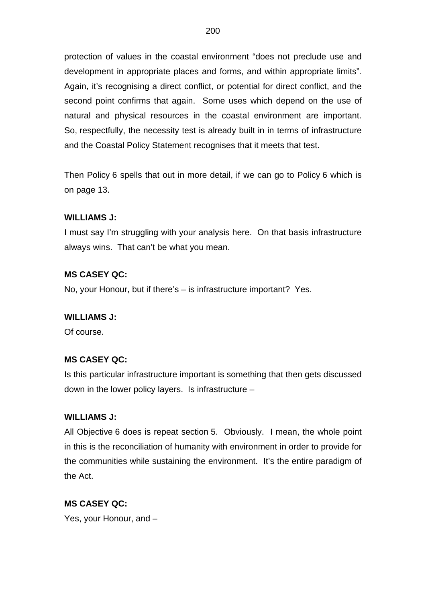protection of values in the coastal environment "does not preclude use and development in appropriate places and forms, and within appropriate limits". Again, it's recognising a direct conflict, or potential for direct conflict, and the second point confirms that again. Some uses which depend on the use of natural and physical resources in the coastal environment are important. So, respectfully, the necessity test is already built in in terms of infrastructure and the Coastal Policy Statement recognises that it meets that test.

Then Policy 6 spells that out in more detail, if we can go to Policy 6 which is on page 13.

# **WILLIAMS J:**

I must say I'm struggling with your analysis here. On that basis infrastructure always wins. That can't be what you mean.

#### **MS CASEY QC:**

No, your Honour, but if there's – is infrastructure important? Yes.

#### **WILLIAMS J:**

Of course.

#### **MS CASEY QC:**

Is this particular infrastructure important is something that then gets discussed down in the lower policy layers. Is infrastructure –

#### **WILLIAMS J:**

All Objective 6 does is repeat section 5. Obviously. I mean, the whole point in this is the reconciliation of humanity with environment in order to provide for the communities while sustaining the environment. It's the entire paradigm of the Act.

#### **MS CASEY QC:**

Yes, your Honour, and –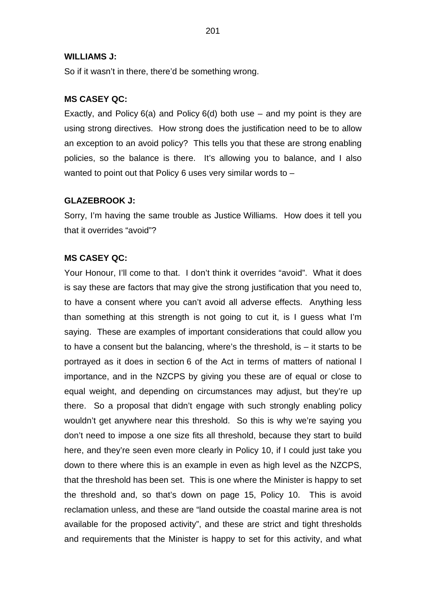#### **WILLIAMS J:**

So if it wasn't in there, there'd be something wrong.

#### **MS CASEY QC:**

Exactly, and Policy  $6(a)$  and Policy  $6(d)$  both use – and my point is they are using strong directives. How strong does the justification need to be to allow an exception to an avoid policy? This tells you that these are strong enabling policies, so the balance is there. It's allowing you to balance, and I also wanted to point out that Policy 6 uses very similar words to –

#### **GLAZEBROOK J:**

Sorry, I'm having the same trouble as Justice Williams. How does it tell you that it overrides "avoid"?

#### **MS CASEY QC:**

Your Honour, I'll come to that. I don't think it overrides "avoid". What it does is say these are factors that may give the strong justification that you need to, to have a consent where you can't avoid all adverse effects. Anything less than something at this strength is not going to cut it, is I guess what I'm saying. These are examples of important considerations that could allow you to have a consent but the balancing, where's the threshold, is  $-$  it starts to be portrayed as it does in section 6 of the Act in terms of matters of national l importance, and in the NZCPS by giving you these are of equal or close to equal weight, and depending on circumstances may adjust, but they're up there. So a proposal that didn't engage with such strongly enabling policy wouldn't get anywhere near this threshold. So this is why we're saying you don't need to impose a one size fits all threshold, because they start to build here, and they're seen even more clearly in Policy 10, if I could just take you down to there where this is an example in even as high level as the NZCPS, that the threshold has been set. This is one where the Minister is happy to set the threshold and, so that's down on page 15, Policy 10. This is avoid reclamation unless, and these are "land outside the coastal marine area is not available for the proposed activity", and these are strict and tight thresholds and requirements that the Minister is happy to set for this activity, and what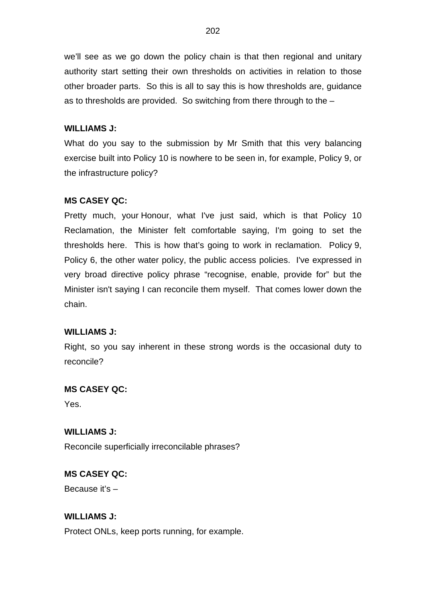we'll see as we go down the policy chain is that then regional and unitary authority start setting their own thresholds on activities in relation to those other broader parts. So this is all to say this is how thresholds are, guidance as to thresholds are provided. So switching from there through to the –

### **WILLIAMS J:**

What do you say to the submission by Mr Smith that this very balancing exercise built into Policy 10 is nowhere to be seen in, for example, Policy 9, or the infrastructure policy?

### **MS CASEY QC:**

Pretty much, your Honour, what I've just said, which is that Policy 10 Reclamation, the Minister felt comfortable saying, I'm going to set the thresholds here. This is how that's going to work in reclamation. Policy 9, Policy 6, the other water policy, the public access policies. I've expressed in very broad directive policy phrase "recognise, enable, provide for" but the Minister isn't saying I can reconcile them myself. That comes lower down the chain.

#### **WILLIAMS J:**

Right, so you say inherent in these strong words is the occasional duty to reconcile?

#### **MS CASEY QC:**

Yes.

**WILLIAMS J:** Reconcile superficially irreconcilable phrases?

#### **MS CASEY QC:**

Because it's –

### **WILLIAMS J:**

Protect ONLs, keep ports running, for example.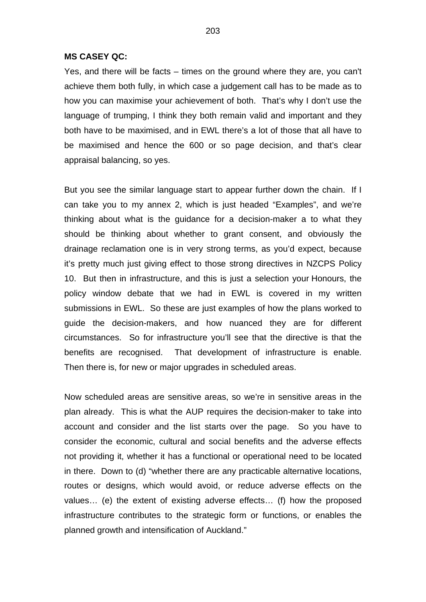Yes, and there will be facts – times on the ground where they are, you can't achieve them both fully, in which case a judgement call has to be made as to how you can maximise your achievement of both. That's why I don't use the language of trumping, I think they both remain valid and important and they both have to be maximised, and in EWL there's a lot of those that all have to be maximised and hence the 600 or so page decision, and that's clear appraisal balancing, so yes.

But you see the similar language start to appear further down the chain. If I can take you to my annex 2, which is just headed "Examples", and we're thinking about what is the guidance for a decision-maker a to what they should be thinking about whether to grant consent, and obviously the drainage reclamation one is in very strong terms, as you'd expect, because it's pretty much just giving effect to those strong directives in NZCPS Policy 10. But then in infrastructure, and this is just a selection your Honours, the policy window debate that we had in EWL is covered in my written submissions in EWL. So these are just examples of how the plans worked to guide the decision-makers, and how nuanced they are for different circumstances. So for infrastructure you'll see that the directive is that the benefits are recognised. That development of infrastructure is enable. Then there is, for new or major upgrades in scheduled areas.

Now scheduled areas are sensitive areas, so we're in sensitive areas in the plan already. This is what the AUP requires the decision-maker to take into account and consider and the list starts over the page. So you have to consider the economic, cultural and social benefits and the adverse effects not providing it, whether it has a functional or operational need to be located in there. Down to (d) "whether there are any practicable alternative locations, routes or designs, which would avoid, or reduce adverse effects on the values… (e) the extent of existing adverse effects… (f) how the proposed infrastructure contributes to the strategic form or functions, or enables the planned growth and intensification of Auckland."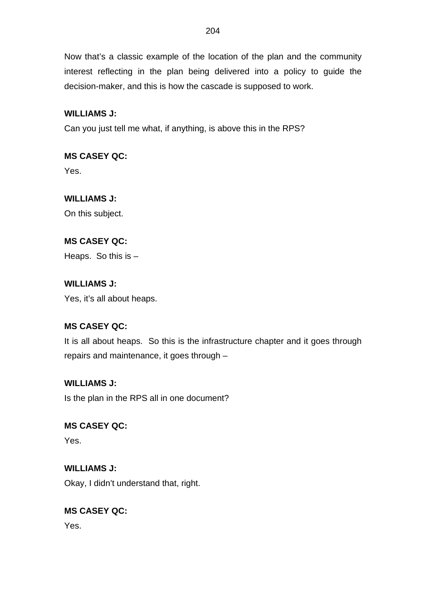Now that's a classic example of the location of the plan and the community interest reflecting in the plan being delivered into a policy to guide the decision-maker, and this is how the cascade is supposed to work.

# **WILLIAMS J:**

Can you just tell me what, if anything, is above this in the RPS?

# **MS CASEY QC:**

Yes.

# **WILLIAMS J:**

On this subject.

# **MS CASEY QC:**

Heaps. So this is –

# **WILLIAMS J:**

Yes, it's all about heaps.

# **MS CASEY QC:**

It is all about heaps. So this is the infrastructure chapter and it goes through repairs and maintenance, it goes through –

# **WILLIAMS J:**

Is the plan in the RPS all in one document?

# **MS CASEY QC:**

Yes.

# **WILLIAMS J:**

Okay, I didn't understand that, right.

# **MS CASEY QC:**

Yes.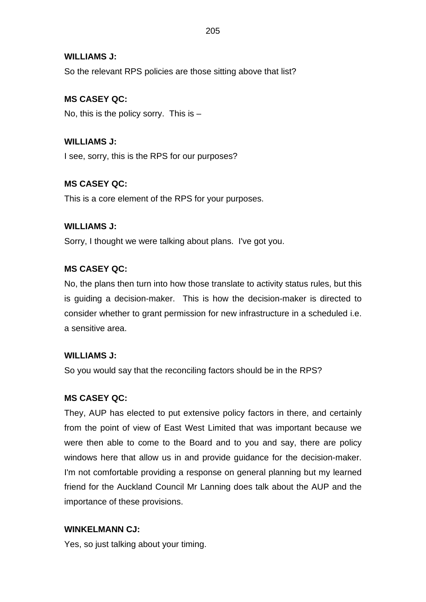# **WILLIAMS J:**

So the relevant RPS policies are those sitting above that list?

# **MS CASEY QC:**

No, this is the policy sorry. This is  $-$ 

**WILLIAMS J:** I see, sorry, this is the RPS for our purposes?

# **MS CASEY QC:**

This is a core element of the RPS for your purposes.

# **WILLIAMS J:**

Sorry, I thought we were talking about plans. I've got you.

# **MS CASEY QC:**

No, the plans then turn into how those translate to activity status rules, but this is guiding a decision-maker. This is how the decision-maker is directed to consider whether to grant permission for new infrastructure in a scheduled i.e. a sensitive area.

# **WILLIAMS J:**

So you would say that the reconciling factors should be in the RPS?

# **MS CASEY QC:**

They, AUP has elected to put extensive policy factors in there, and certainly from the point of view of East West Limited that was important because we were then able to come to the Board and to you and say, there are policy windows here that allow us in and provide guidance for the decision-maker. I'm not comfortable providing a response on general planning but my learned friend for the Auckland Council Mr Lanning does talk about the AUP and the importance of these provisions.

# **WINKELMANN CJ:**

Yes, so just talking about your timing.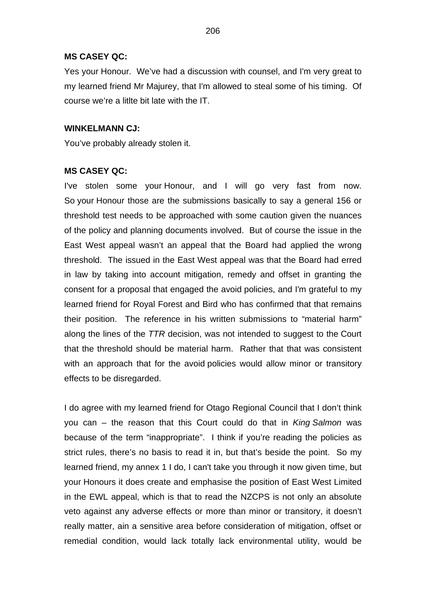Yes your Honour. We've had a discussion with counsel, and I'm very great to my learned friend Mr Majurey, that I'm allowed to steal some of his timing. Of course we're a litlte bit late with the IT.

#### **WINKELMANN CJ:**

You've probably already stolen it.

#### **MS CASEY QC:**

I've stolen some your Honour, and I will go very fast from now. So your Honour those are the submissions basically to say a general 156 or threshold test needs to be approached with some caution given the nuances of the policy and planning documents involved. But of course the issue in the East West appeal wasn't an appeal that the Board had applied the wrong threshold. The issued in the East West appeal was that the Board had erred in law by taking into account mitigation, remedy and offset in granting the consent for a proposal that engaged the avoid policies, and I'm grateful to my learned friend for Royal Forest and Bird who has confirmed that that remains their position. The reference in his written submissions to "material harm" along the lines of the *TTR* decision, was not intended to suggest to the Court that the threshold should be material harm. Rather that that was consistent with an approach that for the avoid policies would allow minor or transitory effects to be disregarded.

I do agree with my learned friend for Otago Regional Council that I don't think you can – the reason that this Court could do that in *King Salmon* was because of the term "inappropriate". I think if you're reading the policies as strict rules, there's no basis to read it in, but that's beside the point. So my learned friend, my annex 1 I do, I can't take you through it now given time, but your Honours it does create and emphasise the position of East West Limited in the EWL appeal, which is that to read the NZCPS is not only an absolute veto against any adverse effects or more than minor or transitory, it doesn't really matter, ain a sensitive area before consideration of mitigation, offset or remedial condition, would lack totally lack environmental utility, would be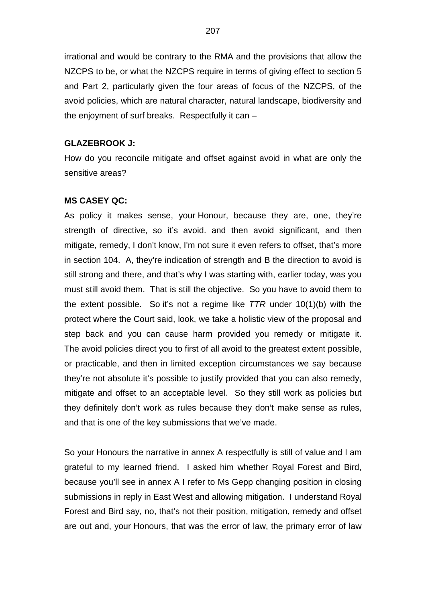irrational and would be contrary to the RMA and the provisions that allow the NZCPS to be, or what the NZCPS require in terms of giving effect to section 5 and Part 2, particularly given the four areas of focus of the NZCPS, of the avoid policies, which are natural character, natural landscape, biodiversity and the enjoyment of surf breaks. Respectfully it can –

#### **GLAZEBROOK J:**

How do you reconcile mitigate and offset against avoid in what are only the sensitive areas?

#### **MS CASEY QC:**

As policy it makes sense, your Honour, because they are, one, they're strength of directive, so it's avoid. and then avoid significant, and then mitigate, remedy, I don't know, I'm not sure it even refers to offset, that's more in section 104. A, they're indication of strength and B the direction to avoid is still strong and there, and that's why I was starting with, earlier today, was you must still avoid them. That is still the objective. So you have to avoid them to the extent possible. So it's not a regime like *TTR* under 10(1)(b) with the protect where the Court said, look, we take a holistic view of the proposal and step back and you can cause harm provided you remedy or mitigate it. The avoid policies direct you to first of all avoid to the greatest extent possible, or practicable, and then in limited exception circumstances we say because they're not absolute it's possible to justify provided that you can also remedy, mitigate and offset to an acceptable level. So they still work as policies but they definitely don't work as rules because they don't make sense as rules, and that is one of the key submissions that we've made.

So your Honours the narrative in annex A respectfully is still of value and I am grateful to my learned friend. I asked him whether Royal Forest and Bird, because you'll see in annex A I refer to Ms Gepp changing position in closing submissions in reply in East West and allowing mitigation. I understand Royal Forest and Bird say, no, that's not their position, mitigation, remedy and offset are out and, your Honours, that was the error of law, the primary error of law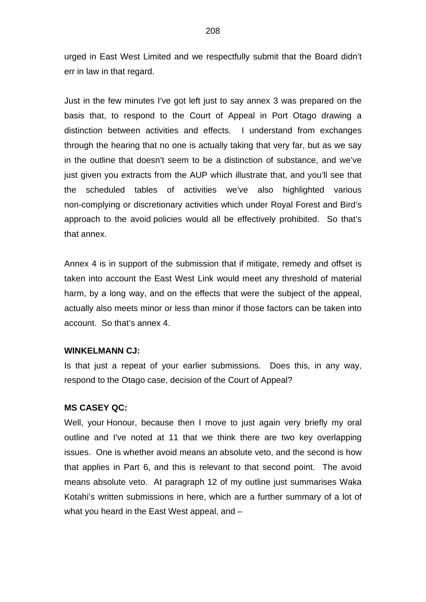urged in East West Limited and we respectfully submit that the Board didn't err in law in that regard.

Just in the few minutes I've got left just to say annex 3 was prepared on the basis that, to respond to the Court of Appeal in Port Otago drawing a distinction between activities and effects. I understand from exchanges through the hearing that no one is actually taking that very far, but as we say in the outline that doesn't seem to be a distinction of substance, and we've just given you extracts from the AUP which illustrate that, and you'll see that the scheduled tables of activities we've also highlighted various non-complying or discretionary activities which under Royal Forest and Bird's approach to the avoid policies would all be effectively prohibited. So that's that annex.

Annex 4 is in support of the submission that if mitigate, remedy and offset is taken into account the East West Link would meet any threshold of material harm, by a long way, and on the effects that were the subject of the appeal, actually also meets minor or less than minor if those factors can be taken into account. So that's annex 4.

#### **WINKELMANN CJ:**

Is that just a repeat of your earlier submissions. Does this, in any way, respond to the Otago case, decision of the Court of Appeal?

#### **MS CASEY QC:**

Well, your Honour, because then I move to just again very briefly my oral outline and I've noted at 11 that we think there are two key overlapping issues. One is whether avoid means an absolute veto, and the second is how that applies in Part 6, and this is relevant to that second point. The avoid means absolute veto. At paragraph 12 of my outline just summarises Waka Kotahi's written submissions in here, which are a further summary of a lot of what you heard in the East West appeal, and –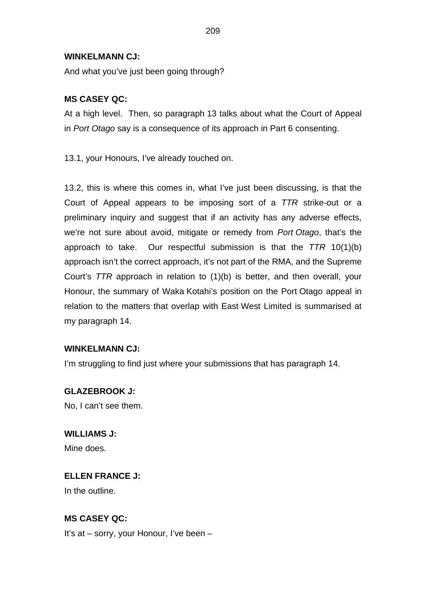### **WINKELMANN CJ:**

And what you've just been going through?

# **MS CASEY QC:**

At a high level. Then, so paragraph 13 talks about what the Court of Appeal in *Port Otago* say is a consequence of its approach in Part 6 consenting.

13.1, your Honours, I've already touched on.

13.2, this is where this comes in, what I've just been discussing, is that the Court of Appeal appears to be imposing sort of a *TTR* strike-out or a preliminary inquiry and suggest that if an activity has any adverse effects, we're not sure about avoid, mitigate or remedy from *Port Otago*, that's the approach to take. Our respectful submission is that the *TTR* 10(1)(b) approach isn't the correct approach, it's not part of the RMA, and the Supreme Court's *TTR* approach in relation to (1)(b) is better, and then overall, your Honour, the summary of Waka Kotahi's position on the Port Otago appeal in relation to the matters that overlap with East West Limited is summarised at my paragraph 14.

# **WINKELMANN CJ:**

I'm struggling to find just where your submissions that has paragraph 14.

# **GLAZEBROOK J:**

No, I can't see them.

**WILLIAMS J:** Mine does.

# **ELLEN FRANCE J:**

In the outline.

# **MS CASEY QC:**

It's at – sorry, your Honour, I've been –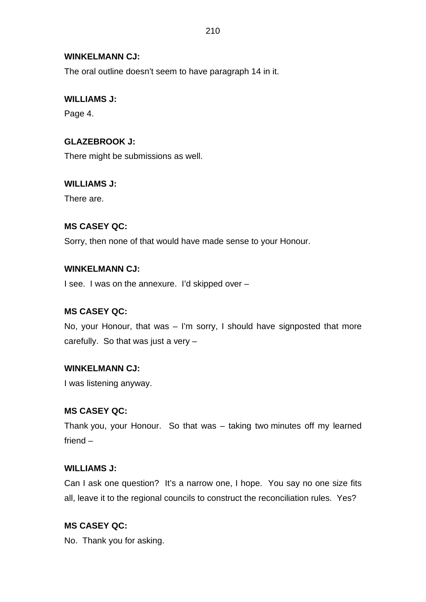# **WINKELMANN CJ:**

The oral outline doesn't seem to have paragraph 14 in it.

# **WILLIAMS J:**

Page 4.

# **GLAZEBROOK J:**

There might be submissions as well.

# **WILLIAMS J:**

There are.

# **MS CASEY QC:**

Sorry, then none of that would have made sense to your Honour.

# **WINKELMANN CJ:**

I see. I was on the annexure. I'd skipped over –

# **MS CASEY QC:**

No, your Honour, that was – I'm sorry, I should have signposted that more carefully. So that was just a very –

# **WINKELMANN CJ:**

I was listening anyway.

# **MS CASEY QC:**

Thank you, your Honour. So that was – taking two minutes off my learned friend –

# **WILLIAMS J:**

Can I ask one question? It's a narrow one, I hope. You say no one size fits all, leave it to the regional councils to construct the reconciliation rules. Yes?

# **MS CASEY QC:**

No. Thank you for asking.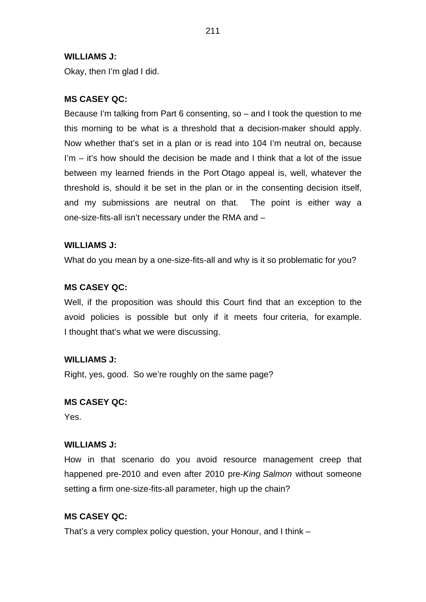### **WILLIAMS J:**

Okay, then I'm glad I did.

# **MS CASEY QC:**

Because I'm talking from Part 6 consenting, so – and I took the question to me this morning to be what is a threshold that a decision-maker should apply. Now whether that's set in a plan or is read into 104 I'm neutral on, because I'm – it's how should the decision be made and I think that a lot of the issue between my learned friends in the Port Otago appeal is, well, whatever the threshold is, should it be set in the plan or in the consenting decision itself, and my submissions are neutral on that. The point is either way a one-size-fits-all isn't necessary under the RMA and –

#### **WILLIAMS J:**

What do you mean by a one-size-fits-all and why is it so problematic for you?

### **MS CASEY QC:**

Well, if the proposition was should this Court find that an exception to the avoid policies is possible but only if it meets four criteria, for example. I thought that's what we were discussing.

#### **WILLIAMS J:**

Right, yes, good. So we're roughly on the same page?

#### **MS CASEY QC:**

Yes.

#### **WILLIAMS J:**

How in that scenario do you avoid resource management creep that happened pre-2010 and even after 2010 pre-*King Salmon* without someone setting a firm one-size-fits-all parameter, high up the chain?

#### **MS CASEY QC:**

That's a very complex policy question, your Honour, and I think –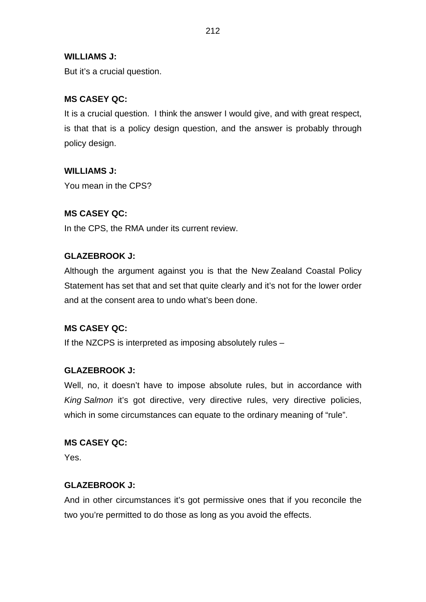# **WILLIAMS J:**

But it's a crucial question.

# **MS CASEY QC:**

It is a crucial question. I think the answer I would give, and with great respect, is that that is a policy design question, and the answer is probably through policy design.

# **WILLIAMS J:**

You mean in the CPS?

# **MS CASEY QC:**

In the CPS, the RMA under its current review.

# **GLAZEBROOK J:**

Although the argument against you is that the New Zealand Coastal Policy Statement has set that and set that quite clearly and it's not for the lower order and at the consent area to undo what's been done.

# **MS CASEY QC:**

If the NZCPS is interpreted as imposing absolutely rules –

# **GLAZEBROOK J:**

Well, no, it doesn't have to impose absolute rules, but in accordance with *King Salmon* it's got directive, very directive rules, very directive policies, which in some circumstances can equate to the ordinary meaning of "rule".

# **MS CASEY QC:**

Yes.

# **GLAZEBROOK J:**

And in other circumstances it's got permissive ones that if you reconcile the two you're permitted to do those as long as you avoid the effects.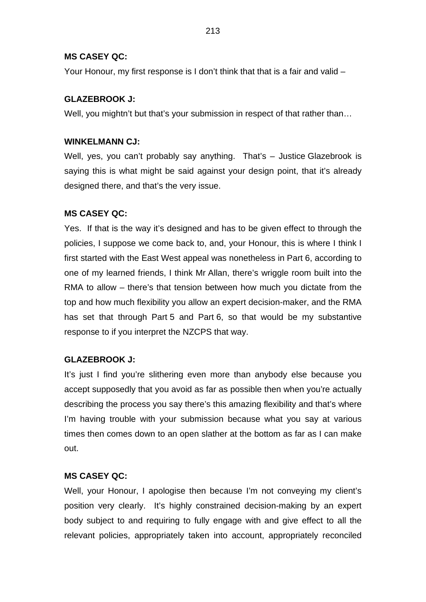Your Honour, my first response is I don't think that that is a fair and valid –

# **GLAZEBROOK J:**

Well, you mightn't but that's your submission in respect of that rather than...

# **WINKELMANN CJ:**

Well, yes, you can't probably say anything. That's - Justice Glazebrook is saying this is what might be said against your design point, that it's already designed there, and that's the very issue.

# **MS CASEY QC:**

Yes. If that is the way it's designed and has to be given effect to through the policies, I suppose we come back to, and, your Honour, this is where I think I first started with the East West appeal was nonetheless in Part 6, according to one of my learned friends, I think Mr Allan, there's wriggle room built into the RMA to allow – there's that tension between how much you dictate from the top and how much flexibility you allow an expert decision-maker, and the RMA has set that through Part 5 and Part 6, so that would be my substantive response to if you interpret the NZCPS that way.

# **GLAZEBROOK J:**

It's just I find you're slithering even more than anybody else because you accept supposedly that you avoid as far as possible then when you're actually describing the process you say there's this amazing flexibility and that's where I'm having trouble with your submission because what you say at various times then comes down to an open slather at the bottom as far as I can make out.

# **MS CASEY QC:**

Well, your Honour, I apologise then because I'm not conveying my client's position very clearly. It's highly constrained decision-making by an expert body subject to and requiring to fully engage with and give effect to all the relevant policies, appropriately taken into account, appropriately reconciled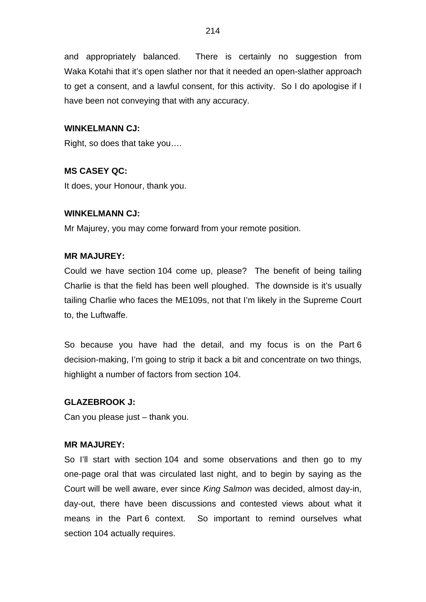and appropriately balanced. There is certainly no suggestion from Waka Kotahi that it's open slather nor that it needed an open-slather approach to get a consent, and a lawful consent, for this activity. So I do apologise if I have been not conveying that with any accuracy.

### **WINKELMANN CJ:**

Right, so does that take you….

# **MS CASEY QC:**

It does, your Honour, thank you.

### **WINKELMANN CJ:**

Mr Majurey, you may come forward from your remote position.

### **MR MAJUREY:**

Could we have section 104 come up, please? The benefit of being tailing Charlie is that the field has been well ploughed. The downside is it's usually tailing Charlie who faces the ME109s, not that I'm likely in the Supreme Court to, the Luftwaffe.

So because you have had the detail, and my focus is on the Part 6 decision-making, I'm going to strip it back a bit and concentrate on two things, highlight a number of factors from section 104.

#### **GLAZEBROOK J:**

Can you please just – thank you.

#### **MR MAJUREY:**

So I'll start with section 104 and some observations and then go to my one-page oral that was circulated last night, and to begin by saying as the Court will be well aware, ever since *King Salmon* was decided, almost day-in, day-out, there have been discussions and contested views about what it means in the Part 6 context. So important to remind ourselves what section 104 actually requires.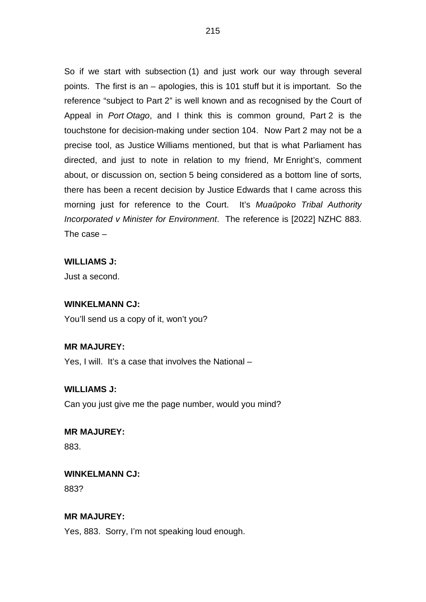So if we start with subsection (1) and just work our way through several points. The first is an – apologies, this is 101 stuff but it is important. So the reference "subject to Part 2" is well known and as recognised by the Court of Appeal in *Port Otago*, and I think this is common ground, Part 2 is the touchstone for decision-making under section 104. Now Part 2 may not be a precise tool, as Justice Williams mentioned, but that is what Parliament has directed, and just to note in relation to my friend, Mr Enright's, comment about, or discussion on, section 5 being considered as a bottom line of sorts, there has been a recent decision by Justice Edwards that I came across this morning just for reference to the Court. It's *Muaūpoko Tribal Authority Incorporated v Minister for Environment*. The reference is [2022] NZHC 883. The case –

#### **WILLIAMS J:**

Just a second.

#### **WINKELMANN CJ:**

You'll send us a copy of it, won't you?

#### **MR MAJUREY:**

Yes, I will. It's a case that involves the National –

# **WILLIAMS J:**

Can you just give me the page number, would you mind?

# **MR MAJUREY:**

883.

#### **WINKELMANN CJ:**

883?

### **MR MAJUREY:**

Yes, 883. Sorry, I'm not speaking loud enough.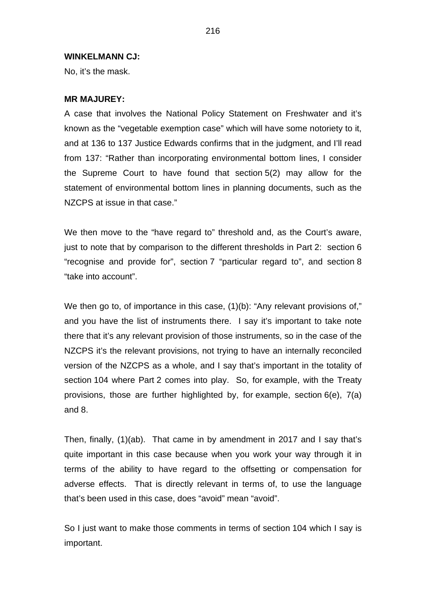#### **WINKELMANN CJ:**

No, it's the mask.

#### **MR MAJUREY:**

A case that involves the National Policy Statement on Freshwater and it's known as the "vegetable exemption case" which will have some notoriety to it, and at 136 to 137 Justice Edwards confirms that in the judgment, and I'll read from 137: "Rather than incorporating environmental bottom lines, I consider the Supreme Court to have found that section 5(2) may allow for the statement of environmental bottom lines in planning documents, such as the NZCPS at issue in that case."

We then move to the "have regard to" threshold and, as the Court's aware, just to note that by comparison to the different thresholds in Part 2: section 6 "recognise and provide for", section 7 "particular regard to", and section 8 "take into account".

We then go to, of importance in this case, (1)(b): "Any relevant provisions of," and you have the list of instruments there. I say it's important to take note there that it's any relevant provision of those instruments, so in the case of the NZCPS it's the relevant provisions, not trying to have an internally reconciled version of the NZCPS as a whole, and I say that's important in the totality of section 104 where Part 2 comes into play. So, for example, with the Treaty provisions, those are further highlighted by, for example, section 6(e), 7(a) and 8.

Then, finally, (1)(ab). That came in by amendment in 2017 and I say that's quite important in this case because when you work your way through it in terms of the ability to have regard to the offsetting or compensation for adverse effects. That is directly relevant in terms of, to use the language that's been used in this case, does "avoid" mean "avoid".

So I just want to make those comments in terms of section 104 which I say is important.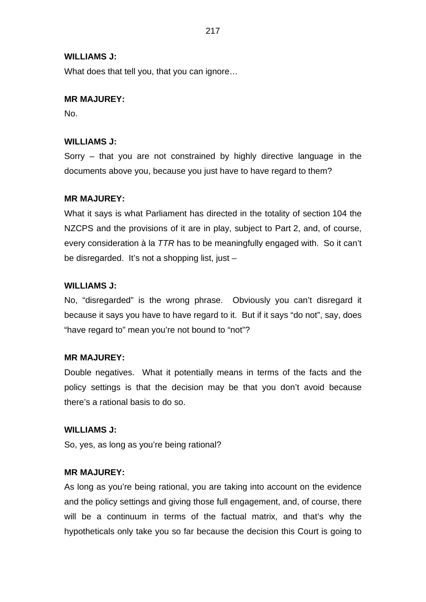### **WILLIAMS J:**

What does that tell you, that you can ignore…

### **MR MAJUREY:**

No.

### **WILLIAMS J:**

Sorry – that you are not constrained by highly directive language in the documents above you, because you just have to have regard to them?

### **MR MAJUREY:**

What it says is what Parliament has directed in the totality of section 104 the NZCPS and the provisions of it are in play, subject to Part 2, and, of course, every consideration à la *TTR* has to be meaningfully engaged with. So it can't be disregarded. It's not a shopping list, just –

### **WILLIAMS J:**

No, "disregarded" is the wrong phrase. Obviously you can't disregard it because it says you have to have regard to it. But if it says "do not", say, does "have regard to" mean you're not bound to "not"?

#### **MR MAJUREY:**

Double negatives. What it potentially means in terms of the facts and the policy settings is that the decision may be that you don't avoid because there's a rational basis to do so.

#### **WILLIAMS J:**

So, yes, as long as you're being rational?

### **MR MAJUREY:**

As long as you're being rational, you are taking into account on the evidence and the policy settings and giving those full engagement, and, of course, there will be a continuum in terms of the factual matrix, and that's why the hypotheticals only take you so far because the decision this Court is going to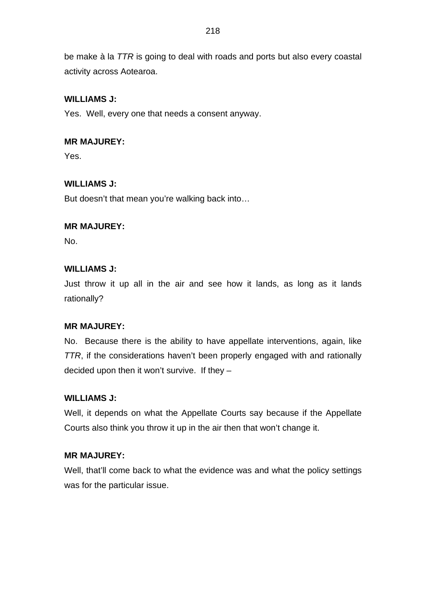be make à la *TTR* is going to deal with roads and ports but also every coastal activity across Aotearoa.

# **WILLIAMS J:**

Yes. Well, every one that needs a consent anyway.

## **MR MAJUREY:**

Yes.

# **WILLIAMS J:**

But doesn't that mean you're walking back into…

# **MR MAJUREY:**

No.

# **WILLIAMS J:**

Just throw it up all in the air and see how it lands, as long as it lands rationally?

# **MR MAJUREY:**

No. Because there is the ability to have appellate interventions, again, like *TTR*, if the considerations haven't been properly engaged with and rationally decided upon then it won't survive. If they –

# **WILLIAMS J:**

Well, it depends on what the Appellate Courts say because if the Appellate Courts also think you throw it up in the air then that won't change it.

## **MR MAJUREY:**

Well, that'll come back to what the evidence was and what the policy settings was for the particular issue.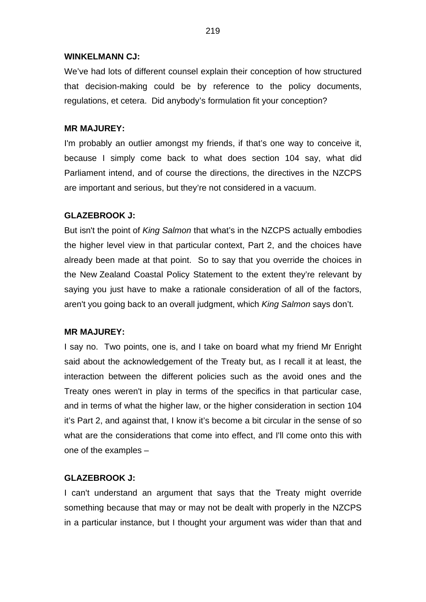### **WINKELMANN CJ:**

We've had lots of different counsel explain their conception of how structured that decision-making could be by reference to the policy documents, regulations, et cetera. Did anybody's formulation fit your conception?

### **MR MAJUREY:**

I'm probably an outlier amongst my friends, if that's one way to conceive it, because I simply come back to what does section 104 say, what did Parliament intend, and of course the directions, the directives in the NZCPS are important and serious, but they're not considered in a vacuum.

## **GLAZEBROOK J:**

But isn't the point of *King Salmon* that what's in the NZCPS actually embodies the higher level view in that particular context, Part 2, and the choices have already been made at that point. So to say that you override the choices in the New Zealand Coastal Policy Statement to the extent they're relevant by saying you just have to make a rationale consideration of all of the factors, aren't you going back to an overall judgment, which *King Salmon* says don't.

#### **MR MAJUREY:**

I say no. Two points, one is, and I take on board what my friend Mr Enright said about the acknowledgement of the Treaty but, as I recall it at least, the interaction between the different policies such as the avoid ones and the Treaty ones weren't in play in terms of the specifics in that particular case, and in terms of what the higher law, or the higher consideration in section 104 it's Part 2, and against that, I know it's become a bit circular in the sense of so what are the considerations that come into effect, and I'll come onto this with one of the examples –

## **GLAZEBROOK J:**

I can't understand an argument that says that the Treaty might override something because that may or may not be dealt with properly in the NZCPS in a particular instance, but I thought your argument was wider than that and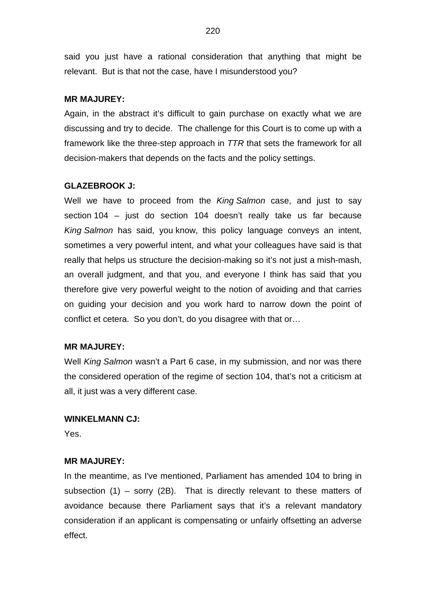said you just have a rational consideration that anything that might be relevant. But is that not the case, have I misunderstood you?

### **MR MAJUREY:**

Again, in the abstract it's difficult to gain purchase on exactly what we are discussing and try to decide. The challenge for this Court is to come up with a framework like the three-step approach in *TTR* that sets the framework for all decision-makers that depends on the facts and the policy settings.

### **GLAZEBROOK J:**

Well we have to proceed from the *King Salmon* case, and just to say section 104 – just do section 104 doesn't really take us far because *King Salmon* has said, you know, this policy language conveys an intent, sometimes a very powerful intent, and what your colleagues have said is that really that helps us structure the decision-making so it's not just a mish-mash, an overall judgment, and that you, and everyone I think has said that you therefore give very powerful weight to the notion of avoiding and that carries on guiding your decision and you work hard to narrow down the point of conflict et cetera. So you don't, do you disagree with that or…

#### **MR MAJUREY:**

Well *King Salmon* wasn't a Part 6 case, in my submission, and nor was there the considered operation of the regime of section 104, that's not a criticism at all, it just was a very different case.

#### **WINKELMANN CJ:**

Yes.

#### **MR MAJUREY:**

In the meantime, as I've mentioned, Parliament has amended 104 to bring in subsection (1) – sorry (2B). That is directly relevant to these matters of avoidance because there Parliament says that it's a relevant mandatory consideration if an applicant is compensating or unfairly offsetting an adverse effect.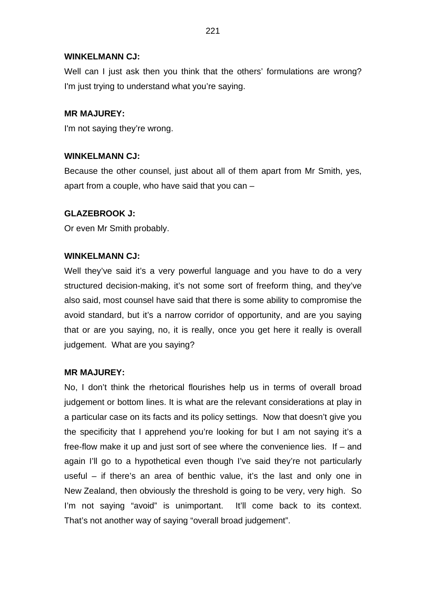## **WINKELMANN CJ:**

Well can I just ask then you think that the others' formulations are wrong? I'm just trying to understand what you're saying.

## **MR MAJUREY:**

I'm not saying they're wrong.

## **WINKELMANN CJ:**

Because the other counsel, just about all of them apart from Mr Smith, yes, apart from a couple, who have said that you can –

## **GLAZEBROOK J:**

Or even Mr Smith probably.

## **WINKELMANN CJ:**

Well they've said it's a very powerful language and you have to do a very structured decision-making, it's not some sort of freeform thing, and they've also said, most counsel have said that there is some ability to compromise the avoid standard, but it's a narrow corridor of opportunity, and are you saying that or are you saying, no, it is really, once you get here it really is overall judgement. What are you saying?

## **MR MAJUREY:**

No, I don't think the rhetorical flourishes help us in terms of overall broad judgement or bottom lines. It is what are the relevant considerations at play in a particular case on its facts and its policy settings. Now that doesn't give you the specificity that I apprehend you're looking for but I am not saying it's a free-flow make it up and just sort of see where the convenience lies. If – and again I'll go to a hypothetical even though I've said they're not particularly useful – if there's an area of benthic value, it's the last and only one in New Zealand, then obviously the threshold is going to be very, very high. So I'm not saying "avoid" is unimportant. It'll come back to its context. That's not another way of saying "overall broad judgement".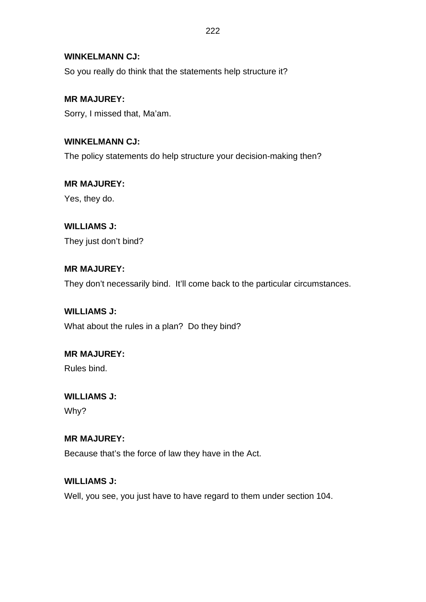## **WINKELMANN CJ:**

So you really do think that the statements help structure it?

**MR MAJUREY:** Sorry, I missed that, Ma'am.

**WINKELMANN CJ:** The policy statements do help structure your decision-making then?

**MR MAJUREY:** Yes, they do.

# **WILLIAMS J:**

They just don't bind?

# **MR MAJUREY:**

They don't necessarily bind. It'll come back to the particular circumstances.

# **WILLIAMS J:**

What about the rules in a plan? Do they bind?

# **MR MAJUREY:**

Rules bind.

# **WILLIAMS J:**

Why?

# **MR MAJUREY:**

Because that's the force of law they have in the Act.

# **WILLIAMS J:**

Well, you see, you just have to have regard to them under section 104.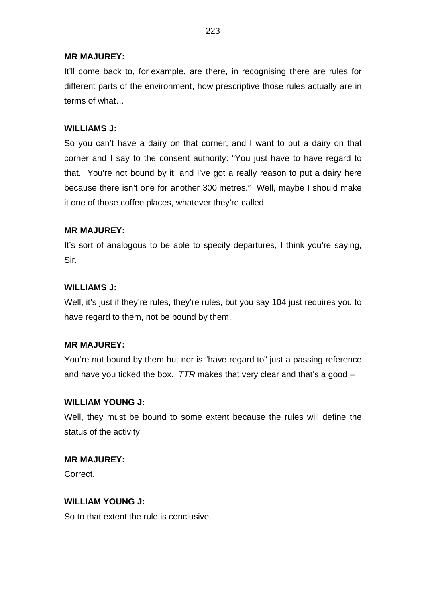## **MR MAJUREY:**

It'll come back to, for example, are there, in recognising there are rules for different parts of the environment, how prescriptive those rules actually are in terms of what…

## **WILLIAMS J:**

So you can't have a dairy on that corner, and I want to put a dairy on that corner and I say to the consent authority: "You just have to have regard to that. You're not bound by it, and I've got a really reason to put a dairy here because there isn't one for another 300 metres." Well, maybe I should make it one of those coffee places, whatever they're called.

## **MR MAJUREY:**

It's sort of analogous to be able to specify departures, I think you're saying, Sir.

## **WILLIAMS J:**

Well, it's just if they're rules, they're rules, but you say 104 just requires you to have regard to them, not be bound by them.

# **MR MAJUREY:**

You're not bound by them but nor is "have regard to" just a passing reference and have you ticked the box. *TTR* makes that very clear and that's a good –

## **WILLIAM YOUNG J:**

Well, they must be bound to some extent because the rules will define the status of the activity.

## **MR MAJUREY:**

Correct.

## **WILLIAM YOUNG J:**

So to that extent the rule is conclusive.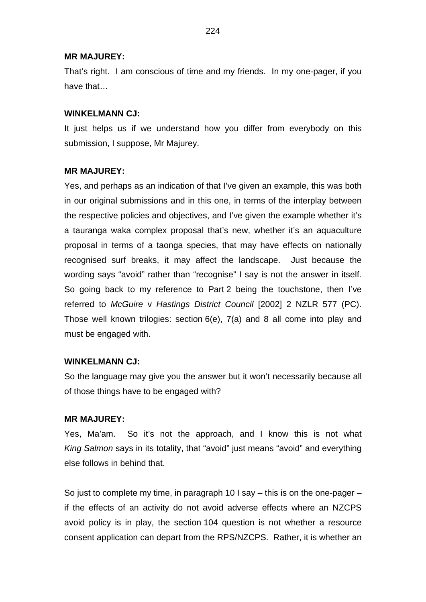#### **MR MAJUREY:**

That's right. I am conscious of time and my friends. In my one-pager, if you have that…

### **WINKELMANN CJ:**

It just helps us if we understand how you differ from everybody on this submission, I suppose, Mr Majurey.

### **MR MAJUREY:**

Yes, and perhaps as an indication of that I've given an example, this was both in our original submissions and in this one, in terms of the interplay between the respective policies and objectives, and I've given the example whether it's a tauranga waka complex proposal that's new, whether it's an aquaculture proposal in terms of a taonga species, that may have effects on nationally recognised surf breaks, it may affect the landscape. Just because the wording says "avoid" rather than "recognise" I say is not the answer in itself. So going back to my reference to Part 2 being the touchstone, then I've referred to *McGuire* v *Hastings District Council* [2002] 2 NZLR 577 (PC). Those well known trilogies: section 6(e), 7(a) and 8 all come into play and must be engaged with.

## **WINKELMANN CJ:**

So the language may give you the answer but it won't necessarily because all of those things have to be engaged with?

## **MR MAJUREY:**

Yes, Ma'am. So it's not the approach, and I know this is not what *King Salmon* says in its totality, that "avoid" just means "avoid" and everything else follows in behind that.

So just to complete my time, in paragraph 10 I say – this is on the one-pager – if the effects of an activity do not avoid adverse effects where an NZCPS avoid policy is in play, the section 104 question is not whether a resource consent application can depart from the RPS/NZCPS. Rather, it is whether an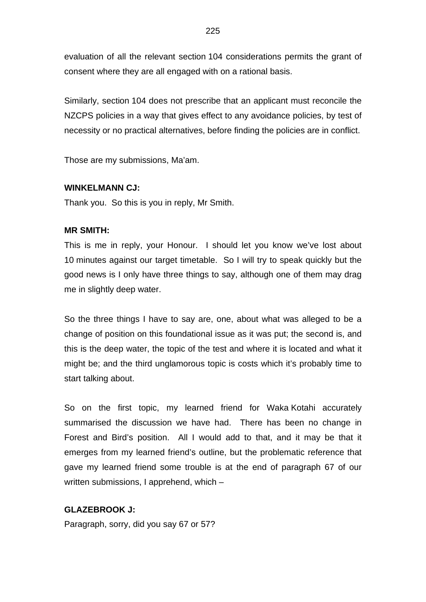evaluation of all the relevant section 104 considerations permits the grant of consent where they are all engaged with on a rational basis.

Similarly, section 104 does not prescribe that an applicant must reconcile the NZCPS policies in a way that gives effect to any avoidance policies, by test of necessity or no practical alternatives, before finding the policies are in conflict.

Those are my submissions, Ma'am.

### **WINKELMANN CJ:**

Thank you. So this is you in reply, Mr Smith.

#### **MR SMITH:**

This is me in reply, your Honour. I should let you know we've lost about 10 minutes against our target timetable. So I will try to speak quickly but the good news is I only have three things to say, although one of them may drag me in slightly deep water.

So the three things I have to say are, one, about what was alleged to be a change of position on this foundational issue as it was put; the second is, and this is the deep water, the topic of the test and where it is located and what it might be; and the third unglamorous topic is costs which it's probably time to start talking about.

So on the first topic, my learned friend for Waka Kotahi accurately summarised the discussion we have had. There has been no change in Forest and Bird's position. All I would add to that, and it may be that it emerges from my learned friend's outline, but the problematic reference that gave my learned friend some trouble is at the end of paragraph 67 of our written submissions, I apprehend, which –

## **GLAZEBROOK J:**

Paragraph, sorry, did you say 67 or 57?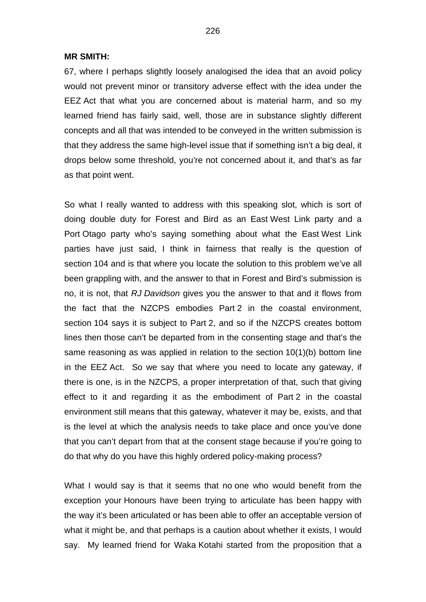**MR SMITH:**

67, where I perhaps slightly loosely analogised the idea that an avoid policy would not prevent minor or transitory adverse effect with the idea under the EEZ Act that what you are concerned about is material harm, and so my learned friend has fairly said, well, those are in substance slightly different concepts and all that was intended to be conveyed in the written submission is that they address the same high-level issue that if something isn't a big deal, it drops below some threshold, you're not concerned about it, and that's as far as that point went.

So what I really wanted to address with this speaking slot, which is sort of doing double duty for Forest and Bird as an East West Link party and a Port Otago party who's saying something about what the East West Link parties have just said, I think in fairness that really is the question of section 104 and is that where you locate the solution to this problem we've all been grappling with, and the answer to that in Forest and Bird's submission is no, it is not, that *RJ Davidson* gives you the answer to that and it flows from the fact that the NZCPS embodies Part 2 in the coastal environment, section 104 says it is subject to Part 2, and so if the NZCPS creates bottom lines then those can't be departed from in the consenting stage and that's the same reasoning as was applied in relation to the section 10(1)(b) bottom line in the EEZ Act. So we say that where you need to locate any gateway, if there is one, is in the NZCPS, a proper interpretation of that, such that giving effect to it and regarding it as the embodiment of Part 2 in the coastal environment still means that this gateway, whatever it may be, exists, and that is the level at which the analysis needs to take place and once you've done that you can't depart from that at the consent stage because if you're going to do that why do you have this highly ordered policy-making process?

What I would say is that it seems that no one who would benefit from the exception your Honours have been trying to articulate has been happy with the way it's been articulated or has been able to offer an acceptable version of what it might be, and that perhaps is a caution about whether it exists, I would say. My learned friend for Waka Kotahi started from the proposition that a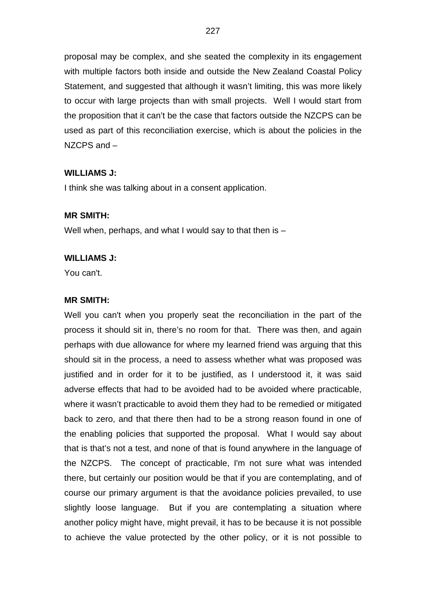proposal may be complex, and she seated the complexity in its engagement with multiple factors both inside and outside the New Zealand Coastal Policy Statement, and suggested that although it wasn't limiting, this was more likely to occur with large projects than with small projects. Well I would start from the proposition that it can't be the case that factors outside the NZCPS can be used as part of this reconciliation exercise, which is about the policies in the NZCPS and –

### **WILLIAMS J:**

I think she was talking about in a consent application.

## **MR SMITH:**

Well when, perhaps, and what I would say to that then is -

#### **WILLIAMS J:**

You can't.

#### **MR SMITH:**

Well you can't when you properly seat the reconciliation in the part of the process it should sit in, there's no room for that. There was then, and again perhaps with due allowance for where my learned friend was arguing that this should sit in the process, a need to assess whether what was proposed was justified and in order for it to be justified, as I understood it, it was said adverse effects that had to be avoided had to be avoided where practicable, where it wasn't practicable to avoid them they had to be remedied or mitigated back to zero, and that there then had to be a strong reason found in one of the enabling policies that supported the proposal. What I would say about that is that's not a test, and none of that is found anywhere in the language of the NZCPS. The concept of practicable, I'm not sure what was intended there, but certainly our position would be that if you are contemplating, and of course our primary argument is that the avoidance policies prevailed, to use slightly loose language. But if you are contemplating a situation where another policy might have, might prevail, it has to be because it is not possible to achieve the value protected by the other policy, or it is not possible to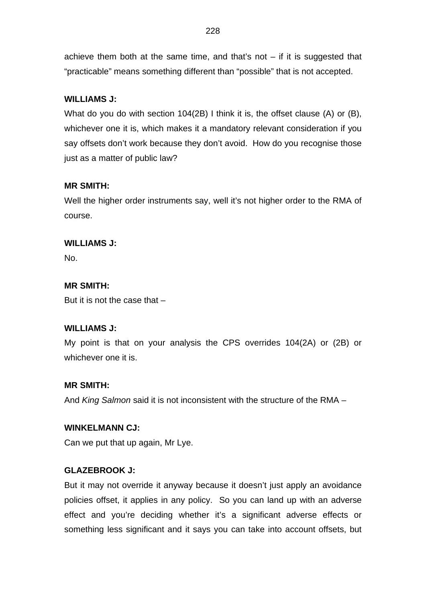achieve them both at the same time, and that's not  $-$  if it is suggested that "practicable" means something different than "possible" that is not accepted.

# **WILLIAMS J:**

What do you do with section 104(2B) I think it is, the offset clause (A) or (B), whichever one it is, which makes it a mandatory relevant consideration if you say offsets don't work because they don't avoid. How do you recognise those just as a matter of public law?

# **MR SMITH:**

Well the higher order instruments say, well it's not higher order to the RMA of course.

# **WILLIAMS J:**

No.

# **MR SMITH:**

But it is not the case that –

# **WILLIAMS J:**

My point is that on your analysis the CPS overrides 104(2A) or (2B) or whichever one it is.

# **MR SMITH:**

And *King Salmon* said it is not inconsistent with the structure of the RMA –

# **WINKELMANN CJ:**

Can we put that up again, Mr Lye.

# **GLAZEBROOK J:**

But it may not override it anyway because it doesn't just apply an avoidance policies offset, it applies in any policy. So you can land up with an adverse effect and you're deciding whether it's a significant adverse effects or something less significant and it says you can take into account offsets, but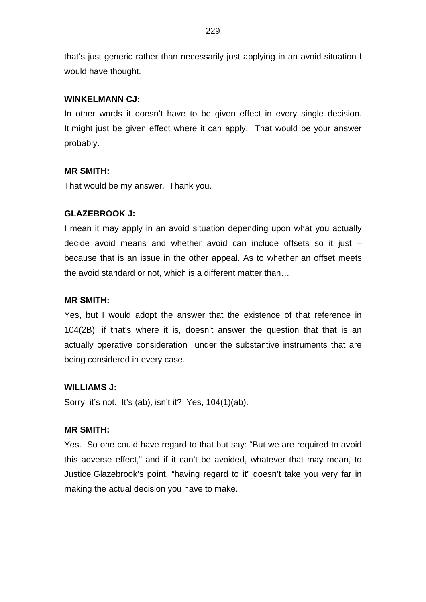that's just generic rather than necessarily just applying in an avoid situation I would have thought.

### **WINKELMANN CJ:**

In other words it doesn't have to be given effect in every single decision. It might just be given effect where it can apply. That would be your answer probably.

### **MR SMITH:**

That would be my answer. Thank you.

### **GLAZEBROOK J:**

I mean it may apply in an avoid situation depending upon what you actually decide avoid means and whether avoid can include offsets so it just – because that is an issue in the other appeal. As to whether an offset meets the avoid standard or not, which is a different matter than…

### **MR SMITH:**

Yes, but I would adopt the answer that the existence of that reference in 104(2B), if that's where it is, doesn't answer the question that that is an actually operative consideration under the substantive instruments that are being considered in every case.

#### **WILLIAMS J:**

Sorry, it's not. It's (ab), isn't it? Yes, 104(1)(ab).

## **MR SMITH:**

Yes. So one could have regard to that but say: "But we are required to avoid this adverse effect," and if it can't be avoided, whatever that may mean, to Justice Glazebrook's point, "having regard to it" doesn't take you very far in making the actual decision you have to make.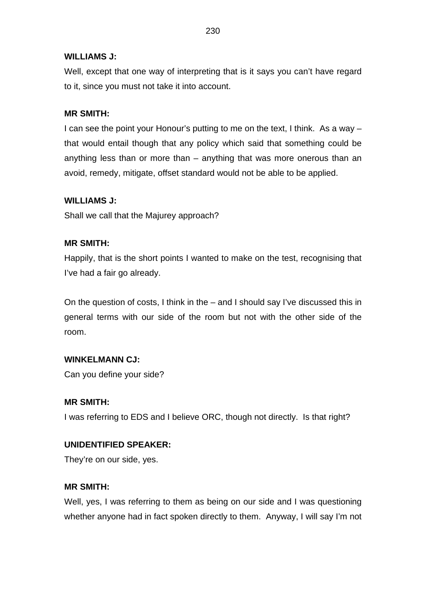## **WILLIAMS J:**

Well, except that one way of interpreting that is it says you can't have regard to it, since you must not take it into account.

### **MR SMITH:**

I can see the point your Honour's putting to me on the text, I think. As a way – that would entail though that any policy which said that something could be anything less than or more than – anything that was more onerous than an avoid, remedy, mitigate, offset standard would not be able to be applied.

### **WILLIAMS J:**

Shall we call that the Majurey approach?

### **MR SMITH:**

Happily, that is the short points I wanted to make on the test, recognising that I've had a fair go already.

On the question of costs, I think in the – and I should say I've discussed this in general terms with our side of the room but not with the other side of the room.

#### **WINKELMANN CJ:**

Can you define your side?

#### **MR SMITH:**

I was referring to EDS and I believe ORC, though not directly. Is that right?

#### **UNIDENTIFIED SPEAKER:**

They're on our side, yes.

#### **MR SMITH:**

Well, yes, I was referring to them as being on our side and I was questioning whether anyone had in fact spoken directly to them. Anyway, I will say I'm not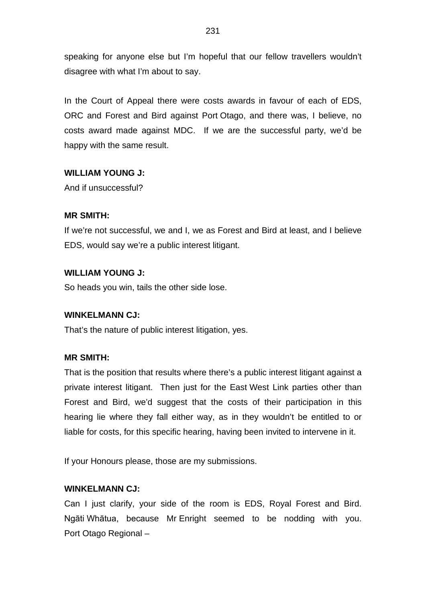speaking for anyone else but I'm hopeful that our fellow travellers wouldn't disagree with what I'm about to say.

In the Court of Appeal there were costs awards in favour of each of EDS, ORC and Forest and Bird against Port Otago, and there was, I believe, no costs award made against MDC. If we are the successful party, we'd be happy with the same result.

## **WILLIAM YOUNG J:**

And if unsuccessful?

## **MR SMITH:**

If we're not successful, we and I, we as Forest and Bird at least, and I believe EDS, would say we're a public interest litigant.

## **WILLIAM YOUNG J:**

So heads you win, tails the other side lose.

## **WINKELMANN CJ:**

That's the nature of public interest litigation, yes.

## **MR SMITH:**

That is the position that results where there's a public interest litigant against a private interest litigant. Then just for the East West Link parties other than Forest and Bird, we'd suggest that the costs of their participation in this hearing lie where they fall either way, as in they wouldn't be entitled to or liable for costs, for this specific hearing, having been invited to intervene in it.

If your Honours please, those are my submissions.

## **WINKELMANN CJ:**

Can I just clarify, your side of the room is EDS, Royal Forest and Bird. Ngāti Whātua, because Mr Enright seemed to be nodding with you. Port Otago Regional –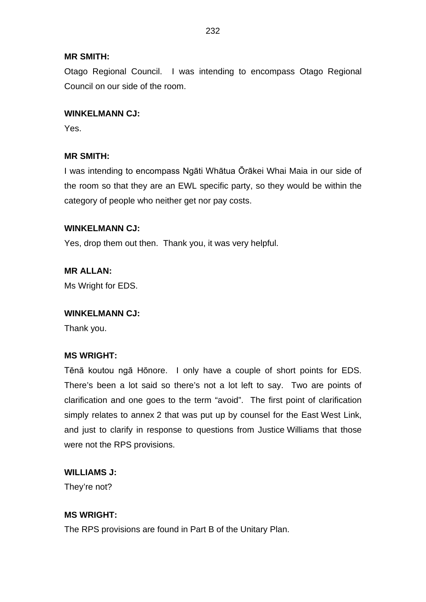### **MR SMITH:**

Otago Regional Council. I was intending to encompass Otago Regional Council on our side of the room.

### **WINKELMANN CJ:**

Yes.

## **MR SMITH:**

I was intending to encompass Ngāti Whātua Ōrākei Whai Maia in our side of the room so that they are an EWL specific party, so they would be within the category of people who neither get nor pay costs.

### **WINKELMANN CJ:**

Yes, drop them out then. Thank you, it was very helpful.

**MR ALLAN:** Ms Wright for EDS.

#### **WINKELMANN CJ:**

Thank you.

## **MS WRIGHT:**

Tēnā koutou ngā Hōnore. I only have a couple of short points for EDS. There's been a lot said so there's not a lot left to say. Two are points of clarification and one goes to the term "avoid". The first point of clarification simply relates to annex 2 that was put up by counsel for the East West Link, and just to clarify in response to questions from Justice Williams that those were not the RPS provisions.

## **WILLIAMS J:**

They're not?

# **MS WRIGHT:**

The RPS provisions are found in Part B of the Unitary Plan.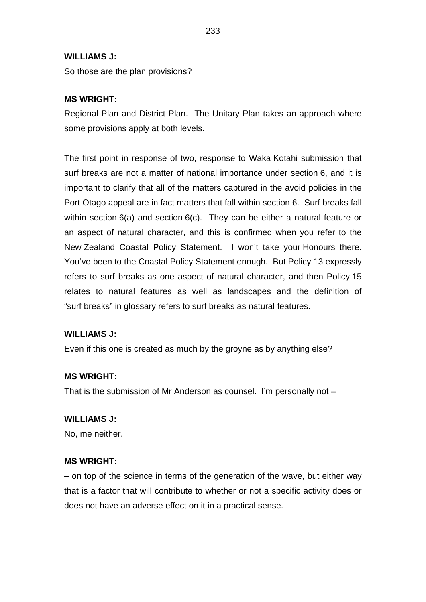### **WILLIAMS J:**

So those are the plan provisions?

## **MS WRIGHT:**

Regional Plan and District Plan. The Unitary Plan takes an approach where some provisions apply at both levels.

The first point in response of two, response to Waka Kotahi submission that surf breaks are not a matter of national importance under section 6, and it is important to clarify that all of the matters captured in the avoid policies in the Port Otago appeal are in fact matters that fall within section 6. Surf breaks fall within section 6(a) and section 6(c). They can be either a natural feature or an aspect of natural character, and this is confirmed when you refer to the New Zealand Coastal Policy Statement. I won't take your Honours there. You've been to the Coastal Policy Statement enough. But Policy 13 expressly refers to surf breaks as one aspect of natural character, and then Policy 15 relates to natural features as well as landscapes and the definition of "surf breaks" in glossary refers to surf breaks as natural features.

#### **WILLIAMS J:**

Even if this one is created as much by the groyne as by anything else?

#### **MS WRIGHT:**

That is the submission of Mr Anderson as counsel. I'm personally not –

#### **WILLIAMS J:**

No, me neither.

#### **MS WRIGHT:**

– on top of the science in terms of the generation of the wave, but either way that is a factor that will contribute to whether or not a specific activity does or does not have an adverse effect on it in a practical sense.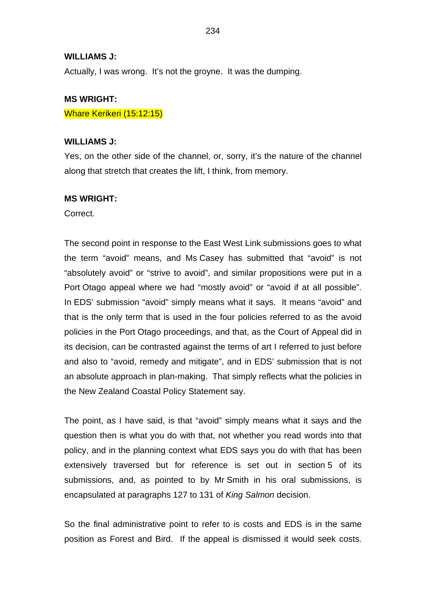#### **WILLIAMS J:**

Actually, I was wrong. It's not the groyne. It was the dumping.

#### **MS WRIGHT:**

Whare Kerikeri (15:12:15)

#### **WILLIAMS J:**

Yes, on the other side of the channel, or, sorry, it's the nature of the channel along that stretch that creates the lift, I think, from memory.

#### **MS WRIGHT:**

Correct.

The second point in response to the East West Link submissions goes to what the term "avoid" means, and Ms Casey has submitted that "avoid" is not "absolutely avoid" or "strive to avoid", and similar propositions were put in a Port Otago appeal where we had "mostly avoid" or "avoid if at all possible". In EDS' submission "avoid" simply means what it says. It means "avoid" and that is the only term that is used in the four policies referred to as the avoid policies in the Port Otago proceedings, and that, as the Court of Appeal did in its decision, can be contrasted against the terms of art I referred to just before and also to "avoid, remedy and mitigate", and in EDS' submission that is not an absolute approach in plan-making. That simply reflects what the policies in the New Zealand Coastal Policy Statement say.

The point, as I have said, is that "avoid" simply means what it says and the question then is what you do with that, not whether you read words into that policy, and in the planning context what EDS says you do with that has been extensively traversed but for reference is set out in section 5 of its submissions, and, as pointed to by Mr Smith in his oral submissions, is encapsulated at paragraphs 127 to 131 of *King Salmon* decision.

So the final administrative point to refer to is costs and EDS is in the same position as Forest and Bird. If the appeal is dismissed it would seek costs.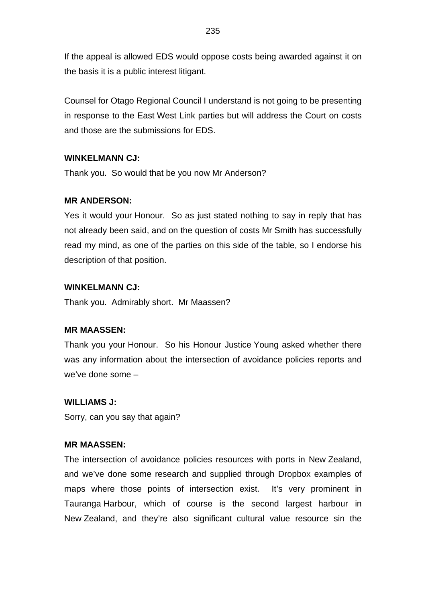If the appeal is allowed EDS would oppose costs being awarded against it on the basis it is a public interest litigant.

Counsel for Otago Regional Council I understand is not going to be presenting in response to the East West Link parties but will address the Court on costs and those are the submissions for EDS.

## **WINKELMANN CJ:**

Thank you. So would that be you now Mr Anderson?

### **MR ANDERSON:**

Yes it would your Honour. So as just stated nothing to say in reply that has not already been said, and on the question of costs Mr Smith has successfully read my mind, as one of the parties on this side of the table, so I endorse his description of that position.

### **WINKELMANN CJ:**

Thank you. Admirably short. Mr Maassen?

#### **MR MAASSEN:**

Thank you your Honour. So his Honour Justice Young asked whether there was any information about the intersection of avoidance policies reports and we've done some –

#### **WILLIAMS J:**

Sorry, can you say that again?

### **MR MAASSEN:**

The intersection of avoidance policies resources with ports in New Zealand, and we've done some research and supplied through Dropbox examples of maps where those points of intersection exist. It's very prominent in Tauranga Harbour, which of course is the second largest harbour in New Zealand, and they're also significant cultural value resource sin the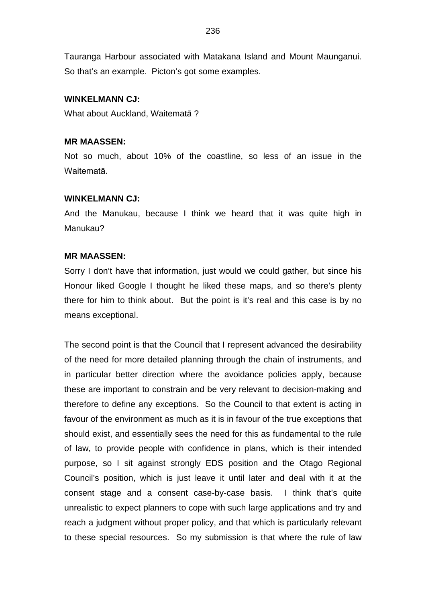Tauranga Harbour associated with Matakana Island and Mount Maunganui. So that's an example. Picton's got some examples.

### **WINKELMANN CJ:**

What about Auckland, Waitematā ?

### **MR MAASSEN:**

Not so much, about 10% of the coastline, so less of an issue in the Waitematā.

#### **WINKELMANN CJ:**

And the Manukau, because I think we heard that it was quite high in Manukau?

#### **MR MAASSEN:**

Sorry I don't have that information, just would we could gather, but since his Honour liked Google I thought he liked these maps, and so there's plenty there for him to think about. But the point is it's real and this case is by no means exceptional.

The second point is that the Council that I represent advanced the desirability of the need for more detailed planning through the chain of instruments, and in particular better direction where the avoidance policies apply, because these are important to constrain and be very relevant to decision-making and therefore to define any exceptions. So the Council to that extent is acting in favour of the environment as much as it is in favour of the true exceptions that should exist, and essentially sees the need for this as fundamental to the rule of law, to provide people with confidence in plans, which is their intended purpose, so I sit against strongly EDS position and the Otago Regional Council's position, which is just leave it until later and deal with it at the consent stage and a consent case-by-case basis. I think that's quite unrealistic to expect planners to cope with such large applications and try and reach a judgment without proper policy, and that which is particularly relevant to these special resources. So my submission is that where the rule of law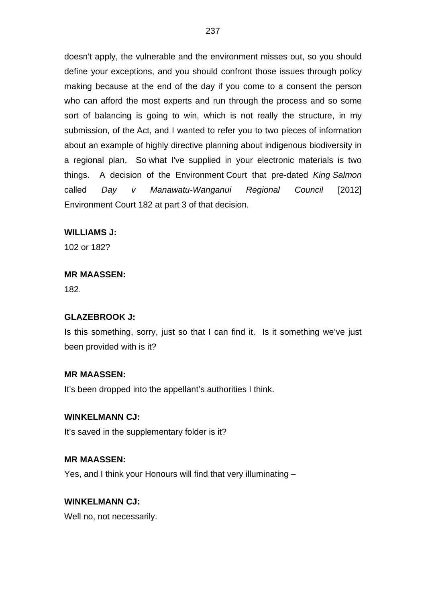doesn't apply, the vulnerable and the environment misses out, so you should define your exceptions, and you should confront those issues through policy making because at the end of the day if you come to a consent the person who can afford the most experts and run through the process and so some sort of balancing is going to win, which is not really the structure, in my submission, of the Act, and I wanted to refer you to two pieces of information about an example of highly directive planning about indigenous biodiversity in a regional plan. So what I've supplied in your electronic materials is two things. A decision of the Environment Court that pre-dated *King Salmon* called *Day v Manawatu-Wanganui Regional Council* [2012] Environment Court 182 at part 3 of that decision.

### **WILLIAMS J:**

102 or 182?

#### **MR MAASSEN:**

182.

#### **GLAZEBROOK J:**

Is this something, sorry, just so that I can find it. Is it something we've just been provided with is it?

#### **MR MAASSEN:**

It's been dropped into the appellant's authorities I think.

#### **WINKELMANN CJ:**

It's saved in the supplementary folder is it?

#### **MR MAASSEN:**

Yes, and I think your Honours will find that very illuminating –

### **WINKELMANN CJ:**

Well no, not necessarily.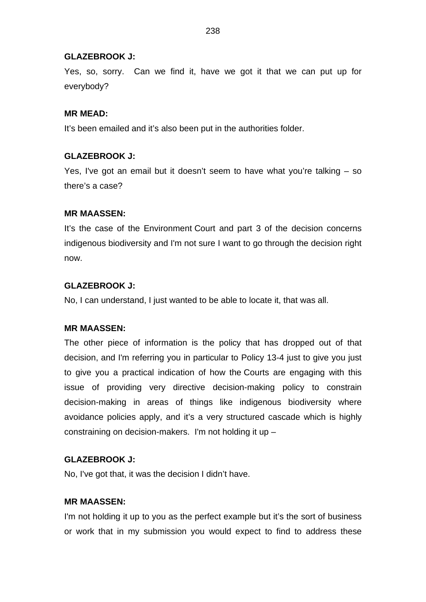#### **GLAZEBROOK J:**

Yes, so, sorry. Can we find it, have we got it that we can put up for everybody?

### **MR MEAD:**

It's been emailed and it's also been put in the authorities folder.

### **GLAZEBROOK J:**

Yes, I've got an email but it doesn't seem to have what you're talking – so there's a case?

### **MR MAASSEN:**

It's the case of the Environment Court and part 3 of the decision concerns indigenous biodiversity and I'm not sure I want to go through the decision right now.

### **GLAZEBROOK J:**

No, I can understand, I just wanted to be able to locate it, that was all.

#### **MR MAASSEN:**

The other piece of information is the policy that has dropped out of that decision, and I'm referring you in particular to Policy 13-4 just to give you just to give you a practical indication of how the Courts are engaging with this issue of providing very directive decision-making policy to constrain decision-making in areas of things like indigenous biodiversity where avoidance policies apply, and it's a very structured cascade which is highly constraining on decision-makers. I'm not holding it up –

## **GLAZEBROOK J:**

No, I've got that, it was the decision I didn't have.

#### **MR MAASSEN:**

I'm not holding it up to you as the perfect example but it's the sort of business or work that in my submission you would expect to find to address these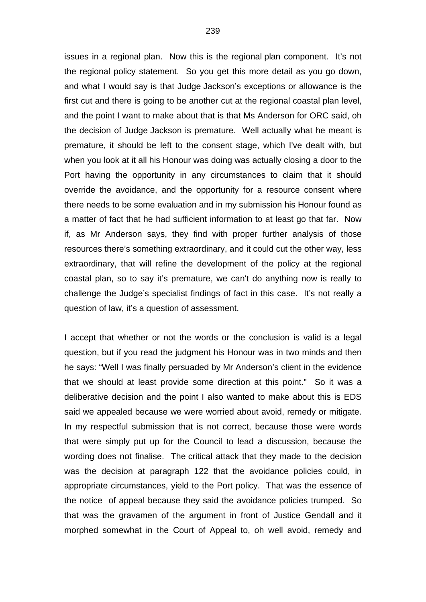issues in a regional plan. Now this is the regional plan component. It's not the regional policy statement. So you get this more detail as you go down, and what I would say is that Judge Jackson's exceptions or allowance is the first cut and there is going to be another cut at the regional coastal plan level, and the point I want to make about that is that Ms Anderson for ORC said, oh the decision of Judge Jackson is premature. Well actually what he meant is premature, it should be left to the consent stage, which I've dealt with, but when you look at it all his Honour was doing was actually closing a door to the Port having the opportunity in any circumstances to claim that it should override the avoidance, and the opportunity for a resource consent where there needs to be some evaluation and in my submission his Honour found as a matter of fact that he had sufficient information to at least go that far. Now if, as Mr Anderson says, they find with proper further analysis of those resources there's something extraordinary, and it could cut the other way, less extraordinary, that will refine the development of the policy at the regional coastal plan, so to say it's premature, we can't do anything now is really to challenge the Judge's specialist findings of fact in this case. It's not really a question of law, it's a question of assessment.

I accept that whether or not the words or the conclusion is valid is a legal question, but if you read the judgment his Honour was in two minds and then he says: "Well I was finally persuaded by Mr Anderson's client in the evidence that we should at least provide some direction at this point." So it was a deliberative decision and the point I also wanted to make about this is EDS said we appealed because we were worried about avoid, remedy or mitigate. In my respectful submission that is not correct, because those were words that were simply put up for the Council to lead a discussion, because the wording does not finalise. The critical attack that they made to the decision was the decision at paragraph 122 that the avoidance policies could, in appropriate circumstances, yield to the Port policy. That was the essence of the notice of appeal because they said the avoidance policies trumped. So that was the gravamen of the argument in front of Justice Gendall and it morphed somewhat in the Court of Appeal to, oh well avoid, remedy and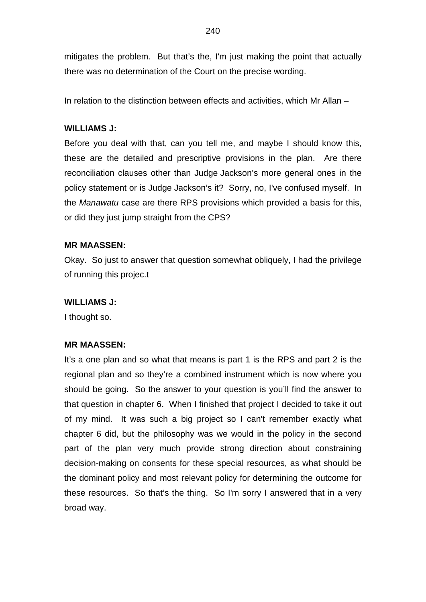mitigates the problem. But that's the, I'm just making the point that actually there was no determination of the Court on the precise wording.

In relation to the distinction between effects and activities, which Mr Allan –

## **WILLIAMS J:**

Before you deal with that, can you tell me, and maybe I should know this, these are the detailed and prescriptive provisions in the plan. Are there reconciliation clauses other than Judge Jackson's more general ones in the policy statement or is Judge Jackson's it? Sorry, no, I've confused myself. In the *Manawatu* case are there RPS provisions which provided a basis for this, or did they just jump straight from the CPS?

## **MR MAASSEN:**

Okay. So just to answer that question somewhat obliquely, I had the privilege of running this projec.t

## **WILLIAMS J:**

I thought so.

## **MR MAASSEN:**

It's a one plan and so what that means is part 1 is the RPS and part 2 is the regional plan and so they're a combined instrument which is now where you should be going. So the answer to your question is you'll find the answer to that question in chapter 6. When I finished that project I decided to take it out of my mind. It was such a big project so I can't remember exactly what chapter 6 did, but the philosophy was we would in the policy in the second part of the plan very much provide strong direction about constraining decision-making on consents for these special resources, as what should be the dominant policy and most relevant policy for determining the outcome for these resources. So that's the thing. So I'm sorry I answered that in a very broad way.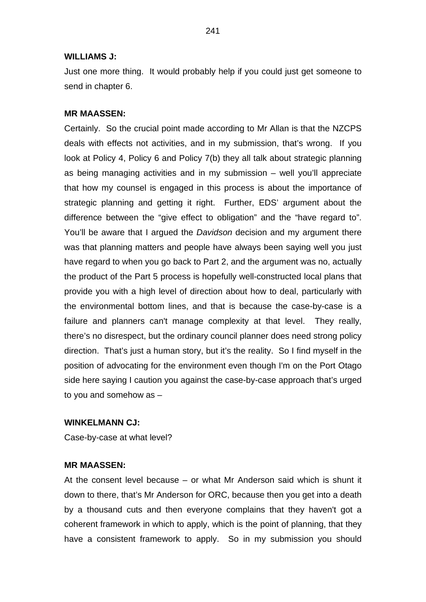#### **WILLIAMS J:**

Just one more thing. It would probably help if you could just get someone to send in chapter 6.

#### **MR MAASSEN:**

Certainly. So the crucial point made according to Mr Allan is that the NZCPS deals with effects not activities, and in my submission, that's wrong. If you look at Policy 4, Policy 6 and Policy 7(b) they all talk about strategic planning as being managing activities and in my submission – well you'll appreciate that how my counsel is engaged in this process is about the importance of strategic planning and getting it right. Further, EDS' argument about the difference between the "give effect to obligation" and the "have regard to". You'll be aware that I argued the *Davidson* decision and my argument there was that planning matters and people have always been saying well you just have regard to when you go back to Part 2, and the argument was no, actually the product of the Part 5 process is hopefully well-constructed local plans that provide you with a high level of direction about how to deal, particularly with the environmental bottom lines, and that is because the case-by-case is a failure and planners can't manage complexity at that level. They really, there's no disrespect, but the ordinary council planner does need strong policy direction. That's just a human story, but it's the reality. So I find myself in the position of advocating for the environment even though I'm on the Port Otago side here saying I caution you against the case-by-case approach that's urged to you and somehow as –

#### **WINKELMANN CJ:**

Case-by-case at what level?

#### **MR MAASSEN:**

At the consent level because – or what Mr Anderson said which is shunt it down to there, that's Mr Anderson for ORC, because then you get into a death by a thousand cuts and then everyone complains that they haven't got a coherent framework in which to apply, which is the point of planning, that they have a consistent framework to apply. So in my submission you should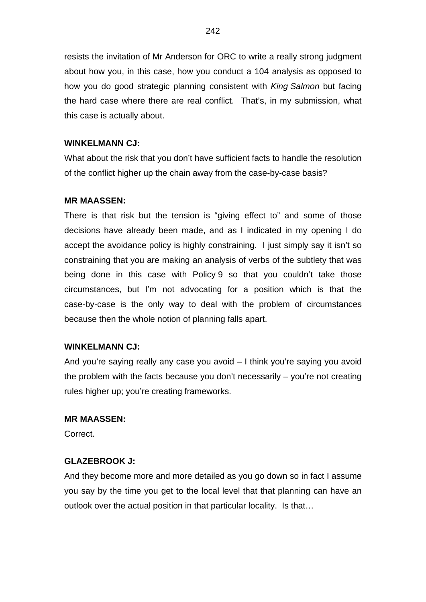resists the invitation of Mr Anderson for ORC to write a really strong judgment about how you, in this case, how you conduct a 104 analysis as opposed to how you do good strategic planning consistent with *King Salmon* but facing the hard case where there are real conflict. That's, in my submission, what this case is actually about.

### **WINKELMANN CJ:**

What about the risk that you don't have sufficient facts to handle the resolution of the conflict higher up the chain away from the case-by-case basis?

### **MR MAASSEN:**

There is that risk but the tension is "giving effect to" and some of those decisions have already been made, and as I indicated in my opening I do accept the avoidance policy is highly constraining. I just simply say it isn't so constraining that you are making an analysis of verbs of the subtlety that was being done in this case with Policy 9 so that you couldn't take those circumstances, but I'm not advocating for a position which is that the case-by-case is the only way to deal with the problem of circumstances because then the whole notion of planning falls apart.

#### **WINKELMANN CJ:**

And you're saying really any case you avoid – I think you're saying you avoid the problem with the facts because you don't necessarily – you're not creating rules higher up; you're creating frameworks.

#### **MR MAASSEN:**

Correct.

#### **GLAZEBROOK J:**

And they become more and more detailed as you go down so in fact I assume you say by the time you get to the local level that that planning can have an outlook over the actual position in that particular locality. Is that…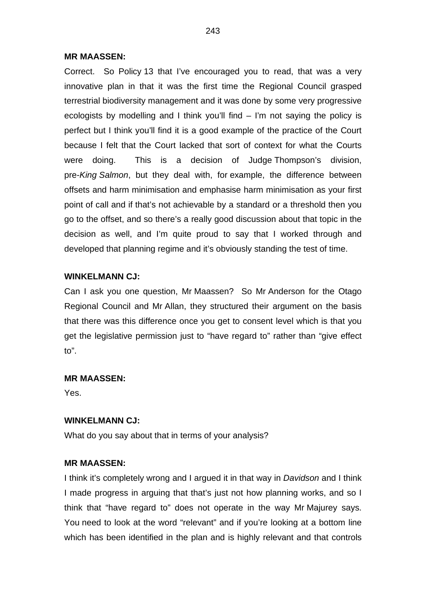#### **MR MAASSEN:**

Correct. So Policy 13 that I've encouraged you to read, that was a very innovative plan in that it was the first time the Regional Council grasped terrestrial biodiversity management and it was done by some very progressive ecologists by modelling and I think you'll find – I'm not saying the policy is perfect but I think you'll find it is a good example of the practice of the Court because I felt that the Court lacked that sort of context for what the Courts were doing. This is a decision of Judge Thompson's division, pre-*King Salmon*, but they deal with, for example, the difference between offsets and harm minimisation and emphasise harm minimisation as your first point of call and if that's not achievable by a standard or a threshold then you go to the offset, and so there's a really good discussion about that topic in the decision as well, and I'm quite proud to say that I worked through and developed that planning regime and it's obviously standing the test of time.

## **WINKELMANN CJ:**

Can I ask you one question, Mr Maassen? So Mr Anderson for the Otago Regional Council and Mr Allan, they structured their argument on the basis that there was this difference once you get to consent level which is that you get the legislative permission just to "have regard to" rather than "give effect to".

## **MR MAASSEN:**

Yes.

## **WINKELMANN CJ:**

What do you say about that in terms of your analysis?

## **MR MAASSEN:**

I think it's completely wrong and I argued it in that way in *Davidson* and I think I made progress in arguing that that's just not how planning works, and so I think that "have regard to" does not operate in the way Mr Majurey says. You need to look at the word "relevant" and if you're looking at a bottom line which has been identified in the plan and is highly relevant and that controls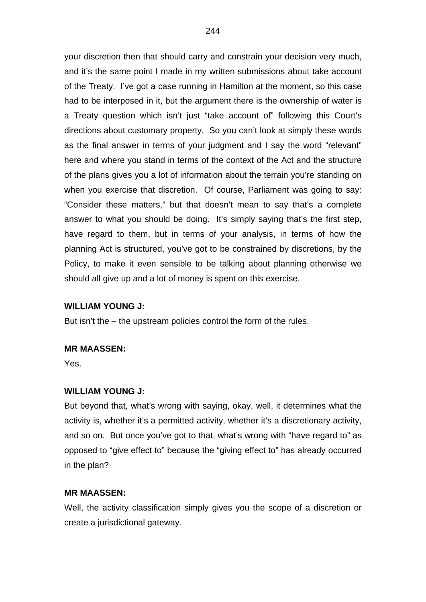your discretion then that should carry and constrain your decision very much, and it's the same point I made in my written submissions about take account of the Treaty. I've got a case running in Hamilton at the moment, so this case had to be interposed in it, but the argument there is the ownership of water is a Treaty question which isn't just "take account of" following this Court's directions about customary property. So you can't look at simply these words as the final answer in terms of your judgment and I say the word "relevant" here and where you stand in terms of the context of the Act and the structure of the plans gives you a lot of information about the terrain you're standing on when you exercise that discretion. Of course, Parliament was going to say: "Consider these matters," but that doesn't mean to say that's a complete answer to what you should be doing. It's simply saying that's the first step, have regard to them, but in terms of your analysis, in terms of how the planning Act is structured, you've got to be constrained by discretions, by the Policy, to make it even sensible to be talking about planning otherwise we should all give up and a lot of money is spent on this exercise.

#### **WILLIAM YOUNG J:**

But isn't the – the upstream policies control the form of the rules.

#### **MR MAASSEN:**

Yes.

### **WILLIAM YOUNG J:**

But beyond that, what's wrong with saying, okay, well, it determines what the activity is, whether it's a permitted activity, whether it's a discretionary activity, and so on. But once you've got to that, what's wrong with "have regard to" as opposed to "give effect to" because the "giving effect to" has already occurred in the plan?

### **MR MAASSEN:**

Well, the activity classification simply gives you the scope of a discretion or create a jurisdictional gateway.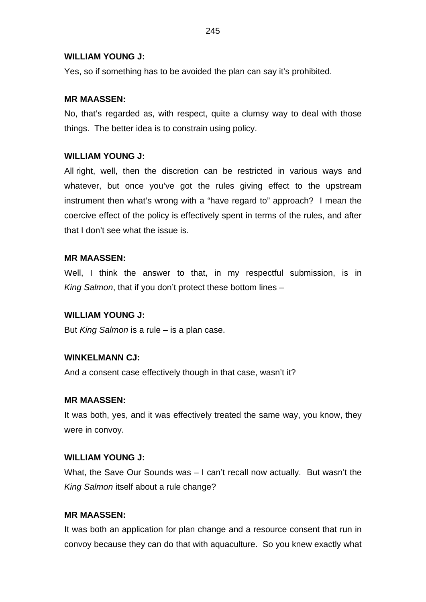### **WILLIAM YOUNG J:**

Yes, so if something has to be avoided the plan can say it's prohibited.

## **MR MAASSEN:**

No, that's regarded as, with respect, quite a clumsy way to deal with those things. The better idea is to constrain using policy.

### **WILLIAM YOUNG J:**

All right, well, then the discretion can be restricted in various ways and whatever, but once you've got the rules giving effect to the upstream instrument then what's wrong with a "have regard to" approach? I mean the coercive effect of the policy is effectively spent in terms of the rules, and after that I don't see what the issue is.

#### **MR MAASSEN:**

Well, I think the answer to that, in my respectful submission, is in *King Salmon*, that if you don't protect these bottom lines –

#### **WILLIAM YOUNG J:**

But *King Salmon* is a rule – is a plan case.

#### **WINKELMANN CJ:**

And a consent case effectively though in that case, wasn't it?

#### **MR MAASSEN:**

It was both, yes, and it was effectively treated the same way, you know, they were in convoy.

#### **WILLIAM YOUNG J:**

What, the Save Our Sounds was – I can't recall now actually. But wasn't the *King Salmon* itself about a rule change?

### **MR MAASSEN:**

It was both an application for plan change and a resource consent that run in convoy because they can do that with aquaculture. So you knew exactly what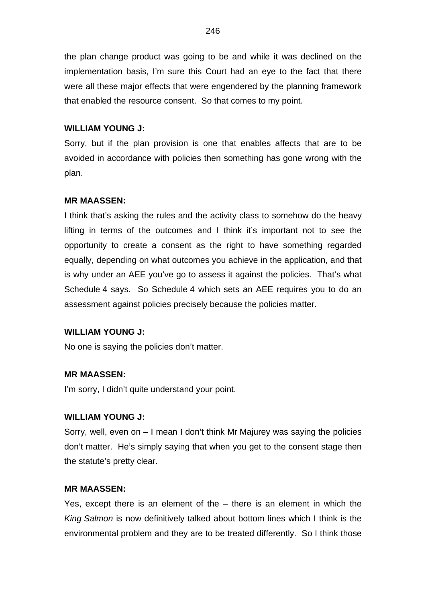the plan change product was going to be and while it was declined on the implementation basis, I'm sure this Court had an eye to the fact that there were all these major effects that were engendered by the planning framework that enabled the resource consent. So that comes to my point.

## **WILLIAM YOUNG J:**

Sorry, but if the plan provision is one that enables affects that are to be avoided in accordance with policies then something has gone wrong with the plan.

## **MR MAASSEN:**

I think that's asking the rules and the activity class to somehow do the heavy lifting in terms of the outcomes and I think it's important not to see the opportunity to create a consent as the right to have something regarded equally, depending on what outcomes you achieve in the application, and that is why under an AEE you've go to assess it against the policies. That's what Schedule 4 says. So Schedule 4 which sets an AEE requires you to do an assessment against policies precisely because the policies matter.

#### **WILLIAM YOUNG J:**

No one is saying the policies don't matter.

#### **MR MAASSEN:**

I'm sorry, I didn't quite understand your point.

#### **WILLIAM YOUNG J:**

Sorry, well, even on – I mean I don't think Mr Majurey was saying the policies don't matter. He's simply saying that when you get to the consent stage then the statute's pretty clear.

### **MR MAASSEN:**

Yes, except there is an element of the – there is an element in which the *King Salmon* is now definitively talked about bottom lines which I think is the environmental problem and they are to be treated differently. So I think those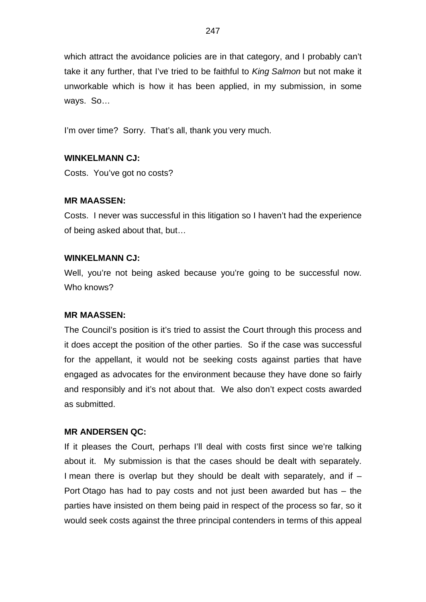which attract the avoidance policies are in that category, and I probably can't take it any further, that I've tried to be faithful to *King Salmon* but not make it unworkable which is how it has been applied, in my submission, in some ways. So…

I'm over time? Sorry. That's all, thank you very much.

### **WINKELMANN CJ:**

Costs. You've got no costs?

### **MR MAASSEN:**

Costs. I never was successful in this litigation so I haven't had the experience of being asked about that, but…

#### **WINKELMANN CJ:**

Well, you're not being asked because you're going to be successful now. Who knows?

#### **MR MAASSEN:**

The Council's position is it's tried to assist the Court through this process and it does accept the position of the other parties. So if the case was successful for the appellant, it would not be seeking costs against parties that have engaged as advocates for the environment because they have done so fairly and responsibly and it's not about that. We also don't expect costs awarded as submitted.

#### **MR ANDERSEN QC:**

If it pleases the Court, perhaps I'll deal with costs first since we're talking about it. My submission is that the cases should be dealt with separately. I mean there is overlap but they should be dealt with separately, and if  $-$ Port Otago has had to pay costs and not just been awarded but has – the parties have insisted on them being paid in respect of the process so far, so it would seek costs against the three principal contenders in terms of this appeal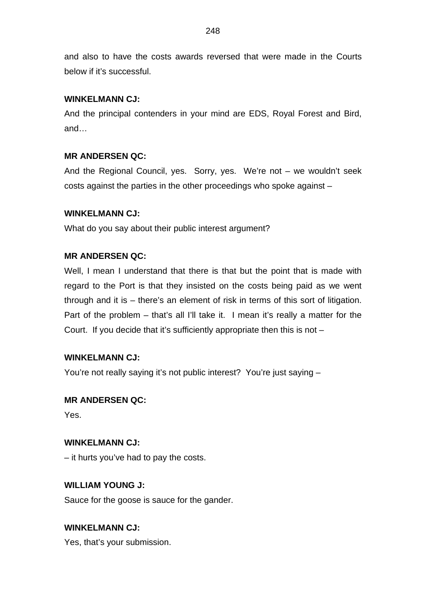and also to have the costs awards reversed that were made in the Courts below if it's successful.

## **WINKELMANN CJ:**

And the principal contenders in your mind are EDS, Royal Forest and Bird, and…

## **MR ANDERSEN QC:**

And the Regional Council, yes. Sorry, yes. We're not – we wouldn't seek costs against the parties in the other proceedings who spoke against –

## **WINKELMANN CJ:**

What do you say about their public interest argument?

## **MR ANDERSEN QC:**

Well, I mean I understand that there is that but the point that is made with regard to the Port is that they insisted on the costs being paid as we went through and it is – there's an element of risk in terms of this sort of litigation. Part of the problem – that's all I'll take it. I mean it's really a matter for the Court. If you decide that it's sufficiently appropriate then this is not –

## **WINKELMANN CJ:**

You're not really saying it's not public interest? You're just saying –

## **MR ANDERSEN QC:**

Yes.

## **WINKELMANN CJ:**

– it hurts you've had to pay the costs.

## **WILLIAM YOUNG J:**

Sauce for the goose is sauce for the gander.

# **WINKELMANN CJ:**

Yes, that's your submission.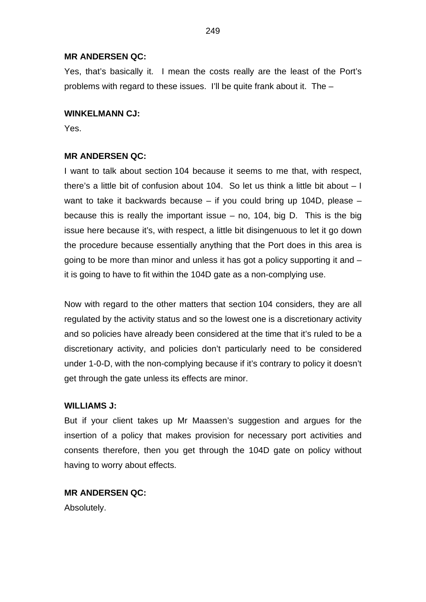#### **MR ANDERSEN QC:**

Yes, that's basically it. I mean the costs really are the least of the Port's problems with regard to these issues. I'll be quite frank about it. The –

#### **WINKELMANN CJ:**

Yes.

#### **MR ANDERSEN QC:**

I want to talk about section 104 because it seems to me that, with respect, there's a little bit of confusion about 104. So let us think a little bit about – I want to take it backwards because – if you could bring up 104D, please – because this is really the important issue  $-$  no, 104, big D. This is the big issue here because it's, with respect, a little bit disingenuous to let it go down the procedure because essentially anything that the Port does in this area is going to be more than minor and unless it has got a policy supporting it and – it is going to have to fit within the 104D gate as a non-complying use.

Now with regard to the other matters that section 104 considers, they are all regulated by the activity status and so the lowest one is a discretionary activity and so policies have already been considered at the time that it's ruled to be a discretionary activity, and policies don't particularly need to be considered under 1-0-D, with the non-complying because if it's contrary to policy it doesn't get through the gate unless its effects are minor.

#### **WILLIAMS J:**

But if your client takes up Mr Maassen's suggestion and argues for the insertion of a policy that makes provision for necessary port activities and consents therefore, then you get through the 104D gate on policy without having to worry about effects.

### **MR ANDERSEN QC:**

Absolutely.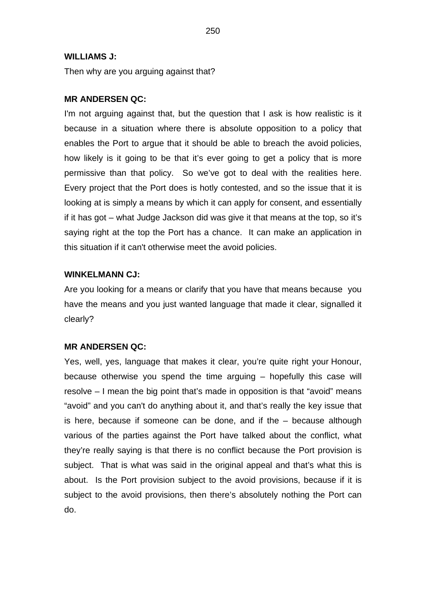#### **WILLIAMS J:**

Then why are you arguing against that?

#### **MR ANDERSEN QC:**

I'm not arguing against that, but the question that I ask is how realistic is it because in a situation where there is absolute opposition to a policy that enables the Port to argue that it should be able to breach the avoid policies, how likely is it going to be that it's ever going to get a policy that is more permissive than that policy. So we've got to deal with the realities here. Every project that the Port does is hotly contested, and so the issue that it is looking at is simply a means by which it can apply for consent, and essentially if it has got – what Judge Jackson did was give it that means at the top, so it's saying right at the top the Port has a chance. It can make an application in this situation if it can't otherwise meet the avoid policies.

### **WINKELMANN CJ:**

Are you looking for a means or clarify that you have that means because you have the means and you just wanted language that made it clear, signalled it clearly?

#### **MR ANDERSEN QC:**

Yes, well, yes, language that makes it clear, you're quite right your Honour, because otherwise you spend the time arguing – hopefully this case will resolve – I mean the big point that's made in opposition is that "avoid" means "avoid" and you can't do anything about it, and that's really the key issue that is here, because if someone can be done, and if the – because although various of the parties against the Port have talked about the conflict, what they're really saying is that there is no conflict because the Port provision is subject. That is what was said in the original appeal and that's what this is about. Is the Port provision subject to the avoid provisions, because if it is subject to the avoid provisions, then there's absolutely nothing the Port can do.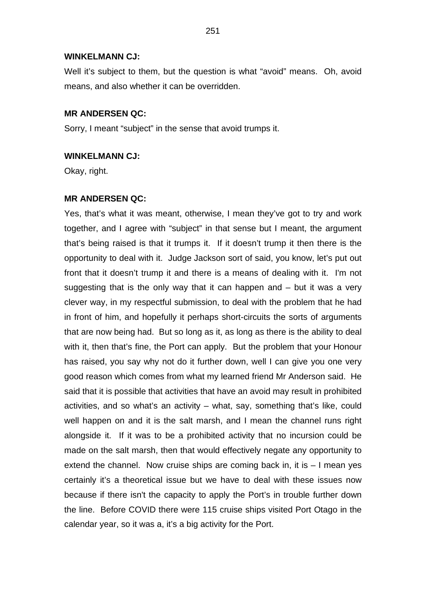#### **WINKELMANN CJ:**

Well it's subject to them, but the question is what "avoid" means. Oh, avoid means, and also whether it can be overridden.

#### **MR ANDERSEN QC:**

Sorry, I meant "subject" in the sense that avoid trumps it.

## **WINKELMANN CJ:**

Okay, right.

#### **MR ANDERSEN QC:**

Yes, that's what it was meant, otherwise, I mean they've got to try and work together, and I agree with "subject" in that sense but I meant, the argument that's being raised is that it trumps it. If it doesn't trump it then there is the opportunity to deal with it. Judge Jackson sort of said, you know, let's put out front that it doesn't trump it and there is a means of dealing with it. I'm not suggesting that is the only way that it can happen and – but it was a very clever way, in my respectful submission, to deal with the problem that he had in front of him, and hopefully it perhaps short-circuits the sorts of arguments that are now being had. But so long as it, as long as there is the ability to deal with it, then that's fine, the Port can apply. But the problem that your Honour has raised, you say why not do it further down, well I can give you one very good reason which comes from what my learned friend Mr Anderson said. He said that it is possible that activities that have an avoid may result in prohibited activities, and so what's an activity – what, say, something that's like, could well happen on and it is the salt marsh, and I mean the channel runs right alongside it. If it was to be a prohibited activity that no incursion could be made on the salt marsh, then that would effectively negate any opportunity to extend the channel. Now cruise ships are coming back in, it is – I mean yes certainly it's a theoretical issue but we have to deal with these issues now because if there isn't the capacity to apply the Port's in trouble further down the line. Before COVID there were 115 cruise ships visited Port Otago in the calendar year, so it was a, it's a big activity for the Port.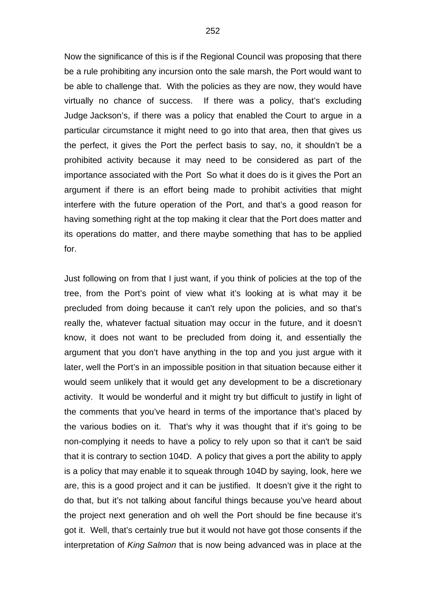Now the significance of this is if the Regional Council was proposing that there be a rule prohibiting any incursion onto the sale marsh, the Port would want to be able to challenge that. With the policies as they are now, they would have virtually no chance of success. If there was a policy, that's excluding Judge Jackson's, if there was a policy that enabled the Court to argue in a particular circumstance it might need to go into that area, then that gives us the perfect, it gives the Port the perfect basis to say, no, it shouldn't be a prohibited activity because it may need to be considered as part of the importance associated with the Port So what it does do is it gives the Port an argument if there is an effort being made to prohibit activities that might interfere with the future operation of the Port, and that's a good reason for having something right at the top making it clear that the Port does matter and its operations do matter, and there maybe something that has to be applied for.

Just following on from that I just want, if you think of policies at the top of the tree, from the Port's point of view what it's looking at is what may it be precluded from doing because it can't rely upon the policies, and so that's really the, whatever factual situation may occur in the future, and it doesn't know, it does not want to be precluded from doing it, and essentially the argument that you don't have anything in the top and you just argue with it later, well the Port's in an impossible position in that situation because either it would seem unlikely that it would get any development to be a discretionary activity. It would be wonderful and it might try but difficult to justify in light of the comments that you've heard in terms of the importance that's placed by the various bodies on it. That's why it was thought that if it's going to be non-complying it needs to have a policy to rely upon so that it can't be said that it is contrary to section 104D. A policy that gives a port the ability to apply is a policy that may enable it to squeak through 104D by saying, look, here we are, this is a good project and it can be justified. It doesn't give it the right to do that, but it's not talking about fanciful things because you've heard about the project next generation and oh well the Port should be fine because it's got it. Well, that's certainly true but it would not have got those consents if the interpretation of *King Salmon* that is now being advanced was in place at the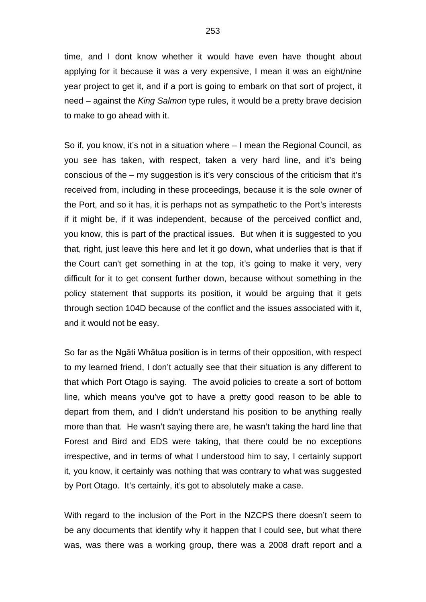time, and I dont know whether it would have even have thought about applying for it because it was a very expensive, I mean it was an eight/nine year project to get it, and if a port is going to embark on that sort of project, it need – against the *King Salmon* type rules, it would be a pretty brave decision to make to go ahead with it.

So if, you know, it's not in a situation where – I mean the Regional Council, as you see has taken, with respect, taken a very hard line, and it's being conscious of the – my suggestion is it's very conscious of the criticism that it's received from, including in these proceedings, because it is the sole owner of the Port, and so it has, it is perhaps not as sympathetic to the Port's interests if it might be, if it was independent, because of the perceived conflict and, you know, this is part of the practical issues. But when it is suggested to you that, right, just leave this here and let it go down, what underlies that is that if the Court can't get something in at the top, it's going to make it very, very difficult for it to get consent further down, because without something in the policy statement that supports its position, it would be arguing that it gets through section 104D because of the conflict and the issues associated with it, and it would not be easy.

So far as the Ngāti Whātua position is in terms of their opposition, with respect to my learned friend, I don't actually see that their situation is any different to that which Port Otago is saying. The avoid policies to create a sort of bottom line, which means you've got to have a pretty good reason to be able to depart from them, and I didn't understand his position to be anything really more than that. He wasn't saying there are, he wasn't taking the hard line that Forest and Bird and EDS were taking, that there could be no exceptions irrespective, and in terms of what I understood him to say, I certainly support it, you know, it certainly was nothing that was contrary to what was suggested by Port Otago. It's certainly, it's got to absolutely make a case.

With regard to the inclusion of the Port in the NZCPS there doesn't seem to be any documents that identify why it happen that I could see, but what there was, was there was a working group, there was a 2008 draft report and a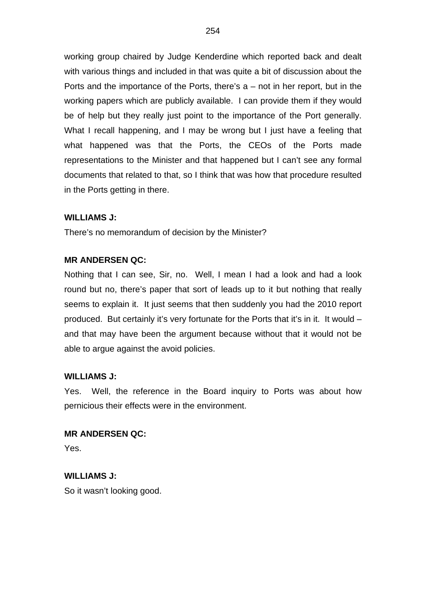working group chaired by Judge Kenderdine which reported back and dealt with various things and included in that was quite a bit of discussion about the Ports and the importance of the Ports, there's  $a$  – not in her report, but in the working papers which are publicly available. I can provide them if they would be of help but they really just point to the importance of the Port generally. What I recall happening, and I may be wrong but I just have a feeling that what happened was that the Ports, the CEOs of the Ports made representations to the Minister and that happened but I can't see any formal documents that related to that, so I think that was how that procedure resulted in the Ports getting in there.

## **WILLIAMS J:**

There's no memorandum of decision by the Minister?

#### **MR ANDERSEN QC:**

Nothing that I can see, Sir, no. Well, I mean I had a look and had a look round but no, there's paper that sort of leads up to it but nothing that really seems to explain it. It just seems that then suddenly you had the 2010 report produced. But certainly it's very fortunate for the Ports that it's in it. It would – and that may have been the argument because without that it would not be able to argue against the avoid policies.

#### **WILLIAMS J:**

Yes. Well, the reference in the Board inquiry to Ports was about how pernicious their effects were in the environment.

# **MR ANDERSEN QC:**

Yes.

# **WILLIAMS J:**

So it wasn't looking good.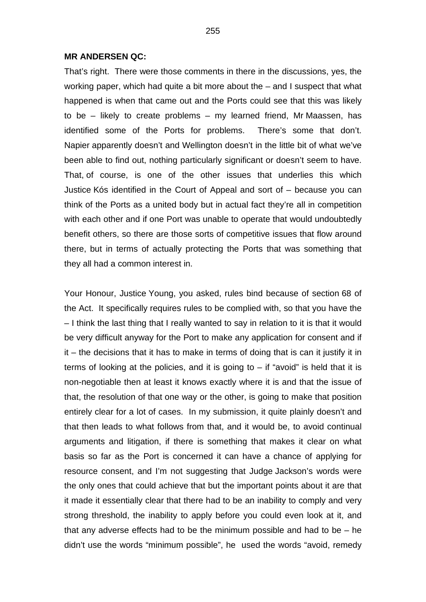#### **MR ANDERSEN QC:**

That's right. There were those comments in there in the discussions, yes, the working paper, which had quite a bit more about the – and I suspect that what happened is when that came out and the Ports could see that this was likely to be – likely to create problems – my learned friend, Mr Maassen, has identified some of the Ports for problems. There's some that don't. Napier apparently doesn't and Wellington doesn't in the little bit of what we've been able to find out, nothing particularly significant or doesn't seem to have. That, of course, is one of the other issues that underlies this which Justice Kós identified in the Court of Appeal and sort of – because you can think of the Ports as a united body but in actual fact they're all in competition with each other and if one Port was unable to operate that would undoubtedly benefit others, so there are those sorts of competitive issues that flow around there, but in terms of actually protecting the Ports that was something that they all had a common interest in.

Your Honour, Justice Young, you asked, rules bind because of section 68 of the Act. It specifically requires rules to be complied with, so that you have the – I think the last thing that I really wanted to say in relation to it is that it would be very difficult anyway for the Port to make any application for consent and if it – the decisions that it has to make in terms of doing that is can it justify it in terms of looking at the policies, and it is going to  $-$  if "avoid" is held that it is non-negotiable then at least it knows exactly where it is and that the issue of that, the resolution of that one way or the other, is going to make that position entirely clear for a lot of cases. In my submission, it quite plainly doesn't and that then leads to what follows from that, and it would be, to avoid continual arguments and litigation, if there is something that makes it clear on what basis so far as the Port is concerned it can have a chance of applying for resource consent, and I'm not suggesting that Judge Jackson's words were the only ones that could achieve that but the important points about it are that it made it essentially clear that there had to be an inability to comply and very strong threshold, the inability to apply before you could even look at it, and that any adverse effects had to be the minimum possible and had to be – he didn't use the words "minimum possible", he used the words "avoid, remedy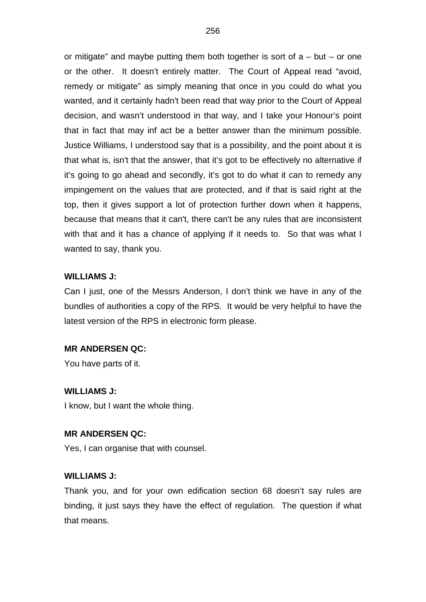or mitigate" and maybe putting them both together is sort of  $a - but - or one$ or the other. It doesn't entirely matter. The Court of Appeal read "avoid, remedy or mitigate" as simply meaning that once in you could do what you wanted, and it certainly hadn't been read that way prior to the Court of Appeal decision, and wasn't understood in that way, and I take your Honour's point that in fact that may inf act be a better answer than the minimum possible. Justice Williams, I understood say that is a possibility, and the point about it is that what is, isn't that the answer, that it's got to be effectively no alternative if it's going to go ahead and secondly, it's got to do what it can to remedy any impingement on the values that are protected, and if that is said right at the top, then it gives support a lot of protection further down when it happens, because that means that it can't, there can't be any rules that are inconsistent with that and it has a chance of applying if it needs to. So that was what I wanted to say, thank you.

#### **WILLIAMS J:**

Can I just, one of the Messrs Anderson, I don't think we have in any of the bundles of authorities a copy of the RPS. It would be very helpful to have the latest version of the RPS in electronic form please.

#### **MR ANDERSEN QC:**

You have parts of it.

#### **WILLIAMS J:**

I know, but I want the whole thing.

#### **MR ANDERSEN QC:**

Yes, I can organise that with counsel.

#### **WILLIAMS J:**

Thank you, and for your own edification section 68 doesn't say rules are binding, it just says they have the effect of regulation. The question if what that means.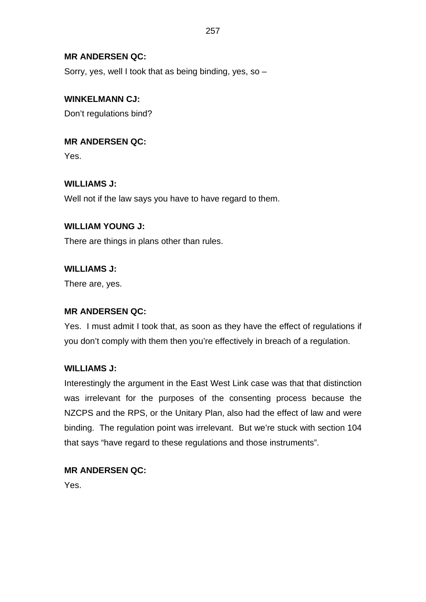## **MR ANDERSEN QC:**

Sorry, yes, well I took that as being binding, yes, so –

## **WINKELMANN CJ:**

Don't regulations bind?

**MR ANDERSEN QC:** Yes.

**WILLIAMS J:**

Well not if the law says you have to have regard to them.

## **WILLIAM YOUNG J:**

There are things in plans other than rules.

**WILLIAMS J:**

There are, yes.

## **MR ANDERSEN QC:**

Yes. I must admit I took that, as soon as they have the effect of regulations if you don't comply with them then you're effectively in breach of a regulation.

## **WILLIAMS J:**

Interestingly the argument in the East West Link case was that that distinction was irrelevant for the purposes of the consenting process because the NZCPS and the RPS, or the Unitary Plan, also had the effect of law and were binding. The regulation point was irrelevant. But we're stuck with section 104 that says "have regard to these regulations and those instruments".

## **MR ANDERSEN QC:**

Yes.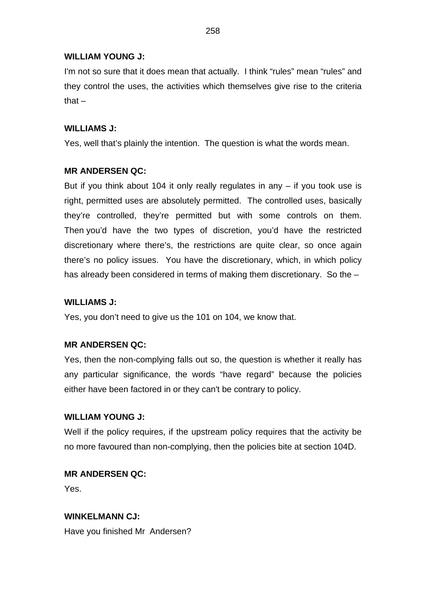## **WILLIAM YOUNG J:**

I'm not so sure that it does mean that actually. I think "rules" mean "rules" and they control the uses, the activities which themselves give rise to the criteria that $-$ 

#### **WILLIAMS J:**

Yes, well that's plainly the intention. The question is what the words mean.

#### **MR ANDERSEN QC:**

But if you think about 104 it only really regulates in any  $-$  if you took use is right, permitted uses are absolutely permitted. The controlled uses, basically they're controlled, they're permitted but with some controls on them. Then you'd have the two types of discretion, you'd have the restricted discretionary where there's, the restrictions are quite clear, so once again there's no policy issues. You have the discretionary, which, in which policy has already been considered in terms of making them discretionary. So the -

## **WILLIAMS J:**

Yes, you don't need to give us the 101 on 104, we know that.

#### **MR ANDERSEN QC:**

Yes, then the non-complying falls out so, the question is whether it really has any particular significance, the words "have regard" because the policies either have been factored in or they can't be contrary to policy.

#### **WILLIAM YOUNG J:**

Well if the policy requires, if the upstream policy requires that the activity be no more favoured than non-complying, then the policies bite at section 104D.

## **MR ANDERSEN QC:**

Yes.

## **WINKELMANN CJ:**

Have you finished Mr Andersen?